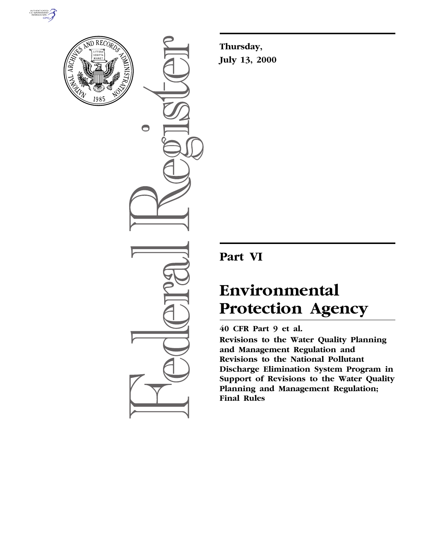



 $\bigcirc$ 

**Thursday, July 13, 2000**

## **Part VI**

# **Environmental Protection Agency**

### **40 CFR Part 9 et al.**

**Revisions to the Water Quality Planning and Management Regulation and Revisions to the National Pollutant Discharge Elimination System Program in Support of Revisions to the Water Quality Planning and Management Regulation; Final Rules**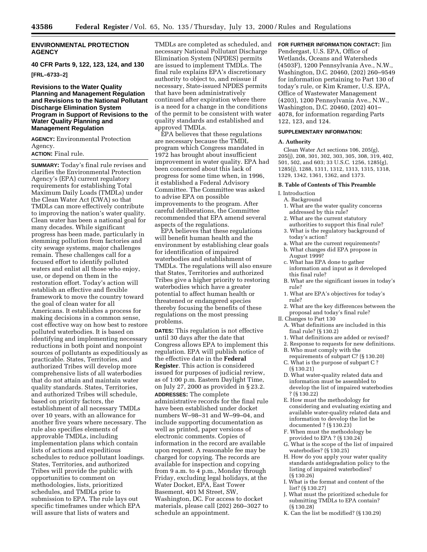#### **ENVIRONMENTAL PROTECTION AGENCY**

#### **40 CFR Parts 9, 122, 123, 124, and 130 [FRL–6733–2]**

#### **Revisions to the Water Quality Planning and Management Regulation and Revisions to the National Pollutant Discharge Elimination System Program in Support of Revisions to the Water Quality Planning and Management Regulation**

**AGENCY:** Environmental Protection Agency.

#### **ACTION:** Final rule.

**SUMMARY:** Today's final rule revises and clarifies the Environmental Protection Agency's (EPA) current regulatory requirements for establishing Total Maximum Daily Loads (TMDLs) under the Clean Water Act (CWA) so that TMDLs can more effectively contribute to improving the nation's water quality. Clean water has been a national goal for many decades. While significant progress has been made, particularly in stemming pollution from factories and city sewage systems, major challenges remain. These challenges call for a focused effort to identify polluted waters and enlist all those who enjoy, use, or depend on them in the restoration effort. Today's action will establish an effective and flexible framework to move the country toward the goal of clean water for all Americans. It establishes a process for making decisions in a common sense, cost effective way on how best to restore polluted waterbodies. It is based on identifying and implementing necessary reductions in both point and nonpoint sources of pollutants as expeditiously as practicable. States, Territories, and authorized Tribes will develop more comprehensive lists of all waterbodies that do not attain and maintain water quality standards. States, Territories, and authorized Tribes will schedule, based on priority factors, the establishment of all necessary TMDLs over 10 years, with an allowance for another five years where necessary. The rule also specifies elements of approvable TMDLs, including implementation plans which contain lists of actions and expeditious schedules to reduce pollutant loadings. States, Territories, and authorized Tribes will provide the public with opportunities to comment on methodologies, lists, prioritized schedules, and TMDLs prior to submission to EPA. The rule lays out specific timeframes under which EPA will assure that lists of waters and

TMDLs are completed as scheduled, and necessary National Pollutant Discharge Elimination System (NPDES) permits are issued to implement TMDLs. The final rule explains EPA's discretionary authority to object to, and reissue if necessary, State-issued NPDES permits that have been administratively continued after expiration where there is a need for a change in the conditions of the permit to be consistent with water quality standards and established and approved TMDLs.

EPA believes that these regulations are necessary because the TMDL program which Congress mandated in 1972 has brought about insufficient improvement in water quality. EPA had been concerned about this lack of progress for some time when, in 1996, it established a Federal Advisory Committee. The Committee was asked to advise EPA on possible improvements to the program. After careful deliberations, the Committee recommended that EPA amend several aspects of the regulations.

EPA believes that these regulations will benefit human health and the environment by establishing clear goals for identification of impaired waterbodies and establishment of TMDLs. The regulations will also ensure that States, Territories and authorized Tribes give a higher priority to restoring waterbodies which have a greater potential to affect human health or threatened or endangered species thereby focusing the benefits of these regulations on the most pressing problems.

**DATES:** This regulation is not effective until 30 days after the date that Congress allows EPA to implement this regulation. EPA will publish notice of the effective date in the **Federal Register**. This action is considered issued for purposes of judicial review, as of 1:00 p.m. Eastern Daylight Time, on July 27, 2000 as provided in § 23.2. **ADDRESSES:** The complete administrative records for the final rule have been established under docket numbers W–98–31 and W–99–04, and include supporting documentation as well as printed, paper versions of electronic comments. Copies of information in the record are available upon request. A reasonable fee may be charged for copying. The records are available for inspection and copying from 9 a.m. to 4 p.m., Monday through Friday, excluding legal holidays, at the Water Docket, EPA, East Tower Basement, 401 M Street, SW, Washington, DC. For access to docket materials, please call (202) 260–3027 to schedule an appointment.

**FOR FURTHER INFORMATION CONTACT:** Jim Pendergast, U.S. EPA, Office of Wetlands, Oceans and Watersheds (4503F), 1200 Pennsylvania Ave., N.W., Washington, D.C. 20460, (202) 260–9549 for information pertaining to Part 130 of today's rule, or Kim Kramer, U.S. EPA, Office of Wastewater Management (4203), 1200 Pennsylvania Ave., N.W., Washington, D.C. 20460, (202) 401– 4078, for information regarding Parts 122, 123, and 124.

#### **SUPPLEMENTARY INFORMATION:**

#### **A. Authority**

Clean Water Act sections 106, 205(g), 205(j), 208, 301, 302, 303, 305, 308, 319, 402, 501, 502, and 603; 33 U.S.C. 1256, 1285(g), 1285(j), 1288, 1311, 1312, 1313, 1315, 1318, 1329, 1342, 1361, 1362, and 1373.

#### **B. Table of Contents of This Preamble**

- I. Introduction
	- A. Background
	- 1. What are the water quality concerns addressed by this rule? 2. What are the current statutory
	- authorities to support this final rule?
	- 3. What is the regulatory background of today's action? a. What are the current requirements?
	- b. What changes did EPA propose in
	- August 1999?
	- c. What has EPA done to gather information and input as it developed this final rule?
	- B. What are the significant issues in today's rule?
	- 1. What are EPA's objectives for today's rule?
	- 2. What are the key differences between the proposal and today's final rule?
- II. Changes to Part 130 A. What definitions are included in this
	- final rule? (§ 130.2)
	- 1. What definitions are added or revised?
	- 2. Response to requests for new definitions.
- B. Who must comply with the
- requirements of subpart C? (§ 130.20) C. What is the purpose of subpart C ? (§ 130.21)
- D. What water-quality related data and information must be assembled to develop the list of impaired waterbodies ? (§ 130.22)
- E. How must the methodology for considering and evaluating existing and available water-quality related data and information to develop the list be documented ?  $(\S 130.\overline{2}3)$
- F. When must the methodology be provided to EPA ? (§ 130.24)
- G. What is the scope of the list of impaired waterbodies? (§ 130.25)
- H. How do you apply your water quality standards antidegradation policy to the listing of impaired waterbodies? (§ 130.26)
- I. What is the format and content of the list? (§ 130.27)
- J. What must the prioritized schedule for submitting TMDLs to EPA contain? (§ 130.28)
- K. Can the list be modified? (§ 130.29)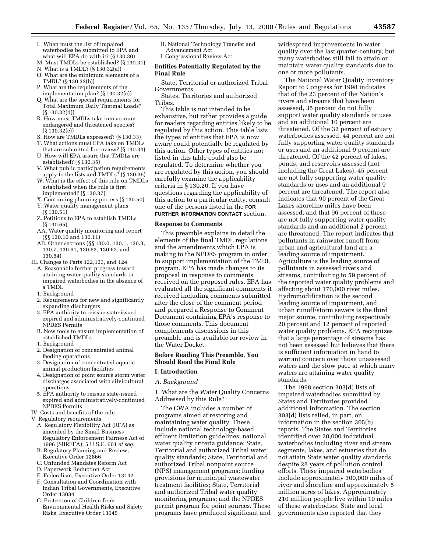- L. When must the list of impaired waterbodies be submitted to EPA and what will EPA do with it? (§ 130.30)
- M. Must TMDLs be established? (§ 130.31)
- N. What is a TMDL? (§ 130.32(a))
- O. What are the minimum elements of a TMDL? (§ 130.32(b))
- P. What are the requirements of the implementation plan? (§ 130.32(c))
- Q. What are the special requirements for Total Maximum Daily Thermal Loads? (§ 130.32(d))
- R. How must TMDLs take into account endangered and threatened species? (§ 130.32(e))
- S. How are TMDLs expressed? (§ 130.33)
- T. What actions must EPA take on TMDLs
- that are submitted for review? (§ 130.34) U. How will EPA assure that TMDLs are
- established? (§ 130.35) V. What public participation requirements
- apply to the lists and TMDLs? (§ 130.36) W. What is the effect of this rule on TMDLs
- established when the rule is first implemented? (§ 130.37)
- X. Continuing planning process (§ 130.50) Y. Water quality management plans
- (§ 130.51)
- Z. Petitions to EPA to establish TMDLs (§ 130.65)
- AA. Water quality monitoring and report (§§ 130.10 and 130.11)
- AB. Other sections (§§ 130.0, 130.1, 130.3, 130.7, 130.61, 130.62, 130.63, and 130.64)
- III. Changes to Parts 122,123, and 124
	- A. Reasonable further progress toward attaining water quality standards in impaired waterbodies in the absence of a TMDL
	- 1. Background
	- 2. Requirements for new and significantly expanding dischargers
	- 3. EPA authority to reissue state-issued expired and administratively-continued NPDES Permits
	- B. New tools to ensure implementation of established TMDLs
	- 1. Background
	- 2. Designation of concentrated animal feeding operations
	- 3. Designation of concentrated aquatic animal production facilities
	- 4. Designation of point source storm water discharges associated with silvicultural operations
	- 5. EPA authority to reissue state-issued expired and administratively-continued NPDES Permits
- IV. Costs and benefits of the rule
- V. Regulatory requirements
	- A. Regulatory Flexibility Act (RFA) as amended by the Small Business Regulatory Enforcement Fairness Act of 1996 (SBREFA), 5 U.S.C. 601 *et seq.*
	- B. Regulatory Planning and Review, Executive Order 12866
	- C. Unfunded Mandates Reform Act
	- D. Paperwork Reduction Act
	- E. Federalism, Executive Order 13132
	- F. Consultation and Coordination with Indian Tribal Governments, Executive Order 13084
	- G. Protection of Children from Environmental Health Risks and Safety Risks, Executive Order 13045
- H. National Technology Transfer and Advancement Act
- I. Congressional Review Act

#### **Entities Potentially Regulated by the Final Rule**

State, Territorial or authorized Tribal Governments.

States, Territories and authorized Tribes.

This table is not intended to be exhaustive, but rather provides a guide for readers regarding entities likely to be regulated by this action. This table lists the types of entities that EPA is now aware could potentially be regulated by this action. Other types of entities not listed in this table could also be regulated. To determine whether you are regulated by this action, you should carefully examine the applicability criteria in § 130.20. If you have questions regarding the applicability of this action to a particular entity, consult one of the persons listed in the **FOR**

#### **FURTHER INFORMATION CONTACT** section.

#### **Response to Comments**

This preamble explains in detail the elements of the final TMDL regulations and the amendments which EPA is making to the NPDES program in order to support implementation of the TMDL program. EPA has made changes to its proposal in response to comments received on the proposed rules. EPA has evaluated all the significant comments it received including comments submitted after the close of the comment period and prepared a Response to Comment Document containing EPA's response to those comments. This document complements discussions in this preamble and is available for review in the Water Docket.

#### **Before Reading This Preamble, You Should Read the Final Rule**

#### **I. Introduction**

#### *A. Background*

1. What are the Water Quality Concerns Addressed by this Rule?

The CWA includes a number of programs aimed at restoring and maintaining water quality. These include national technology-based effluent limitation guidelines; national water quality criteria guidance; State, Territorial and authorized Tribal water quality standards; State, Territorial and authorized Tribal nonpoint source (NPS) management programs; funding provisions for municipal wastewater treatment facilities; State, Territorial and authorized Tribal water quality monitoring programs; and the NPDES permit program for point sources. These programs have produced significant and

widespread improvements in water quality over the last quarter-century, but many waterbodies still fail to attain or maintain water quality standards due to one or more pollutants.

The National Water Quality Inventory Report to Congress for 1998 indicates that of the 23 percent of the Nation's rivers and streams that have been assessed, 35 percent do not fully support water quality standards or uses and an additional 10 percent are threatened. Of the 32 percent of estuary waterbodies assessed, 44 percent are not fully supporting water quality standards or uses and an additional 9 percent are threatened. Of the 42 percent of lakes, ponds, and reservoirs assessed (not including the Great Lakes), 45 percent are not fully supporting water quality standards or uses and an additional 9 percent are threatened. The report also indicates that 90 percent of the Great Lakes shoreline miles have been assessed, and that 96 percent of these are not fully supporting water quality standards and an additional 2 percent are threatened. The report indicates that pollutants in rainwater runoff from urban and agricultural land are a leading source of impairment. Agriculture is the leading source of pollutants in assessed rivers and streams, contributing to 59 percent of the reported water quality problems and affecting about 170,000 river miles. Hydromodification is the second leading source of impairment, and urban runoff/storm sewers is the third major source, contributing respectively 20 percent and 12 percent of reported water quality problems. EPA recognizes that a large percentage of streams has not been assessed but believes that there is sufficient information in hand to warrant concern over those unassessed waters and the slow pace at which many waters are attaining water quality standards.

The 1998 section 303(d) lists of impaired waterbodies submitted by States and Territories provided additional information. The section 303(d) lists relied, in part, on information in the section 305(b) reports. The States and Territories identified over 20,000 individual waterbodies including river and stream segments, lakes, and estuaries that do not attain State water quality standards despite 28 years of pollution control efforts. These impaired waterbodies include approximately 300,000 miles of river and shoreline and approximately 5 million acres of lakes. Approximately 210 million people live within 10 miles of these waterbodies. State and local governments also reported that they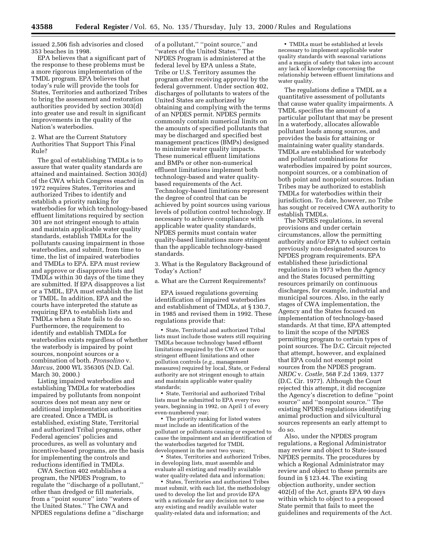issued 2,506 fish advisories and closed 353 beaches in 1998.

EPA believes that a significant part of the response to these problems must be a more rigorous implementation of the TMDL program. EPA believes that today's rule will provide the tools for States, Territories and authorized Tribes to bring the assessment and restoration authorities provided by section 303(d) into greater use and result in significant improvements in the quality of the Nation's waterbodies.

2. What are the Current Statutory Authorities That Support This Final Rule?

The goal of establishing TMDLs is to assure that water quality standards are attained and maintained. Section 303(d) of the CWA which Congress enacted in 1972 requires States, Territories and authorized Tribes to identify and establish a priority ranking for waterbodies for which technology-based effluent limitations required by section 301 are not stringent enough to attain and maintain applicable water quality standards, establish TMDLs for the pollutants causing impairment in those waterbodies, and submit, from time to time, the list of impaired waterbodies and TMDLs to EPA. EPA must review and approve or disapprove lists and TMDLs within 30 days of the time they are submitted. If EPA disapproves a list or a TMDL, EPA must establish the list or TMDL. In addition, EPA and the courts have interpreted the statute as requiring EPA to establish lists and TMDLs when a State fails to do so. Furthermore, the requirement to identify and establish TMDLs for waterbodies exists regardless of whether the waterbody is impaired by point sources, nonpoint sources or a combination of both. *Pronsolino* v. *Marcus*, 2000 WL 356305 (N.D. Cal. March 30, 2000.)

Listing impaired waterbodies and establishing TMDLs for waterbodies impaired by pollutants from nonpoint sources does not mean any new or additional implementation authorities are created. Once a TMDL is established, existing State, Territorial and authorized Tribal programs, other Federal agencies' policies and procedures, as well as voluntary and incentive-based programs, are the basis for implementing the controls and reductions identified in TMDLs.

CWA Section 402 establishes a program, the NPDES Program, to regulate the ''discharge of a pollutant,'' other than dredged or fill materials, from a ''point source'' into ''waters of the United States.'' The CWA and NPDES regulations define a ''discharge

of a pollutant,'' ''point source,'' and ''waters of the United States.'' The NPDES Program is administered at the federal level by EPA unless a State, Tribe or U.S. Territory assumes the program after receiving approval by the federal government. Under section 402, discharges of pollutants to waters of the United States are authorized by obtaining and complying with the terms of an NPDES permit. NPDES permits commonly contain numerical limits on the amounts of specified pollutants that may be discharged and specified best management practices (BMPs) designed to minimize water quality impacts. These numerical effluent limitations and BMPs or other non-numerical effluent limitations implement both technology-based and water qualitybased requirements of the Act. Technology-based limitations represent the degree of control that can be achieved by point sources using various levels of pollution control technology. If necessary to achieve compliance with applicable water quality standards, NPDES permits must contain water quality-based limitations more stringent than the applicable technology-based standards.

3. What is the Regulatory Background of Today's Action?

a. What are the Current Requirements?

EPA issued regulations governing identification of impaired waterbodies and establishment of TMDLs, at § 130.7, in 1985 and revised them in 1992. These regulations provide that:

• State, Territorial and authorized Tribal lists must include those waters still requiring TMDLs because technology based effluent limitations required by the CWA or more stringent effluent limitations and other pollution controls (*e.g.,* management measures) required by local, State, or Federal authority are not stringent enough to attain and maintain applicable water quality standards;

• State, Territorial and authorized Tribal lists must be submitted to EPA every two years, beginning in 1992, on April 1 of every even-numbered year;

• The priority ranking for listed waters must include an identification of the pollutant or pollutants causing or expected to cause the impairment and an identification of the waterbodies targeted for TMDL development in the next two years;

• States, Territories and authorized Tribes, in developing lists, must assemble and evaluate all existing and readily available water quality-related data and information:

• States, Territories and authorized Tribes must submit, with each list, the methodology used to develop the list and provide EPA with a rationale for any decision not to use any existing and readily available water quality-related data and information; and

• TMDLs must be established at levels necessary to implement applicable water quality standards with seasonal variations and a margin of safety that takes into account any lack of knowledge concerning the relationship between effluent limitations and water quality.

The regulations define a TMDL as a quantitative assessment of pollutants that cause water quality impairments. A TMDL specifies the amount of a particular pollutant that may be present in a waterbody, allocates allowable pollutant loads among sources, and provides the basis for attaining or maintaining water quality standards. TMDLs are established for waterbody and pollutant combinations for waterbodies impaired by point sources, nonpoint sources, or a combination of both point and nonpoint sources. Indian Tribes may be authorized to establish TMDLs for waterbodies within their jurisdiction. To date, however, no Tribe has sought or received CWA authority to establish TMDLs.

The NPDES regulations, in several provisions and under certain circumstances, allow the permitting authority and/or EPA to subject certain previously non-designated sources to NPDES program requirements. EPA established these jurisdictional regulations in 1973 when the Agency and the States focused permitting resources primarily on continuous discharges, for example, industrial and municipal sources. Also, in the early stages of CWA implementation, the Agency and the States focused on implementation of technology-based standards. At that time, EPA attempted to limit the scope of the NPDES permitting program to certain types of point sources. The D.C. Circuit rejected that attempt, however, and explained that EPA could not exempt point sources from the NPDES program. *NRDC* v. *Costle,* 568 F.2d 1369, 1377 (D.C. Cir. 1977). Although the Court rejected this attempt, it did recognize the Agency's discretion to define ''point source'' and ''nonpoint source.'' The existing NPDES regulations identifying animal production and silvicultural sources represents an early attempt to do so.

Also, under the NPDES program regulations, a Regional Administrator may review and object to State-issued NPDES permits. The procedures by which a Regional Administrator may review and object to these permits are found in § 123.44. The existing objection authority, under section 402(d) of the Act, grants EPA 90 days within which to object to a proposed State permit that fails to meet the guidelines and requirements of the Act.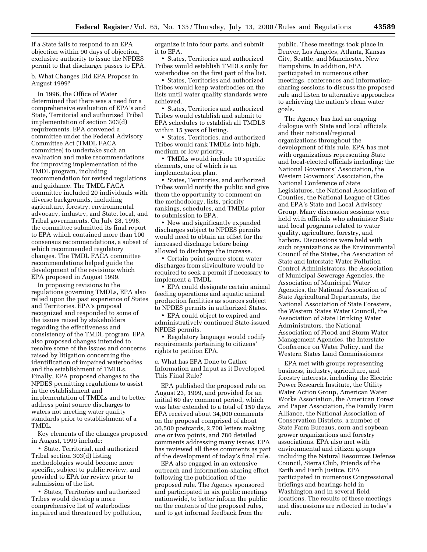If a State fails to respond to an EPA objection within 90 days of objection, exclusive authority to issue the NPDES permit to that discharger passes to EPA.

b. What Changes Did EPA Propose in August 1999?

In 1996, the Office of Water determined that there was a need for a comprehensive evaluation of EPA's and State, Territorial and authorized Tribal implementation of section 303(d) requirements. EPA convened a committee under the Federal Advisory Committee Act (TMDL FACA committee) to undertake such an evaluation and make recommendations for improving implementation of the TMDL program, including recommendation for revised regulations and guidance. The TMDL FACA committee included 20 individuals with diverse backgrounds, including agriculture, forestry, environmental advocacy, industry, and State, local, and Tribal governments. On July 28, 1998, the committee submitted its final report to EPA which contained more than 100 consensus recommendations, a subset of which recommended regulatory changes. The TMDL FACA committee recommendations helped guide the development of the revisions which EPA proposed in August 1999.

In proposing revisions to the regulations governing TMDLs, EPA also relied upon the past experience of States and Territories. EPA's proposal recognized and responded to some of the issues raised by stakeholders regarding the effectiveness and consistency of the TMDL program. EPA also proposed changes intended to resolve some of the issues and concerns raised by litigation concerning the identification of impaired waterbodies and the establishment of TMDLs. Finally, EPA proposed changes to the NPDES permitting regulations to assist in the establishment and implementation of TMDLs and to better address point source discharges to waters not meeting water quality standards prior to establishment of a TMDL.

Key elements of the changes proposed in August, 1999 include:

• State, Territorial, and authorized Tribal section 303(d) listing methodologies would become more specific, subject to public review, and provided to EPA for review prior to submission of the list.

• States, Territories and authorized Tribes would develop a more comprehensive list of waterbodies impaired and threatened by pollution, organize it into four parts, and submit it to EPA.

• States, Territories and authorized Tribes would establish TMDLs only for waterbodies on the first part of the list.

• States, Territories and authorized Tribes would keep waterbodies on the lists until water quality standards were achieved.

• States, Territories and authorized Tribes would establish and submit to EPA schedules to establish all TMDLS within 15 years of listing.

• States, Territories, and authorized Tribes would rank TMDLs into high, medium or low priority.

• TMDLs would include 10 specific elements, one of which is an implementation plan.

• States, Territories, and authorized Tribes would notify the public and give them the opportunity to comment on the methodology, lists, priority rankings, schedules, and TMDLs prior to submission to EPA.

• New and significantly expanded discharges subject to NPDES permits would need to obtain an offset for the increased discharge before being allowed to discharge the increase.

• Certain point source storm water discharges from silviculture would be required to seek a permit if necessary to implement a TMDL.

• EPA could designate certain animal feeding operations and aquatic animal production facilities as sources subject to NPDES permits in authorized States.

• EPA could object to expired and administratively continued State-issued NPDES permits.

• Regulatory language would codify requirements pertaining to citizens' rights to petition EPA.

c. What has EPA Done to Gather Information and Input as it Developed This Final Rule?

EPA published the proposed rule on August 23, 1999, and provided for an initial 60 day comment period, which was later extended to a total of 150 days. EPA received about 34,000 comments on the proposal comprised of about 30,500 postcards, 2,700 letters making one or two points, and 780 detailed comments addressing many issues. EPA has reviewed all these comments as part of the development of today's final rule.

EPA also engaged in an extensive outreach and information-sharing effort following the publication of the proposed rule. The Agency sponsored and participated in six public meetings nationwide, to better inform the public on the contents of the proposed rules, and to get informal feedback from the

public. These meetings took place in Denver, Los Angeles, Atlanta, Kansas City, Seattle, and Manchester, New Hampshire. In addition, EPA participated in numerous other meetings, conferences and informationsharing sessions to discuss the proposed rule and listen to alternative approaches to achieving the nation's clean water goals.

The Agency has had an ongoing dialogue with State and local officials and their national/regional organizations throughout the development of this rule. EPA has met with organizations representing State and local-elected officials including: the National Governors' Association, the Western Governors' Association, the National Conference of State Legislatures, the National Association of Counties, the National League of Cities and EPA's State and Local Advisory Group. Many discussion sessions were held with officials who administer State and local programs related to water quality, agriculture, forestry, and harbors. Discussions were held with such organizations as the Environmental Council of the States, the Association of State and Interstate Water Pollution Control Administrators, the Association of Municipal Sewerage Agencies, the Association of Municipal Water Agencies, the National Association of State Agricultural Departments, the National Association of State Foresters, the Western States Water Council, the Association of State Drinking Water Administrators, the National Association of Flood and Storm Water Management Agencies, the Interstate Conference on Water Policy, and the Western States Land Commissioners

EPA met with groups representing business, industry, agriculture, and forestry interests, including the Electric Power Research Institute, the Utility Water Action Group, American Water Works Association, the American Forest and Paper Association, the Family Farm Alliance, the National Association of Conservation Districts, a number of State Farm Bureaus, corn and soybean grower organizations and forestry associations. EPA also met with environmental and citizen groups including the Natural Resources Defense Council, Sierra Club, Friends of the Earth and Earth Justice. EPA participated in numerous Congressional briefings and hearings held in Washington and in several field locations. The results of these meetings and discussions are reflected in today's rule.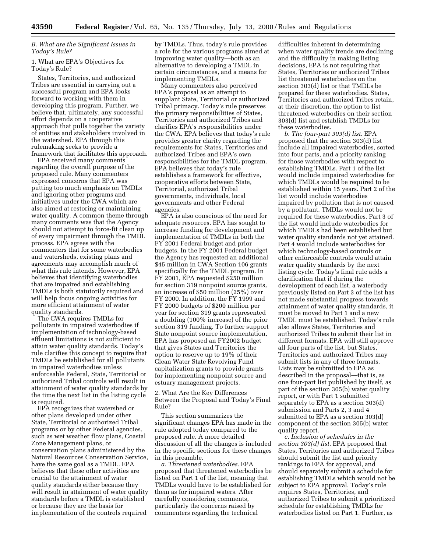*B. What are the Significant Issues in Today's Rule?*

#### 1. What are EPA's Objectives for Today's Rule?

States, Territories, and authorized Tribes are essential in carrying out a successful program and EPA looks forward to working with them in developing this program. Further, we believe that, ultimately, any successful effort depends on a cooperative approach that pulls together the variety of entities and stakeholders involved in the watershed. EPA through this rulemaking seeks to provide a framework that facilitates this approach.

EPA received many comments regarding the overall purpose of the proposed rule. Many commenters expressed concerns that EPA was putting too much emphasis on TMDLs and ignoring other programs and initiatives under the CWA which are also aimed at restoring or maintaining water quality. A common theme through many comments was that the Agency should not attempt to force-fit clean up of every impairment through the TMDL process. EPA agrees with the commenters that for some waterbodies and watersheds, existing plans and agreements may accomplish much of what this rule intends. However, EPA believes that identifying waterbodies that are impaired and establishing TMDLs is both statutorily required and will help focus ongoing activities for more efficient attainment of water quality standards.

The CWA requires TMDLs for pollutants in impaired waterbodies if implementation of technology-based effluent limitations is not sufficient to attain water quality standards. Today's rule clarifies this concept to require that TMDLs be established for all pollutants in impaired waterbodies unless enforceable Federal, State, Territorial or authorized Tribal controls will result in attainment of water quality standards by the time the next list in the listing cycle is required.

EPA recognizes that watershed or other plans developed under other State, Territorial or authorized Tribal programs or by other Federal agencies, such as wet weather flow plans, Coastal Zone Management plans, or conservation plans administered by the Natural Resources Conservation Service, have the same goal as a TMDL. EPA believes that these other activities are crucial to the attainment of water quality standards either because they will result in attainment of water quality standards before a TMDL is established or because they are the basis for implementation of the controls required

by TMDLs. Thus, today's rule provides a role for the various programs aimed at improving water quality—both as an alternative to developing a TMDL in certain circumstances, and a means for implementing TMDLs.

Many commenters also perceived EPA's proposal as an attempt to supplant State, Territorial or authorized Tribal primacy. Today's rule preserves the primary responsibilities of States, Territories and authorized Tribes and clarifies EPA's responsibilities under the CWA. EPA believes that today's rule provides greater clarity regarding the requirements for States, Territories and authorized Tribes and EPA's own responsibilities for the TMDL program. EPA believes that today's rule establishes a framework for effective, cooperative efforts between State, Territorial, authorized Tribal governments, individuals, local governments and other Federal agencies.

EPA is also conscious of the need for adequate resources. EPA has sought to increase funding for development and implementation of TMDLs in both the FY 2001 Federal budget and prior budgets. In the FY 2001 Federal budget the Agency has requested an additional \$45 million in CWA Section 106 grants specifically for the TMDL program. In FY 2001, EPA requested \$250 million for section 319 nonpoint source grants, an increase of \$50 million (25%) over FY 2000. In addition, the FY 1999 and FY 2000 budgets of \$200 million per year for section 319 grants represented a doubling (100% increase) of the prior section 319 funding. To further support State nonpoint source implementation, EPA has proposed an FY2002 budget that gives States and Territories the option to reserve up to 19% of their Clean Water State Revolving Fund capitalization grants to provide grants for implementing nonpoint source and estuary management projects.

2. What Are the Key Differences Between the Proposal and Today's Final Rule?

This section summarizes the significant changes EPA has made in the rule adopted today compared to the proposed rule. A more detailed discussion of all the changes is included in the specific sections for these changes in this preamble.

*a. Threatened waterbodies.* EPA proposed that threatened waterbodies be listed on Part 1 of the list, meaning that TMDLs would have to be established for them as for impaired waters. After carefully considering comments, particularly the concerns raised by commenters regarding the technical

difficulties inherent in determining when water quality trends are declining and the difficulty in making listing decisions, EPA is not requiring that States, Territories or authorized Tribes list threatened waterbodies on the section 303(d) list or that TMDLs be prepared for these waterbodies. States, Territories and authorized Tribes retain, at their discretion, the option to list threatened waterbodies on their section 303(d) list and establish TMDLs for these waterbodies.

*b. The four-part 303(d) list.* EPA proposed that the section 303(d) list include all impaired waterbodies, sorted into four parts, and a priority ranking for those waterbodies with respect to establishing TMDLs. Part 1 of the list would include impaired waterbodies for which TMDLs would be required to be established within 15 years. Part 2 of the list would include waterbodies impaired by pollution that is not caused by a pollutant. TMDLs would not be required for these waterbodies. Part 3 of the list would include waterbodies for which TMDLs had been established but water quality standards not yet attained. Part 4 would include waterbodies for which technology-based controls or other enforceable controls would attain water quality standards by the next listing cycle. Today's final rule adds a clarification that if during the development of each list, a waterbody previously listed on Part 3 of the list has not made substantial progress towards attainment of water quality standards, it must be moved to Part 1 and a new TMDL must be established. Today's rule also allows States, Territories and authorized Tribes to submit their list in different formats. EPA will still approve all four parts of the list, but States, Territories and authorized Tribes may submit lists in any of three formats. Lists may be submitted to EPA as described in the proposal—that is, as one four-part list published by itself, as part of the section 305(b) water quality report, or with Part 1 submitted separately to EPA as a section 303(d) submission and Parts 2, 3 and 4 submitted to EPA as a section 303(d) component of the section 305(b) water quality report.

*c. Inclusion of schedules in the section 303(d) list.* EPA proposed that States, Territories and authorized Tribes should submit the list and priority rankings to EPA for approval, and should separately submit a schedule for establishing TMDLs which would not be subject to EPA approval. Today's rule requires States, Territories, and authorized Tribes to submit a prioritized schedule for establishing TMDLs for waterbodies listed on Part 1. Further, as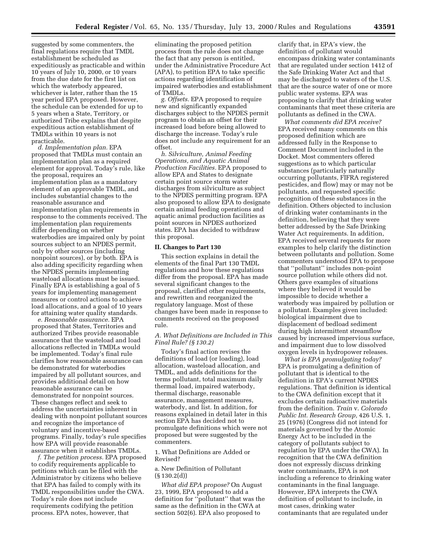suggested by some commenters, the final regulations require that TMDL establishment be scheduled as expeditiously as practicable and within 10 years of July 10, 2000, or 10 years from the due date for the first list on which the waterbody appeared, whichever is later, rather than the 15 year period EPA proposed. However, the schedule can be extended for up to 5 years when a State, Territory, or authorized Tribe explains that despite expeditious action establishment of TMDLs within 10 years is not practicable.

*d. Implementation plan.* EPA proposed that TMDLs must contain an implementation plan as a required element for approval. Today's rule, like the proposal, requires an implementation plan as a mandatory element of an approvable TMDL, and includes substantial changes to the reasonable assurance and implementation plan requirements in response to the comments received. The implementation plan requirements differ depending on whether waterbodies are impaired only by point sources subject to an NPDES permit, only by other sources (including nonpoint sources), or by both. EPA is also adding specificity regarding when the NPDES permits implementing wasteload allocations must be issued. Finally EPA is establishing a goal of 5 years for implementing management measures or control actions to achieve load allocations, and a goal of 10 years for attaining water quality standards.

*e. Reasonable assurance.* EPA proposed that States, Territories and authorized Tribes provide reasonable assurance that the wasteload and load allocations reflected in TMDLs would be implemented. Today's final rule clarifies how reasonable assurance can be demonstrated for waterbodies impaired by all pollutant sources, and provides additional detail on how reasonable assurance can be demonstrated for nonpoint sources. These changes reflect and seek to address the uncertainties inherent in dealing with nonpoint pollutant sources and recognize the importance of voluntary and incentive-based programs. Finally, today's rule specifies how EPA will provide reasonable assurance when it establishes TMDLs.

*f. The petition process.* EPA proposed to codify requirements applicable to petitions which can be filed with the Administrator by citizens who believe that EPA has failed to comply with its TMDL responsibilities under the CWA. Today's rule does not include requirements codifying the petition process. EPA notes, however, that

eliminating the proposed petition process from the rule does not change the fact that any person is entitled, under the Administrative Procedure Act (APA), to petition EPA to take specific actions regarding identification of impaired waterbodies and establishment of TMDLs.

*g. Offsets.* EPA proposed to require new and significantly expanded discharges subject to the NPDES permit program to obtain an offset for their increased load before being allowed to discharge the increase. Today's rule does not include any requirement for an offset.

*h. Silviculture, Animal Feeding Operations, and Aquatic Animal Production Facilities.* EPA proposed to allow EPA and States to designate certain point source storm water discharges from silviculture as subject to the NPDES permitting program. EPA also proposed to allow EPA to designate certain animal feeding operations and aquatic animal production facilities as point sources in NPDES authorized states. EPA has decided to withdraw this proposal.

#### **II. Changes to Part 130**

This section explains in detail the elements of the final Part 130 TMDL regulations and how these regulations differ from the proposal. EPA has made several significant changes to the proposal, clarified other requirements, and rewritten and reorganized the regulatory language. Most of these changes have been made in response to comments received on the proposed rule.

#### *A. What Definitions are Included in This Final Rule? (§ 130.2)*

Today's final action revises the definitions of load (or loading), load allocation, wasteload allocation, and TMDL, and adds definitions for the terms pollutant, total maximum daily thermal load, impaired waterbody, thermal discharge, reasonable assurance, management measures, waterbody, and list. In addition, for reasons explained in detail later in this section EPA has decided not to promulgate definitions which were not proposed but were suggested by the commenters.

1. What Definitions are Added or Revised?

a. New Definition of Pollutant  $(S 130.2(d))$ 

*What did EPA propose?* On August 23, 1999, EPA proposed to add a definition for ''pollutant'' that was the same as the definition in the CWA at section 502(6). EPA also proposed to

clarify that, in EPA's view, the definition of pollutant would encompass drinking water contaminants that are regulated under section 1412 of the Safe Drinking Water Act and that may be discharged to waters of the U.S. that are the source water of one or more public water systems. EPA was proposing to clarify that drinking water contaminants that meet these criteria are pollutants as defined in the CWA.

*What comments did EPA receive?* EPA received many comments on this proposed definition which are addressed fully in the Response to Comment Document included in the Docket. Most commenters offered suggestions as to which particular substances (particularly naturally occurring pollutants, FIFRA registered pesticides, and flow) may or may not be pollutants, and requested specific recognition of these substances in the definition. Others objected to inclusion of drinking water contaminants in the definition, believing that they were better addressed by the Safe Drinking Water Act requirements. In addition, EPA received several requests for more examples to help clarify the distinction between pollutants and pollution. Some commenters understood EPA to propose that ''pollutant'' includes non-point source pollution while others did not. Others gave examples of situations where they believed it would be impossible to decide whether a waterbody was impaired by pollution or a pollutant. Examples given included: biological impairment due to displacement of bedload sediment during high intermittent streamflow caused by increased impervious surface, and impairment due to low dissolved oxygen levels in hydropower releases.

*What is EPA promulgating today?* EPA is promulgating a definition of pollutant that is identical to the definition in EPA's current NPDES regulations. That definition is identical to the CWA definition except that it excludes certain radioactive materials from the definition. *Train* v. *Colorado Public Int. Research Group,* 426 U.S. 1, 25 (1976) (Congress did not intend for materials governed by the Atomic Energy Act to be included in the category of pollutants subject to regulation by EPA under the CWA). In recognition that the CWA definition does not expressly discuss drinking water contaminants, EPA is not including a reference to drinking water contaminants in the final language. However, EPA interprets the CWA definition of pollutant to include, in most cases, drinking water contaminants that are regulated under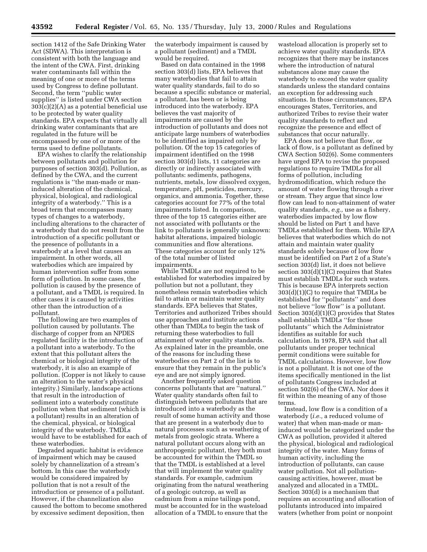section 1412 of the Safe Drinking Water Act (SDWA). This interpretation is consistent with both the language and the intent of the CWA. First, drinking water contaminants fall within the meaning of one or more of the terms used by Congress to define pollutant. Second, the term ''public water supplies'' is listed under CWA section 303(c)(2)(A) as a potential beneficial use to be protected by water quality standards. EPA expects that virtually all drinking water contaminants that are regulated in the future will be encompassed by one of or more of the terms used to define pollutants.

EPA wishes to clarify the relationship between pollutants and pollution for purposes of section 303(d). Pollution, as defined by the CWA, and the current regulations is ''the man-made or maninduced alteration of the chemical, physical, biological, and radiological integrity of a waterbody.'' This is a broad term that encompasses many types of changes to a waterbody, including alterations to the character of a waterbody that do not result from the introduction of a specific pollutant or the presence of pollutants in a waterbody at a level that causes an impairment. In other words, all waterbodies which are impaired by human intervention suffer from some form of pollution. In some cases, the pollution is caused by the presence of a pollutant, and a TMDL is required. In other cases it is caused by activities other than the introduction of a pollutant.

The following are two examples of pollution caused by pollutants. The discharge of copper from an NPDES regulated facility is the introduction of a pollutant into a waterbody. To the extent that this pollutant alters the chemical or biological integrity of the waterbody, it is also an example of pollution. (Copper is not likely to cause an alteration to the water's physical integrity.) Similarly, landscape actions that result in the introduction of sediment into a waterbody constitute pollution when that sediment (which is a pollutant) results in an alteration of the chemical, physical, or biological integrity of the waterbody. TMDLs would have to be established for each of these waterbodies.

Degraded aquatic habitat is evidence of impairment which may be caused solely by channelization of a stream's bottom. In this case the waterbody would be considered impaired by pollution that is not a result of the introduction or presence of a pollutant. However, if the channelization also caused the bottom to become smothered by excessive sediment deposition, then

the waterbody impairment is caused by a pollutant (sediment) and a TMDL would be required.

Based on data contained in the 1998 section 303(d) lists, EPA believes that many waterbodies that fail to attain water quality standards, fail to do so because a specific substance or material, a pollutant, has been or is being introduced into the waterbody. EPA believes the vast majority of impairments are caused by the introduction of pollutants and does not anticipate large numbers of waterbodies to be identified as impaired only by pollution. Of the top 15 categories of impairment identified on the 1998 section 303(d) lists, 11 categories are directly or indirectly associated with pollutants: sediments, pathogens, nutrients, metals, low dissolved oxygen, temperature, pH, pesticides, mercury, organics, and ammonia. Together, these categories account for 77% of the total impairments listed. In comparison, three of the top 15 categories either are not associated with pollutants or the link to pollutants is generally unknown: habitat alterations, impaired biologic communities and flow alterations. These categories account for only 12% of the total number of listed impairments.

While TMDLs are not required to be established for waterbodies impaired by pollution but not a pollutant, they nonetheless remain waterbodies which fail to attain or maintain water quality standards. EPA believes that States, Territories and authorized Tribes should use approaches and institute actions other than TMDLs to begin the task of returning these waterbodies to full attainment of water quality standards. As explained later in the preamble, one of the reasons for including these waterbodies on Part 2 of the list is to ensure that they remain in the public's eye and are not simply ignored.

Another frequently asked question concerns pollutants that are ''natural.'' Water quality standards often fail to distinguish between pollutants that are introduced into a waterbody as the result of some human activity and those that are present in a waterbody due to natural processes such as weathering of metals from geologic strata. Where a natural pollutant occurs along with an anthropogenic pollutant, they both must be accounted for within the TMDL so that the TMDL is established at a level that will implement the water quality standards. For example, cadmium originating from the natural weathering of a geologic outcrop, as well as cadmium from a mine tailings pond, must be accounted for in the wasteload allocation of a TMDL to ensure that the

wasteload allocation is properly set to achieve water quality standards. EPA recognizes that there may be instances where the introduction of natural substances alone may cause the waterbody to exceed the water quality standards unless the standard contains an exception for addressing such situations. In those circumstances, EPA encourages States, Territories, and authorized Tribes to revise their water quality standards to reflect and recognize the presence and effect of substances that occur naturally.

EPA does not believe that flow, or lack of flow, is a pollutant as defined by CWA Section 502(6). Some commenters have urged EPA to revise the proposed regulations to require TMDLs for all forms of pollution, including hydromodification, which reduce the amount of water flowing through a river or stream. They argue that since low flow can lead to non-attainment of water quality standards, *e.g.,* use as a fishery, waterbodies impacted by low flow should be listed on Part 1 and have TMDLs established for them. While EPA believes that waterbodies which do not attain and maintain water quality standards solely because of low flow must be identified on Part 2 of a State's section 303(d) list, it does not believe section 303(d)(1)(C) requires that States must establish TMDLs for such waters. This is because EPA interprets section 303(d)(1)(C) to require that TMDLs be established for ''pollutants'' and does not believe ''low flow'' is a pollutant. Section 303(d)(1)(C) provides that States shall establish TMDLs ''for those pollutants'' which the Administrator identifies as suitable for such calculation. In 1978, EPA said that all pollutants under proper technical permit conditions were suitable for TMDL calculations. However, low flow is not a pollutant. It is not one of the items specifically mentioned in the list of pollutants Congress included at section 502(6) of the CWA. Nor does it fit within the meaning of any of those terms.

Instead, low flow is a condition of a waterbody (*i.e.,* a reduced volume of water) that when man-made or maninduced would be categorized under the CWA as pollution, provided it altered the physical, biological and radiological integrity of the water. Many forms of human activity, including the introduction of pollutants, can cause water pollution. Not all pollutioncausing activities, however, must be analyzed and allocated in a TMDL. Section 303(d) is a mechanism that requires an accounting and allocation of pollutants introduced into impaired waters (whether from point or nonpoint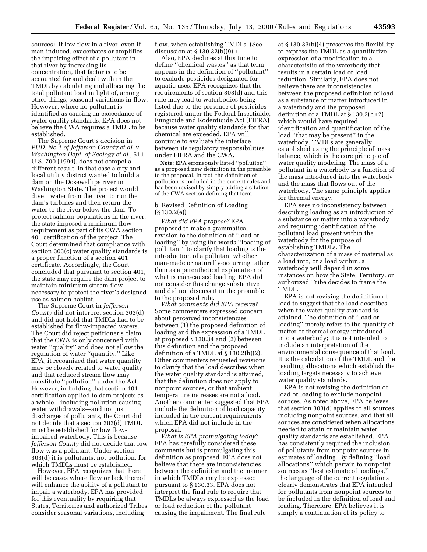sources). If low flow in a river, even if man-induced, exacerbates or amplifies the impairing effect of a pollutant in that river by increasing its concentration, that factor is to be accounted for and dealt with in the TMDL by calculating and allocating the total pollutant load in light of, among other things, seasonal variations in flow. However, where no pollutant is identified as causing an exceedance of water quality standards, EPA does not believe the CWA requires a TMDL to be established.

The Supreme Court's decision in *PUD. No 1 of Jefferson County et al.* v. *Washington Dept. of Ecology et al.*, 511 U.S. 700 (1994), does not compel a different result. In that case a city and local utility district wanted to build a dam on the Dosewallips river in Washington State. The project would divert water from the river to run the dam's turbines and then return the water to the river below the dam. To protect salmon populations in the river, the state imposed a minimum flow requirement as part of its CWA section 401 certification of the project. The Court determined that compliance with section 303(c) water quality standards is a proper function of a section 401 certificate. Accordingly, the Court concluded that pursuant to section 401, the state may require the dam project to maintain minimum stream flow necessary to protect the river's designed use as salmon habitat.

The Supreme Court in *Jefferson County* did not interpret section 303(d) and did not hold that TMDLs had to be established for flow-impacted waters. The Court did reject petitioner's claim that the CWA is only concerned with water ''quality'' and does not allow the regulation of water ''quantity.'' Like EPA, it recognized that water quantity may be closely related to water quality and that reduced stream flow may constitute ''pollution'' under the Act. However, in holding that section 401 certification applied to dam projects as a whole—including pollution-causing water withdrawals—and not just discharges of pollutants, the Court did not decide that a section 303(d) TMDL must be established for low flowimpaired waterbody. This is because *Jefferson County* did not decide that low flow was a pollutant. Under section 303(d) it is pollutants, not pollution, for which TMDLs must be established.

However, EPA recognizes that there will be cases where flow or lack thereof will enhance the ability of a pollutant to impair a waterbody. EPA has provided for this eventuality by requiring that States, Territories and authorized Tribes consider seasonal variations, including

flow, when establishing TMDLs. (See discussion at § 130.32(b)(9).)

Also, EPA declines at this time to define ''chemical wastes'' as that term appears in the definition of ''pollutant'' to exclude pesticides designated for aquatic uses. EPA recognizes that the requirements of section 303(d) and this rule may lead to waterbodies being listed due to the presence of pesticides registered under the Federal Insecticide, Fungicide and Rodenticide Act (FIFRA) because water quality standards for that chemical are exceeded. EPA will continue to evaluate the interface between its regulatory responsibilities under FIFRA and the CWA.

**Note:** EPA erroneously listed ''pollution'' as a proposed new definition in the preamble to the proposal. In fact, the definition of pollution is included in the current rules and has been revised by simply adding a citation of the CWA section defining that term.

#### b. Revised Definition of Loading (§ 130.2(e))

*What did EPA propose?* EPA proposed to make a grammatical revision to the definition of ''load or loading'' by using the words ''loading of pollutant'' to clarify that loading is the introduction of a pollutant whether man-made or naturally-occurring rather than as a parenthetical explanation of what is man-caused loading. EPA did not consider this change substantive and did not discuss it in the preamble to the proposed rule.

*What comments did EPA receive?* Some commenters expressed concern about perceived inconsistencies between (1) the proposed definition of loading and the expression of a TMDL at proposed § 130.34 and (2) between this definition and the proposed definition of a TMDL at § 130.2(h)(2). Other commenters requested revisions to clarify that the load describes when the water quality standard is attained, that the definition does not apply to nonpoint sources, or that ambient temperature increases are not a load. Another commenter suggested that EPA include the definition of load capacity included in the current requirements which EPA did not include in the proposal.

*What is EPA promulgating today?* EPA has carefully considered these comments but is promulgating this definition as proposed. EPA does not believe that there are inconsistencies between the definition and the manner in which TMDLs may be expressed pursuant to § 130.33. EPA does not interpret the final rule to require that TMDLs be always expressed as the load or load reduction of the pollutant causing the impairment. The final rule

at § 130.33(b)(4) preserves the flexibility to express the TMDL as a quantitative expression of a modification to a characteristic of the waterbody that results in a certain load or load reduction. Similarly, EPA does not believe there are inconsistencies between the proposed definition of load as a substance or matter introduced in a waterbody and the proposed definition of a TMDL at § 130.2(h)(2) which would have required identification and quantification of the load ''that may be present'' in the waterbody. TMDLs are generally established using the principle of mass balance, which is the core principle of water quality modeling. The mass of a pollutant in a waterbody is a function of the mass introduced into the waterbody and the mass that flows out of the waterbody. The same principle applies for thermal energy.

EPA sees no inconsistency between describing loading as an introduction of a substance or matter into a waterbody and requiring identification of the pollutant load present within the waterbody for the purpose of establishing TMDLs. The characterization of a mass of material as a load into, or a load within, a waterbody will depend in some instances on how the State, Territory, or authorized Tribe decides to frame the TMDL.

EPA is not revising the definition of load to suggest that the load describes when the water quality standard is attained. The definition of ''load or loading'' merely refers to the quantity of matter or thermal energy introduced into a waterbody; it is not intended to include an interpretation of the environmental consequence of that load. It is the calculation of the TMDL and the resulting allocations which establish the loading targets necessary to achieve water quality standards.

EPA is not revising the definition of load or loading to exclude nonpoint sources. As noted above, EPA believes that section 303(d) applies to all sources including nonpoint sources, and that all sources are considered when allocations needed to attain or maintain water quality standards are established. EPA has consistently required the inclusion of pollutants from nonpoint sources in estimates of loading. By defining ''load allocations'' which pertain to nonpoint sources as ''best estimate of loadings,'' the language of the current regulations clearly demonstrates that EPA intended for pollutants from nonpoint sources to be included in the definition of load and loading. Therefore, EPA believes it is simply a continuation of its policy to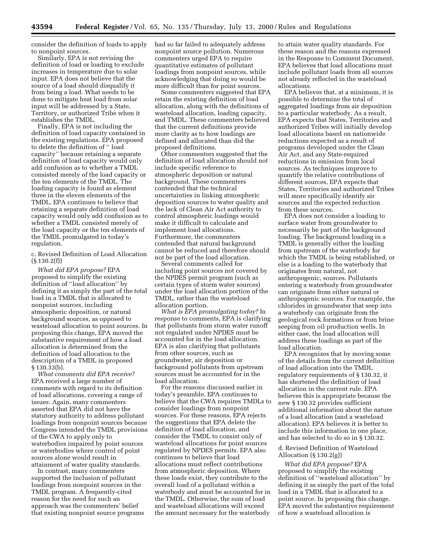consider the definition of loads to apply to nonpoint sources.

Similarly, EPA is not revising the definition of load or loading to exclude increases in temperature due to solar input. EPA does not believe that the source of a load should disqualify it from being a load. What needs to be done to mitigate heat load from solar input will be addressed by a State, Territory, or authorized Tribe when it establishes the TMDL.

Finally, EPA is not including the definition of load capacity contained in the existing regulations. EPA proposed to delete the definition of '' load capacity'' because retaining a separate definition of load capacity would only add confusion as to whether a TMDL consisted merely of the load capacity or the ten elements of the TMDL. The loading capacity is found as element three in the eleven elements of the TMDL. EPA continues to believe that retaining a separate definition of load capacity would only add confusion as to whether a TMDL consisted merely of the load capacity or the ten elements of the TMDL promulgated in today's regulation.

c. Revised Definition of Load Allocation (§ 130.2(f))

*What did EPA propose?* EPA proposed to simplify the existing definition of ''load allocation'' by defining it as simply the part of the total load in a TMDL that is allocated to nonpoint sources, including atmospheric deposition, or natural background sources, as opposed to wasteload allocation to point sources. In proposing this change, EPA moved the substantive requirement of how a load allocation is determined from the definition of load allocation to the description of a TMDL in proposed § 130.33(b).

*What comments did EPA receive?* EPA received a large number of comments with regard to its definition of load allocations, covering a range of issues. Again, many commenters asserted that EPA did not have the statutory authority to address pollutant loadings from nonpoint sources because Congress intended the TMDL provisions of the CWA to apply only to waterbodies impaired by point sources or waterbodies where control of point sources alone would result in attainment of water quality standards.

In contrast, many commenters supported the inclusion of pollutant loadings from nonpoint sources in the TMDL program. A frequently-cited reason for the need for such an approach was the commenters' belief that existing nonpoint source programs had so far failed to adequately address nonpoint source pollution. Numerous commenters urged EPA to require quantitative estimates of pollutant loadings from nonpoint sources, while acknowledging that doing so would be more difficult than for point sources.

Some commenters suggested that EPA retain the existing definition of load allocation, along with the definitions of wasteload allocation, loading capacity, and TMDL. These commenters believed that the current definitions provide more clarity as to how loadings are defined and allocated than did the proposed definitions.

Other commenters suggested that the definition of load allocation should not include specific reference to atmospheric deposition or natural background. These commenters contended that the technical uncertainties in linking atmospheric deposition sources to water quality and the lack of Clean Air Act authority to control atmospheric loadings would make it difficult to calculate and implement load allocations. Furthermore, the commenters contended that natural background cannot be reduced and therefore should not be part of the load allocation.

Several comments called for including point sources not covered by the NPDES permit program (such as certain types of storm water sources) under the load allocation portion of the TMDL, rather than the wasteload allocation portion.

*What is EPA promulgating today?* In response to comments, EPA is clarifying that pollutants from storm water runoff not regulated under NPDES must be accounted for in the load allocation. EPA is also clarifying that pollutants from other sources, such as groundwater, air deposition or background pollutants from upstream sources must be accounted for in the load allocation.

For the reasons discussed earlier in today's preamble, EPA continues to believe that the CWA requires TMDLs to consider loadings from nonpoint sources. For these reasons, EPA rejects the suggestions that EPA delete the definition of load allocation, and consider the TMDL to consist only of wasteload allocations for point sources regulated by NPDES permits. EPA also continues to believe that load allocations must reflect contributions from atmospheric deposition. Where these loads exist, they contribute to the overall load of a pollutant within a waterbody and must be accounted for in the TMDL. Otherwise, the sum of load and wasteload allocations will exceed the amount necessary for the waterbody

to attain water quality standards. For these reason and the reasons expressed in the Response to Comment Document, EPA believes that load allocations must include pollutant loads from all sources not already reflected in the wasteload allocations.

EPA believes that, at a minimum, it is possible to determine the total of aggregated loadings from air deposition to a particular waterbody. As a result, EPA expects that States, Territories and authorized Tribes will initially develop load allocations based on nationwide reductions expected as a result of programs developed under the Clean Air Act, and any State-required reductions in emission from local sources. As techniques improve to quantify the relative contributions of different sources, EPA expects that States, Territories and authorized Tribes will more specifically identify air sources and the expected reduction from these sources.

EPA does not consider a loading to surface water from groundwater to necessarily be part of the background loading. The background loading in a TMDL is generally either the loading from upstream of the waterbody for which the TMDL is being established, or else is a loading to the waterbody that originates from natural, not anthropogenic, sources. Pollutants entering a waterbody from groundwater can originate from either natural or anthropogenic sources. For example, the chlorides in groundwater that seep into a waterbody can originate from the geological rock formations or from brine seeping from oil production wells. In either case, the load allocation will address these loadings as part of the load allocation.

EPA recognizes that by moving some of the details from the current definition of load allocation into the TMDL regulatory requirements of § 130.32, it has shortened the definition of load allocation in the current rule. EPA believes this is appropriate because the new § 130.32 provides sufficient additional information about the nature of a load allocation (and a wasteload allocation). EPA believes it is better to include this information in one place, and has selected to do so in § 130.32.

#### d. Revised Definition of Wasteload Allocation (§ 130.2(g))

*What did EPA propose?* EPA proposed to simplify the existing definition of ''wasteload allocation'' by defining it as simply the part of the total load in a TMDL that is allocated to a point source. In proposing this change, EPA moved the substantive requirement of how a wasteload allocation is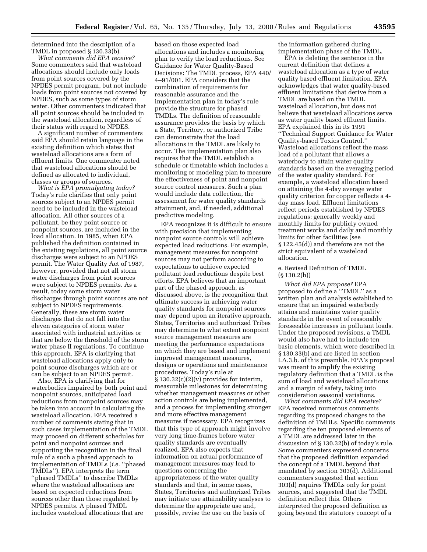determined into the description of a TMDL in proposed § 130.33(b).

*What comments did EPA receive?* Some commenters said that wasteload allocations should include only loads from point sources covered by the NPDES permit program, but not include loads from point sources not covered by NPDES, such as some types of storm water. Other commenters indicated that all point sources should be included in the wasteload allocation, regardless of their status with regard to NPDES.

A significant number of commenters said EPA should retain language in the existing definition which states that wasteload allocations are a form of effluent limits. One commenter noted that wasteload allocations should be defined as allocated to individual, classes or groups of sources.

*What is EPA promulgating today?* Today's rule clarifies that only point sources subject to an NPDES permit need to be included in the wasteload allocation. All other sources of a pollutant, be they point source or nonpoint sources, are included in the load allocation. In 1985, when EPA published the definition contained in the existing regulations, all point source discharges were subject to an NPDES permit. The Water Quality Act of 1987, however, provided that not all storm water discharges from point sources were subject to NPDES permits. As a result, today some storm water discharges through point sources are not subject to NPDES requirements. Generally, these are storm water discharges that do not fall into the eleven categories of storm water associated with industrial activities or that are below the threshold of the storm water phase II regulations. To continue this approach, EPA is clarifying that wasteload allocations apply only to point source discharges which are or can be subject to an NPDES permit.

Also, EPA is clarifying that for waterbodies impaired by both point and nonpoint sources, anticipated load reductions from nonpoint sources may be taken into account in calculating the wasteload allocation. EPA received a number of comments stating that in such cases implementation of the TMDL may proceed on different schedules for point and nonpoint sources and supporting the recognition in the final rule of a such a phased approach to implementation of TMDLs (*i.e.* ''phased TMDLs''). EPA interprets the term ''phased TMDLs'' to describe TMDLs where the wasteload allocations are based on expected reductions from sources other than those regulated by NPDES permits. A phased TMDL includes wasteload allocations that are

based on those expected load allocations and includes a monitoring plan to verify the load reductions. See Guidance for Water Quality-Based Decisions: The TMDL process, EPA 440/ 4–91/001. EPA considers that the combination of requirements for reasonable assurance and the implementation plan in today's rule provide the structure for phased TMDLs. The definition of reasonable assurance provides the basis by which a State, Territory, or authorized Tribe can demonstrate that the load allocations in the TMDL are likely to occur. The implementation plan also requires that the TMDL establish a schedule or timetable which includes a monitoring or modeling plan to measure the effectiveness of point and nonpoint source control measures. Such a plan would include data collection, the assessment for water quality standards attainment, and, if needed, additional predictive modeling.

EPA recognizes it is difficult to ensure with precision that implementing nonpoint source controls will achieve expected load reductions. For example, management measures for nonpoint sources may not perform according to expectations to achieve expected pollutant load reductions despite best efforts. EPA believes that an important part of the phased approach, as discussed above, is the recognition that ultimate success in achieving water quality standards for nonpoint sources may depend upon an iterative approach. States, Territories and authorized Tribes may determine to what extent nonpoint source management measures are meeting the performance expectations on which they are based and implement improved management measures, designs or operations and maintenance procedures. Today's rule at  $§ 130.32(c)(2)(v)$  provides for interim, measurable milestones for determining whether management measures or other action controls are being implemented, and a process for implementing stronger and more effective management measures if necessary. EPA recognizes that this type of approach might involve very long time-frames before water quality standards are eventually realized. EPA also expects that information on actual performance of management measures may lead to questions concerning the appropriateness of the water quality standards and that, in some cases, States, Territories and authorized Tribes may initiate use attainability analyses to determine the appropriate use and, possibly, revise the use on the basis of

the information gathered during implementation phase of the TMDL.

EPA is deleting the sentence in the current definition that defines a wasteload allocation as a type of water quality based effluent limitation. EPA acknowledges that water quality-based effluent limitations that derive from a TMDL are based on the TMDL wasteload allocation, but does not believe that wasteload allocations serve as water quality based effluent limits. EPA explained this in its 1991 ''Technical Support Guidance for Water Quality-based Toxics Control.'' Wasteload allocations reflect the mass load of a pollutant that allows a waterbody to attain water quality standards based on the averaging period of the water quality standard. For example, a wasteload allocation based on attaining the 4-day average water quality criterion for copper reflects a 4 day mass load. Effluent limitations reflect periods established by NPDES regulations: generally weekly and monthly limits for publicly owned treatment works and daily and monthly limits for other facilities (see § 122.45(d)) and therefore are not the strict equivalent of a wasteload allocation.

#### e. Revised Definition of TMDL (§ 130.2(h))

*What did EPA propose?* EPA proposed to define a ''TMDL'' as a written plan and analysis established to ensure that an impaired waterbody attains and maintains water quality standards in the event of reasonably foreseeable increases in pollutant loads. Under the proposed revisions, a TMDL would also have had to include ten basic elements, which were described in § 130.33(b) and are listed in section I.A.3.b. of this preamble. EPA's proposal was meant to amplify the existing regulatory definition that a TMDL is the sum of load and wasteload allocations and a margin of safety, taking into consideration seasonal variations.

*What comments did EPA receive?* EPA received numerous comments regarding its proposed changes to the definition of TMDLs. Specific comments regarding the ten proposed elements of a TMDL are addressed later in the discussion of § 130.32(b) of today's rule. Some commenters expressed concerns that the proposed definition expanded the concept of a TMDL beyond that mandated by section 303(d). Additional commenters suggested that section 303(d) requires TMDLs only for point sources, and suggested that the TMDL definition reflect this. Others interpreted the proposed definition as going beyond the statutory concept of a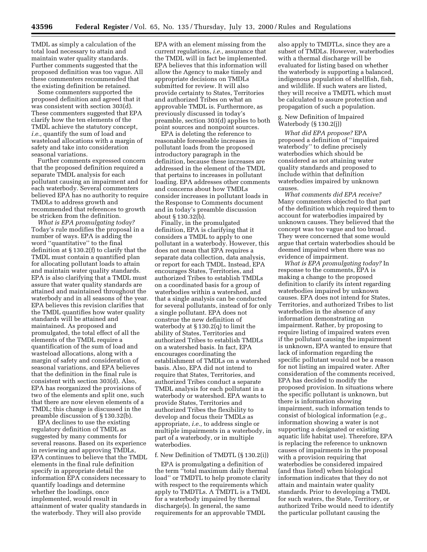TMDL as simply a calculation of the total load necessary to attain and maintain water quality standards. Further comments suggested that the proposed definition was too vague. All these commenters recommended that the existing definition be retained.

Some commenters supported the proposed definition and agreed that it was consistent with section 303(d). These commenters suggested that EPA clarify how the ten elements of the TMDL achieve the statutory concept, *i.e.,* quantify the sum of load and wasteload allocations with a margin of safety and take into consideration seasonal variations.

Further comments expressed concern that the proposed definition required a separate TMDL analysis for each pollutant causing an impairment and for each waterbody. Several commenters believed EPA has no authority to require TMDLs to address growth and recommended that references to growth be stricken from the definition.

*What is EPA promulgating today?* Today's rule modifies the proposal in a number of ways. EPA is adding the word ''quantitative'' to the final definition at § 130.2(f) to clarify that the TMDL must contain a quantified plan for allocating pollutant loads to attain and maintain water quality standards. EPA is also clarifying that a TMDL must assure that water quality standards are attained and maintained throughout the waterbody and in all seasons of the year. EPA believes this revision clarifies that the TMDL quantifies how water quality standards will be attained and maintained. As proposed and promulgated, the total effect of all the elements of the TMDL require a quantification of the sum of load and wasteload allocations, along with a margin of safety and consideration of seasonal variations, and EPA believes that the definition in the final rule is consistent with section 303(d). Also, EPA has reorganized the provisions of two of the elements and split one, such that there are now eleven elements of a TMDL; this change is discussed in the preamble discussion of § 130.32(b).

EPA declines to use the existing regulatory definition of TMDL as suggested by many comments for several reasons. Based on its experience in reviewing and approving TMDLs, EPA continues to believe that the TMDL elements in the final rule definition specify in appropriate detail the information EPA considers necessary to quantify loadings and determine whether the loadings, once implemented, would result in attainment of water quality standards in the waterbody. They will also provide

EPA with an element missing from the current regulations, *i.e.,* assurance that the TMDL will in fact be implemented. EPA believes that this information will allow the Agency to make timely and appropriate decisions on TMDLs submitted for review. It will also provide certainty to States, Territories and authorized Tribes on what an approvable TMDL is. Furthermore, as previously discussed in today's preamble, section 303(d) applies to both point sources and nonpoint sources.

EPA is deleting the reference to reasonable foreseeable increases in pollutant loads from the proposed introductory paragraph in the definition, because these increases are addressed in the element of the TMDL that pertains to increases in pollutant loading. EPA addresses other comments and concerns about how TMDLs consider increases in pollutant loads in the Response to Comments document and in today's preamble discussion about § 130.32(b).

Finally, in the promulgated definition, EPA is clarifying that it considers a TMDL to apply to one pollutant in a waterbody. However, this does not mean that EPA requires a separate data collection, data analysis, or report for each TMDL. Instead, EPA encourages States, Territories, and authorized Tribes to establish TMDLs on a coordinated basis for a group of waterbodies within a watershed, and that a single analysis can be conducted for several pollutants, instead of for only a single pollutant. EPA does not construe the new definition of waterbody at § 130.2(q) to limit the ability of States, Territories and authorized Tribes to establish TMDLs on a watershed basis. In fact, EPA encourages coordinating the establishment of TMDLs on a watershed basis. Also, EPA did not intend to require that States, Territories, and authorized Tribes conduct a separate TMDL analysis for each pollutant in a waterbody or watershed. EPA wants to provide States, Territories and authorized Tribes the flexibility to develop and focus their TMDLs as appropriate, *i.e.,* to address single or multiple impairments in a waterbody, in part of a waterbody, or in multiple waterbodies.

#### f. New Definition of TMDTL (§ 130.2(i))

EPA is promulgating a definition of the term ''total maximum daily thermal load'' or TMDTL to help promote clarity with respect to the requirements which apply to TMDTLs. A TMDTL is a TMDL for a waterbody impaired by thermal discharge(s). In general, the same requirements for an approvable TMDL

also apply to TMDTLs, since they are a subset of TMDLs. However, waterbodies with a thermal discharge will be evaluated for listing based on whether the waterbody is supporting a balanced, indigenous population of shellfish, fish, and wildlife. If such waters are listed, they will receive a TMDTL which must be calculated to assure protection and propagation of such a population.

#### g. New Definition of Impaired Waterbody (§ 130.2(j))

*What did EPA propose?* EPA proposed a definition of ''impaired waterbody'' to define precisely waterbodies which should be considered as not attaining water quality standards and proposed to include within that definition waterbodies impaired by unknown causes.

*What comments did EPA receive?* Many commenters objected to that part of the definition which required them to account for waterbodies impaired by unknown causes. They believed that the concept was too vague and too broad. They were concerned that some would argue that certain waterbodies should be deemed impaired when there was no evidence of impairment.

*What is EPA promulgating today?* In response to the comments, EPA is making a change to the proposed definition to clarify its intent regarding waterbodies impaired by unknown causes. EPA does not intend for States, Territories, and authorized Tribes to list waterbodies in the absence of any information demonstrating an impairment. Rather, by proposing to require listing of impaired waters even if the pollutant causing the impairment is unknown, EPA wanted to ensure that lack of information regarding the specific pollutant would not be a reason for not listing an impaired water. After consideration of the comments received, EPA has decided to modify the proposed provision. In situations where the specific pollutant is unknown, but there is information showing impairment, such information tends to consist of biological information (*e.g.,* information showing a water is not supporting a designated or existing aquatic life habitat use). Therefore, EPA is replacing the reference to unknown causes of impairments in the proposal with a provision requiring that waterbodies be considered impaired (and thus listed) when biological information indicates that they do not attain and maintain water quality standards. Prior to developing a TMDL for such waters, the State, Territory, or authorized Tribe would need to identify the particular pollutant causing the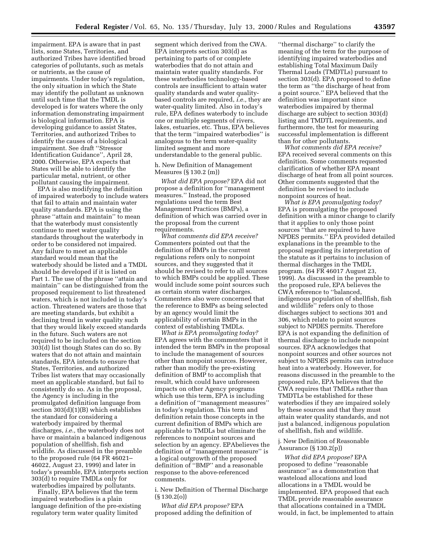impairment. EPA is aware that in past lists, some States, Territories, and authorized Tribes have identified broad categories of pollutants, such as metals or nutrients, as the cause of impairments. Under today's regulation, the only situation in which the State may identify the pollutant as unknown until such time that the TMDL is developed is for waters where the only information demonstrating impairment is biological information. EPA is developing guidance to assist States, Territories, and authorized Tribes to identify the causes of a biological impairment. See draft ''Stressor Identification Guidance'', April 28, 2000. Otherwise, EPA expects that States will be able to identify the particular metal, nutrient, or other pollutant causing the impairment.

EPA is also modifying the definition of impaired waterbody to include waters that fail to attain and maintain water quality standards. EPA is using the phrase ''attain and maintain'' to mean that the waterbody must consistently continue to meet water quality standards throughout the waterbody in order to be considered not impaired. Any failure to meet an applicable standard would mean that the waterbody should be listed and a TMDL should be developed if it is listed on Part 1. The use of the phrase ''attain and maintain'' can be distinguished from the proposed requirement to list threatened waters, which is not included in today's action. Threatened waters are those that are meeting standards, but exhibit a declining trend in water quality such that they would likely exceed standards in the future. Such waters are not required to be included on the section 303(d) list though States can do so. By waters that do not attain and maintain standards, EPA intends to ensure that States, Territories, and authorized Tribes list waters that may occasionally meet an applicable standard, but fail to consistently do so. As in the proposal, the Agency is including in the promulgated definition language from section 303(d)(1)(B) which establishes the standard for considering a waterbody impaired by thermal discharges, *i.e.,* the waterbody does not have or maintain a balanced indigenous population of shellfish, fish and wildlife. As discussed in the preamble to the proposed rule (64 FR 46021– 46022, August 23, 1999) and later in today's preamble, EPA interprets section 303(d) to require TMDLs only for waterbodies impaired by pollutants.

Finally, EPA believes that the term impaired waterbodies is a plain language definition of the pre-existing regulatory term water quality limited

segment which derived from the CWA. EPA interprets section 303(d) as pertaining to parts of or complete waterbodies that do not attain and maintain water quality standards. For these waterbodies technology-based controls are insufficient to attain water quality standards and water qualitybased controls are required, *i.e.,* they are water-quality limited. Also in today's rule, EPA defines waterbody to include one or multiple segments of rivers, lakes, estuaries, etc. Thus, EPA believes that the term ''impaired waterbodies'' is analogous to the term water-quality limited segment and more understandable to the general public.

h. New Definition of Management Measures (§ 130.2 (m))

*What did EPA propose?* EPA did not propose a definition for ''management measures.'' Instead, the proposed regulations used the term Best Management Practices (BMPs), a definition of which was carried over in the proposal from the current requirements.

*What comments did EPA receive?* Commenters pointed out that the definition of BMPs in the current regulations refers only to nonpoint sources, and they suggested that it should be revised to refer to all sources to which BMPs could be applied. These would include some point sources such as certain storm water discharges. Commenters also were concerned that the reference to BMPs as being selected by an agency would limit the applicability of certain BMPs in the context of establishing TMDLs.

*What is EPA promulgating today?* EPA agrees with the commenters that it intended the term BMPs in the proposal to include the management of sources other than nonpoint sources. However, rather than modify the pre-existing definition of BMP to accomplish that result, which could have unforeseen impacts on other Agency programs which use this term, EPA is including a definition of ''management measures'' in today's regulation. This term and definition retain those concepts in the current definition of BMPs which are applicable to TMDLs but eliminate the references to nonpoint sources and selection by an agency. EPAbelieves the definition of ''management measure'' is a logical outgrowth of the proposed definition of ''BMP'' and a reasonable response to the above-referenced comments.

i. New Definition of Thermal Discharge  $(S_{130.2(0)})$ 

*What did EPA propose?* EPA proposed adding the definition of

''thermal discharge'' to clarify the meaning of the term for the purpose of identifying impaired waterbodies and establishing Total Maximum Daily Thermal Loads (TMDTLs) pursuant to section 303(d). EPA proposed to define the term as ''the discharge of heat from a point source.'' EPA believed that the definition was important since waterbodies impaired by thermal discharge are subject to section 303(d) listing and TMDTL requirements, and furthermore, the test for measuring successful implementation is different than for other pollutants.

*What comments did EPA receive?* EPA received several comments on this definition. Some comments requested clarification of whether EPA meant discharge of heat from all point sources. Other comments suggested that the definition be revised to include nonpoint sources of heat.

*What is EPA promulgating today?* EPA is promulgating the proposed definition with a minor change to clarify that it applies to only those point sources ''that are required to have NPDES permits.'' EPA provided detailed explanations in the preamble to the proposal regarding its interpretation of the statute as it pertains to inclusion of thermal discharges in the TMDL program. (64 FR 46017 August 23, 1999). As discussed in the preamble to the proposed rule, EPA believes the CWA reference to ''balanced, indigenous population of shellfish, fish and wildlife'' refers only to those discharges subject to sections 301 and 306, which relate to point sources subject to NPDES permits. Therefore EPA is not expanding the definition of thermal discharge to include nonpoint sources. EPA acknowledges that nonpoint sources and other sources not subject to NPDES permits can introduce heat into a waterbody. However, for reasons discussed in the preamble to the proposed rule, EPA believes that the CWA requires that TMDLs rather than TMDTLs be established for these waterbodies if they are impaired solely by these sources and that they must attain water quality standards, and not just a balanced, indigenous population of shellfish, fish and wildlife.

j. New Definition of Reasonable Assurance (§ 130.2(p))

*What did EPA propose?* EPA proposed to define ''reasonable assurance'' as a demonstration that wasteload allocations and load allocations in a TMDL would be implemented. EPA proposed that each TMDL provide reasonable assurance that allocations contained in a TMDL would, in fact, be implemented to attain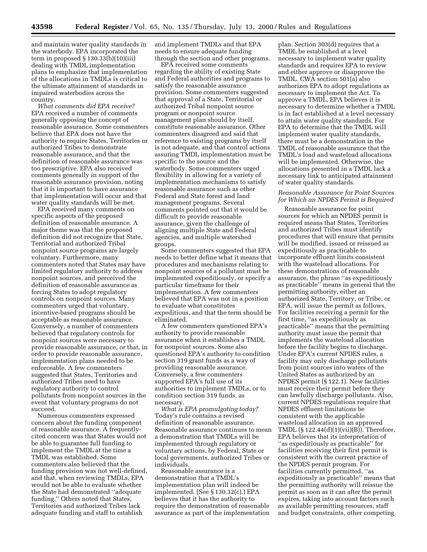and maintain water quality standards in the waterbody. EPA incorporated the term in proposed § 130.33(b)(10)(iii) dealing with TMDL implementation plans to emphasize that implementation of the allocations in TMDLs is critical to the ultimate attainment of standards in impaired waterbodies across the country.

*What comments did EPA receive?* EPA received a number of comments generally opposing the concept of reasonable assurance. Some commenters believe that EPA does not have the authority to require States, Territories or authorized Tribes to demonstrate reasonable assurance, and that the definition of reasonable assurance was too prescriptive. EPA also received comments generally in support of the reasonable assurance provision, noting that it is important to have assurance that implementation will occur and that water quality standards will be met.

EPA received many comments on specific aspects of the proposed definition of reasonable assurance. A major theme was that the proposed definition did not recognize that State, Territorial and authorized Tribal nonpoint source programs are largely voluntary. Furthermore, many commenters noted that States may have limited regulatory authority to address nonpoint sources, and perceived the definition of reasonable assurance as forcing States to adopt regulatory controls on nonpoint sources. Many commenters urged that voluntary, incentive-based programs should be acceptable as reasonable assurance. Conversely, a number of commenters believed that regulatory controls for nonpoint sources were necessary to provide reasonable assurance, or that, in order to provide reasonable assurance, implementation plans needed to be enforceable. A few commenters suggested that States, Territories and authorized Tribes need to have regulatory authority to control pollutants from nonpoint sources in the event that voluntary programs do not succeed.

Numerous commenters expressed concern about the funding component of reasonable assurance. A frequentlycited concern was that States would not be able to guarantee full funding to implement the TMDL at the time a TMDL was established. Some commenters also believed that the funding provision was not well-defined, and that, when reviewing TMDLs, EPA would not be able to evaluate whether the State had demonstrated ''adequate funding.'' Others noted that States, Territories and authorized Tribes lack adequate funding and staff to establish

and implement TMDLs and that EPA needs to ensure adequate funding through the section and other programs.

EPA received some comments regarding the ability of existing State and Federal authorities and programs to satisfy the reasonable assurance provision. Some commenters suggested that approval of a State, Territorial or authorized Tribal nonpoint source program or nonpoint source management plan should by itself, constitute reasonable assurance. Other commenters disagreed and said that reference to existing programs by itself is not adequate, and that control actions assuring TMDL implementation must be specific to the source and the waterbody. Some commenters urged flexibility in allowing for a variety of implementation mechanisms to satisfy reasonable assurance such as other Federal and State forest and land management programs. Several comments pointed out that it would be difficult to provide reasonable assurance, given the challenge of aligning multiple State and Federal agencies, and multiple watershed groups.

Some commenters suggested that EPA needs to better define what it means that procedures and mechanisms relating to nonpoint sources of a pollutant must be implemented expeditiously, or specify a particular timeframe for their implementation. A few commenters believed that EPA was not in a position to evaluate what constitutes expeditious, and that the term should be eliminated.

A few commenters questioned EPA's authority to provide reasonable assurance when it establishes a TMDL for nonpoint sources. Some also questioned EPA's authority to condition section 319 grant funds as a way of providing reasonable assurance. Conversely, a few commenters supported EPA's full use of its authorities to implement TMDLs, or to condition section 319 funds, as necessary.

*What is EPA promulgating today?* Today's rule contains a revised definition of reasonable assurance. Reasonable assurance continues to mean a demonstration that TMDLs will be implemented through regulatory or voluntary actions, by Federal, State or local governments, authorized Tribes or individuals.

Reasonable assurance is a demonstration that a TMDL's implementation plan will indeed be implemented. (See § 130.32(c).) EPA believes that it has the authority to require the demonstration of reasonable assurance as part of the implementation

plan. Section 303(d) requires that a TMDL be established at a level necessary to implement water quality standards and requires EPA to review and either approve or disapprove the TMDL. CWA section 501(a) also authorizes EPA to adopt regulations as necessary to implement the Act. To approve a TMDL, EPA believes it is necessary to determine whether a TMDL is in fact established at a level necessary to attain water quality standards. For EPA to determine that the TMDL will implement water quality standards, there must be a demonstration in the TMDL of reasonable assurance that the TMDL's load and wasteload allocations will be implemented. Otherwise, the allocations presented in a TMDL lack a necessary link to anticipated attainment of water quality standards.

#### *Reasonable Assurance for Point Sources for Which an NPDES Permit is Required*

Reasonable assurance for point sources for which an NPDES permit is required means that States, Territories and authorized Tribes must identify procedures that will ensure that permits will be modified, issued or reissued as expeditiously as practicable to incorporate effluent limits consistent with the wasteload allocations. For these demonstrations of reasonable assurance, the phrase ''as expeditiously as practicable'' means in general that the permitting authority, either an authorized State, Territory, or Tribe, or EPA, will issue the permit as follows. For facilities receiving a permit for the first time, ''as expeditiously as practicable'' means that the permitting authority must issue the permit that implements the wasteload allocation before the facility begins to discharge. Under EPA's current NPDES rules, a facility may only discharge pollutants from point sources into waters of the United States as authorized by an NPDES permit (§ 122.1). New facilities must receive their permit before they can lawfully discharge pollutants. Also, current NPDES regulations require that NPDES effluent limitations be consistent with the applicable wasteload allocation in an approved TMDL (§ 122.44(d)(1)(vii)(B)). Therefore, EPA believes that its interpretation of ''as expeditiously as practicable'' for facilities receiving their first permit is consistent with the current practice of the NPDES permit program. For facilities currently permitted, ''as expeditiously as practicable'' means that the permitting authority will reissue the permit as soon as it can after the permit expires, taking into account factors such as available permitting resources, staff and budget constraints, other competing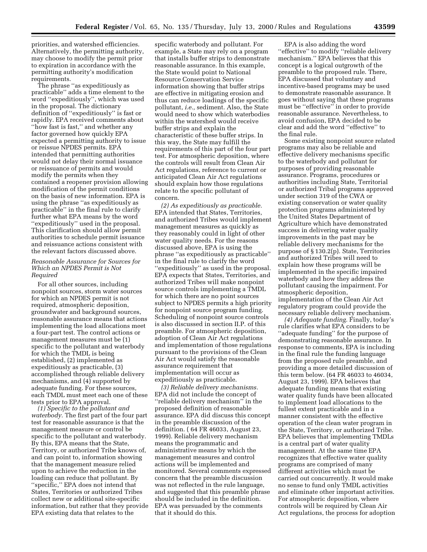priorities, and watershed efficiencies. Alternatively, the permitting authority, may choose to modify the permit prior to expiration in accordance with the permitting authority's modification requirements.

The phrase ''as expeditiously as practicable'' adds a time element to the word ''expeditiously'', which was used in the proposal. The dictionary definition of ''expeditiously'' is fast or rapidly. EPA received comments about ''how fast is fast,'' and whether any factor governed how quickly EPA expected a permitting authority to issue or reissue NPDES permits. EPA intended that permitting authorities would not delay their normal issuance or reissuance of permits and would modify the permits when they contained a reopener provision allowing modification of the permit conditions on the basis of new information. EPA is using the phrase ''as expeditiously as practicable'' in the final rule to clarify further what EPA means by the word ''expeditiously'' used in the proposal. This clarification should allow permit authorities to schedule permit issuance and reissuance actions consistent with the relevant factors discussed above.

#### *Reasonable Assurance for Sources for Which an NPDES Permit is Not Required*

For all other sources, including nonpoint sources, storm water sources for which an NPDES permit is not required, atmospheric deposition, groundwater and background sources, reasonable assurance means that actions implementing the load allocations meet a four-part test. The control actions or management measures must be (1) specific to the pollutant and waterbody for which the TMDL is being established, (2) implemented as expeditiously as practicable, (3) accomplished through reliable delivery mechanisms, and (4) supported by adequate funding. For these sources, each TMDL must meet each one of these tests prior to EPA approval.

*(1) Specific to the pollutant and waterbody.* The first part of the four part test for reasonable assurance is that the management measure or control be specific to the pollutant and waterbody. By this, EPA means that the State, Territory, or authorized Tribe knows of, and can point to, information showing that the management measure relied upon to achieve the reduction in the loading can reduce that pollutant. By ''specific,'' EPA does not intend that States, Territories or authorized Tribes collect new or additional site-specific information, but rather that they provide EPA existing data that relates to the

specific waterbody and pollutant. For example, a State may rely on a program that installs buffer strips to demonstrate reasonable assurance. In this example, the State would point to National Resource Conservation Service information showing that buffer strips are effective in mitigating erosion and thus can reduce loadings of the specific pollutant, *i.e.,* sediment. Also, the State would need to show which waterbodies within the watershed would receive buffer strips and explain the characteristic of these buffer strips. In this way, the State may fulfill the requirements of this part of the four part test. For atmospheric deposition, where the controls will result from Clean Air Act regulations, reference to current or anticipated Clean Air Act regulations should explain how those regulations relate to the specific pollutant of concern.

*(2) As expeditiously as practicable.* EPA intended that States, Territories, and authorized Tribes would implement management measures as quickly as they reasonably could in light of other water quality needs. For the reasons discussed above, EPA is using the phrase ''as expeditiously as practicable'' in the final rule to clarify the word ''expeditiously'' as used in the proposal. EPA expects that States, Territories, and authorized Tribes will make nonpoint source controls implementing a TMDL for which there are no point sources subject to NPDES permits a high priority for nonpoint source program funding. Scheduling of nonpoint source controls is also discussed in section II.P. of this preamble. For atmospheric deposition, adoption of Clean Air Act regulations and implementation of those regulations pursuant to the provisions of the Clean Air Act would satisfy the reasonable assurance requirement that implementation will occur as expeditiously as practicable.

*(3) Reliable delivery mechanisms.* EPA did not include the concept of ''reliable delivery mechanism'' in the proposed definition of reasonable assurance. EPA did discuss this concept in the preamble discussion of the definition. ( 64 FR 46033, August 23, 1999). Reliable delivery mechanism means the programmatic and administrative means by which the management measures and control actions will be implemented and monitored. Several comments expressed concern that the preamble discussion was not reflected in the rule language, and suggested that this preamble phrase should be included in the definition. EPA was persuaded by the comments that it should do this.

EPA is also adding the word ''effective'' to modify ''reliable delivery mechanism.'' EPA believes that this concept is a logical outgrowth of the preamble to the proposed rule. There, EPA discussed that voluntary and incentive-based programs may be used to demonstrate reasonable assurance. It goes without saying that these programs must be ''effective'' in order to provide reasonable assurance. Nevertheless, to avoid confusion, EPA decided to be clear and add the word ''effective'' to the final rule.

Some existing nonpoint source related programs may also be reliable and effective delivery mechanisms specific to the waterbody and pollutant for purposes of providing reasonable assurance. Programs, procedures or authorities including State, Territorial or authorized Tribal programs approved under section 319 of the CWA or existing conservation or water quality protection programs administered by the United States Department of Agriculture which have demonstrated success in delivering water quality improvements in the past may be reliable delivery mechanisms for the purpose of § 130.2(p). State, Territories and authorized Tribes will need to explain how these programs will be implemented in the specific impaired waterbody and how they address the pollutant causing the impairment. For atmospheric deposition, implementation of the Clean Air Act regulatory program could provide the necessary reliable delivery mechanism.

*(4) Adequate funding.* Finally, today's rule clarifies what EPA considers to be ''adequate funding'' for the purpose of demonstrating reasonable assurance. In response to comments, EPA is including in the final rule the funding language from the proposed rule preamble, and providing a more detailed discussion of this term below. (64 FR 46033 to 46034, August 23, 1999). EPA believes that adequate funding means that existing water quality funds have been allocated to implement load allocations to the fullest extent practicable and in a manner consistent with the effective operation of the clean water program in the State, Territory, or authorized Tribe. EPA believes that implementing TMDLs is a central part of water quality management. At the same time EPA recognizes that effective water quality programs are comprised of many different activities which must be carried out concurrently. It would make no sense to fund only TMDL activities and eliminate other important activities. For atmospheric deposition, where controls will be required by Clean Air Act regulations, the process for adoption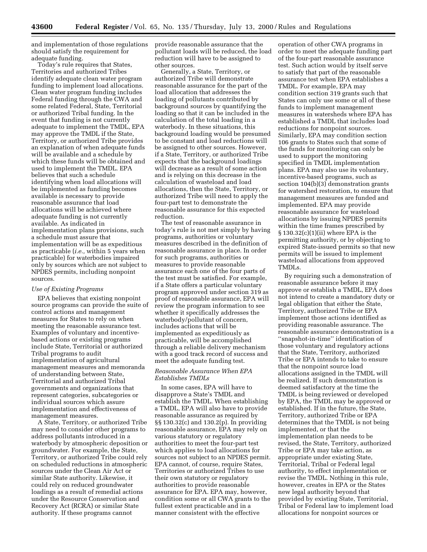and implementation of those regulations should satisfy the requirement for adequate funding.

Today's rule requires that States, Territories and authorized Tribes identify adequate clean water program funding to implement load allocations. Clean water program funding includes Federal funding through the CWA and some related Federal, State, Territorial or authorized Tribal funding. In the event that funding is not currently adequate to implement the TMDL, EPA may approve the TMDL if the State, Territory, or authorized Tribe provides an explanation of when adequate funds will be available and a schedule by which these funds will be obtained and used to implement the TMDL. EPA believes that such a schedule identifying when load allocations will be implemented as funding becomes available is necessary to provide reasonable assurance that load allocations will be achieved where adequate funding is not currently available. As indicated in implementation plans provisions, such a schedule must assure that implementation will be as expeditious as practicable (*i.e.,* within 5 years when practicable) for waterbodies impaired only by sources which are not subject to NPDES permits, including nonpoint sources.

#### *Use of Existing Programs*

EPA believes that existing nonpoint source programs can provide the suite of control actions and management measures for States to rely on when meeting the reasonable assurance test. Examples of voluntary and incentivebased actions or existing programs include State, Territorial or authorized Tribal programs to audit implementation of agricultural management measures and memoranda of understanding between State, Territorial and authorized Tribal governments and organizations that represent categories, subcategories or individual sources which assure implementation and effectiveness of management measures.

A State, Territory, or authorized Tribe may need to consider other programs to address pollutants introduced in a waterbody by atmospheric deposition or groundwater. For example, the State, Territory, or authorized Tribe could rely on scheduled reductions in atmospheric sources under the Clean Air Act or similar State authority. Likewise, it could rely on reduced groundwater loadings as a result of remedial actions under the Resource Conservation and Recovery Act (RCRA) or similar State authority. If these programs cannot

provide reasonable assurance that the pollutant loads will be reduced, the load reduction will have to be assigned to other sources.

Generally, a State, Territory, or authorized Tribe will demonstrate reasonable assurance for the part of the load allocation that addresses the loading of pollutants contributed by background sources by quantifying the loading so that it can be included in the calculation of the total loading in a waterbody. In these situations, this background loading would be presumed to be constant and load reductions will be assigned to other sources. However, if a State, Territory, or authorized Tribe expects that the background loadings will decrease as a result of some action and is relying on this decrease in the calculation of wasteload and load allocations, then the State, Territory, or authorized Tribe will need to apply the four-part test to demonstrate the reasonable assurance for this expected reduction.

The test of reasonable assurance in today's rule is not met simply by having programs, authorities or voluntary measures described in the definition of reasonable assurance in place. In order for such programs, authorities or measures to provide reasonable assurance each one of the four parts of the test must be satisfied. For example, if a State offers a particular voluntary program approved under section 319 as proof of reasonable assurance, EPA will review the program information to see whether it specifically addresses the waterbody/pollutant of concern, includes actions that will be implemented as expeditiously as practicable, will be accomplished through a reliable delivery mechanism with a good track record of success and meet the adequate funding test.

#### *Reasonable Assurance When EPA Establishes TMDLs*

In some cases, EPA will have to disapprove a State's TMDL and establish the TMDL. When establishing a TMDL, EPA will also have to provide reasonable assurance as required by §§ 130.32(c) and 130.2(p). In providing reasonable assurance, EPA may rely on various statutory or regulatory authorities to meet the four-part test which applies to load allocations for sources not subject to an NPDES permit. EPA cannot, of course, require States, Territories or authorized Tribes to use their own statutory or regulatory authorities to provide reasonable assurance for EPA. EPA may, however, condition some or all CWA grants to the fullest extent practicable and in a manner consistent with the effective

operation of other CWA programs in order to meet the adequate funding part of the four-part reasonable assurance test. Such action would by itself serve to satisfy that part of the reasonable assurance test when EPA establishes a TMDL. For example, EPA may condition section 319 grants such that States can only use some or all of these funds to implement management measures in watersheds where EPA has established a TMDL that includes load reductions for nonpoint sources. Similarly, EPA may condition section 106 grants to States such that some of the funds for monitoring can only be used to support the monitoring specified in TMDL implementation plans. EPA may also use its voluntary, incentive-based programs, such as section 104(b)(3) demonstration grants for watershed restoration, to ensure that management measures are funded and implemented. EPA may provide reasonable assurance for wasteload allocations by issuing NPDES permits within the time frames prescribed by § 130.32(c)(1)(ii) where EPA is the permitting authority, or by objecting to expired State-issued permits so that new permits will be issued to implement wasteload allocations from approved TMDLs.

By requiring such a demonstration of reasonable assurance before it may approve or establish a TMDL, EPA does not intend to create a mandatory duty or legal obligation that either the State, Territory, authorized Tribe or EPA implement those actions identified as providing reasonable assurance. The reasonable assurance demonstration is a ''snapshot-in-time'' identification of those voluntary and regulatory actions that the State, Territory, authorized Tribe or EPA intends to take to ensure that the nonpoint source load allocations assigned in the TMDL will be realized. If such demonstration is deemed satisfactory at the time the TMDL is being reviewed or developed by EPA, the TMDL may be approved or established. If in the future, the State, Territory, authorized Tribe or EPA determines that the TMDL is not being implemented, or that the implementation plan needs to be revised, the State, Territory, authorized Tribe or EPA may take action, as appropriate under existing State, Territorial, Tribal or Federal legal authority, to effect implementation or revise the TMDL. Nothing in this rule, however, creates in EPA or the States new legal authority beyond that provided by existing State, Territorial, Tribal or Federal law to implement load allocations for nonpoint sources or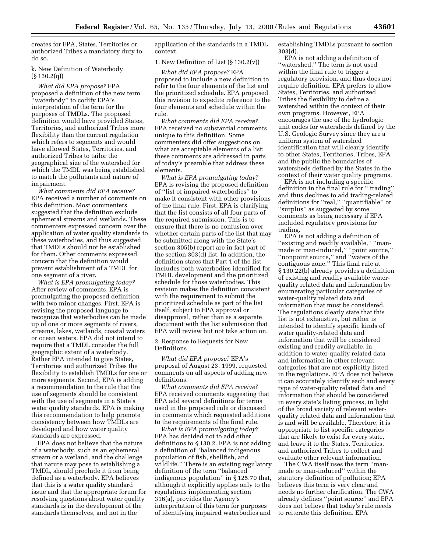creates for EPA, States, Territories or authorized Tribes a mandatory duty to do so.

#### k. New Definition of Waterbody  $(S 130.2(q))$

*What did EPA propose?* EPA proposed a definition of the new term ''waterbody'' to codify EPA's interpretation of the term for the purposes of TMDLs. The proposed definition would have provided States, Territories, and authorized Tribes more flexibility than the current regulation which refers to segments and would have allowed States, Territories, and authorized Tribes to tailor the geographical size of the watershed for which the TMDL was being established to match the pollutants and nature of impairment.

*What comments did EPA receive?* EPA received a number of comments on this definition. Most commenters suggested that the definition exclude ephemeral streams and wetlands. These commenters expressed concern over the application of water quality standards to these waterbodies, and thus suggested that TMDLs should not be established for them. Other comments expressed concern that the definition would prevent establishment of a TMDL for one segment of a river.

*What is EPA promulgating today?* After review of comments, EPA is promulgating the proposed definition with two minor changes. First, EPA is revising the proposed language to recognize that waterbodies can be made up of one or more segments of rivers, streams, lakes, wetlands, coastal waters or ocean waters. EPA did not intend to require that a TMDL consider the full geographic extent of a waterbody. Rather EPA intended to give States, Territories and authorized Tribes the flexibility to establish TMDLs for one or more segments. Second, EPA is adding a recommendation to the rule that the use of segments should be consistent with the use of segments in a State's water quality standards. EPA is making this recommendation to help promote consistency between how TMDLs are developed and how water quality standards are expressed.

EPA does not believe that the nature of a waterbody, such as an ephemeral stream or a wetland, and the challenge that nature may pose to establishing a TMDL, should preclude it from being defined as a waterbody. EPA believes that this is a water quality standard issue and that the appropriate forum for resolving questions about water quality standards is in the development of the standards themselves, and not in the

application of the standards in a TMDL context.

1. New Definition of List (§ 130.2(v))

*What did EPA propose?* EPA proposed to include a new definition to refer to the four elements of the list and the prioritized schedule. EPA proposed this revision to expedite reference to the four elements and schedule within the rule.

*What comments did EPA receive?* EPA received no substantial comments unique to this definition. Some commenters did offer suggestions on what are acceptable elements of a list; these comments are addressed in parts of today's preamble that address these elements.

*What is EPA promulgating today?* EPA is revising the proposed definition of ''list of impaired waterbodies'' to make it consistent with other provisions of the final rule. First, EPA is clarifying that the list consists of all four parts of the required submission. This is to ensure that there is no confusion over whether certain parts of the list that may be submitted along with the State's section 305(b) report are in fact part of the section 303(d) list. In addition, the definition states that Part 1 of the list includes both waterbodies identified for TMDL development and the prioritized schedule for those waterbodies. This revision makes the definition consistent with the requirement to submit the prioritized schedule as part of the list itself, subject to EPA approval or disapproval, rather than as a separate document with the list submission that EPA will review but not take action on.

2. Response to Requests for New Definitions

*What did EPA propose?* EPA's proposal of August 23, 1999, requested comments on all aspects of adding new definitions.

*What comments did EPA receive?* EPA received comments suggesting that EPA add several definitions for terms used in the proposed rule or discussed in comments which requested additions to the requirements of the final rule.

*What is EPA promulgating today?* EPA has decided not to add other definitions to § 130.2. EPA is not adding a definition of ''balanced indigenous population of fish, shellfish, and wildlife.'' There is an existing regulatory definition of the term ''balanced indigenous population'' in § 125.70 that, although it explicitly applies only to the regulations implementing section 316(a), provides the Agency's interpretation of this term for purposes of identifying impaired waterbodies and

establishing TMDLs pursuant to section 303(d).

EPA is not adding a definition of ''watershed.'' The term is not used within the final rule to trigger a regulatory provision, and thus does not require definition. EPA prefers to allow States, Territories, and authorized Tribes the flexibility to define a watershed within the context of their own programs. However, EPA encourages the use of the hydrologic unit codes for watersheds defined by the U.S. Geologic Survey since they are a uniform system of watershed identification that will clearly identify to other States, Territories, Tribes, EPA and the public the boundaries of watersheds defined by the States in the context of their water quality programs.

EPA is not including a specific definition in the final rule for '' trading'' and thus declines to add trading-related definitions for ''real,'' ''quantifiable'' or ''surplus'' as suggested by some comments as being necessary if EPA included regulatory provisions for trading.

EPA is not adding a definition of ''existing and readily available,'' ''manmade or man-induced,'' ''point source,'' ''nonpoint source,'' and ''waters of the contiguous zone.'' This final rule at § 130.22(b) already provides a definition of existing and readily available waterquality related data and information by enumerating particular categories of water-quality related data and information that must be considered. The regulations clearly state that this list is not exhaustive, but rather is intended to identify specific kinds of water quality-related data and information that will be considered existing and readily available, in addition to water-quality related data and information in other relevant categories that are not explicitly listed in the regulations. EPA does not believe it can accurately identify each and every type of water-quality related data and information that should be considered in every state's listing process, in light of the broad variety of relevant waterquality related data and information that is and will be available. Therefore, it is appropriate to list specific categories that are likely to exist for every state, and leave it to the States, Territories, and authorized Tribes to collect and evaluate other relevant information.

The CWA itself uses the term ''manmade or man-induced'' within the statutory definition of pollution; EPA believes this term is very clear and needs no further clarification. The CWA already defines ''point source'' and EPA does not believe that today's rule needs to reiterate this definition. EPA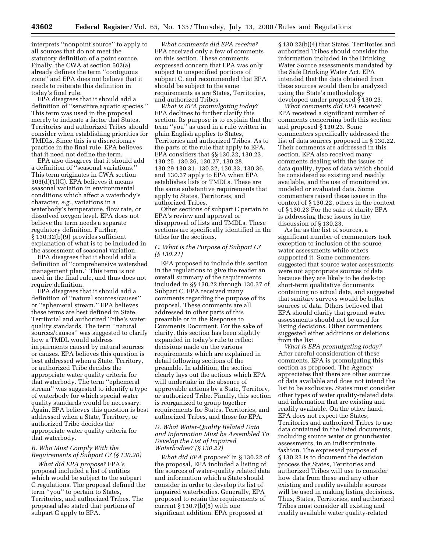interprets ''nonpoint source'' to apply to all sources that do not meet the statutory definition of a point source. Finally, the CWA at section 502(a) already defines the term ''contiguous zone'' and EPA does not believe that it needs to reiterate this definition in today's final rule.

EPA disagrees that it should add a definition of ''sensitive aquatic species.'' This term was used in the proposal merely to indicate a factor that States, Territories and authorized Tribes should consider when establishing priorities for TMDLs. Since this is a discretionary practice in the final rule, EPA believes that it need not define the term.

EPA also disagrees that it should add a definition of ''seasonal variations.'' This term originates in CWA section 303(d)(1)(C). EPA believes it means seasonal variation in environmental conditions which affect a waterbody's character, *e.g*., variations in a waterbody's temperature, flow rate, or dissolved oxygen level. EPA does not believe the term needs a separate regulatory definition. Further, § 130.32(b)(9) provides sufficient explanation of what is to be included in the assessment of seasonal variation.

EPA disagrees that it should add a definition of ''comprehensive watershed management plan." This term is not used in the final rule, and thus does not require definition.

EPA disagrees that it should add a definition of ''natural sources/causes'' or ''ephemeral stream.'' EPA believes these terms are best defined in State, Territorial and authorized Tribe's water quality standards. The term ''natural sources/causes'' was suggested to clarify how a TMDL would address impairments caused by natural sources or causes. EPA believes this question is best addressed when a State, Territory, or authorized Tribe decides the appropriate water quality criteria for that waterbody. The term ''ephemeral stream'' was suggested to identify a type of waterbody for which special water quality standards would be necessary. Again, EPA believes this question is best addressed when a State, Territory, or authorized Tribe decides the appropriate water quality criteria for that waterbody.

#### *B. Who Must Comply With the Requirements of Subpart C? (§ 130.20)*

*What did EPA propose?* EPA's proposal included a list of entities which would be subject to the subpart C regulations. The proposal defined the term ''you'' to pertain to States, Territories, and authorized Tribes. The proposal also stated that portions of subpart C apply to EPA.

*What comments did EPA receive?* EPA received only a few of comments on this section. These comments expressed concern that EPA was only subject to unspecified portions of subpart C, and recommended that EPA should be subject to the same requirements as are States, Territories, and authorized Tribes.

*What is EPA promulgating today?* EPA declines to further clarify this section. Its purpose is to explain that the term ''you'' as used in a rule written in plain English applies to States, Territories and authorized Tribes. As to the parts of the rule that apply to EPA, EPA considers that §§ 130.22, 130.23, 130.25, 130.26, 130.27, 130.28, 130.29,130.31, 130.32, 130.33, 130.36, and 130.37 apply to EPA when EPA establishes lists or TMDLs. These are the same substantive requirements that apply to States, Territories, and authorized Tribes.

Other sections of subpart C pertain to EPA's review and approval or disapproval of lists and TMDLs. These sections are specifically identified in the titles for the sections.

#### *C. What is the Purpose of Subpart C? (§ 130.21)*

EPA proposed to include this section in the regulations to give the reader an overall summary of the requirements included in §§ 130.22 through 130.37 of Subpart C. EPA received many comments regarding the purpose of its proposal. These comments are all addressed in other parts of this preamble or in the Response to Comments Document. For the sake of clarity, this section has been slightly expanded in today's rule to reflect decisions made on the various requirements which are explained in detail following sections of the preamble. In addition, the section clearly lays out the actions which EPA will undertake in the absence of approvable actions by a State, Territory, or authorized Tribe. Finally, this section is reorganized to group together requirements for States, Territories, and authorized Tribes, and those for EPA.

#### *D. What Water-Quality Related Data and Information Must be Assembled To Develop the List of Impaired Waterbodies? (§ 130.22)*

*What did EPA propose?* In § 130.22 of the proposal, EPA included a listing of the sources of water-quality related data and information which a State should consider in order to develop its list of impaired waterbodies. Generally, EPA proposed to retain the requirements of current  $\S 130.7(b)(5)$  with one significant addition. EPA proposed at

§ 130.22(b)(4) that States, Territories and authorized Tribes should consider the information included in the Drinking Water Source assessments mandated by the Safe Drinking Water Act. EPA intended that the data obtained from these sources would then be analyzed using the State's methodology developed under proposed § 130.23.

*What comments did EPA receive?* EPA received a significant number of comments concerning both this section and proposed § 130.23. Some commenters specifically addressed the list of data sources proposed in § 130.22. Their comments are addressed in this section. EPA also received many comments dealing with the issues of data quality, types of data which should be considered as existing and readily available, and the use of monitored vs. modeled or evaluated data. Some commenters raised these issues in the context of § 130.22, others in the context of § 130.23 For the sake of clarity EPA is addressing these issues in the discussion of § 130.23.

As far as the list of sources, a significant number of commenters took exception to inclusion of the source water assessments while others supported it. Some commenters suggested that source water assessments were not appropriate sources of data because they are likely to be desk-top short-term qualitative documents containing no actual data, and suggested that sanitary surveys would be better sources of data. Others believed that EPA should clarify that ground water assessments should not be used for listing decisions. Other commenters suggested either additions or deletions from the list.

*What is EPA promulgating today?* After careful consideration of these comments, EPA is promulgating this section as proposed. The Agency appreciates that there are other sources of data available and does not intend the list to be exclusive. States must consider other types of water quality-related data and information that are existing and readily available. On the other hand, EPA does not expect the States, Territories and authorized Tribes to use data contained in the listed documents, including source water or groundwater assessments, in an indiscriminate fashion. The expressed purpose of § 130.23 is to document the decision process the States, Territories and authorized Tribes will use to consider how data from these and any other existing and readily available sources will be used in making listing decisions. Thus, States, Territories, and authorized Tribes must consider all existing and readily available water quality-related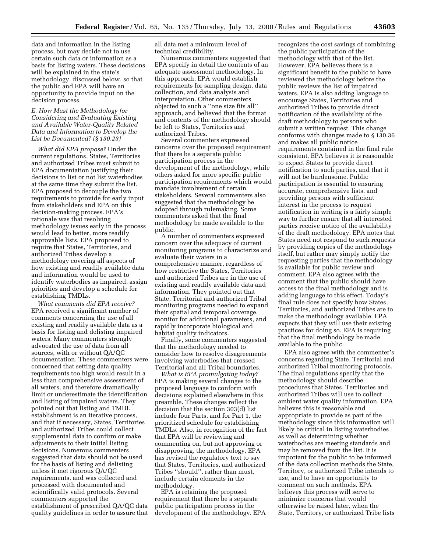data and information in the listing process, but may decide not to use certain such data or information as a basis for listing waters. These decisions will be explained in the state's methodology, discussed below, so that the public and EPA will have an opportunity to provide input on the decision process.

#### *E. How Must the Methodology for Considering and Evaluating Existing and Available Water-Quality Related Data and Information to Develop the List be Documented? (§ 130.23)*

*What did EPA propose?* Under the current regulations, States, Territories and authorized Tribes must submit to EPA documentation justifying their decisions to list or not list waterbodies at the same time they submit the list. EPA proposed to decouple the two requirements to provide for early input from stakeholders and EPA on this decision-making process. EPA's rationale was that resolving methodology issues early in the process would lead to better, more readily approvable lists. EPA proposed to require that States, Territories, and authorized Tribes develop a methodology covering all aspects of how existing and readily available data and information would be used to identify waterbodies as impaired, assign priorities and develop a schedule for establishing TMDLs.

*What comments did EPA receive?* EPA received a significant number of comments concerning the use of all existing and readily available data as a basis for listing and delisting impaired waters. Many commenters strongly advocated the use of data from all sources, with or without QA/QC documentation. These commenters were concerned that setting data quality requirements too high would result in a less than comprehensive assessment of all waters, and therefore dramatically limit or underestimate the identification and listing of impaired waters. They pointed out that listing and TMDL establishment is an iterative process, and that if necessary, States, Territories and authorized Tribes could collect supplemental data to confirm or make adjustments to their initial listing decisions. Numerous commenters suggested that data should not be used for the basis of listing and delisting unless it met rigorous QA/QC requirements, and was collected and processed with documented and scientifically valid protocols. Several commenters supported the establishment of prescribed QA/QC data quality guidelines in order to assure that all data met a minimum level of technical credibility.

Numerous commenters suggested that EPA specify in detail the contents of an adequate assessment methodology. In this approach, EPA would establish requirements for sampling design, data collection, and data analysis and interpretation. Other commenters objected to such a ''one size fits all'' approach, and believed that the format and contents of the methodology should be left to States, Territories and authorized Tribes.

Several commenters expressed concerns over the proposed requirement that there be a separate public participation process in the development of the methodology, while others asked for more specific public participation requirements which would mandate involvement of certain stakeholders. Several commenters also suggested that the methodology be adopted through rulemaking. Some commenters asked that the final methodology be made available to the public.

A number of commenters expressed concern over the adequacy of current monitoring programs to characterize and evaluate their waters in a comprehensive manner, regardless of how restrictive the States, Territories and authorized Tribes are in the use of existing and readily available data and information. They pointed out that State, Territorial and authorized Tribal monitoring programs needed to expand their spatial and temporal coverage, monitor for additional parameters, and rapidly incorporate biological and habitat quality indicators.

Finally, some commenters suggested that the methodology needed to consider how to resolve disagreements involving waterbodies that crossed Territorial and all Tribal boundaries.

*What is EPA promulgating today?* EPA is making several changes to the proposed language to conform with decisions explained elsewhere in this preamble. These changes reflect the decision that the section 303(d) list include four Parts, and for Part 1, the prioritized schedule for establishing TMDLs. Also, in recognition of the fact that EPA will be reviewing and commenting on, but not approving or disapproving, the methodology, EPA has revised the regulatory text to say that States, Territories, and authorized Tribes ''should'', rather than must, include certain elements in the methodology.

EPA is retaining the proposed requirement that there be a separate public participation process in the development of the methodology. EPA recognizes the cost savings of combining the public participation of the methodology with that of the list. However, EPA believes there is a significant benefit to the public to have reviewed the methodology before the public reviews the list of impaired waters. EPA is also adding language to encourage States, Territories and authorized Tribes to provide direct notification of the availability of the draft methodology to persons who submit a written request. This change conforms with changes made to § 130.36 and makes all public notice requirements contained in the final rule consistent. EPA believes it is reasonable to expect States to provide direct notification to such parties, and that it will not be burdensome. Public participation is essential to ensuring accurate, comprehensive lists, and providing persons with sufficient interest in the process to request notification in writing is a fairly simple way to further ensure that all interested parties receive notice of the availability of the draft methodology. EPA notes that States need not respond to such requests by providing copies of the methodology itself, but rather may simply notify the requesting parties that the methodology is available for public review and comment. EPA also agrees with the comment that the public should have access to the final methodology and is adding language to this effect. Today's final rule does not specify how States, Territories, and authorized Tribes are to make the methodology available. EPA expects that they will use their existing practices for doing so. EPA is requiring that the final methodology be made available to the public.

EPA also agrees with the commenter's concerns regarding State, Territorial and authorized Tribal monitoring protocols. The final regulations specify that the methodology should describe procedures that States, Territories and authorized Tribes will use to collect ambient water quality information. EPA believes this is reasonable and appropriate to provide as part of the methodology since this information will likely be critical in listing waterbodies as well as determining whether waterbodies are meeting standards and may be removed from the list. It is important for the public to be informed of the data collection methods the State, Territory, or authorized Tribe intends to use, and to have an opportunity to comment on such methods. EPA believes this process will serve to minimize concerns that would otherwise be raised later, when the State, Territory, or authorized Tribe lists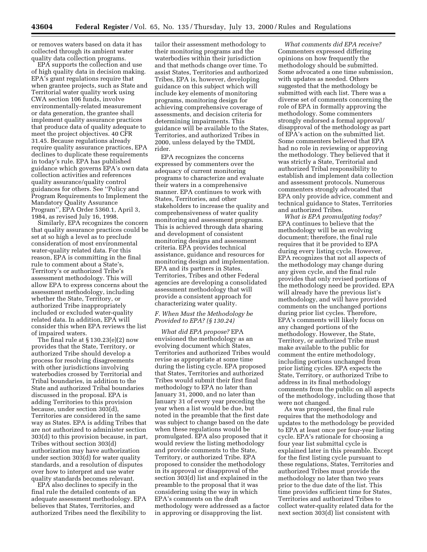or removes waters based on data it has collected through its ambient water quality data collection programs.

EPA supports the collection and use of high quality data in decision making. EPA's grant regulations require that when grantee projects, such as State and Territorial water quality work using CWA section 106 funds, involve environmentally-related measurement or data generation, the grantee shall implement quality assurance practices that produce data of quality adequate to meet the project objectives. 40 CFR 31.45. Because regulations already require quality assurance practices, EPA declines to duplicate these requirements in today's rule. EPA has published guidance which governs EPA's own data collection activities and references quality assurance/quality control guidances for others. See ''Policy and Program Requirements to Implement the Mandatory Quality Assurance Program'', EPA Order 5360.1, April 3, 1984, as revised July 16, 1998.

Similarly, EPA recognizes the concern that quality assurance practices could be set at so high a level as to preclude consideration of most environmental water-quality related data. For this reason, EPA is committing in the final rule to comment about a State's, Territory's or authorized Tribe's assessment methodology. This will allow EPA to express concerns about the assessment methodology, including whether the State, Territory, or authorized Tribe inappropriately included or excluded water-quality related data. In addition, EPA will consider this when EPA reviews the list of impaired waters.

The final rule at  $\S 130.23(e)(2)$  now provides that the State, Territory, or authorized Tribe should develop a process for resolving disagreements with other jurisdictions involving waterbodies crossed by Territorial and Tribal boundaries, in addition to the State and authorized Tribal boundaries discussed in the proposal. EPA is adding Territories to this provision because, under section 303(d), Territories are considered in the same way as States. EPA is adding Tribes that are not authorized to administer section 303(d) to this provision because, in part, Tribes without section 303(d) authorization may have authorization under section 303(d) for water quality standards, and a resolution of disputes over how to interpret and use water quality standards becomes relevant.

EPA also declines to specify in the final rule the detailed contents of an adequate assessment methodology. EPA believes that States, Territories, and authorized Tribes need the flexibility to

tailor their assessment methodology to their monitoring programs and the waterbodies within their jurisdiction and that methods change over time. To assist States, Territories and authorized Tribes, EPA is, however, developing guidance on this subject which will include key elements of monitoring programs, monitoring design for achieving comprehensive coverage of assessments, and decision criteria for determining impairments. This guidance will be available to the States, Territories, and authorized Tribes in 2000, unless delayed by the TMDL rider.

EPA recognizes the concerns expressed by commenters over the adequacy of current monitoring programs to characterize and evaluate their waters in a comprehensive manner. EPA continues to work with States, Territories, and other stakeholders to increase the quality and comprehensiveness of water quality monitoring and assessment programs. This is achieved through data sharing and development of consistent monitoring designs and assessment criteria. EPA provides technical assistance, guidance and resources for monitoring design and implementation. EPA and its partners in States, Territories, Tribes and other Federal agencies are developing a consolidated assessment methodology that will provide a consistent approach for characterizing water quality.

#### *F. When Must the Methodology be Provided to EPA? (§ 130.24)*

*What did EPA propose?* EPA envisioned the methodology as an evolving document which States, Territories and authorized Tribes would revise as appropriate at some time during the listing cycle. EPA proposed that States, Territories and authorized Tribes would submit their first final methodology to EPA no later than January 31, 2000, and no later than January 31 of every year preceding the year when a list would be due, but noted in the preamble that the first date was subject to change based on the date when these regulations would be promulgated. EPA also proposed that it would review the listing methodology and provide comments to the State, Territory, or authorized Tribe. EPA proposed to consider the methodology in its approval or disapproval of the section 303(d) list and explained in the preamble to the proposal that it was considering using the way in which EPA's comments on the draft methodology were addressed as a factor in approving or disapproving the list.

*What comments did EPA receive?* Commenters expressed differing opinions on how frequently the methodology should be submitted. Some advocated a one time submission, with updates as needed. Others suggested that the methodology be submitted with each list. There was a diverse set of comments concerning the role of EPA in formally approving the methodology. Some commenters strongly endorsed a formal approval/ disapproval of the methodology as part of EPA's action on the submitted list. Some commenters believed that EPA had no role in reviewing or approving the methodology. They believed that it was strictly a State, Territorial and authorized Tribal responsibility to establish and implement data collection and assessment protocols. Numerous commenters strongly advocated that EPA only provide advice, comment and technical guidance to States, Territories and authorized Tribes.

*What is EPA promulgating today?* EPA continues to believe that the methodology will be an evolving document; therefore, the final rule requires that it be provided to EPA during every listing cycle. However, EPA recognizes that not all aspects of the methodology may change during any given cycle, and the final rule provides that only revised portions of the methodology need be provided. EPA will already have the previous list's methodology, and will have provided comments on the unchanged portions during prior list cycles. Therefore, EPA's comments will likely focus on any changed portions of the methodology. However, the State, Territory, or authorized Tribe must make available to the public for comment the entire methodology, including portions unchanged from prior listing cycles. EPA expects the State, Territory, or authorized Tribe to address in its final methodology comments from the public on all aspects of the methodology, including those that were not changed.

As was proposed, the final rule requires that the methodology and updates to the methodology be provided to EPA at least once per four-year listing cycle. EPA's rationale for choosing a four year list submittal cycle is explained later in this preamble. Except for the first listing cycle pursuant to these regulations, States, Territories and authorized Tribes must provide the methodology no later than two years prior to the due date of the list. This time provides sufficient time for States, Territories and authorized Tribes to collect water-quality related data for the next section 303(d) list consistent with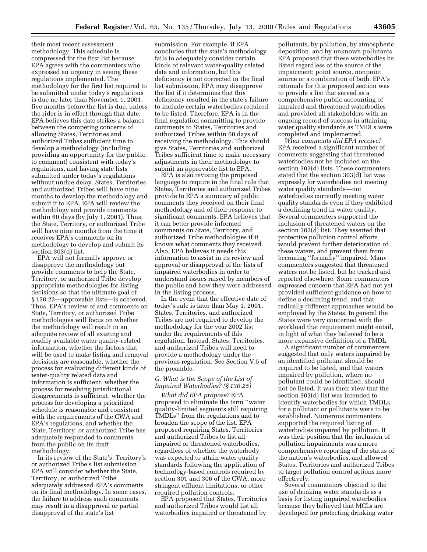their most recent assessment methodology. This schedule is compressed for the first list because EPA agrees with the commenters who expressed an urgency in seeing these regulations implemented. The methodology for the first list required to be submitted under today's regulations is due no later than November 1, 2001, five months before the list is due, unless the rider is in effect through that date. EPA believes this date strikes a balance between the competing concerns of allowing States, Territories and authorized Tribes sufficient time to develop a methodology (including providing an opportunity for the public to comment) consistent with today's regulations, and having state lists submitted under today's regulations without undue delay. States, Territories and authorized Tribes will have nine months to develop the methodology and submit it to EPA. EPA will review the methodology and provide comments within 60 days (by July 1, 2001). Thus, the State, Territory, or authorized Tribe will have nine months from the time it receives EPA's comments on its methodology to develop and submit its section 303(d) list.

EPA will not formally approve or disapprove the methodology but provide comments to help the State, Territory, or authorized Tribe develop appropriate methodologies for listing decisions so that the ultimate goal of § 130.23—approvable lists—is achieved. Thus, EPA's review of and comments on State, Territory, or authorized Tribe methodologies will focus on whether the methodology will result in an adequate review of all existing and readily available water quality-related information, whether the factors that will be used to make listing and removal decisions are reasonable, whether the process for evaluating different kinds of water-quality related data and information is sufficient, whether the process for resolving jurisdictional disagreements is sufficient, whether the process for developing a prioritized schedule is reasonable and consistent with the requirements of the CWA and EPA's regulations, and whether the State, Territory, or authorized Tribe has adequately responded to comments from the public on its draft methodology.

In its review of the State's, Territory's or authorized Tribe's list submission, EPA will consider whether the State, Territory, or authorized Tribe adequately addressed EPA's comments on its final methodology. In some cases, the failure to address such comments may result in a disapproval or partial disapproval of the state's list

submission. For example, if EPA concludes that the state's methodology fails to adequately consider certain kinds of relevant water-quality related data and information, but this deficiency is not corrected in the final list submission, EPA may disapprove the list if it determines that this deficiency resulted in the state's failure to include certain waterbodies required to be listed. Therefore, EPA is in the final regulation committing to provide comments to States, Territories and authorized Tribes within 60 days of receiving the methodology. This should give States, Territories and authorized Tribes sufficient time to make necessary adjustments in their methodology to submit an approvable list to EPA.

EPA is also revising the proposed language to require in the final rule that States, Territories and authorized Tribes provide to EPA a summary of public comments they received on their final methodology and of their response to significant comments. EPA believes that it can better provide informed comments on State, Territory, and authorized Tribe methodologies if it knows what comments they received. Also, EPA believes it needs this information to assist in its review and approval or disapproval of the lists of impaired waterbodies in order to understand issues raised by members of the public and how they were addressed in the listing process.

In the event that the effective date of today's rule is later than May 1, 2001, States, Territories, and authorized Tribes are not required to develop the methodology for the year 2002 list under the requirements of this regulation. Instead, States, Territories, and authorized Tribes will need to provide a methodology under the previous regulation. See Section V.5 of the preamble.

#### *G. What is the Scope of the List of Impaired Waterbodies? (§ 130.25)*

*What did EPA propose?* EPA proposed to eliminate the term ''water quality-limited segments still requiring TMDLs'' from the regulations and to broaden the scope of the list. EPA proposed requiring States, Territories and authorized Tribes to list all impaired or threatened waterbodies, regardless of whether the waterbody was expected to attain water quality standards following the application of technology-based controls required by section 301 and 306 of the CWA, more stringent effluent limitations, or other required pollution controls.

EPA proposed that States, Territories and authorized Tribes would list all waterbodies impaired or threatened by

pollutants, by pollution, by atmospheric deposition, and by unknown pollutants. EPA proposed that these waterbodies be listed regardless of the source of the impairment: point source, nonpoint source or a combination of both. EPA's rationale for this proposed section was to provide a list that served as a comprehensive public accounting of impaired and threatened waterbodies and provided all stakeholders with an ongoing record of success in attaining water quality standards as TMDLs were completed and implemented.

*What comments did EPA receive?* EPA received a significant number of comments suggesting that threatened waterbodies not be included on the section 303(d) lists. These commenters stated that the section 303(d) list was expressly for waterbodies not meeting water quality standards—not waterbodies currently meeting water quality standards even if they exhibited a declining trend in water quality. Several commenters supported the inclusion of threatened waters on the section 303(d) list. They asserted that protective pollution control efforts would prevent further deterioration of these waters, and prevent them from becoming ''formally'' impaired. Many commenters suggested that threatened waters not be listed, but be tracked and reported elsewhere. Some commenters expressed concern that EPA had not yet provided sufficient guidance on how to define a declining trend, and that radically different approaches would be employed by the States. In general the States were very concerned with the workload that requirement might entail, in light of what they believed to be a more expansive definition of a TMDL.

A significant number of commenters suggested that only waters impaired by an identified pollutant should be required to be listed, and that waters impaired by pollution, where no pollutant could be identified, should not be listed. It was their view that the section 303(d) list was intended to identify waterbodies for which TMDLs for a pollutant or pollutants were to be established. Numerous commenters supported the required listing of waterbodies impaired by pollution. It was their position that the inclusion of pollution impairments was a more comprehensive reporting of the status of the nation's waterbodies, and allowed States, Territories and authorized Tribes to target pollution control actions more effectively.

Several commenters objected to the use of drinking water standards as a basis for listing impaired waterbodies because they believed that MCLs are developed for protecting drinking water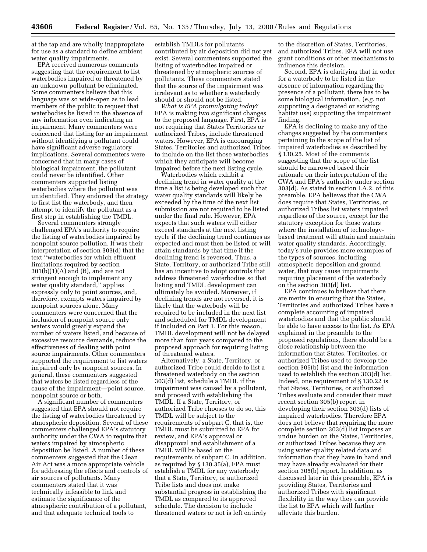at the tap and are wholly inappropriate for use as a standard to define ambient water quality impairments.

EPA received numerous comments suggesting that the requirement to list waterbodies impaired or threatened by an unknown pollutant be eliminated. Some commenters believe that this language was so wide-open as to lead members of the public to request that waterbodies be listed in the absence of any information even indicating an impairment. Many commenters were concerned that listing for an impairment without identifying a pollutant could have significant adverse regulatory implications. Several commenters were concerned that in many cases of biological impairment, the pollutant could never be identified. Other commenters supported listing waterbodies where the pollutant was unidentified. They endorsed the strategy to first list the waterbody, and then attempt to identify the pollutant as a first step in establishing the TMDL.

Several commenters strongly challenged EPA's authority to require the listing of waterbodies impaired by nonpoint source pollution. It was their interpretation of section 303(d) that the text ''waterbodies for which effluent limitations required by section  $301(b)(1)(A)$  and  $(B)$ , and are not stringent enough to implement any water quality standard,'' applies expressly only to point sources, and, therefore, exempts waters impaired by nonpoint sources alone. Many commenters were concerned that the inclusion of nonpoint source only waters would greatly expand the number of waters listed, and because of excessive resource demands, reduce the effectiveness of dealing with point source impairments. Other commenters supported the requirement to list waters impaired only by nonpoint sources. In general, these commenters suggested that waters be listed regardless of the cause of the impairment—point source, nonpoint source or both.

A significant number of commenters suggested that EPA should not require the listing of waterbodies threatened by atmospheric deposition. Several of these commenters challenged EPA's statutory authority under the CWA to require that waters impaired by atmospheric deposition be listed. A number of these commenters suggested that the Clean Air Act was a more appropriate vehicle for addressing the effects and controls of air sources of pollutants. Many commenters stated that it was technically infeasible to link and estimate the significance of the atmospheric contribution of a pollutant, and that adequate technical tools to

establish TMDLs for pollutants contributed by air deposition did not yet exist. Several commenters supported the listing of waterbodies impaired or threatened by atmospheric sources of pollutants. These commenters stated that the source of the impairment was irrelevant as to whether a waterbody should or should not be listed.

*What is EPA promulgating today?* EPA is making two significant changes to the proposed language. First, EPA is not requiring that States Territories or authorized Tribes, include threatened waters. However, EPA is encouraging States, Territories and authorized Tribes to include on the list those waterbodies which they anticipate will become impaired before the next listing cycle.

Waterbodies which exhibit a declining trend in water quality at the time a list is being developed such that water quality standards will likely be exceeded by the time of the next list submission are not required to be listed under the final rule. However, EPA expects that such waters will either exceed standards at the next listing cycle if the declining trend continues as expected and must then be listed or will attain standards by that time if the declining trend is reversed. Thus, a State, Territory, or authorized Tribe still has an incentive to adopt controls that address threatened waterbodies so that listing and TMDL development can ultimately be avoided. Moreover, if declining trends are not reversed, it is likely that the waterbody will be required to be included in the next list and scheduled for TMDL development if included on Part 1. For this reason, TMDL development will not be delayed more than four years compared to the proposed approach for requiring listing of threatened waters.

Alternatively, a State, Territory, or authorized Tribe could decide to list a threatened waterbody on the section 303(d) list, schedule a TMDL if the impairment was caused by a pollutant, and proceed with establishing the TMDL. If a State, Territory, or authorized Tribe chooses to do so, this TMDL will be subject to the requirements of subpart C, that is, the TMDL must be submitted to EPA for review, and EPA's approval or disapproval and establishment of a TMDL will be based on the requirements of subpart C. In addition, as required by § 130.35(a), EPA must establish a TMDL for any waterbody that a State, Territory, or authorized Tribe lists and does not make substantial progress in establishing the TMDL as compared to its approved schedule. The decision to include threatened waters or not is left entirely

to the discretion of States, Territories, and authorized Tribes. EPA will not use grant conditions or other mechanisms to influence this decision.

Second, EPA is clarifying that in order for a waterbody to be listed in the absence of information regarding the presence of a pollutant, there has to be some biological information, (*e.g.* not supporting a designated or existing habitat use) supporting the impairment finding.

EPA is declining to make any of the changes suggested by the commenters pertaining to the scope of the list of impaired waterbodies as described by § 130.25. Most of the comments suggesting that the scope of the list should be narrowed based their rationale on their interpretation of the CWA and EPA's authority under section 303(d). As stated in section I.A.2. of this preamble, EPA believes that the CWA does require that States, Territories, or authorized Tribes list waters impaired regardless of the source, except for the statutory exception for those waters where the installation of technologybased treatment will attain and maintain water quality standards. Accordingly, today's rule provides more examples of the types of sources, including atmospheric deposition and ground water, that may cause impairments requiring placement of the waterbody on the section 303(d) list.

EPA continues to believe that there are merits in ensuring that the States, Territories and authorized Tribes have a complete accounting of impaired waterbodies and that the public should be able to have access to the list. As EPA explained in the preamble to the proposed regulations, there should be a close relationship between the information that States, Territories, or authorized Tribes used to develop the section 305(b) list and the information used to establish the section 303(d) list. Indeed, one requirement of § 130.22 is that States, Territories, or authorized Tribes evaluate and consider their most recent section 305(b) report in developing their section 303(d) lists of impaired waterbodies. Therefore EPA does not believe that requiring the more complete section 303(d) list imposes an undue burden on the States, Territories, or authorized Tribes because they are using water-quality related data and information that they have in hand and may have already evaluated for their section 305(b) report. In addition, as discussed later in this preamble, EPA is providing States, Territories and authorized Tribes with significant flexibility in the way they can provide the list to EPA which will further alleviate this burden.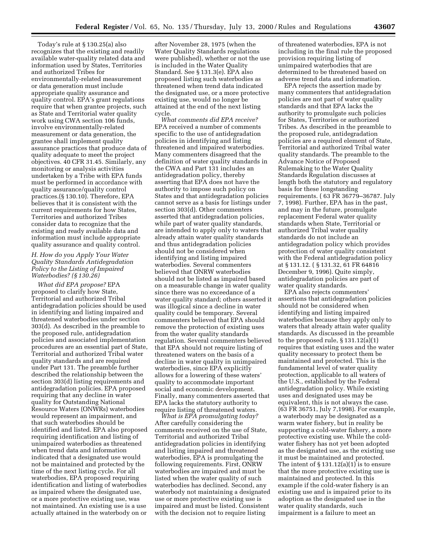Today's rule at § 130.25(a) also recognizes that the existing and readily available water-quality related data and information used by States, Territories and authorized Tribes for environmentally-related measurement or data generation must include appropriate quality assurance and quality control. EPA's grant regulations require that when grantee projects, such as State and Territorial water quality work using CWA section 106 funds, involve environmentally-related measurement or data generation, the grantee shall implement quality assurance practices that produce data of quality adequate to meet the project objectives. 40 CFR 31.45. Similarly, any monitoring or analysis activities undertaken by a Tribe with EPA funds must be performed in accordance with quality assurance/quality control practices.(§ 130.10). Therefore, EPA believes that it is consistent with the current requirements for how States, Territories and authorized Tribes consider data to recognize that the existing and ready available data and information must include appropriate quality assurance and quality control.

#### *H. How do you Apply Your Water Quality Standards Antidegradation Policy to the Listing of Impaired Waterbodies? (§ 130.26)*

*What did EPA propose?* EPA proposed to clarify how State, Territorial and authorized Tribal antidegradation policies should be used in identifying and listing impaired and threatened waterbodies under section 303(d). As described in the preamble to the proposed rule, antidegradation policies and associated implementation procedures are an essential part of State, Territorial and authorized Tribal water quality standards and are required under Part 131. The preamble further described the relationship between the section 303(d) listing requirements and antidegradation policies. EPA proposed requiring that any decline in water quality for Outstanding National Resource Waters (ONWRs) waterbodies would represent an impairment, and that such waterbodies should be identified and listed. EPA also proposed requiring identification and listing of unimpaired waterbodies as threatened when trend data and information indicated that a designated use would not be maintained and protected by the time of the next listing cycle. For all waterbodies, EPA proposed requiring identification and listing of waterbodies as impaired where the designated use, or a more protective existing use, was not maintained. An existing use is a use actually attained in the waterbody on or

after November 28, 1975 (when the Water Quality Standards regulations were published), whether or not the use is included in the Water Quality Standard. See § 131.3(e). EPA also proposed listing such waterbodies as threatened when trend data indicated the designated use, or a more protective existing use, would no longer be attained at the end of the next listing cycle.

*What comments did EPA receive?* EPA received a number of comments specific to the use of antidegradation policies in identifying and listing threatened and impaired waterbodies. Many commenters disagreed that the definition of water quality standards in the CWA and Part 131 includes an antidegradation policy, thereby asserting that EPA does not have the authority to impose such policy on States and that antidegradation policies cannot serve as a basis for listings under section 303(d). Other commenters asserted that antidegradation policies, while part of water quality standards, are intended to apply only to waters that already attain water quality standards and thus antidegradation policies should not be considered when identifying and listing impaired waterbodies. Several commenters believed that ONRW waterbodies should not be listed as impaired based on a measurable change in water quality since there was no exceedance of a water quality standard; others asserted it was illogical since a decline in water quality could be temporary. Several commenters believed that EPA should remove the protection of existing uses from the water quality standards regulation. Several commenters believed that EPA should not require listing of threatened waters on the basis of a decline in water quality in unimpaired waterbodies, since EPA explicitly allows for a lowering of these waters' quality to accommodate important social and economic development. Finally, many commenters asserted that EPA lacks the statutory authority to require listing of threatened waters.

*What is EPA promulgating today?* After carefully considering the comments received on the use of State, Territorial and authorized Tribal antidegradation policies in identifying and listing impaired and threatened waterbodies, EPA is promulgating the following requirements. First, ONRW waterbodies are impaired and must be listed when the water quality of such waterbodies has declined. Second, any waterbody not maintaining a designated use or more protective existing use is impaired and must be listed. Consistent with the decision not to require listing

of threatened waterbodies, EPA is not including in the final rule the proposed provision requiring listing of unimpaired waterbodies that are determined to be threatened based on adverse trend data and information.

EPA rejects the assertion made by many commenters that antidegradation policies are not part of water quality standards and that EPA lacks the authority to promulgate such policies for States, Territories or authorized Tribes. As described in the preamble to the proposed rule, antidegradation policies are a required element of State, Territorial and authorized Tribal water quality standards. The preamble to the Advance Notice of Proposed Rulemaking to the Water Quality Standards Regulation discusses at length both the statutory and regulatory basis for these longstanding requirements. ( 63 FR 36779–36787. July 7, 1998). Further, EPA has in the past, and may in the future, promulgate replacement Federal water quality standards when State, Territorial or authorized Tribal water quality standards do not include an antidegradation policy which provides protection of water quality consistent with the Federal antidegradation policy at § 131.12. ( § 131.32, 61 FR 64816 December 9, 1996). Quite simply, antidegradation policies are part of water quality standards.

EPA also rejects commenters' assertions that antidegradation policies should not be considered when identifying and listing impaired waterbodies because they apply only to waters that already attain water quality standards. As discussed in the preamble to the proposed rule, § 131.12(a)(1) requires that existing uses and the water quality necessary to protect them be maintained and protected. This is the fundamental level of water quality protection, applicable to all waters of the U.S., established by the Federal antidegradation policy. While existing uses and designated uses may be equivalent, this is not always the case. (63 FR 36751, July 7,1998). For example, a waterbody may be designated as a warm water fishery, but in reality be supporting a cold-water fishery, a more protective existing use. While the coldwater fishery has not yet been adopted as the designated use, as the existing use it must be maintained and protected. The intent of § 131.12(a)(1) is to ensure that the more protective existing use is maintained and protected. In this example if the cold-water fishery is an existing use and is impaired prior to its adoption as the designated use in the water quality standards, such impairment is a failure to meet an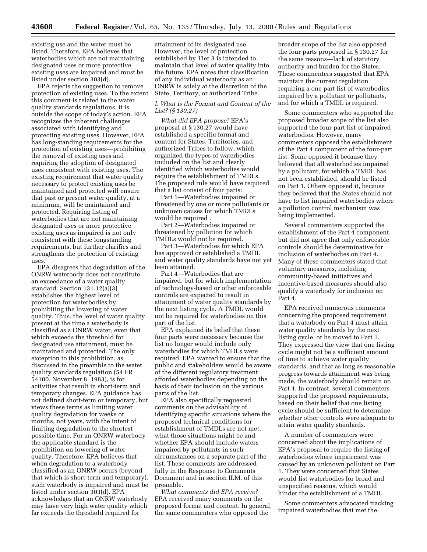existing use and the water must be listed. Therefore, EPA believes that waterbodies which are not maintaining designated uses or more protective existing uses are impaired and must be listed under section 303(d).

EPA rejects the suggestion to remove protection of existing uses. To the extent this comment is related to the water quality standards regulations, it is outside the scope of today's action. EPA recognizes the inherent challenges associated with identifying and protecting existing uses. However, EPA has long-standing requirements for the protection of existing uses—prohibiting the removal of existing uses and requiring the adoption of designated uses consistent with existing uses. The existing requirement that water quality necessary to protect existing uses be maintained and protected will ensure that past or present water quality, at a minimum, will be maintained and protected. Requiring listing of waterbodies that are not maintaining designated uses or more protective existing uses as impaired is not only consistent with these longstanding requirements, but further clarifies and strengthens the protection of existing uses.

EPA disagrees that degradation of the ONRW waterbody does not constitute an exceedance of a water quality standard. Section 131.12(a)(3) establishes the highest level of protection for waterbodies by prohibiting the lowering of water quality. Thus, the level of water quality present at the time a waterbody is classified as a ONRW water, even that which exceeds the threshold for designated use attainment, must be maintained and protected. The only exception to this prohibition, as discussed in the preamble to the water quality standards regulation (54 FR 54100, November 8, 1983), is for activities that result in short-term and temporary changes. EPA guidance has not defined short-term or temporary, but views these terms as limiting water quality degradation for weeks or months, not years, with the intent of limiting degradation to the shortest possible time. For an ONRW waterbody the applicable standard is the prohibition on lowering of water quality. Therefore, EPA believes that when degradation to a waterbody classified as an ONRW occurs (beyond that which is short-term and temporary), such waterbody is impaired and must be listed under section 303(d). EPA acknowledges that an ONRW waterbody may have very high water quality which far exceeds the threshold required for

attainment of its designated use. However, the level of protection established by Tier 3 is intended to maintain that level of water quality into the future. EPA notes that classification of any individual waterbody as an ONRW is solely at the discretion of the State, Territory, or authorized Tribe.

#### *I. What is the Format and Content of the List? (§ 130.27)*

*What did EPA propose?* EPA's proposal at § 130.27 would have established a specific format and content for States, Territories, and authorized Tribes to follow, which organized the types of waterbodies included on the list and clearly identified which waterbodies would require the establishment of TMDLs. The proposed rule would have required that a list consist of four parts:

Part 1—Waterbodies impaired or threatened by one or more pollutants or unknown causes for which TMDLs would be required .

Part 2—Waterbodies impaired or threatened by pollution for which TMDLs would not be required.

Part 3—Waterbodies for which EPA has approved or established a TMDL and water quality standards have not yet been attained.

Part 4—Waterbodies that are impaired, but for which implementation of technology-based or other enforceable controls are expected to result in attainment of water quality standards by the next listing cycle. A TMDL would not be required for waterbodies on this part of the list.

EPA explained its belief that these four parts were necessary because the list no longer would include only waterbodies for which TMDLs were required. EPA wanted to ensure that the public and stakeholders would be aware of the different regulatory treatment afforded waterbodies depending on the basis of their inclusion on the various parts of the list.

EPA also specifically requested comments on the advisability of identifying specific situations where the proposed technical conditions for establishment of TMDLs are not met, what those situations might be and whether EPA should include waters impaired by pollutants in such circumstances on a separate part of the list. These comments are addressed fully in the Response to Comments Document and in section II.M. of this preamble.

*What comments did EPA receive?* EPA received many comments on the proposed format and content. In general, the same commenters who opposed the

broader scope of the list also opposed the four parts proposed in § 130.27 for the same reasons—lack of statutory authority and burden for the States. These commenters suggested that EPA maintain the current regulation requiring a one part list of waterbodies impaired by a pollutant or pollutants, and for which a TMDL is required.

Some commenters who supported the proposed broader scope of the list also supported the four part list of impaired waterbodies. However, many commenters opposed the establishment of the Part 4 component of the four-part list. Some opposed it because they believed that all waterbodies impaired by a pollutant, for which a TMDL has not been established, should be listed on Part 1. Others opposed it, because they believed that the States should not have to list impaired waterbodies where a pollution control mechanism was being implemented.

Several commenters supported the establishment of the Part 4 component, but did not agree that only enforceable controls should be determinative for inclusion of waterbodies on Part 4. Many of these commenters stated that voluntary measures, including community-based initiatives and incentive-based measures should also qualify a waterbody for inclusion on Part 4.

EPA received numerous comments concerning the proposed requirement that a waterbody on Part 4 must attain water quality standards by the next listing cycle, or be moved to Part 1. They expressed the view that one listing cycle might not be a sufficient amount of time to achieve water quality standards, and that as long as reasonable progress towards attainment was being made, the waterbody should remain on Part 4. In contrast, several commenters supported the proposed requirements, based on their belief that one listing cycle should be sufficient to determine whether other controls were adequate to attain water quality standards.

A number of commenters were concerned about the implications of EPA's proposal to require the listing of waterbodies where impairment was caused by an unknown pollutant on Part 1. They were concerned that States would list waterbodies for broad and unspecified reasons, which would hinder the establishment of a TMDL.

Some commenters advocated tracking impaired waterbodies that met the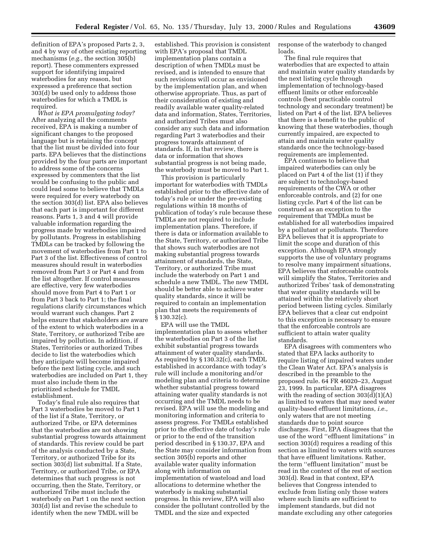definition of EPA's proposed Parts 2, 3, and 4 by way of other existing reporting mechanisms (*e.g.,* the section 305(b) report). These commenters expressed support for identifying impaired waterbodies for any reason, but expressed a preference that section 303(d) be used only to address those waterbodies for which a TMDL is required.

*What is EPA promulgating today?* After analyzing all the comments received, EPA is making a number of significant changes to the proposed language but is retaining the concept that the list must be divided into four parts. EPA believes that the distinctions provided by the four parts are important to address some of the concerns expressed by commenters that the list would be confusing to the public and could lead some to believe that TMDLs were required for every waterbody on the section 303(d) list. EPA also believes that each part is important for different reasons. Parts 1, 3 and 4 will provide valuable information regarding the progress made by waterbodies impaired by pollutants. Progress in establishing TMDLs can be tracked by following the movement of waterbodies from Part 1 to Part 3 of the list. Effectiveness of control measures should result in waterbodies removed from Part 3 or Part 4 and from the list altogether. If control measures are effective, very few waterbodies should move from Part 4 to Part 1 or from Part 3 back to Part 1; the final regulations clarify circumstances which would warrant such changes. Part 2 helps ensure that stakeholders are aware of the extent to which waterbodies in a State, Territory, or authorized Tribe are impaired by pollution. In addition, if States, Territories or authorized Tribes decide to list the waterbodies which they anticipate will become impaired before the next listing cycle, and such waterbodies are included on Part 1, they must also include them in the prioritized schedule for TMDL establishment.

Today's final rule also requires that Part 3 waterbodies be moved to Part 1 of the list if a State, Territory, or authorized Tribe, or EPA determines that the waterbodies are not showing substantial progress towards attainment of standards. This review could be part of the analysis conducted by a State, Territory, or authorized Tribe for its section 303(d) list submittal. If a State, Territory, or authorized Tribe, or EPA determines that such progress is not occurring, then the State, Territory, or authorized Tribe must include the waterbody on Part 1 on the next section 303(d) list and revise the schedule to identify when the new TMDL will be

established. This provision is consistent with EPA's proposal that TMDL implementation plans contain a description of when TMDLs must be revised, and is intended to ensure that such revisions will occur as envisioned by the implementation plan, and when otherwise appropriate. Thus, as part of their consideration of existing and readily available water quality-related data and information, States, Territories, and authorized Tribes must also consider any such data and information regarding Part 3 waterbodies and their progress towards attainment of standards. If, in that review, there is data or information that shows substantial progress is not being made, the waterbody must be moved to Part 1.

This provision is particularly important for waterbodies with TMDLs established prior to the effective date of today's rule or under the pre-existing regulations within 18 months of publication of today's rule because these TMDLs are not required to include implementation plans. Therefore, if there is data or information available to the State, Territory, or authorized Tribe that shows such waterbodies are not making substantial progress towards attainment of standards, the State, Territory, or authorized Tribe must include the waterbody on Part 1 and schedule a new TMDL. The new TMDL should be better able to achieve water quality standards, since it will be required to contain an implementation plan that meets the requirements of § 130.32(c).

EPA will use the TMDL implementation plan to assess whether the waterbodies on Part 3 of the list exhibit substantial progress towards attainment of water quality standards. As required by § 130.32(c), each TMDL established in accordance with today's rule will include a monitoring and/or modeling plan and criteria to determine whether substantial progress toward attaining water quality standards is not occurring and the TMDL needs to be revised. EPA will use the modeling and monitoring information and criteria to assess progress. For TMDLs established prior to the effective date of today's rule or prior to the end of the transition period described in § 130.37, EPA and the State may consider information from section 305(b) reports and other available water quality information along with information on implementation of wasteload and load allocations to determine whether the waterbody is making substantial progress. In this review, EPA will also consider the pollutant controlled by the TMDL and the size and expected

response of the waterbody to changed loads.

The final rule requires that waterbodies that are expected to attain and maintain water quality standards by the next listing cycle through implementation of technology-based effluent limits or other enforceable controls (best practicable control technology and secondary treatment) be listed on Part 4 of the list. EPA believes that there is a benefit to the public of knowing that these waterbodies, though currently impaired, are expected to attain and maintain water quality standards once the technology-based requirements are implemented.

EPA continues to believe that impaired waterbodies can only be placed on Part 4 of the list (1) if they are subject to technology-based requirements of the CWA or other enforceable controls, and (2) for one listing cycle. Part 4 of the list can be construed as an exception to the requirement that TMDLs must be established for all waterbodies impaired by a pollutant or pollutants. Therefore EPA believes that it is appropriate to limit the scope and duration of this exception. Although EPA strongly supports the use of voluntary programs to resolve many impairment situations, EPA believes that enforceable controls will simplify the States, Territories and authorized Tribes' task of demonstrating that water quality standards will be attained within the relatively short period between listing cycles. Similarly EPA believes that a clear cut endpoint to this exception is necessary to ensure that the enforceable controls are sufficient to attain water quality standards.

EPA disagrees with commenters who stated that EPA lacks authority to require listing of impaired waters under the Clean Water Act. EPA's analysis is described in the preamble to the proposed rule. 64 FR 46020–23, August 23, 1999. In particular, EPA disagrees with the reading of section 303(d)(1)(A) as limited to waters that may need water quality-based effluent limitations, *i.e.,* only waters that are not meeting standards due to point source discharges. First, EPA disagrees that the use of the word ''effluent limitations'' in section 303(d) requires a reading of this section as limited to waters with sources that have effluent limitations. Rather, the term ''effluent limitation'' must be read in the context of the rest of section 303(d). Read in that context, EPA believes that Congress intended to exclude from listing only those waters where such limits are sufficient to implement standards, but did not mandate excluding any other categories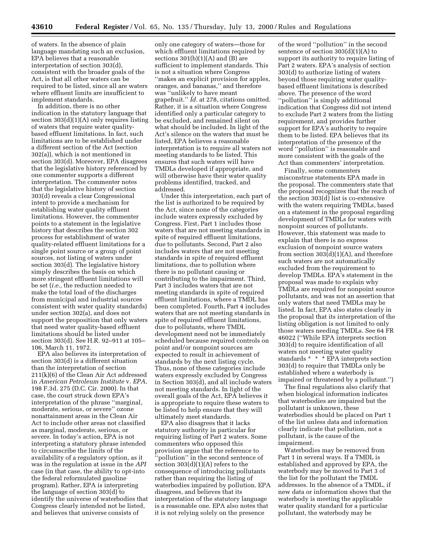of waters. In the absence of plain language mandating such an exclusion, EPA believes that a reasonable interpretation of section 303(d), consistent with the broader goals of the Act, is that all other waters can be required to be listed, since all are waters where effluent limits are insufficient to implement standards.

In addition, there is no other indication in the statutory language that section 303(d)(1)(A) only requires listing of waters that require water qualitybased effluent limitations. In fact, such limitations are to be established under a different section of the Act (section 302(a)), which is not mentioned in section 303(d). Moreover, EPA disagrees that the legislative history referenced by one commenter supports a different interpretation. The commenter notes that the legislative history of section 303(d) reveals a clear Congressional intent to provide a mechanism for establishing water quality effluent limitations. However, the commenter points to a statement in the legislative history that describes the section 302 process for establishment of water quality-related effluent limitations for a single point source or a group of point sources, not listing of waters under section 303(d). The legislative history simply describes the basis on which more stringent effluent limitations will be set (*i.e.,* the reduction needed to make the total load of the discharges from municipal and industrial sources consistent with water quality standards) under section 302(a), and does not support the proposition that only waters that need water quality-based effluent limitations should be listed under section 303(d). See H.R. 92–911 at 105– 106, March 11, 1972.

EPA also believes its interpretation of section 303(d) is a different situation than the interpretation of section 211(k)(6) of the Clean Air Act addressed in *American Petroleum Institute* v. *EPA*, 198 F.3d. 275 (D.C. Cir. 2000). In that case, the court struck down EPA's interpretation of the phrase ''marginal, moderate, serious, or severe'' ozone nonattainment areas in the Clean Air Act to include other areas not classified as marginal, moderate, serious, or severe. In today's action, EPA is not interpreting a statutory phrase intended to circumscribe the limits of the availability of a regulatory option, as it was in the regulation at issue in the *API* case (in that case, the ability to opt-into the federal reformulated gasoline program). Rather, EPA is interpreting the language of section 303(d) to identify the universe of waterbodies that Congress clearly intended not be listed, and believes that universe consists of

only one category of waters—those for which effluent limitations required by sections  $301(b)(1)(A)$  and  $(B)$  are sufficient to implement standards. This is not a situation where Congress ''makes an explicit provision for apples, oranges, and bananas,'' and therefore was ''unlikely to have meant grapefruit.'' *Id.* at 278, citations omitted. Rather, it is a situation where Congress identified only a particular category to be excluded, and remained silent on what should be included. In light of the Act's silence on the waters that must be listed, EPA believes a reasonable interpretation is to require all waters not meeting standards to be listed. This ensures that such waters will have TMDLs developed if appropriate, and will otherwise have their water quality problems identified, tracked, and addressed.

Under this interpretation, each part of the list is authorized to be required by the Act, since none of the categories include waters expressly excluded by Congress. First, Part 1 includes those waters that are not meeting standards in spite of required effluent limitations, due to pollutants. Second, Part 2 also includes waters that are not meeting standards in spite of required effluent limitations, due to pollution where there is no pollutant causing or contributing to the impairment. Third, Part 3 includes waters that are not meeting standards in spite of required effluent limitations, where a TMDL has been completed. Fourth, Part 4 includes waters that are not meeting standards in spite of required effluent limitations, due to pollutants, where TMDL development need not be immediately scheduled because required controls on point and/or nonpoint sources are expected to result in achievement of standards by the next listing cycle. Thus, none of these categories include waters expressly excluded by Congress in Section 303(d), and all include waters not meeting standards. In light of the overall goals of the Act, EPA believes it is appropriate to require these waters to be listed to help ensure that they will ultimately meet standards.

EPA also disagrees that it lacks statutory authority in particular for requiring listing of Part 2 waters. Some commenters who opposed this provision argue that the reference to 'pollution'' in the second sentence of section 303(d)(1)(A) refers to the consequence of introducing pollutants rather than requiring the listing of waterbodies impaired by pollution. EPA disagrees, and believes that its interpretation of the statutory language is a reasonable one. EPA also notes that it is not relying solely on the presence

of the word ''pollution'' in the second sentence of section 303(d)(1)(A) to support its authority to require listing of Part 2 waters. EPA's analysis of section 303(d) to authorize listing of waters beyond those requiring water qualitybased effluent limitations is described above. The presence of the word ''pollution'' is simply additional indication that Congress did not intend to exclude Part 2 waters from the listing requirement, and provides further support for EPA's authority to require them to be listed. EPA believes that its interpretation of the presence of the word ''pollution'' is reasonable and more consistent with the goals of the Act than commenters' interpretation.

Finally, some commenters misconstrue statements EPA made in the proposal. The commenters state that the proposal recognizes that the reach of the section  $303(d)$  list is co-extensive with the waters requiring TMDLs, based on a statement in the proposal regarding development of TMDLs for waters with nonpoint sources of pollutants. However, this statement was made to explain that there is no express exclusion of nonpoint source waters from section  $303(d)(1)(A)$ , and therefore such waters are not automatically excluded from the requirement to develop TMDLs. EPA's statement in the proposal was made to explain why TMDLs are required for nonpoint source pollutants, and was not an assertion that only waters that need TMDLs may be listed. In fact, EPA also states clearly in the proposal that its interpretation of the listing obligation is not limited to only those waters needing TMDLs. See 64 FR 46022 (''While EPA interprets section 303(d) to require identification of all waters not meeting water quality standards \* \* \* EPA interprets section 303(d) to require that TMDLs only be established where a waterbody is impaired or threatened by a pollutant.'')

The final regulations also clarify that when biological information indicates that waterbodies are impaired but the pollutant is unknown, these waterbodies should be placed on Part 1 of the list unless data and information clearly indicate that pollution, not a pollutant, is the cause of the impairment.

Waterbodies may be removed from Part 1 in several ways. If a TMDL is established and approved by EPA, the waterbody may be moved to Part 3 of the list for the pollutant the TMDL addresses. In the absence of a TMDL, if new data or information shows that the waterbody is meeting the applicable water quality standard for a particular pollutant, the waterbody may be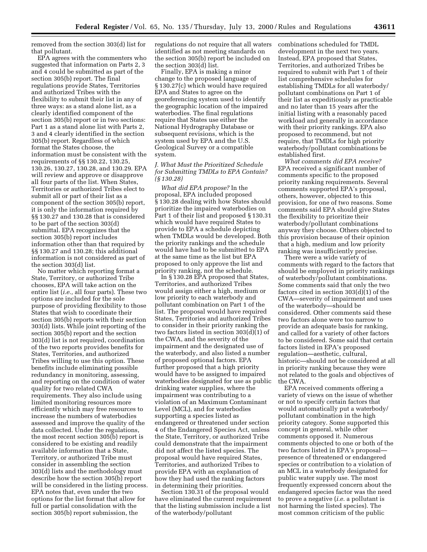removed from the section 303(d) list for that pollutant.

EPA agrees with the commenters who suggested that information on Parts 2, 3 and 4 could be submitted as part of the section 305(b) report. The final regulations provide States, Territories and authorized Tribes with the flexibility to submit their list in any of three ways: as a stand alone list, as a clearly identified component of the section 305(b) report or in two sections: Part 1 as a stand alone list with Parts 2, 3 and 4 clearly identified in the section 305(b) report. Regardless of which format the States choose, the information must be consistent with the requirements of §§ 130.22, 130.25, 130.26, 130.27, 130.28, and 130.29. EPA will review and approve or disapprove all four parts of the list. When States, Territories or authorized Tribes elect to submit all or part of their list as a component of the section 305(b) report, it is only the information required by §§ 130.27 and 130.28 that is considered to be part of the section 303(d) submittal. EPA recognizes that the section 305(b) report includes information other than that required by §§ 130.27 and 130.28; this additional information is not considered as part of the section 303(d) list.

No matter which reporting format a State, Territory, or authorized Tribe chooses, EPA will take action on the entire list (*i.e.,* all four parts). These two options are included for the sole purpose of providing flexibility to those States that wish to coordinate their section 305(b) reports with their section 303(d) lists. While joint reporting of the section 305(b) report and the section 303(d) list is not required, coordination of the two reports provides benefits for States, Territories, and authorized Tribes willing to use this option. These benefits include eliminating possible redundancy in monitoring, assessing, and reporting on the condition of water quality for two related CWA requirements. They also include using limited monitoring resources more efficiently which may free resources to increase the numbers of waterbodies assessed and improve the quality of the data collected. Under the regulations, the most recent section 305(b) report is considered to be existing and readily available information that a State, Territory, or authorized Tribe must consider in assembling the section 303(d) lists and the methodology must describe how the section 305(b) report will be considered in the listing process. EPA notes that, even under the two options for the list format that allow for full or partial consolidation with the section 305(b) report submission, the

regulations do not require that all waters identified as not meeting standards on the section 305(b) report be included on the section 303(d) list.

Finally, EPA is making a minor change to the proposed language of § 130.27(c) which would have required EPA and States to agree on the georeferencing system used to identify the geographic location of the impaired waterbodies. The final regulations require that States use either the National Hydrography Database or subsequent revisions, which is the system used by EPA and the U.S. Geological Survey or a compatible system.

#### *J. What Must the Prioritized Schedule for Submitting TMDLs to EPA Contain? (§ 130.28)*

*What did EPA propose?* In the proposal, EPA included proposed § 130.28 dealing with how States should prioritize the impaired waterbodies on Part 1 of their list and proposed § 130.31 which would have required States to provide to EPA a schedule depicting when TMDLs would be developed. Both the priority rankings and the schedule would have had to be submitted to EPA at the same time as the list but EPA proposed to only approve the list and priority ranking, not the schedule.

In § 130.28 EPA proposed that States, Territories, and authorized Tribes would assign either a high, medium or low priority to each waterbody and pollutant combination on Part 1 of the list. The proposal would have required States, Territories and authorized Tribes to consider in their priority ranking the two factors listed in section 303(d)(1) of the CWA, and the severity of the impairment and the designated use of the waterbody, and also listed a number of proposed optional factors. EPA further proposed that a high priority would have to be assigned to impaired waterbodies designated for use as public drinking water supplies, where the impairment was contributing to a violation of an Maximum Contaminant Level (MCL), and for waterbodies supporting a species listed as endangered or threatened under section 4 of the Endangered Species Act, unless the State, Territory, or authorized Tribe could demonstrate that the impairment did not affect the listed species. The proposal would have required States, Territories, and authorized Tribes to provide EPA with an explanation of how they had used the ranking factors in determining their priorities.

Section 130.31 of the proposal would have eliminated the current requirement that the listing submission include a list of the waterbody/pollutant

combinations scheduled for TMDL development in the next two years. Instead, EPA proposed that States, Territories, and authorized Tribes be required to submit with Part 1 of their list comprehensive schedules for establishing TMDLs for all waterbody/ pollutant combinations on Part 1 of their list as expeditiously as practicable and no later than 15 years after the initial listing with a reasonably paced workload and generally in accordance with their priority rankings. EPA also proposed to recommend, but not require, that TMDLs for high priority waterbody/pollutant combinations be established first.

*What comments did EPA receive?* EPA received a significant number of comments specific to the proposed priority ranking requirements. Several comments supported EPA's proposal, others, however, objected to this provision, for one of two reasons. Some comments said EPA should give States the flexibility to prioritize their waterbody/pollutant combinations anyway they choose. Others objected to this provision because of their opinion that a high, medium and low priority ranking was insufficiently precise.

There were a wide variety of comments with regard to the factors that should be employed in priority rankings of waterbody/pollutant combinations. Some comments said that only the two factors cited in section 303(d)(1) of the CWA—severity of impairment and uses of the waterbody—should be considered. Other comments said these two factors alone were too narrow to provide an adequate basis for ranking, and called for a variety of other factors to be considered. Some said that certain factors listed in EPA's proposed regulation—aesthetic, cultural, historic—should not be considered at all in priority ranking because they were not related to the goals and objectives of the CWA.

EPA received comments offering a variety of views on the issue of whether or not to specify certain factors that would automatically put a waterbody/ pollutant combination in the high priority category. Some supported this concept in general, while other comments opposed it. Numerous comments objected to one or both of the two factors listed in EPA's proposal presence of threatened or endangered species or contribution to a violation of an MCL in a waterbody designated for public water supply use. The most frequently expressed concern about the endangered species factor was the need to prove a negative (*i.e.* a pollutant is not harming the listed species). The most common criticism of the public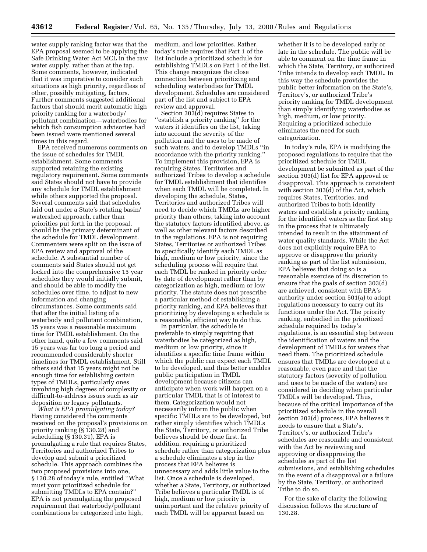water supply ranking factor was that the EPA proposal seemed to be applying the Safe Drinking Water Act MCL in the raw water supply, rather than at the tap. Some comments, however, indicated that it was imperative to consider such situations as high priority, regardless of other, possibly mitigating, factors. Further comments suggested additional factors that should merit automatic high priority ranking for a waterbody/ pollutant combination—waterbodies for which fish consumption advisories had been issued were mentioned several times in this regard.

EPA received numerous comments on the issue of schedules for TMDL establishment. Some comments supported retaining the existing regulatory requirement. Some comments said States should not have to provide any schedule for TMDL establishment while others supported the proposal. Several comments said that schedules laid out under a State's rotating basin/ watershed approach, rather than priorities put forth in the proposal, should be the primary determinant of the schedule for TMDL development. Commenters were split on the issue of EPA review and approval of the schedule. A substantial number of comments said States should not get locked into the comprehensive 15 year schedules they would initially submit, and should be able to modify the schedules over time, to adjust to new information and changing circumstances. Some comments said that after the initial listing of a waterbody and pollutant combination, 15 years was a reasonable maximum time for TMDL establishment. On the other hand, quite a few comments said 15 years was far too long a period and recommended considerably shorter timelines for TMDL establishment. Still others said that 15 years might not be enough time for establishing certain types of TMDLs, particularly ones involving high degrees of complexity or difficult-to-address issues such as air deposition or legacy pollutants.

*What is EPA promulgating today?* Having considered the comments received on the proposal's provisions on priority ranking (§ 130.28) and scheduling (§ 130.31), EPA is promulgating a rule that requires States, Territories and authorized Tribes to develop and submit a prioritized schedule. This approach combines the two proposed provisions into one, § 130.28 of today's rule, entitled ''What must your prioritized schedule for submitting TMDLs to EPA contain?'' EPA is not promulgating the proposed requirement that waterbody/pollutant combinations be categorized into high,

medium, and low priorities. Rather, today's rule requires that Part 1 of the list include a prioritized schedule for establishing TMDLs on Part 1 of the list. This change recognizes the close connection between prioritizing and scheduling waterbodies for TMDL development. Schedules are considered part of the list and subject to EPA review and approval.

Section 303(d) requires States to ''establish a priority ranking'' for the waters it identifies on the list, taking into account the severity of the pollution and the uses to be made of such waters, and to develop TMDLs ''in accordance with the priority ranking.'' To implement this provision, EPA is requiring States, Territories and authorized Tribes to develop a schedule for TMDL establishment that identifies when each TMDL will be completed. In developing the schedule, States, Territories and authorized Tribes will need to decide which TMDLs are higher priority than others, taking into account the statutory factors identified above, as well as other relevant factors described in the regulations. EPA is not requiring States, Territories or authorized Tribes to specifically identify each TMDL as high, medium or low priority, since the scheduling process will require that each TMDL be ranked in priority order by date of development rather than by categorization as high, medium or low priority. The statute does not prescribe a particular method of establishing a priority ranking, and EPA believes that prioritizing by developing a schedule is a reasonable, efficient way to do this.

In particular, the schedule is preferable to simply requiring that waterbodies be categorized as high, medium or low priority, since it identifies a specific time frame within which the public can expect each TMDL to be developed, and thus better enables public participation in TMDL development because citizens can anticipate when work will happen on a particular TMDL that is of interest to them. Categorization would not necessarily inform the public when specific TMDLs are to be developed, but rather simply identifies which TMDLs the State, Territory, or authorized Tribe believes should be done first. In addition, requiring a prioritized schedule rather than categorization plus a schedule eliminates a step in the process that EPA believes is unnecessary and adds little value to the list. Once a schedule is developed, whether a State, Territory, or authorized Tribe believes a particular TMDL is of high, medium or low priority is unimportant and the relative priority of each TMDL will be apparent based on

whether it is to be developed early or late in the schedule. The public will be able to comment on the time frame in which the State, Territory, or authorized Tribe intends to develop each TMDL. In this way the schedule provides the public better information on the State's, Territory's, or authorized Tribe's priority ranking for TMDL development than simply identifying waterbodies as high, medium, or low priority. Requiring a prioritized schedule eliminates the need for such categorization.

In today's rule, EPA is modifying the proposed regulations to require that the prioritized schedule for TMDL development be submitted as part of the section 303(d) list for EPA approval or disapproval. This approach is consistent with section 303(d) of the Act, which requires States, Territories, and authorized Tribes to both identify waters and establish a priority ranking for the identified waters as the first step in the process that is ultimately intended to result in the attainment of water quality standards. While the Act does not explicitly require EPA to approve or disapprove the priority ranking as part of the list submission, EPA believes that doing so is a reasonable exercise of its discretion to ensure that the goals of section 303(d) are achieved, consistent with EPA's authority under section 501(a) to adopt regulations necessary to carry out its functions under the Act. The priority ranking, embodied in the prioritized schedule required by today's regulations, is an essential step between the identification of waters and the development of TMDLs for waters that need them. The prioritized schedule ensures that TMDLs are developed at a reasonable, even pace and that the statutory factors (severity of pollution and uses to be made of the waters) are considered in deciding when particular TMDLs will be developed. Thus, because of the critical importance of the prioritized schedule in the overall section 303(d) process, EPA believes it needs to ensure that a State's, Territory's, or authorized Tribe's schedules are reasonable and consistent with the Act by reviewing and approving or disapproving the schedules as part of the list submissions, and establishing schedules in the event of a disapproval or a failure by the State, Territory, or authorized Tribe to do so.

For the sake of clarity the following discussion follows the structure of 130.28.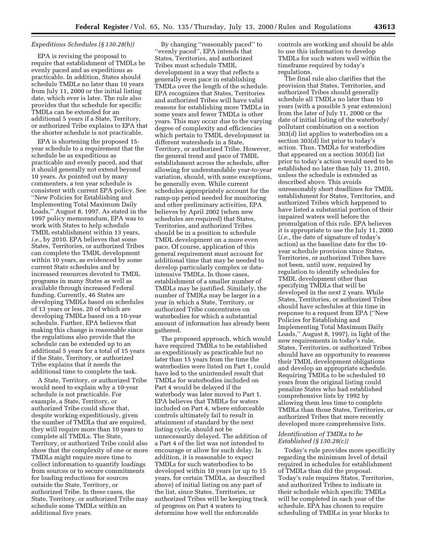#### *Expeditious Schedules (§ 130.28(b))*

EPA is revising the proposal to require that establishment of TMDLs be evenly paced and as expeditious as practicable. In addition, States should schedule TMDLs no later than 10 years from July 11, 2000 or the initial listing date, which ever is later. The rule also provides that the schedule for specific TMDLs can be extended for an additional 5 years if a State, Territory, or authorized Tribe explains to EPA that the shorter schedule is not practicable.

EPA is shortening the proposed 15 year schedule to a requirement that the schedule be as expeditious as practicable and evenly paced, and that it should generally not extend beyond 10 years. As pointed out by many commenters, a ten year schedule is consistent with current EPA policy. See ''New Policies for Establishing and Implementing Total Maximum Daily Loads,'' August 8, 1997. As stated in the 1997 policy memorandum, EPA was to work with States to help schedule TMDL establishment within 13 years, *i.e.,* by 2010. EPA believes that some States, Territories, or authorized Tribes can complete the TMDL development within 10 years, as evidenced by some current State schedules and by increased resources devoted to TMDL programs in many States as well as available through increased Federal funding. Currently, 46 States are developing TMDLs based on schedules of 13 years or less, 20 of which are developing TMDLs based on a 10-year schedule. Further, EPA believes that making this change is reasonable since the regulations also provide that the schedule can be extended up to an additional 5 years for a total of 15 years if the State, Territory, or authorized Tribe explains that it needs the additional time to complete the task.

A State, Territory, or authorized Tribe would need to explain why a 10-year schedule is not practicable. For example, a State, Territory, or authorized Tribe could show that, despite working expeditiously, given the number of TMDLs that are required, they will require more than 10 years to complete all TMDLs. The State, Territory, or authorized Tribe could also show that the complexity of one or more TMDLs might require more time to collect information to quantify loadings from sources or to secure commitments for loading reductions for sources outside the State, Territory, or authorized Tribe. In these cases, the State, Territory, or authorized Tribe may schedule some TMDLs within an additional five years.

By changing ''reasonably paced'' to ''evenly paced'', EPA intends that States, Territories, and authorized Tribes must schedule TMDL development in a way that reflects a generally even pace in establishing TMDLs over the length of the schedule. EPA recognizes that States, Territories and authorized Tribes will have valid reasons for establishing more TMDLs in some years and fewer TMDLs is other years. This may occur due to the varying degree of complexity and efficiencies which pertain to TMDL development in different watersheds in a State, Territory, or authorized Tribe. However, the general trend and pace of TMDL establishment across the schedule, after allowing for understandable year-to-year variation, should, with some exceptions, be generally even. While current schedules appropriately account for the ramp-up period needed for monitoring and other preliminary activities, EPA believes by April 2002 (when new schedules are required) that States, Territories, and authorized Tribes should be in a position to schedule TMDL development on a more even pace. Of course, application of this general requirement must account for additional time that may be needed to develop particularly complex or dataintensive TMDLs. In those cases, establishment of a smaller number of TMDLs may be justified. Similarly, the number of TMDLs may be larger in a year in which a State, Territory, or authorized Tribe concentrates on waterbodies for which a substantial amount of information has already been gathered.

The proposed approach, which would have required TMDLs to be established as expeditiously as practicable but no later than 15 years from the time the waterbodies were listed on Part 1, could have led to the unintended result that TMDLs for waterbodies included on Part 4 would be delayed if the waterbody was later moved to Part 1. EPA believes that TMDLs for waters included on Part 4, where enforceable controls ultimately fail to result in attainment of standard by the next listing cycle, should not be unnecessarily delayed. The addition of a Part 4 of the list was not intended to encourage or allow for such delay. In addition, it is reasonable to expect TMDLs for such waterbodies to be developed within 10 years (or up to 15 years, for certain TMDLs, as described above) of initial listing on any part of the list, since States, Territories, or authorized Tribes will be keeping track of progress on Part 4 waters to determine how well the enforceable

controls are working and should be able to use this information to develop TMDLs for such waters well within the timeframe required by today's regulations.

The final rule also clarifies that the provision that States, Territories, and authorized Tribes should generally schedule all TMDLs no later than 10 years (with a possible 5 year extension) from the later of July 11, 2000 or the date of initial listing of the waterbody/ pollutant combination on a section 303(d) list applies to waterbodies on a section 303(d) list prior to today's action. Thus, TMDLs for waterbodies that appeared on a section 303(d) list prior to today's action would need to be established no later than July 11, 2010, unless the schedule is extended as described above. This avoids unreasonably short deadlines for TMDL establishment for States, Territories, and authorized Tribes which happened to have listed a substantial portion of their impaired waters well before the promulgation of this rule. EPA believes it is appropriate to use the July 11, 2000 (*i.e.,* the date of signature of today's action) as the baseline date for the 10 year schedule provision since States, Territories, or authorized Tribes have not been, until now, required by regulation to identify schedules for TMDL development other than specifying TMDLs that will be developed in the next 2 years. While States, Territories, or authorized Tribes should have schedules at this time in response to a request from EPA (''New Policies for Establishing and Implementing Total Maximum Daily Loads,'' August 8, 1997), in light of the new requirements in today's rule, States, Territories, or authorized Tribes should have an opportunity to reassess their TMDL development obligations and develop an appropriate schedule. Requiring TMDLs to be scheduled 10 years from the original listing could penalize States who had established comprehensive lists by 1992 by allowing them less time to complete TMDLs than those States, Territories, or authorized Tribes that more recently developed more comprehensive lists.

#### *Identification of TMDLs to be Established (§ 130.28(c))*

Today's rule provides more specificity regarding the minimum level of detail required in schedules for establishment of TMDLs than did the proposal. Today's rule requires States, Territories, and authorized Tribes to indicate in their schedule which specific TMDLs will be completed in each year of the schedule. EPA has chosen to require scheduling of TMDLs in year blocks to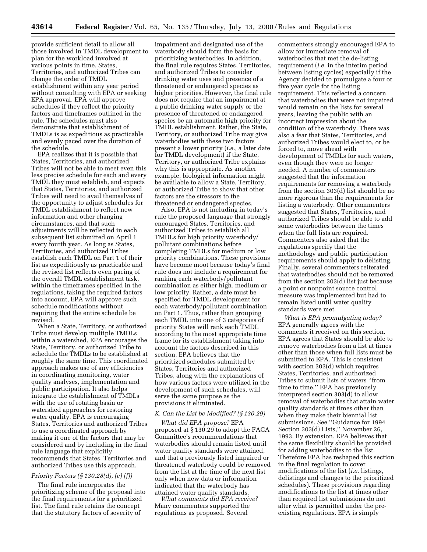provide sufficient detail to allow all those involved in TMDL development to plan for the workload involved at various points in time. States, Territories, and authorized Tribes can change the order of TMDL establishment within any year period without consulting with EPA or seeking EPA approval. EPA will approve schedules if they reflect the priority factors and timeframes outlined in the rule. The schedules must also demonstrate that establishment of TMDLs is as expeditious as practicable and evenly paced over the duration of the schedule.

EPA realizes that it is possible that States, Territories, and authorized Tribes will not be able to meet even this less precise schedule for each and every TMDL they must establish, and expects that States, Territories, and authorized Tribes will need to avail themselves of the opportunity to adjust schedules for TMDL establishment to reflect new information and other changing circumstances, and that such adjustments will be reflected in each subsequent list submitted on April 1 every fourth year. As long as States, Territories, and authorized Tribes establish each TMDL on Part 1 of their list as expeditiously as practicable and the revised list reflects even pacing of the overall TMDL establishment task, within the timeframes specified in the regulations, taking the required factors into account, EPA will approve such schedule modifications without requiring that the entire schedule be revised.

When a State, Territory, or authorized Tribe must develop multiple TMDLs within a watershed, EPA encourages the State, Territory, or authorized Tribe to schedule the TMDLs to be established at roughly the same time. This coordinated approach makes use of any efficiencies in coordinating monitoring, water quality analyses, implementation and public participation. It also helps integrate the establishment of TMDLs with the use of rotating basin or watershed approaches for restoring water quality. EPA is encouraging States, Territories and authorized Tribes to use a coordinated approach by making it one of the factors that may be considered and by including in the final rule language that explicitly recommends that States, Territories and authorized Tribes use this approach.

#### *Priority Factors (§ 130.28(d), (e) (f))*

The final rule incorporates the prioritizing scheme of the proposal into the final requirements for a prioritized list. The final rule retains the concept that the statutory factors of severity of

impairment and designated use of the waterbody should form the basis for prioritizing waterbodies. In addition, the final rule requires States, Territories, and authorized Tribes to consider drinking water uses and presence of a threatened or endangered species as higher priorities. However, the final rule does not require that an impairment at a public drinking water supply or the presence of threatened or endangered species be an automatic high priority for TMDL establishment. Rather, the State, Territory, or authorized Tribe may give waterbodies with these two factors present a lower priority (*i.e.,* a later date for TMDL development) if the State, Territory, or authorized Tribe explains why this is appropriate. As another example, biological information might be available to allow a State, Territory, or authorized Tribe to show that other factors are the stressors to the threatened or endangered species.

Also, EPA is not including in today's rule the proposed language that strongly encouraged States, Territories, and authorized Tribes to establish all TMDLs for high priority waterbody/ pollutant combinations before completing TMDLs for medium or low priority combinations. These provisions have become moot because today's final rule does not include a requirement for ranking each waterbody/pollutant combination as either high, medium or low priority. Rather, a date must be specified for TMDL development for each waterbody/pollutant combination on Part 1. Thus, rather than grouping each TMDL into one of 3 categories of priority States will rank each TMDL according to the most appropriate time frame for its establishment taking into account the factors described in this section. EPA believes that the prioritized schedules submitted by States, Territories and authorized Tribes, along with the explanations of how various factors were utilized in the development of such schedules, will serve the same purpose as the provisions it eliminated.

#### *K. Can the List be Modified? (§ 130.29)*

*What did EPA propose?* EPA proposed at § 130.29 to adopt the FACA Committee's recommendations that waterbodies should remain listed until water quality standards were attained, and that a previously listed impaired or threatened waterbody could be removed from the list at the time of the next list only when new data or information indicated that the waterbody has attained water quality standards.

*What comments did EPA receive?* Many commenters supported the regulations as proposed. Several

commenters strongly encouraged EPA to allow for immediate removal of waterbodies that met the de-listing requirement (*i.e.* in the interim period between listing cycles) especially if the Agency decided to promulgate a four or five year cycle for the listing requirement. This reflected a concern that waterbodies that were not impaired would remain on the lists for several years, leaving the public with an incorrect impression about the condition of the waterbody. There was also a fear that States, Territories, and authorized Tribes would elect to, or be forced to, move ahead with development of TMDLs for such waters, even though they were no longer needed. A number of commenters suggested that the information requirements for removing a waterbody from the section 303(d) list should be no more rigorous than the requirements for listing a waterbody. Other commenters suggested that States, Territories, and authorized Tribes should be able to add some waterbodies between the times when the full lists are required. Commenters also asked that the regulations specify that the methodology and public participation requirements should apply to delisting. Finally, several commenters reiterated that waterbodies should not be removed from the section 303(d) list just because a point or nonpoint source control measure was implemented but had to remain listed until water quality standards were met.

*What is EPA promulgating today?* EPA generally agrees with the comments it received on this section. EPA agrees that States should be able to remove waterbodies from a list at times other than those when full lists must be submitted to EPA. This is consistent with section 303(d) which requires States, Territories, and authorized Tribes to submit lists of waters ''from time to time.'' EPA has previously interpreted section 303(d) to allow removal of waterbodies that attain water quality standards at times other than when they make their biennial list submissions. See ''Guidance for 1994 Section 303(d) Lists,'' November 26, 1993. By extension, EPA believes that the same flexibility should be provided for adding waterbodies to the list. Therefore EPA has reshaped this section in the final regulation to cover modifications of the list (*i.e.* listings, delistings and changes to the prioritized schedules). These provisions regarding modifications to the list at times other than required list submissions do not alter what is permitted under the preexisting regulations. EPA is simply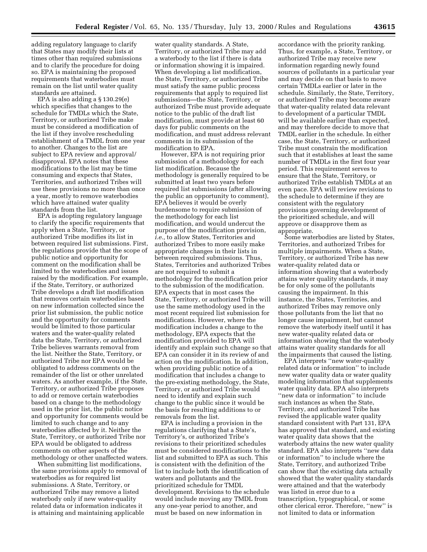adding regulatory language to clarify that States may modify their lists at times other than required submissions and to clarify the procedure for doing so. EPA is maintaining the proposed requirements that waterbodies must remain on the list until water quality standards are attained.

EPA is also adding a § 130.29(e) which specifies that changes to the schedule for TMDLs which the State, Territory, or authorized Tribe make must be considered a modification of the list if they involve rescheduling establishment of a TMDL from one year to another. Changes to the list are subject to EPA review and approval/ disapproval. EPA notes that these modifications to the list may be time consuming and expects that States, Territories, and authorized Tribes will use these provisions no more than once a year, mostly to remove waterbodies which have attained water quality standards from the list.

EPA is adopting regulatory language to clarify the specific requirements that apply when a State, Territory, or authorized Tribe modifies its list in between required list submissions. First, the regulations provide that the scope of public notice and opportunity for comment on the modification shall be limited to the waterbodies and issues raised by the modification. For example, if the State, Territory, or authorized Tribe develops a draft list modification that removes certain waterbodies based on new information collected since the prior list submission, the public notice and the opportunity for comments would be limited to those particular waters and the water-quality related data the State, Territory, or authorized Tribe believes warrants removal from the list. Neither the State, Territory, or authorized Tribe nor EPA would be obligated to address comments on the remainder of the list or other unrelated waters. As another example, if the State, Territory, or authorized Tribe proposes to add or remove certain waterbodies based on a change to the methodology used in the prior list, the public notice and opportunity for comments would be limited to such change and to any waterbodies affected by it. Neither the State, Territory, or authorized Tribe nor EPA would be obligated to address comments on other aspects of the methodology or other unaffected waters.

When submitting list modifications, the same provisions apply to removal of waterbodies as for required list submissions. A State, Territory, or authorized Tribe may remove a listed waterbody only if new water-quality related data or information indicates it is attaining and maintaining applicable

water quality standards. A State, Territory, or authorized Tribe may add a waterbody to the list if there is data or information showing it is impaired. When developing a list modification, the State, Territory, or authorized Tribe must satisfy the same public process requirements that apply to required list submissions—the State, Territory, or authorized Tribe must provide adequate notice to the public of the draft list modification, must provide at least 60 days for public comments on the modification, and must address relevant comments in its submission of the modification to EPA.

However, EPA is not requiring prior submission of a methodology for each list modification. Because the methodology is generally required to be submitted at least two years before required list submissions (after allowing the public an opportunity to comment), EPA believes it would be overly burdensome to require submission of the methodology for each list modification, and would undercut the purpose of the modification provision, *i.e.,* to allow States, Territories and authorized Tribes to more easily make appropriate changes in their lists in between required submissions. Thus, States, Territories and authorized Tribes are not required to submit a methodology for the modification prior to the submission of the modification. EPA expects that in most cases the State, Territory, or authorized Tribe will use the same methodology used in the most recent required list submission for modifications. However, where the modification includes a change to the methodology, EPA expects that the modification provided to EPA will identify and explain such change so that EPA can consider it in its review of and action on the modification. In addition, when providing public notice of a modification that includes a change to the pre-existing methodology, the State, Territory, or authorized Tribe would need to identify and explain such change to the public since it would be the basis for resulting additions to or removals from the list.

EPA is including a provision in the regulations clarifying that a State's, Territory's, or authorized Tribe's revisions to their prioritized schedules must be considered modifications to the list and submitted to EPA as such. This is consistent with the definition of the list to include both the identification of waters and pollutants and the prioritized schedule for TMDL development. Revisions to the schedule would include moving any TMDL from any one-year period to another, and must be based on new information in

accordance with the priority ranking. Thus, for example, a State, Territory, or authorized Tribe may receive new information regarding newly found sources of pollutants in a particular year and may decide on that basis to move certain TMDLs earlier or later in the schedule. Similarly, the State, Territory, or authorized Tribe may become aware that water-quality related data relevant to development of a particular TMDL will be available earlier than expected, and may therefore decide to move that TMDL earlier in the schedule. In either case, the State, Territory, or authorized Tribe must constrain the modification such that it establishes at least the same number of TMDLs in the first four year period. This requirement serves to ensure that the State, Territory, or authorized Tribe establish TMDLs at an even pace. EPA will review revisions to the schedule to determine if they are consistent with the regulatory provisions governing development of the prioritized schedule, and will approve or disapprove them as appropriate.

Some waterbodies are listed by States, Territories, and authorized Tribes for multiple impairments. When a State, Territory, or authorized Tribe has new water-quality related data or information showing that a waterbody attains water quality standards, it may be for only some of the pollutants causing the impairment. In this instance, the States, Territories, and authorized Tribes may remove only those pollutants from the list that no longer cause impairment, but cannot remove the waterbody itself until it has new water-quality related data or information showing that the waterbody attains water quality standards for all the impairments that caused the listing.

EPA interprets ''new water-quality related data or information'' to include new water quality data or water quality modeling information that supplements water quality data. EPA also interprets ''new data or information'' to include such instances as when the State, Territory, and authorized Tribe has revised the applicable water quality standard consistent with Part 131, EPA has approved that standard, and existing water quality data shows that the waterbody attains the new water quality standard. EPA also interprets ''new data or information'' to include where the State, Territory, and authorized Tribe can show that the existing data actually showed that the water quality standards were attained and that the waterbody was listed in error due to a transcription, typographical, or some other clerical error. Therefore, ''new'' is not limited to data or information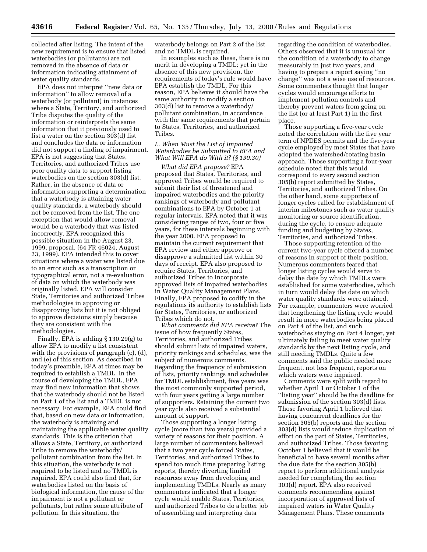collected after listing. The intent of the new requirement is to ensure that listed waterbodies (or pollutants) are not removed in the absence of data or information indicating attainment of water quality standards.

EPA does not interpret ''new data or information'' to allow removal of a waterbody (or pollutant) in instances where a State, Territory, and authorized Tribe disputes the quality of the information or reinterprets the same information that it previously used to list a water on the section 303(d) list and concludes the data or information did not support a finding of impairment. EPA is not suggesting that States, Territories, and authorized Tribes use poor quality data to support listing waterbodies on the section 303(d) list. Rather, in the absence of data or information supporting a determination that a waterbody is attaining water quality standards, a waterbody should not be removed from the list. The one exception that would allow removal would be a waterbody that was listed incorrectly. EPA recognized this possible situation in the August 23, 1999, proposal. (64 FR 46024, August 23, 1999). EPA intended this to cover situations where a water was listed due to an error such as a transcription or typographical error, not a re-evaluation of data on which the waterbody was originally listed. EPA will consider State, Territories and authorized Tribes methodologies in approving or disapproving lists but it is not obliged to approve decisions simply because they are consistent with the methodologies.

Finally, EPA is adding § 130.29(g) to allow EPA to modify a list consistent with the provisions of paragraph (c), (d), and (e) of this section. As described in today's preamble, EPA at times may be required to establish a TMDL. In the course of developing the TMDL, EPA may find new information that shows that the waterbody should not be listed on Part 1 of the list and a TMDL is not necessary. For example, EPA could find that, based on new data or information, the waterbody is attaining and maintaining the applicable water quality standards. This is the criterion that allows a State, Territory, or authorized Tribe to remove the waterbody/ pollutant combination from the list. In this situation, the waterbody is not required to be listed and no TMDL is required. EPA could also find that, for waterbodies listed on the basis of biological information, the cause of the impairment is not a pollutant or pollutants, but rather some attribute of pollution. In this situation, the

waterbody belongs on Part 2 of the list and no TMDL is required.

In examples such as these, there is no merit in developing a TMDL; yet in the absence of this new provision, the requirements of today's rule would have EPA establish the TMDL. For this reason, EPA believes it should have the same authority to modify a section 303(d) list to remove a waterbody/ pollutant combination, in accordance with the same requirements that pertain to States, Territories, and authorized Tribes.

#### *L. When Must the List of Impaired Waterbodies be Submitted to EPA and What Will EPA do With it? (§ 130.30)*

*What did EPA propose?* EPA proposed that States, Territories, and approved Tribes would be required to submit their list of threatened and impaired waterbodies and the priority rankings of waterbody and pollutant combinations to EPA by October 1 at regular intervals. EPA noted that it was considering ranges of two, four or five years, for these intervals beginning with the year 2000. EPA proposed to maintain the current requirement that EPA review and either approve or disapprove a submitted list within 30 days of receipt. EPA also proposed to require States, Territories, and authorized Tribes to incorporate approved lists of impaired waterbodies in Water Quality Management Plans. Finally, EPA proposed to codify in the regulations its authority to establish lists for States, Territories, or authorized Tribes which do not.

*What comments did EPA receive?* The issue of how frequently States, Territories, and authorized Tribes should submit lists of impaired waters, priority rankings and schedules, was the subject of numerous comments. Regarding the frequency of submission of lists, priority rankings and schedules for TMDL establishment, five years was the most commonly supported period, with four years getting a large number of supporters. Retaining the current two year cycle also received a substantial amount of support.

Those supporting a longer listing cycle (more than two years) provided a variety of reasons for their position. A large number of commenters believed that a two year cycle forced States, Territories, and authorized Tribes to spend too much time preparing listing reports, thereby diverting limited resources away from developing and implementing TMDLs. Nearly as many commenters indicated that a longer cycle would enable States, Territories, and authorized Tribes to do a better job of assembling and interpreting data

regarding the condition of waterbodies. Others observed that it is unusual for the condition of a waterbody to change measurably in just two years, and having to prepare a report saying ''no change'' was not a wise use of resources. Some commenters thought that longer cycles would encourage efforts to implement pollution controls and thereby prevent waters from going on the list (or at least Part 1) in the first place.

Those supporting a five-year cycle noted the correlation with the five year term of NPDES permits and the five-year cycle employed by most States that have adopted the watershed/rotating basin approach. Those supporting a four-year schedule noted that this would correspond to every second section 305(b) report submitted by States, Territories, and authorized Tribes. On the other hand, some supporters of longer cycles called for establishment of interim milestones such as water quality monitoring or source identification, during the cycle, to ensure adequate funding and budgeting by States, Territories, and authorized Tribes.

Those supporting retention of the current two-year cycle offered a number of reasons in support of their position. Numerous commenters feared that longer listing cycles would serve to delay the date by which TMDLs were established for some waterbodies, which in turn would delay the date on which water quality standards were attained. For example, commenters were worried that lengthening the listing cycle would result in more waterbodies being placed on Part 4 of the list, and such waterbodies staying on Part 4 longer, yet ultimately failing to meet water quality standards by the next listing cycle, and still needing TMDLs. Quite a few comments said the public needed more frequent, not less frequent, reports on which waters were impaired.

Comments were split with regard to whether April 1 or October 1 of the ''listing year'' should be the deadline for submission of the section 303(d) lists. Those favoring April 1 believed that having concurrent deadlines for the section 305(b) reports and the section 303(d) lists would reduce duplication of effort on the part of States, Territories, and authorized Tribes. Those favoring October 1 believed that it would be beneficial to have several months after the due date for the section 305(b) report to perform additional analysis needed for completing the section 303(d) report. EPA also received comments recommending against incorporation of approved lists of impaired waters in Water Quality Management Plans. These comments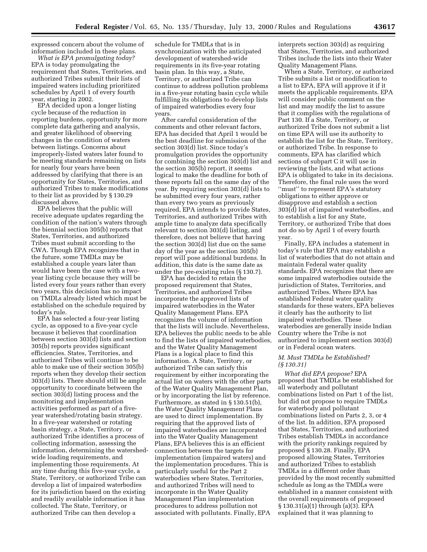expressed concern about the volume of information included in these plans.

*What is EPA promulgating today?* EPA is today promulgating the requirement that States, Territories, and authorized Tribes submit their lists of impaired waters including prioritized schedules by April 1 of every fourth year, starting in 2002.

EPA decided upon a longer listing cycle because of the reduction in reporting burdens, opportunity for more complete data gathering and analysis, and greater likelihood of observing changes in the condition of waters between listings. Concerns about improperly-listed waters later found to be meeting standards remaining on lists for nearly four years have been addressed by clarifying that there is an opportunity for States, Territories, and authorized Tribes to make modifications to their list as provided by § 130.29 discussed above.

EPA believes that the public will receive adequate updates regarding the condition of the nation's waters through the biennial section 305(b) reports that States, Territories, and authorized Tribes must submit according to the CWA. Though EPA recognizes that in the future, some TMDLs may be established a couple years later than would have been the case with a twoyear listing cycle because they will be listed every four years rather than every two years, this decision has no impact on TMDLs already listed which must be established on the schedule required by today's rule.

EPA has selected a four-year listing cycle, as opposed to a five-year cycle because it believes that coordination between section 303(d) lists and section 305(b) reports provides significant efficiencies. States, Territories, and authorized Tribes will continue to be able to make use of their section 305(b) reports when they develop their section 303(d) lists. There should still be ample opportunity to coordinate between the section 303(d) listing process and the monitoring and implementation activities performed as part of a fiveyear watershed/rotating basin strategy. In a five-year watershed or rotating basin strategy, a State, Territory, or authorized Tribe identifies a process of collecting information, assessing the information, determining the watershedwide loading requirements, and implementing those requirements. At any time during this five-year cycle, a State, Territory, or authorized Tribe can develop a list of impaired waterbodies for its jurisdiction based on the existing and readily available information it has collected. The State, Territory, or authorized Tribe can then develop a

schedule for TMDLs that is in synchronization with the anticipated development of watershed-wide requirements in its five-year rotating basin plan. In this way, a State, Territory, or authorized Tribe can continue to address pollution problems in a five-year rotating basin cycle while fulfilling its obligations to develop lists of impaired waterbodies every four years.

After careful consideration of the comments and other relevant factors, EPA has decided that April 1 would be the best deadline for submission of the section 303(d) list. Since today's promulgation provides the opportunity for combining the section 303(d) list and the section 305(b) report, it seems logical to make the deadline for both of these reports fall on the same day of the year. By requiring section 303(d) lists to be submitted every four years, rather than every two years as previously required, EPA intends to provide States, Territories, and authorized Tribes with ample time to analyze data specifically relevant to section 303(d) listing, and therefore, does not believe that having the section 303(d) list due on the same day of the year as the section 305(b) report will pose additional burdens. In addition, this date is the same date as under the pre-existing rules (§ 130.7).

EPA has decided to retain the proposed requirement that States, Territories, and authorized Tribes incorporate the approved lists of impaired waterbodies in the Water Quality Management Plans. EPA recognizes the volume of information that the lists will include. Nevertheless, EPA believes the public needs to be able to find the lists of impaired waterbodies, and the Water Quality Management Plans is a logical place to find this information. A State, Territory, or authorized Tribe can satisfy this requirement by either incorporating the actual list on waters with the other parts of the Water Quality Management Plan, or by incorporating the list by reference. Furthermore, as stated in § 130.51(b), the Water Quality Management Plans are used to direct implementation. By requiring that the approved lists of impaired waterbodies are incorporated into the Water Quality Management Plans, EPA believes this is an efficient connection between the targets for implementation (impaired waters) and the implementation procedures. This is particularly useful for the Part 2 waterbodies where States, Territories, and authorized Tribes will need to incorporate in the Water Quality Management Plan implementation procedures to address pollution not associated with pollutants. Finally, EPA

interprets section 303(d) as requiring that States, Territories, and authorized Tribes include the lists into their Water Quality Management Plans.

When a State, Territory, or authorized Tribe submits a list or modification to a list to EPA, EPA will approve it if it meets the applicable requirements. EPA will consider public comment on the list and may modify the list to assure that it complies with the regulations of Part 130. If a State, Territory, or authorized Tribe does not submit a list on time EPA will use its authority to establish the list for the State, Territory, or authorized Tribe. In response to comments, EPA has clarified which sections of subpart C it will use in reviewing the lists, and what actions EPA is obligated to take in its decisions. Therefore, the final rule uses the word ''must'' to represent EPA's statutory obligations to either approve or disapprove and establish a section 303(d) list of impaired waterbodies, and to establish a list for any State, Territory, or authorized Tribe that does not do so by April 1 of every fourth year.

Finally, EPA includes a statement in today's rule that EPA may establish a list of waterbodies that do not attain and maintain Federal water quality standards. EPA recognizes that there are some impaired waterbodies outside the jurisdiction of States, Territories, and authorized Tribes. Where EPA has established Federal water quality standards for these waters, EPA believes it clearly has the authority to list impaired waterbodies. These waterbodies are generally inside Indian Country where the Tribe is not authorized to implement section 303(d) or in Federal ocean waters.

#### *M. Must TMDLs be Established? (§ 130.31)*

*What did EPA propose?* EPA proposed that TMDLs be established for all waterbody and pollutant combinations listed on Part 1 of the list, but did not propose to require TMDLs for waterbody and pollutant combinations listed on Parts 2, 3, or 4 of the list. In addition, EPA proposed that States, Territories, and authorized Tribes establish TMDLs in accordance with the priority rankings required by proposed § 130.28. Finally, EPA proposed allowing States, Territories and authorized Tribes to establish TMDLs in a different order than provided by the most recently submitted schedule as long as the TMDLs were established in a manner consistent with the overall requirements of proposed § 130.31(a)(1) through (a)(3). EPA explained that it was planning to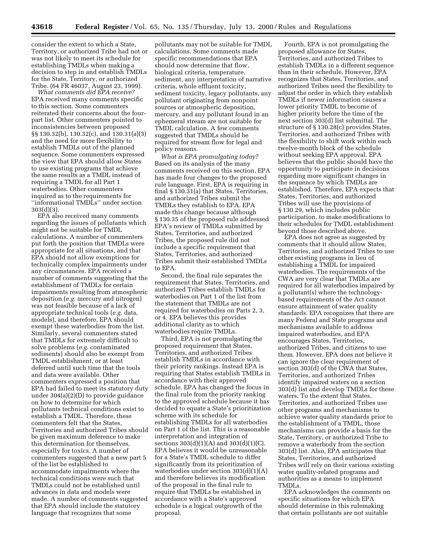consider the extent to which a State, Territory, or authorized Tribe had not or was not likely to meet its schedule for establishing TMDLs when making a decision to step in and establish TMDLs for the State, Territory, or authorized Tribe. (64 FR 46037, August 23, 1999).

*What comments did EPA receive?* EPA received many comments specific to this section. Some commenters reiterated their concerns about the fourpart list. Other commenters pointed to inconsistencies between proposed §§ 130.32(b), 130.32(c), and 130.31(a)(3) and the need for more flexibility to establish TMDLs out of the planned sequence. Some commenters expressed the view that EPA should allow States to use existing programs that achieve the same results as a TMDL instead of requiring a TMDL for all Part 1 waterbodies. Other commenters inquired as to the requirements for ''informational TMDLs'' under section 303(d)(3).

EPA also received many comments regarding the issues of pollutants which might not be suitable for TMDL calculations. A number of commenters put forth the position that TMDLs were appropriate for all situations, and that EPA should not allow exemptions for technically complex impairments under any circumstances. EPA received a number of comments suggesting that the establishment of TMDLs for certain impairments resulting from atmospheric deposition (*e.g.* mercury and nitrogen) was not feasible because of a lack of appropriate technical tools (*e.g.* data, models), and therefore, EPA should exempt these waterbodies from the list. Similarly, several commenters stated that TMDLs for extremely difficult to solve problems (*e.g.* contaminated sediments) should also be exempt from TMDL establishment, or at least deferred until such time that the tools and data were available. Other commenters expressed a position that EPA had failed to meet its statutory duty under 304(a)(2)(D) to provide guidance on how to determine for which pollutants technical conditions exist to establish a TMDL. Therefore, these commenters felt that the States, Territories and authorized Tribes should be given maximum deference to make this determination for themselves, especially for toxics. A number of commenters suggested that a new part 5 of the list be established to accommodate impairments where the technical conditions were such that TMDLs could not be established until advances in data and models were made. A number of comments suggested that EPA should include the statutory language that recognizes that some

pollutants may not be suitable for TMDL calculations. Some comments made specific recommendations that EPA should now determine that flow, biological criteria, temperature, sediment, any interpretation of narrative criteria, whole effluent toxicity, sediment toxicity, legacy pollutants, any pollutant originating from nonpoint sources or atmospheric deposition, mercury, and any pollutant found in an ephemeral stream are not suitable for TMDL calculation. A few comments suggested that TMDLs should be required for stream flow for legal and policy reasons.

*What is EPA promulgating today?* Based on its analysis of the many comments received on this section, EPA has made four changes to the proposed rule language. First, EPA is requiring in final § 130.31(a) that States, Territories, and authorized Tribes submit the TMDLs they establish to EPA. EPA made this change because although § 130.35 of the proposed rule addressed EPA's review of TMDLs submitted by States, Territories, and authorized Tribes, the proposed rule did not include a specific requirement that States, Territories, and authorized Tribes submit their established TMDLs to EPA.

Second, the final rule separates the requirement that States, Territories, and authorized Tribes establish TMDLs for waterbodies on Part 1 of the list from the statement that TMDLs are not required for waterbodies on Parts 2, 3, or 4. EPA believes this provides additional clarity as to which waterbodies require TMDLs.

Third, EPA is not promulgating the proposed requirement that States, Territories, and authorized Tribes establish TMDLs in accordance with their priority rankings. Instead EPA is requiring that States establish TMDLs in accordance with their approved schedule. EPA has changed the focus in the final rule from the priority ranking to the approved schedule because it has decided to equate a State's prioritization scheme with its schedule for establishing TMDLs for all waterbodies on Part 1 of the list. This is a reasonable interpretation and integration of sections 303(d)(1)(A) and 303(d)(1)(C). EPA believes it would be unreasonable for a State's TMDL schedule to differ significantly from its prioritization of waterbodies under section 303(d)(1)(A) and therefore believes its modification of the proposal in the final rule to require that TMDLs be established in accordance with a State's approved schedule is a logical outgrowth of the proposal.

Fourth, EPA is not promulgating the proposed allowance for States, Territories, and authorized Tribes to establish TMDLs in a different sequence than in their schedule. However, EPA recognizes that States, Territories, and authorized Tribes need the flexibility to adjust the order in which they establish TMDLs if newer information causes a lower priority TMDL to become of higher priority before the time of the next section 303(d) list submittal. The structure of § 130.28(c) provides States, Territories, and authorized Tribes with the flexibility to shift work within each twelve-month block of the schedule without seeking EPA approval. EPA believes that the public should have the opportunity to participate in decisions regarding more significant changes in the sequence by which TMDLs are established. Therefore, EPA expects that States, Territories, and authorized Tribes will use the provisions of § 130.29, which includes public participation, to make modifications to their schedules for TMDL establishment beyond those described above.

EPA does not agree as suggested by comments that it should allow States, Territories, and authorized Tribes to use other existing programs in lieu of establishing a TMDL for impaired waterbodies. The requirements of the CWA are very clear that TMDLs are required for all waterbodies impaired by a pollutant(s) where the technologybased requirements of the Act cannot ensure attainment of water quality standards. EPA recognizes that there are many Federal and State programs and mechanisms available to address impaired waterbodies, and EPA encourages States, Territories, authorized Tribes, and citizens to use them. However, EPA does not believe it can ignore the clear requirement of section 303(d) of the CWA that States, Territories, and authorized Tribes identify impaired waters on a section 303(d) list and develop TMDLs for these waters. To the extent that States, Territories, and authorized Tribes use other programs and mechanisms to achieve water quality standards prior to the establishment of a TMDL, those mechanisms can provide a basis for the State, Territory, or authorized Tribe to remove a waterbody from the section 303(d) list. Also, EPA anticipates that States, Territories, and authorized Tribes will rely on their various existing water quality-related programs and authorities as a means to implement TMDLs.

EPA acknowledges the comments on specific situations for which EPA should determine in this rulemaking that certain pollutants are not suitable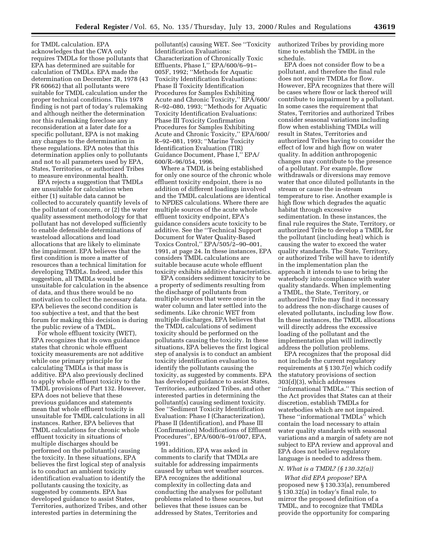for TMDL calculation. EPA acknowledges that the CWA only requires TMDLs for those pollutants that EPA has determined are suitable for calculation of TMDLs. EPA made the determination on December 28, 1978 (43 FR 60662) that all pollutants were suitable for TMDL calculation under the proper technical conditions. This 1978 finding is not part of today's rulemaking and although neither the determination nor this rulemaking foreclose any reconsideration at a later date for a specific pollutant, EPA is not making any changes to the determination in these regulations. EPA notes that this determination applies only to pollutants and not to all parameters used by EPA, States, Territories, or authorized Tribes to measure environmental health.

EPA rejects a suggestion that TMDLs are unsuitable for calculation when either (1) suitable data cannot be collected to accurately quantify levels of the pollutant of concern, or (2) the water quality assessment methodology for that pollutant has not developed sufficiently to enable defensible determinations of wasteload allocations and load allocations that are likely to eliminate the impairment. EPA believes that the first condition is more a matter of resources than a technical limitation for developing TMDLs. Indeed, under this suggestion, all TMDLs would be unsuitable for calculation in the absence of data, and thus there would be no motivation to collect the necessary data. EPA believes the second condition is too subjective a test, and that the best forum for making this decision is during the public review of a TMDL.

For whole effluent toxicity (WET), EPA recognizes that its own guidance states that chronic whole effluent toxicity measurements are not additive while one primary principle for calculating TMDLs is that mass is additive. EPA also previously declined to apply whole effluent toxicity to the TMDL provisions of Part 132. However, EPA does not believe that these previous guidances and statements mean that whole effluent toxicity is unsuitable for TMDL calculations in all instances. Rather, EPA believes that TMDL calculations for chronic whole effluent toxicity in situations of multiple discharges should be performed on the pollutant(s) causing the toxicity. In these situations, EPA believes the first logical step of analysis is to conduct an ambient toxicity identification evaluation to identify the pollutants causing the toxicity, as suggested by comments. EPA has developed guidance to assist States, Territories, authorized Tribes, and other interested parties in determining the

pollutant(s) causing WET. See ''Toxicity Identification Evaluations: Characterization of Chronically Toxic Effluents, Phase I,'' EPA/600/6–91– 005F, 1992; ''Methods for Aquatic Toxicity Identification Evaluations: Phase II Toxicity Identification Procedures for Samples Exhibiting Acute and Chronic Toxicity,'' EPA/600/ R–92–080, 1993; ''Methods for Aquatic Toxicity Identification Evaluations: Phase III Toxicity Confirmation Procedures for Samples Exhibiting Acute and Chronic Toxicity,'' EPA/600/ R–92–081, 1993; ''Marine Toxicity Identification Evaluation (TIR) Guidance Document, Phase I,'' EPA/ 600/R–96/054, 1996.

Where a TMDL is being established for only one source of the chronic whole effluent toxicity endpoint, there is no addition of different loadings involved and the TMDL calculations are identical to NPDES calculations. Where there are multiple sources of the acute whole effluent toxicity endpoint, EPA's guidance considers acute toxicity to be additive. See the ''Technical Support Document for Water Quality-Based Toxics Control,'' EPA/505/2–90–001, 1991, at page 24. In these instances, EPA considers TMDL calculations are suitable because acute whole effluent toxicity exhibits additive characteristics.

EPA considers sediment toxicity to be a property of sediments resulting from the discharge of pollutants from multiple sources that were once in the water column and later settled into the sediments. Like chronic WET from multiple discharges, EPA believes that the TMDL calculations of sediment toxicity should be performed on the pollutants causing the toxicity. In these situations, EPA believes the first logical step of analysis is to conduct an ambient toxicity identification evaluation to identify the pollutants causing the toxicity, as suggested by comments. EPA has developed guidance to assist States, Territories, authorized Tribes, and other interested parties in determining the pollutant(s) causing sediment toxicity. See ''Sediment Toxicity Identification Evaluation: Phase I (Characterization), Phase II (Identification), and Phase III (Confirmation) Modifications of Effluent Procedures'', EPA/600/6–91/007, EPA, 1991.

In addition, EPA was asked in comments to clarify that TMDLs are suitable for addressing impairments caused by urban wet weather sources. EPA recognizes the additional complexity in collecting data and conducting the analyses for pollutant problems related to these sources, but believes that these issues can be addressed by States, Territories and

authorized Tribes by providing more time to establish the TMDL in the schedule.

EPA does not consider flow to be a pollutant, and therefore the final rule does not require TMDLs for flow. However, EPA recognizes that there will be cases where flow or lack thereof will contribute to impairment by a pollutant. In some cases the requirement that States, Territories and authorized Tribes consider seasonal variations including flow when establishing TMDLs will result in States, Territories and authorized Tribes having to consider the effect of low and high flow on water quality. In addition anthropogenic changes may contribute to the presence of a pollutant. For example, flow withdrawals or diversions may remove water that once diluted pollutants in the stream or cause the in-stream temperature to rise. Another example is high flow which degrades the aquatic habitat through excessive sedimentation. In these instances, the final rule requires the State, Territory, or authorized Tribe to develop a TMDL for the pollutant (including heat) which is causing the water to exceed the water quality standards. The State, Territory, or authorized Tribe will have to identify in the implementation plan the approach it intends to use to bring the waterbody into compliance with water quality standards. When implementing a TMDL, the State, Territory, or authorized Tribe may find it necessary to address the non-discharge causes of elevated pollutants, including low flow. In these instances, the TMDL allocations will directly address the excessive loading of the pollutant and the implementation plan will indirectly address the pollution problems.

EPA recognizes that the proposal did not include the current regulatory requirements at § 130.7(e) which codify the statutory provisions of section 303(d)(3), which addresses ''informational TMDLs.'' This section of the Act provides that States can at their discretion, establish TMDLs for waterbodies which are not impaired. These ''informational TMDLs'' which contain the load necessary to attain water quality standards with seasonal variations and a margin of safety are not subject to EPA review and approval and EPA does not believe regulatory language is needed to address them.

#### *N. What is a TMDL? (§ 130.32(a))*

*What did EPA propose?* EPA proposed new § 130.33(a), renumbered § 130.32(a) in today's final rule, to mirror the proposed definition of a TMDL, and to recognize that TMDLs provide the opportunity for comparing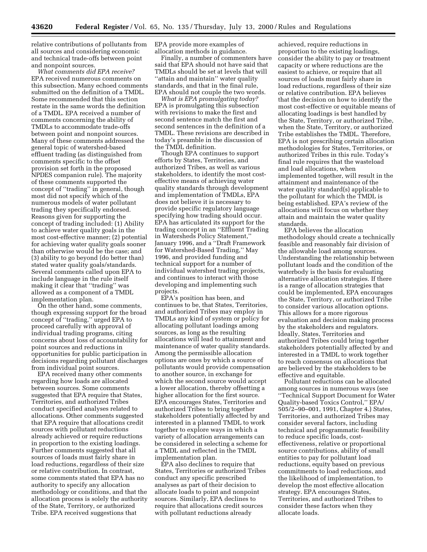relative contributions of pollutants from all sources and considering economic and technical trade-offs between point and nonpoint sources.

*What comments did EPA receive?* EPA received numerous comments on this subsection. Many echoed comments submitted on the definition of a TMDL. Some recommended that this section restate in the same words the definition of a TMDL. EPA received a number of comments concerning the ability of TMDLs to accommodate trade-offs between point and nonpoint sources. Many of these comments addressed the general topic of watershed-based effluent trading (as distinguished from comments specific to the offset provision set forth in the proposed NPDES companion rule). The majority of these comments supported the concept of ''trading'' in general, though most did not specify which of the numerous models of water pollutant trading they specifically endorsed. Reasons given for supporting the concept of trading included: (1) Ability to achieve water quality goals in the most cost-effective manner; (2) potential for achieving water quality goals sooner than otherwise would be the case; and (3) ability to go beyond (do better than) stated water quality goals/standards. Several comments called upon EPA to include language in the rule itself making it clear that ''trading'' was allowed as a component of a TMDL implementation plan.

On the other hand, some comments, though expressing support for the broad concept of ''trading,'' urged EPA to proceed carefully with approval of individual trading programs, citing concerns about loss of accountability for point sources and reductions in opportunities for public participation in decisions regarding pollutant discharges from individual point sources.

EPA received many other comments regarding how loads are allocated between sources. Some comments suggested that EPA require that States, Territories, and authorized Tribes conduct specified analyses related to allocations. Other comments suggested that EPA require that allocations credit sources with pollutant reductions already achieved or require reductions in proportion to the existing loadings. Further comments suggested that all sources of loads must fairly share in load reductions, regardless of their size or relative contribution. In contrast, some comments stated that EPA has no authority to specify any allocation methodology or conditions, and that the allocation process is solely the authority of the State, Territory, or authorized Tribe. EPA received suggestions that

EPA provide more examples of allocation methods in guidance.

Finally, a number of commenters have said that EPA should not have said that TMDLs should be set at levels that will ''attain and maintain'' water quality standards, and that in the final rule, EPA should not couple the two words.

*What is EPA promulgating today?* EPA is promulgating this subsection with revisions to make the first and second sentence match the first and second sentences in the definition of a TMDL. These revisions are described in today's preamble in the discussion of the TMDL definition.

Though EPA continues to support efforts by States, Territories, and authorized Tribes, as well as various stakeholders, to identify the most costeffective means of achieving water quality standards through development and implementation of TMDLs, EPA does not believe it is necessary to provide specific regulatory language specifying how trading should occur. EPA has articulated its support for the trading concept in an ''Effluent Trading in Watersheds Policy Statement,'' January 1996, and a ''Draft Framework for Watershed-Based Trading,'' May 1996, and provided funding and technical support for a number of individual watershed trading projects, and continues to interact with those developing and implementing such projects.

EPA's position has been, and continues to be, that States, Territories, and authorized Tribes may employ in TMDLs any kind of system or policy for allocating pollutant loadings among sources, as long as the resulting allocations will lead to attainment and maintenance of water quality standards. Among the permissible allocation options are ones by which a source of pollutants would provide compensation to another source, in exchange for which the second source would accept a lower allocation, thereby offsetting a higher allocation for the first source. EPA encourages States, Territories and authorized Tribes to bring together stakeholders potentially affected by and interested in a planned TMDL to work together to explore ways in which a variety of allocation arrangements can be considered in selecting a scheme for a TMDL and reflected in the TMDL implementation plan.

EPA also declines to require that States, Territories or authorized Tribes conduct any specific prescribed analyses as part of their decision to allocate loads to point and nonpoint sources. Similarly, EPA declines to require that allocations credit sources with pollutant reductions already

achieved, require reductions in proportion to the existing loadings, consider the ability to pay or treatment capacity or where reductions are the easiest to achieve, or require that all sources of loads must fairly share in load reductions, regardless of their size or relative contribution. EPA believes that the decision on how to identify the most cost-effective or equitable means of allocating loadings is best handled by the State, Territory, or authorized Tribe, when the State, Territory, or authorized Tribe establishes the TMDL. Therefore, EPA is not prescribing certain allocation methodologies for States, Territories, or authorized Tribes in this rule. Today's final rule requires that the wasteload and load allocations, when implemented together, will result in the attainment and maintenance of the water quality standard(s) applicable to the pollutant for which the TMDL is being established. EPA's review of the allocations will focus on whether they attain and maintain the water quality standards.

EPA believes the allocation methodology should create a technically feasible and reasonably fair division of the allowable load among sources. Understanding the relationship between pollutant loads and the condition of the waterbody is the basis for evaluating alternative allocation strategies. If there is a range of allocation strategies that could be implemented, EPA encourages the State, Territory, or authorized Tribe to consider various allocation options. This allows for a more rigorous evaluation and decision making process by the stakeholders and regulators. Ideally, States, Territories and authorized Tribes could bring together stakeholders potentially affected by and interested in a TMDL to work together to reach consensus on allocations that are believed by the stakeholders to be effective and equitable.

Pollutant reductions can be allocated among sources in numerous ways (see ''Technical Support Document for Water Quality-based Toxics Control,'' EPA/ 505/2–90–001, 1991, Chapter 4.) States, Territories, and authorized Tribes may consider several factors, including technical and programmatic feasibility to reduce specific loads, costeffectiveness, relative or proportional source contributions, ability of small entities to pay for pollutant load reductions, equity based on previous commitments to load reductions, and the likelihood of implementation, to develop the most effective allocation strategy. EPA encourages States, Territories, and authorized Tribes to consider these factors when they allocate loads.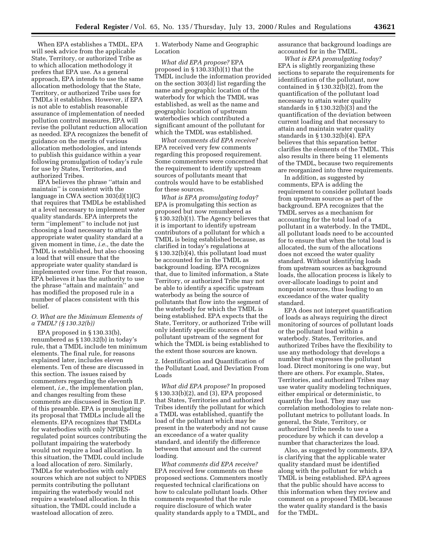When EPA establishes a TMDL, EPA will seek advice from the applicable State, Territory, or authorized Tribe as to which allocation methodology it prefers that EPA use. As a general approach, EPA intends to use the same allocation methodology that the State, Territory, or authorized Tribe uses for TMDLs it establishes. However, if EPA is not able to establish reasonable assurance of implementation of needed pollution control measures, EPA will revise the pollutant reduction allocation as needed. EPA recognizes the benefit of guidance on the merits of various allocation methodologies, and intends to publish this guidance within a year following promulgation of today's rule for use by States, Territories, and authorized Tribes.

EPA believes the phrase ''attain and maintain'' is consistent with the language in CWA section 303(d)(1)(C) that requires that TMDLs be established at a level necessary to implement water quality standards. EPA interprets the term ''implement'' to include not just choosing a load necessary to attain the appropriate water quality standard at a given moment in time, *i.e.,* the date the TMDL is established, but also choosing a load that will ensure that the appropriate water quality standard is implemented over time. For that reason, EPA believes it has the authority to use the phrase ''attain and maintain'' and has modified the proposed rule in a number of places consistent with this belief.

# *O. What are the Minimum Elements of a TMDL? (§ 130.32(b))*

EPA proposed in § 130.33(b), renumbered as § 130.32(b) in today's rule, that a TMDL include ten minimum elements. The final rule, for reasons explained later, includes eleven elements. Ten of these are discussed in this section. The issues raised by commenters regarding the eleventh element, *i.e.,* the implementation plan, and changes resulting from these comments are discussed in Section II.P. of this preamble. EPA is promulgating its proposal that TMDLs include all the elements. EPA recognizes that TMDLs for waterbodies with only NPDESregulated point sources contributing the pollutant impairing the waterbody would not require a load allocation. In this situation, the TMDL could include a load allocation of zero. Similarly, TMDLs for waterbodies with only sources which are not subject to NPDES permits contributing the pollutant impairing the waterbody would not require a wasteload allocation. In this situation, the TMDL could include a wasteload allocation of zero.

# 1. Waterbody Name and Geographic Location

*What did EPA propose?* EPA proposed in § 130.33(b)(1) that the TMDL include the information provided on the section 303(d) list regarding the name and geographic location of the waterbody for which the TMDL was established, as well as the name and geographic location of upstream waterbodies which contributed a significant amount of the pollutant for which the TMDL was established.

*What comments did EPA receive?* EPA received very few comments regarding this proposed requirement. Some commenters were concerned that the requirement to identify upstream sources of pollutants meant that controls would have to be established for these sources.

*What is EPA promulgating today?* EPA is promulgating this section as proposed but now renumbered as § 130.32(b)(1). The Agency believes that it is important to identify upstream contributors of a pollutant for which a TMDL is being established because, as clarified in today's regulations at § 130.32(b)(4), this pollutant load must be accounted for in the TMDL as background loading. EPA recognizes that, due to limited information, a State Territory, or authorized Tribe may not be able to identify a specific upstream waterbody as being the source of pollutants that flow into the segment of the waterbody for which the TMDL is being established. EPA expects that the State, Territory, or authorized Tribe will only identify specific sources of that pollutant upstream of the segment for which the TMDL is being established to the extent those sources are known.

2. Identification and Quantification of the Pollutant Load, and Deviation From Loads

*What did EPA propose?* In proposed § 130.33(b)(2), and (3), EPA proposed that States, Territories and authorized Tribes identify the pollutant for which a TMDL was established, quantify the load of the pollutant which may be present in the waterbody and not cause an exceedance of a water quality standard, and identify the difference between that amount and the current loading.

*What comments did EPA receive?* EPA received few comments on these proposed sections. Commenters mostly requested technical clarifications on how to calculate pollutant loads. Other comments requested that the rule require disclosure of which water quality standards apply to a TMDL, and assurance that background loadings are accounted for in the TMDL.

*What is EPA promulgating today?* EPA is slightly reorganizing these sections to separate the requirements for identification of the pollutant, now contained in  $\S$  130.32(b)(2), from the quantification of the pollutant load necessary to attain water quality standards in § 130.32(b)(3) and the quantification of the deviation between current loading and that necessary to attain and maintain water quality standards in § 130.32(b)(4). EPA believes that this separation better clarifies the elements of the TMDL. This also results in there being 11 elements of the TMDL, because two requirements are reorganized into three requirements.

In addition, as suggested by comments, EPA is adding the requirement to consider pollutant loads from upstream sources as part of the background. EPA recognizes that the TMDL serves as a mechanism for accounting for the total load of a pollutant in a waterbody. In the TMDL, all pollutant loads need to be accounted for to ensure that when the total load is allocated, the sum of the allocations does not exceed the water quality standard. Without identifying loads from upstream sources as background loads, the allocation process is likely to over-allocate loadings to point and nonpoint sources, thus leading to an exceedance of the water quality standard.

EPA does not interpret quantification of loads as always requiring the direct monitoring of sources of pollutant loads or the pollutant load within a waterbody. States, Territories, and authorized Tribes have the flexibility to use any methodology that develops a number that expresses the pollutant load. Direct monitoring is one way, but there are others. For example, States, Territories, and authorized Tribes may use water quality modeling techniques, either empirical or deterministic, to quantify the load. They may use correlation methodologies to relate nonpollutant metrics to pollutant loads. In general, the State, Territory, or authorized Tribe needs to use a procedure by which it can develop a number that characterizes the load.

Also, as suggested by comments, EPA is clarifying that the applicable water quality standard must be identified along with the pollutant for which a TMDL is being established. EPA agrees that the public should have access to this information when they review and comment on a proposed TMDL because the water quality standard is the basis for the TMDL.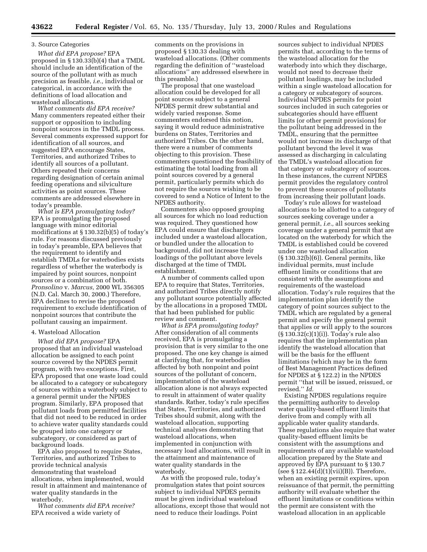# 3. Source Categories

*What did EPA propose?* EPA proposed in § 130.33(b)(4) that a TMDL should include an identification of the source of the pollutant with as much precision as feasible, *i.e.,* individual or categorical, in accordance with the definitions of load allocation and wasteload allocations.

*What comments did EPA receive?* Many commenters repeated either their support or opposition to including nonpoint sources in the TMDL process. Several comments expressed support for identification of all sources, and suggested EPA encourage States, Territories, and authorized Tribes to identify all sources of a pollutant. Others repeated their concerns regarding designation of certain animal feeding operations and silviculture activities as point sources. These comments are addressed elsewhere in today's preamble.

*What is EPA promulgating today?* EPA is promulgating the proposed language with minor editorial modifications at § 130.32(b)(5) of today's rule. For reasons discussed previously in today's preamble, EPA believes that the requirement to identify and establish TMDLs for waterbodies exists regardless of whether the waterbody is impaired by point sources, nonpoint sources or a combination of both. *Pronsolino* v. *Marcus,* 2000 WL 356305 (N.D. Cal. March 30, 2000.) Therefore, EPA declines to revise the proposed requirement to exclude identification of nonpoint sources that contribute the pollutant causing an impairment.

#### 4. Wasteload Allocation

*What did EPA propose?* EPA proposed that an individual wasteload allocation be assigned to each point source covered by the NPDES permit program, with two exceptions. First, EPA proposed that one waste load could be allocated to a category or subcategory of sources within a waterbody subject to a general permit under the NPDES program. Similarly, EPA proposed that pollutant loads from permitted facilities that did not need to be reduced in order to achieve water quality standards could be grouped into one category or subcategory, or considered as part of background loads.

EPA also proposed to require States, Territories, and authorized Tribes to provide technical analysis demonstrating that wasteload allocations, when implemented, would result in attainment and maintenance of water quality standards in the waterbody.

*What comments did EPA receive?* EPA received a wide variety of

comments on the provisions in proposed § 130.33 dealing with wasteload allocations. (Other comments regarding the definition of ''wasteload allocations'' are addressed elsewhere in this preamble.)

The proposal that one wasteload allocation could be developed for all point sources subject to a general NPDES permit drew substantial and widely varied response. Some commenters endorsed this notion, saying it would reduce administrative burdens on States, Territories and authorized Tribes. On the other hand, there were a number of comments objecting to this provision. These commenters questioned the feasibility of estimating the total loading from all point sources covered by a general permit, particularly permits which do not require the sources wishing to be covered to send a Notice of Intent to the NPDES authority.

Commenters also opposed grouping all sources for which no load reduction was required. They questioned how EPA could ensure that dischargers included under a wasteload allocation, or bundled under the allocation to background, did not increase their loadings of the pollutant above levels discharged at the time of TMDL establishment.

A number of comments called upon EPA to require that States, Territories, and authorized Tribes directly notify any pollutant source potentially affected by the allocations in a proposed TMDL that had been published for public review and comment.

*What is EPA promulgating today?* After consideration of all comments received, EPA is promulgating a provision that is very similar to the one proposed. The one key change is aimed at clarifying that, for waterbodies affected by both nonpoint and point sources of the pollutant of concern, implementation of the wasteload allocation alone is not always expected to result in attainment of water quality standards. Rather, today's rule specifies that States, Territories, and authorized Tribes should submit, along with the wasteload allocation, supporting technical analyses demonstrating that wasteload allocations, when implemented in conjunction with necessary load allocations, will result in the attainment and maintenance of water quality standards in the waterbody.

As with the proposed rule, today's promulgation states that point sources subject to individual NPDES permits must be given individual wasteload allocations, except those that would not need to reduce their loadings. Point

sources subject to individual NPDES permits that, according to the terms of the wasteload allocation for the waterbody into which they discharge, would not need to decrease their pollutant loadings, may be included within a single wasteload allocation for a category or subcategory of sources. Individual NPDES permits for point sources included in such categories or subcategories should have effluent limits (or other permit provisions) for the pollutant being addressed in the TMDL, ensuring that the permittee would not increase its discharge of that pollutant beyond the level it was assessed as discharging in calculating the TMDL's wasteload allocation for that category or subcategory of sources. In these instances, the current NPDES permit provides the regulatory control to prevent these sources of pollutants from increasing their pollutant loads.

Today's rule allows for wasteload allocations to be allotted to a category of sources seeking coverage under a general permit, *i.e.,* all sources seeking coverage under a general permit that are located on the waterbody for which the TMDL is established could be covered under one wasteload allocation (§ 130.32(b)(6)). General permits, like individual permits, must include effluent limits or conditions that are consistent with the assumptions and requirements of the wasteload allocation. Today's rule requires that the implementation plan identify the category of point sources subject to the TMDL which are regulated by a general permit and specify the general permit that applies or will apply to the sources (§ 130.32(c)(1)(i)). Today's rule also requires that the implementation plan identify the wasteload allocation that will be the basis for the effluent limitations (which may be in the form of Best Management Practices defined for NPDES at § 122.2) in the NPDES permit ''that will be issued, reissued, or revised.'' *Id.*

Existing NPDES regulations require the permitting authority to develop water quality-based effluent limits that derive from and comply with all applicable water quality standards. These regulations also require that water quality-based effluent limits be consistent with the assumptions and requirements of any available wasteload allocation prepared by the State and approved by EPA pursuant to § 130.7 (see  $$ 122.44(d)(1)(vii)(B)$ ). Therefore, when an existing permit expires, upon reissuance of that permit, the permitting authority will evaluate whether the effluent limitations or conditions within the permit are consistent with the wasteload allocation in an applicable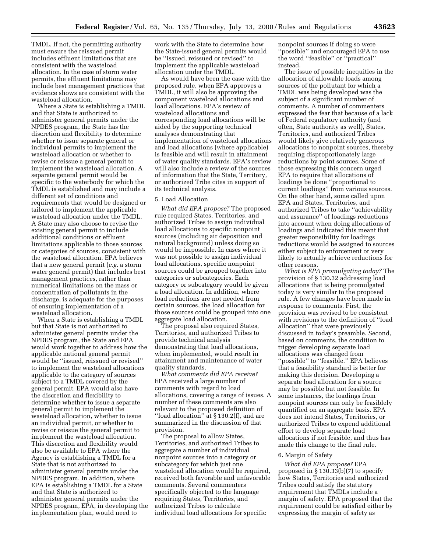TMDL. If not, the permitting authority must ensure the reissued permit includes effluent limitations that are consistent with the wasteload allocation. In the case of storm water permits, the effluent limitations may include best management practices that evidence shows are consistent with the wasteload allocation.

Where a State is establishing a TMDL and that State is authorized to administer general permits under the NPDES program, the State has the discretion and flexibility to determine whether to issue separate general or individual permits to implement the wasteload allocation or whether to revise or reissue a general permit to implement the wasteload allocation. A separate general permit would be specific to the waterbody for which the TMDL is established and may include a different set of conditions and requirements that would be designed or tailored to implement the applicable wasteload allocation under the TMDL. A State may also choose to revise the existing general permit to include additional conditions or effluent limitations applicable to those sources or categories of sources, consistent with the wasteload allocation. EPA believes that a new general permit (*e.g.* a storm water general permit) that includes best management practices, rather than numerical limitations on the mass or concentration of pollutants in the discharge, is adequate for the purposes of ensuring implementation of a wasteload allocation.

When a State is establishing a TMDL but that State is not authorized to administer general permits under the NPDES program, the State and EPA would work together to address how the applicable national general permit would be ''issued, reissued or revised'' to implement the wasteload allocations applicable to the category of sources subject to a TMDL covered by the general permit. EPA would also have the discretion and flexibility to determine whether to issue a separate general permit to implement the wasteload allocation, whether to issue an individual permit, or whether to revise or reissue the general permit to implement the wasteload allocation. This discretion and flexibility would also be available to EPA where the Agency is establishing a TMDL for a State that is not authorized to administer general permits under the NPDES program. In addition, where EPA is establishing a TMDL for a State and that State is authorized to administer general permits under the NPDES program, EPA, in developing the implementation plan, would need to

work with the State to determine how the State-issued general permits would be ''issued, reissued or revised'' to implement the applicable wasteload allocation under the TMDL.

As would have been the case with the proposed rule, when EPA approves a TMDL, it will also be approving the component wasteload allocations and load allocations. EPA's review of wasteload allocations and corresponding load allocations will be aided by the supporting technical analyses demonstrating that implementation of wasteload allocations and load allocations (where applicable) is feasible and will result in attainment of water quality standards. EPA's review will also include a review of the sources of information that the State, Territory, or authorized Tribe cites in support of its technical analysis.

#### 5. Load Allocation

*What did EPA propose?* The proposed rule required States, Territories, and authorized Tribes to assign individual load allocations to specific nonpoint sources (including air deposition and natural background) unless doing so would be impossible. In cases where it was not possible to assign individual load allocations, specific nonpoint sources could be grouped together into categories or subcategories. Each category or subcategory would be given a load allocation. In addition, where load reductions are not needed from certain sources, the load allocation for those sources could be grouped into one aggregate load allocation.

The proposal also required States, Territories, and authorized Tribes to provide technical analysis demonstrating that load allocations, when implemented, would result in attainment and maintenance of water quality standards.

*What comments did EPA receive?* EPA received a large number of comments with regard to load allocations, covering a range of issues. A number of these comments are also relevant to the proposed definition of ''load allocation'' at § 130.2(f), and are summarized in the discussion of that provision.

The proposal to allow States, Territories, and authorized Tribes to aggregate a number of individual nonpoint sources into a category or subcategory for which just one wasteload allocation would be required, received both favorable and unfavorable comments. Several commenters specifically objected to the language requiring States, Territories, and authorized Tribes to calculate individual load allocations for specific

nonpoint sources if doing so were ''possible'' and encouraged EPA to use the word ''feasible'' or ''practical'' instead.

The issue of possible inequities in the allocation of allowable loads among sources of the pollutant for which a TMDL was being developed was the subject of a significant number of comments. A number of commenters expressed the fear that because of a lack of Federal regulatory authority (and often, State authority as well), States, Territories, and authorized Tribes would likely give relatively generous allocations to nonpoint sources, thereby requiring disproportionately large reductions by point sources. Some of those expressing this concern urged EPA to require that allocations of loadings be done ''proportional to current loadings'' from various sources. On the other hand, some called upon EPA and States, Territories, and authorized Tribes to take ''achievability and assurance'' of loadings reductions into account when doing allocations of loadings and indicated this meant that greater responsibility for loadings reductions would be assigned to sources either subject to enforcement or very likely to actually achieve reductions for other reasons.

*What is EPA promulgating today?* The provision of § 130.32 addressing load allocations that is being promulgated today is very similar to the proposed rule. A few changes have been made in response to comments. First, the provision was revised to be consistent with revisions to the definition of ''load allocation'' that were previously discussed in today's preamble. Second, based on comments, the condition to trigger developing separate load allocations was changed from ''possible'' to ''feasible.'' EPA believes that a feasibility standard is better for making this decision. Developing a separate load allocation for a source may be possible but not feasible. In some instances, the loadings from nonpoint sources can only be feasiblely quantified on an aggregate basis. EPA does not intend States, Territories, or authorized Tribes to expend additional effort to develop separate load allocations if not feasible, and thus has made this change to the final rule.

### 6. Margin of Safety

*What did EPA propose?* EPA proposed in § 130.33(b)(7) to specify how States, Territories and authorized Tribes could satisfy the statutory requirement that TMDLs include a margin of safety. EPA proposed that the requirement could be satisfied either by expressing the margin of safety as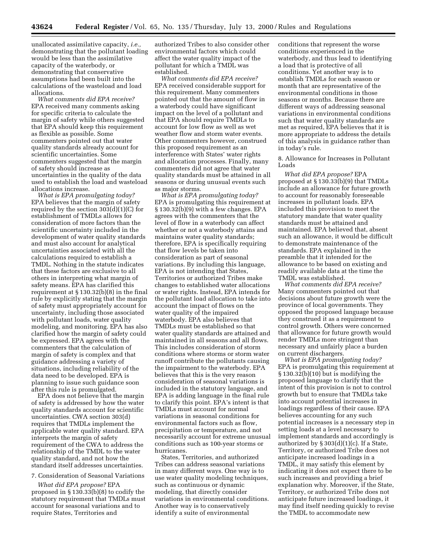unallocated assimilative capacity, *i.e.,* demonstrating that the pollutant loading would be less than the assimilative capacity of the waterbody, or demonstrating that conservative assumptions had been built into the calculations of the wasteload and load allocations.

*What comments did EPA receive?* EPA received many comments asking for specific criteria to calculate the margin of safety while others suggested that EPA should keep this requirement as flexible as possible. Some commenters pointed out that water quality standards already account for scientific uncertainties. Some commenters suggested that the margin of safety should increase as uncertainties in the quality of the data used to establish the load and wasteload allocations increase.

*What is EPA promulgating today?* EPA believes that the margin of safety required by the section 303(d)(1)(C) for establishment of TMDLs allows for consideration of more factors than the scientific uncertainty included in the development of water quality standards and must also account for analytical uncertainties associated with all the calculations required to establish a TMDL. Nothing in the statute indicates that these factors are exclusive to all others in interpreting what margin of safety means. EPA has clarified this requirement at § 130.32(b)(8) in the final rule by explicitly stating that the margin of safety must appropriately account for uncertainty, including those associated with pollutant loads, water quality modeling, and monitoring. EPA has also clarified how the margin of safety could be expressed. EPA agrees with the commenters that the calculation of margin of safety is complex and that guidance addressing a variety of situations, including reliability of the data need to be developed. EPA is planning to issue such guidance soon after this rule is promulgated.

EPA does not believe that the margin of safety is addressed by how the water quality standards account for scientific uncertainties. CWA section 303(d) requires that TMDLs implement the applicable water quality standard. EPA interprets the margin of safety requirement of the CWA to address the relationship of the TMDL to the water quality standard, and not how the standard itself addresses uncertainties.

### 7. Consideration of Seasonal Variations

*What did EPA propose?* EPA proposed in § 130.33(b)(8) to codify the statutory requirement that TMDLs must account for seasonal variations and to require States, Territories and

authorized Tribes to also consider other environmental factors which could affect the water quality impact of the pollutant for which a TMDL was established.

*What comments did EPA receive?* EPA received considerable support for this requirement. Many commenters pointed out that the amount of flow in a waterbody could have significant impact on the level of a pollutant and that EPA should require TMDLs to account for low flow as well as wet weather flow and storm water events. Other commenters however, construed this proposed requirement as an interference with States' water rights and allocation processes. Finally, many commenters did not agree that water quality standards must be attained in all seasons or during unusual events such as major storms.

*What is EPA promulgating today?* EPA is promulgating this requirement at § 130.32(b)(9) with a few changes. EPA agrees with the commenters that the level of flow in a waterbody can affect whether or not a waterbody attains and maintains water quality standards; therefore, EPA is specifically requiring that flow levels be taken into consideration as part of seasonal variations. By including this language, EPA is not intending that States, Territories or authorized Tribes make changes to established water allocations or water rights. Instead, EPA intends for the pollutant load allocation to take into account the impact of flows on the water quality of the impaired waterbody. EPA also believes that TMDLs must be established so that water quality standards are attained and maintained in all seasons and all flows. This includes consideration of storm conditions where storms or storm water runoff contribute the pollutants causing the impairment to the waterbody. EPA believes that this is the very reason consideration of seasonal variations is included in the statutory language, and EPA is adding language in the final rule to clarify this point. EPA's intent is that TMDLs must account for normal variations in seasonal conditions for environmental factors such as flow, precipitation or temperature, and not necessarily account for extreme unusual conditions such as 100-year storms or hurricanes.

States, Territories, and authorized Tribes can address seasonal variations in many different ways. One way is to use water quality modeling techniques, such as continuous or dynamic modeling, that directly consider variations in environmental conditions. Another way is to conservatively identify a suite of environmental

conditions that represent the worse conditions experienced in the waterbody, and thus lead to identifying a load that is protective of all conditions. Yet another way is to establish TMDLs for each season or month that are representative of the environmental conditions in those seasons or months. Because there are different ways of addressing seasonal variations in environmental conditions such that water quality standards are met as required, EPA believes that it is more appropriate to address the details of this analysis in guidance rather than in today's rule.

8. Allowance for Increases in Pollutant Loads

*What did EPA propose?* EPA proposed at § 130.33(b)(9) that TMDLs include an allowance for future growth to account for reasonably foreseeable increases in pollutant loads. EPA included this provision to meet the statutory mandate that water quality standards must be attained and maintained. EPA believed that, absent such an allowance, it would be difficult to demonstrate maintenance of the standards. EPA explained in the preamble that it intended for the allowance to be based on existing and readily available data at the time the TMDL was established.

*What comments did EPA receive?* Many commenters pointed out that decisions about future growth were the province of local governments. They opposed the proposed language because they construed it as a requirement to control growth. Others were concerned that allowance for future growth would render TMDLs more stringent than necessary and unfairly place a burden on current dischargers.

*What is EPA promulgating today?* EPA is promulgating this requirement at § 130.32(b)(10) but is modifying the proposed language to clarify that the intent of this provision is not to control growth but to ensure that TMDLs take into account potential increases in loadings regardless of their cause. EPA believes accounting for any such potential increases is a necessary step in setting loads at a level necessary to implement standards and accordingly is authorized by  $\S 303(d)(1)(c)$ . If a State, Territory, or authorized Tribe does not anticipate increased loadings in a TMDL, it may satisfy this element by indicating it does not expect there to be such increases and providing a brief explanation why. Moreover, if the State, Territory, or authorized Tribe does not anticipate future increased loadings, it may find itself needing quickly to revise the TMDL to accommodate new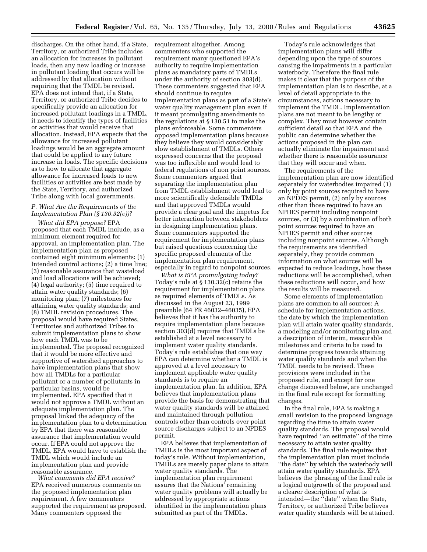discharges. On the other hand, if a State, Territory, or authorized Tribe includes an allocation for increases in pollutant loads, then any new loading or increase in pollutant loading that occurs will be addressed by that allocation without requiring that the TMDL be revised. EPA does not intend that, if a State, Territory, or authorized Tribe decides to specifically provide an allocation for increased pollutant loadings in a TMDL, it needs to identify the types of facilities or activities that would receive that allocation. Instead, EPA expects that the allowance for increased pollutant loadings would be an aggregate amount that could be applied to any future increase in loads. The specific decisions as to how to allocate that aggregate allowance for increased loads to new facilities or activities are best made by the State, Territory, and authorized Tribe along with local governments.

# *P. What Are the Requirements of the Implementation Plan (§ 130.32(c))?*

*What did EPA propose?* EPA proposed that each TMDL include, as a minimum element required for approval, an implementation plan. The implementation plan as proposed contained eight minimum elements: (1) Intended control actions; (2) a time line; (3) reasonable assurance that wasteload and load allocations will be achieved; (4) legal authority; (5) time required to attain water quality standards; (6) monitoring plan; (7) milestones for attaining water quality standards; and (8) TMDL revision procedures. The proposal would have required States, Territories and authorized Tribes to submit implementation plans to show how each TMDL was to be implemented. The proposal recognized that it would be more effective and supportive of watershed approaches to have implementation plans that show how all TMDLs for a particular pollutant or a number of pollutants in particular basins, would be implemented. EPA specified that it would not approve a TMDL without an adequate implementation plan. The proposal linked the adequacy of the implementation plan to a determination by EPA that there was reasonable assurance that implementation would occur. If EPA could not approve the TMDL, EPA would have to establish the TMDL which would include an implementation plan and provide reasonable assurance.

*What comments did EPA receive?* EPA received numerous comments on the proposed implementation plan requirement. A few commenters supported the requirement as proposed. Many commenters opposed the

requirement altogether. Among commenters who supported the requirement many questioned EPA's authority to require implementation plans as mandatory parts of TMDLs under the authority of section 303(d). These commenters suggested that EPA should continue to require implementation plans as part of a State's water quality management plan even if it meant promulgating amendments to the regulations at § 130.51 to make the plans enforceable. Some commenters opposed implementation plans because they believe they would considerably slow establishment of TMDLs. Others expressed concerns that the proposal was too inflexible and would lead to federal regulations of non point sources. Some commenters argued that separating the implementation plan from TMDL establishment would lead to more scientifically defensible TMDLs and that approved TMDLs would provide a clear goal and the impetus for better interaction between stakeholders in designing implementation plans. Some commenters supported the requirement for implementation plans but raised questions concerning the specific proposed elements of the implementation plan requirement, especially in regard to nonpoint sources.

*What is EPA promulgating today?* Today's rule at § 130.32(c) retains the requirement for implementation plans as required elements of TMDLs. As discussed in the August 23, 1999 preamble (64 FR 46032–46035), EPA believes that it has the authority to require implementation plans because section 303(d) requires that TMDLs be established at a level necessary to implement water quality standards. Today's rule establishes that one way EPA can determine whether a TMDL is approved at a level necessary to implement applicable water quality standards is to require an implementation plan. In addition, EPA believes that implementation plans provide the basis for demonstrating that water quality standards will be attained and maintained through pollution controls other than controls over point source discharges subject to an NPDES permit.

EPA believes that implementation of TMDLs is the most important aspect of today's rule. Without implementation, TMDLs are merely paper plans to attain water quality standards. The implementation plan requirement assures that the Nations' remaining water quality problems will actually be addressed by appropriate actions identified in the implementation plans submitted as part of the TMDLs.

Today's rule acknowledges that implementation plans will differ depending upon the type of sources causing the impairments in a particular waterbody. Therefore the final rule makes it clear that the purpose of the implementation plan is to describe, at a level of detail appropriate to the circumstances, actions necessary to implement the TMDL. Implementation plans are not meant to be lengthy or complex. They must however contain sufficient detail so that EPA and the public can determine whether the actions proposed in the plan can actually eliminate the impairment and whether there is reasonable assurance that they will occur and when.

The requirements of the implementation plan are now identified separately for waterbodies impaired (1) only by point sources required to have an NPDES permit, (2) only by sources other than those required to have an NPDES permit including nonpoint sources, or (3) by a combination of both point sources required to have an NPDES permit and other sources including nonpoint sources. Although the requirements are identified separately, they provide common information on what sources will be expected to reduce loadings, how these reductions will be accomplished, when these reductions will occur, and how the results will be measured.

Some elements of implementation plans are common to all sources: A schedule for implementation actions, the date by which the implementation plan will attain water quality standards, a modeling and/or monitoring plan and a description of interim, measurable milestones and criteria to be used to determine progress towards attaining water quality standards and when the TMDL needs to be revised. These provisions were included in the proposed rule, and except for one change discussed below, are unchanged in the final rule except for formatting changes.

In the final rule, EPA is making a small revision to the proposed language regarding the time to attain water quality standards. The proposal would have required ''an estimate'' of the time necessary to attain water quality standards. The final rule requires that the implementation plan must include ''the date'' by which the waterbody will attain water quality standards. EPA believes the phrasing of the final rule is a logical outgrowth of the proposal and a clearer description of what is intended—the "date" when the State, Territory, or authorized Tribe believes water quality standards will be attained.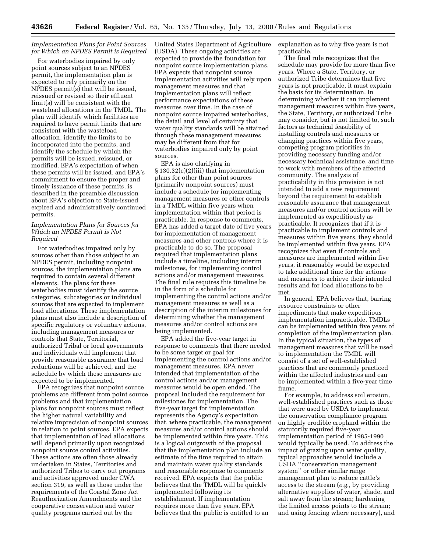### *Implementation Plans for Point Sources for Which an NPDES Permit is Required*

For waterbodies impaired by only point sources subject to an NPDES permit, the implementation plan is expected to rely primarily on the NPDES permit(s) that will be issued, reissued or revised so their effluent limit(s) will be consistent with the wasteload allocations in the TMDL. The plan will identify which facilities are required to have permit limits that are consistent with the wasteload allocation, identify the limits to be incorporated into the permits, and identify the schedule by which the permits will be issued, reissued, or modified. EPA's expectation of when these permits will be issued, and EPA's commitment to ensure the proper and timely issuance of these permits, is described in the preamble discussion about EPA's objection to State-issued expired and administratively continued permits.

# *Implementation Plans for Sources for Which an NPDES Permit is Not Required*

For waterbodies impaired only by sources other than those subject to an NPDES permit, including nonpoint sources, the implementation plans are required to contain several different elements. The plans for these waterbodies must identify the source categories, subcategories or individual sources that are expected to implement load allocations. These implementation plans must also include a description of specific regulatory or voluntary actions, including management measures or controls that State, Territorial, authorized Tribal or local governments and individuals will implement that provide reasonable assurance that load reductions will be achieved, and the schedule by which these measures are expected to be implemented.

EPA recognizes that nonpoint source problems are different from point source problems and that implementation plans for nonpoint sources must reflect the higher natural variability and relative imprecision of nonpoint sources in relation to point sources. EPA expects that implementation of load allocations will depend primarily upon recognized nonpoint source control activities. These actions are often those already undertaken in States, Territories and authorized Tribes to carry out programs and activities approved under CWA section 319, as well as those under the requirements of the Coastal Zone Act Reauthorization Amendments and the cooperative conservation and water quality programs carried out by the

United States Department of Agriculture (USDA). These ongoing activities are expected to provide the foundation for nonpoint source implementation plans. EPA expects that nonpoint source implementation activities will rely upon management measures and that implementation plans will reflect performance expectations of these measures over time. In the case of nonpoint source impaired waterbodies, the detail and level of certainty that water quality standards will be attained through these management measures may be different from that for waterbodies impaired only by point sources.

EPA is also clarifying in § 130.32(c)(2)(iii) that implementation plans for other than point sources (primarily nonpoint sources) must include a schedule for implementing management measures or other controls in a TMDL within five years when implementation within that period is practicable. In response to comments, EPA has added a target date of five years for implementation of management measures and other controls where it is practicable to do so. The proposal required that implementation plans include a timeline, including interim milestones, for implementing control actions and/or management measures. The final rule requires this timeline be in the form of a schedule for implementing the control actions and/or management measures as well as a description of the interim milestones for determining whether the management measures and/or control actions are being implemented.

EPA added the five-year target in response to comments that there needed to be some target or goal for implementing the control actions and/or management measures. EPA never intended that implementation of the control actions and/or management measures would be open ended. The proposal included the requirement for milestones for implementation. The five-year target for implementation represents the Agency's expectation that, where practicable, the management measures and/or control actions should be implemented within five years. This is a logical outgrowth of the proposal that the implementation plan include an estimate of the time required to attain and maintain water quality standards and reasonable response to comments received. EPA expects that the public believes that the TMDL will be quickly implemented following its establishment. If implementation requires more than five years, EPA believes that the public is entitled to an

explanation as to why five years is not practicable.

The final rule recognizes that the schedule may provide for more than five years. Where a State, Territory, or authorized Tribe determines that five years is not practicable, it must explain the basis for its determination. In determining whether it can implement management measures within five years, the State, Territory, or authorized Tribe may consider, but is not limited to, such factors as technical feasibility of installing controls and measures or changing practices within five years, competing program priorities in providing necessary funding and/or necessary technical assistance, and time to work with members of the affected community. The analysis of practicability in this provision is not intended to add a new requirement beyond the requirement to establish reasonable assurance that management measures and/or control actions will be implemented as expeditiously as practicable. It recognizes that if it is practicable to implement controls and measures within five years, they should be implemented within five years. EPA recognizes that even if controls and measures are implemented within five years, it reasonably would be expected to take additional time for the actions and measures to achieve their intended results and for load allocations to be met.

In general, EPA believes that, barring resource constraints or other impediments that make expeditious implementation impracticable, TMDLs can be implemented within five years of completion of the implementation plan. In the typical situation, the types of management measures that will be used to implementation the TMDL will consist of a set of well-established practices that are commonly practiced within the affected industries and can be implemented within a five-year time frame.

For example, to address soil erosion, well-established practices such as those that were used by USDA to implement the conservation compliance program on highly erodible cropland within the statutorily required five-year implementation period of 1985-1990 would typically be used. To address the impact of grazing upon water quality, typical approaches would include a USDA ''conservation management system'' or other similar range management plan to reduce cattle's access to the stream (*e.g.*, by providing alternative supplies of water, shade, and salt away from the stream; hardening the limited access points to the stream; and using fencing where necessary), and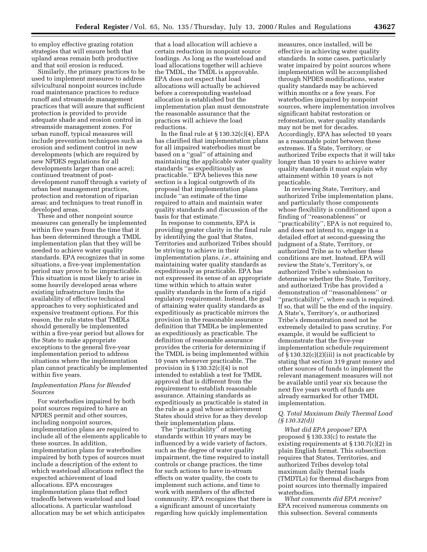to employ effective grazing rotation strategies that will ensure both that upland areas remain both productive and that soil erosion is reduced.

Similarly, the primary practices to be used to implement measures to address silvicultural nonpoint sources include road maintenance practices to reduce runoff and streamside management practices that will assure that sufficient protection is provided to provide adequate shade and erosion control in streamside management zones. For urban runoff, typical measures will include prevention techniques such as erosion and sediment control in new developments (which are required by new NPDES regulations for all developments larger than one acre); continued treatment of postdevelopment runoff through a variety of urban best management practices, protection and restoration of riparian areas; and techniques to treat runoff in developed areas.

These and other nonpoint source measures can generally be implemented within five years from the time that it has been determined through a TMDL implementation plan that they will be needed to achieve water quality standards. EPA recognizes that in some situations, a five-year implementation period may prove to be impracticable. This situation is most likely to arise in some heavily developed areas where existing infrastructure limits the availability of effective technical approaches to very sophisticated and expensive treatment options. For this reason, the rule states that TMDLs should generally be implemented within a five-year period but allows for the State to make appropriate exceptions to the general five-year implementation period to address situations where the implementation plan cannot practicably be implemented within five years.

# *Implementation Plans for Blended Sources*

For waterbodies impaired by both point sources required to have an NPDES permit and other sources, including nonpoint sources, implementation plans are required to include all of the elements applicable to these sources. In addition, implementation plans for waterbodies impaired by both types of sources must include a description of the extent to which wasteload allocations reflect the expected achievement of load allocations. EPA encourages implementation plans that reflect tradeoffs between wasteload and load allocations. A particular wasteload allocation may be set which anticipates

that a load allocation will achieve a certain reduction in nonpoint source loadings. As long as the wasteload and load allocations together will achieve the TMDL, the TMDL is approvable. EPA does not expect that load allocations will actually be achieved before a corresponding wasteload allocation is established but the implementation plan must demonstrate the reasonable assurance that the practices will achieve the load reductions.

In the final rule at  $\S 130.32(c)(4)$ , EPA has clarified that implementation plans for all impaired waterbodies must be based on a ''goal'' of attaining and maintaining the applicable water quality standards ''as expeditiously as practicable.'' EPA believes this new section is a logical outgrowth of its proposal that implementation plans include ''an estimate of the time required to attain and maintain water quality standards and discussion of the basis for that estimate.''

In response to comments, EPA is providing greater clarity in the final rule by identifying the goal that States, Territories and authorized Tribes should be striving to achieve in their implementation plans, *i.e.,* attaining and maintaining water quality standards as expeditiously as practicable. EPA has not expressed its sense of an appropriate time within which to attain water quality standards in the form of a rigid regulatory requirement. Instead, the goal of attaining water quality standards as expeditiously as practicable mirrors the provision in the reasonable assurance definition that TMDLs be implemented as expeditiously as practicable. The definition of reasonable assurance provides the criteria for determining if the TMDL is being implemented within 10 years whenever practicable. The provision in  $\S 130.32(c)(4)$  is not intended to establish a test for TMDL approval that is different from the requirement to establish reasonable assurance. Attaining standards as expeditiously as practicable is stated in the rule as a goal whose achievement States should strive for as they develop their implementation plans.

The ''practicability'' of meeting standards within 10 years may be influenced by a wide variety of factors, such as the degree of water quality impairment, the time required to install controls or change practices, the time for such actions to have in-stream effects on water quality, the costs to implement such actions, and time to work with members of the affected community. EPA recognizes that there is a significant amount of uncertainty regarding how quickly implementation

measures, once installed, will be effective in achieving water quality standards. In some cases, particularly water impaired by point sources where implementation will be accomplished through NPDES modifications, water quality standards may be achieved within months or a few years. For waterbodies impaired by nonpoint sources, where implementation involves significant habitat restoration or reforestation, water quality standards may not be met for decades. Accordingly, EPA has selected 10 years as a reasonable point between these extremes. If a State, Territory, or authorized Tribe expects that it will take longer than 10 years to achieve water quality standards it must explain why attainment within 10 years is not practicable.

In reviewing State, Territory, and authorized Tribe implementation plans, and particularly those components whose flexibility is conditioned upon a finding of ''reasonableness'' or ''practicability'', EPA is not required to, and does not intend to, engage in a detailed effort at second-guessing the judgment of a State, Territory, or authorized Tribe as to whether these conditions are met. Instead, EPA will review the State's, Territory's, or authorized Tribe's submission to determine whether the State, Territory, and authorized Tribe has provided a demonstration of ''reasonableness'' or ''practicability'', where such is required. If so, that will be the end of the inquiry. A State's, Territory's, or authorized Tribe's demonstration need not be extremely detailed to pass scrutiny. For example, it would be sufficient to demonstrate that the five-year implementation schedule requirement of § 130.32(c)(2)(iii) is not practicable by stating that section 319 grant money and other sources of funds to implement the relevant management measures will not be available until year six because the next five years worth of funds are already earmarked for other TMDL implementation.

# *Q. Total Maximum Daily Thermal Load (§ 130.32(d))*

*What did EPA propose?* EPA proposed § 130.33(c) to restate the existing requirements at § 130.7(c)(2) in plain English format. This subsection requires that States, Territories, and authorized Tribes develop total maximum daily thermal loads (TMDTLs) for thermal discharges from point sources into thermally impaired waterbodies.

*What comments did EPA receive?* EPA received numerous comments on this subsection. Several comments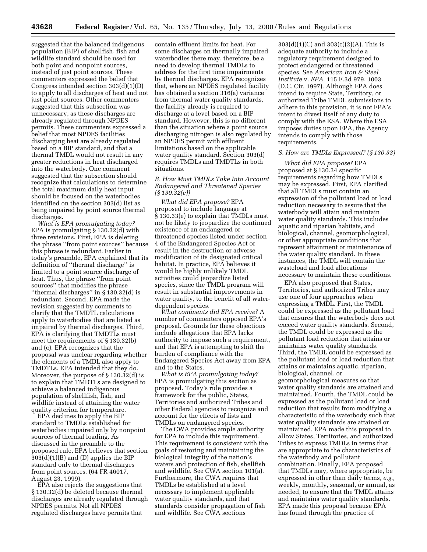suggested that the balanced indigenous population (BIP) of shellfish, fish and wildlife standard should be used for both point and nonpoint sources, instead of just point sources. These commenters expressed the belief that Congress intended section 303(d)(1)(D) to apply to all discharges of heat and not just point sources. Other commenters suggested that this subsection was unnecessary, as these discharges are already regulated through NPDES permits. These commenters expressed a belief that most NPDES facilities discharging heat are already regulated based on a BIP standard, and that a thermal TMDL would not result in any greater reductions in heat discharged into the waterbody. One comment suggested that the subsection should recognize that calculations to determine the total maximum daily heat input should be focused on the waterbodies identified on the section 303(d) list as being impaired by point source thermal discharges.

*What is EPA promulgating today?* EPA is promulgating § 130.32(d) with three revisions. First, EPA is deleting the phrase ''from point sources'' because this phrase is redundant. Earlier in today's preamble, EPA explained that its definition of ''thermal discharge'' is limited to a point source discharge of heat. Thus, the phrase "from point" sources'' that modifies the phrase ''thermal discharges'' in § 130.32(d) is redundant. Second, EPA made the revision suggested by comments to clarify that the TMDTL calculations apply to waterbodies that are listed as impaired by thermal discharges. Third, EPA is clarifying that TMDTLs must meet the requirements of § 130.32(b) and (c). EPA recognizes that the proposal was unclear regarding whether the elements of a TMDL also apply to TMDTLs. EPA intended that they do. Moreover, the purpose of § 130.32(d) is to explain that TMDTLs are designed to achieve a balanced indigenous population of shellfish, fish, and wildlife instead of attaining the water quality criterion for temperature.

EPA declines to apply the BIP standard to TMDLs established for waterbodies impaired only by nonpoint sources of thermal loading. As discussed in the preamble to the proposed rule, EPA believes that section 303(d)(1)(B) and (D) applies the BIP standard only to thermal discharges from point sources. (64 FR 46017, August 23, 1999).

EPA also rejects the suggestions that § 130.32(d) be deleted because thermal discharges are already regulated through NPDES permits. Not all NPDES regulated discharges have permits that

contain effluent limits for heat. For some discharges on thermally impaired waterbodies there may, therefore, be a need to develop thermal TMDLs to address for the first time impairments by thermal discharges. EPA recognizes that, where an NPDES regulated facility has obtained a section 316(a) variance from thermal water quality standards, the facility already is required to discharge at a level based on a BIP standard. However, this is no different than the situation where a point source discharging nitrogen is also regulated by an NPDES permit with effluent limitations based on the applicable water quality standard. Section 303(d) requires TMDLs and TMDTLs in both situations.

# *R. How Must TMDLs Take Into Account Endangered and Threatened Species (§ 130.32(e))*

*What did EPA propose?* EPA proposed to include language at § 130.33(e) to explain that TMDLs must not be likely to jeopardize the continued existence of an endangered or threatened species listed under section 4 of the Endangered Species Act or result in the destruction or adverse modification of its designated critical habitat. In practice, EPA believes it would be highly unlikely TMDL activities could jeopardize listed species, since the TMDL program will result in substantial improvements in water quality, to the benefit of all waterdependent species.

*What comments did EPA receive?* A number of commenters opposed EPA's proposal. Grounds for these objections include allegations that EPA lacks authority to impose such a requirement, and that EPA is attempting to shift the burden of compliance with the Endangered Species Act away from EPA and to the States.

*What is EPA promulgating today?* EPA is promulgating this section as proposed. Today's rule provides a framework for the public, States, Territories and authorized Tribes and other Federal agencies to recognize and account for the effects of lists and TMDLs on endangered species.

The CWA provides ample authority for EPA to include this requirement. This requirement is consistent with the goals of restoring and maintaining the biological integrity of the nation's waters and protection of fish, shellfish and wildlife. See CWA section 101(a). Furthermore, the CWA requires that TMDLs be established at a level necessary to implement applicable water quality standards, and that standards consider propagation of fish and wildlife. See CWA sections

303(d)(1)(C) and 303(c)(2)(A). This is adequate authority to include a regulatory requirement designed to protect endangered or threatened species. See *American Iron & Steel Institute* v. *EPA,* 115 F.3d 979, 1003 (D.C. Cir. 1997). Although EPA does intend to require State, Territory, or authorized Tribe TMDL submissions to adhere to this provision, it is not EPA's intent to divest itself of any duty to comply with the ESA. Where the ESA imposes duties upon EPA, the Agency intends to comply with those requirements.

#### *S. How are TMDLs Expressed? (§ 130.33)*

*What did EPA propose?* EPA proposed at § 130.34 specific requirements regarding how TMDLs may be expressed. First, EPA clarified that all TMDLs must contain an expression of the pollutant load or load reduction necessary to assure that the waterbody will attain and maintain water quality standards. This includes aquatic and riparian habitats, and biological, channel, geomorphological, or other appropriate conditions that represent attainment or maintenance of the water quality standard. In these instances, the TMDL will contain the wasteload and load allocations necessary to maintain these conditions.

EPA also proposed that States, Territories, and authorized Tribes may use one of four approaches when expressing a TMDL. First, the TMDL could be expressed as the pollutant load that ensures that the waterbody does not exceed water quality standards. Second, the TMDL could be expressed as the pollutant load reduction that attains or maintains water quality standards. Third, the TMDL could be expressed as the pollutant load or load reduction that attains or maintains aquatic, riparian, biological, channel, or geomorphological measures so that water quality standards are attained and maintained. Fourth, the TMDL could be expressed as the pollutant load or load reduction that results from modifying a characteristic of the waterbody such that water quality standards are attained or maintained. EPA made this proposal to allow States, Territories, and authorized Tribes to express TMDLs in terms that are appropriate to the characteristics of the waterbody and pollutant combination. Finally, EPA proposed that TMDLs may, where appropriate, be expressed in other than daily terms, *e.g.,* weekly, monthly, seasonal, or annual, as needed, to ensure that the TMDL attains and maintains water quality standards. EPA made this proposal because EPA has found through the practice of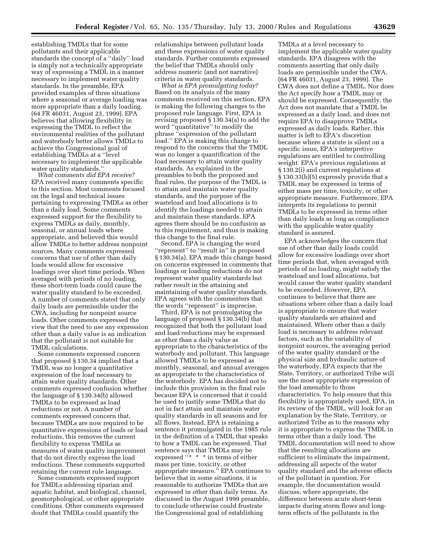establishing TMDLs that for some pollutants and their applicable standards the concept of a ''daily'' load is simply not a technically appropriate way of expressing a TMDL in a manner necessary to implement water quality standards. In the preamble, EPA provided examples of three situations where a seasonal or average loading was more appropriate than a daily loading. (64 FR 46031, August 23, 1999). EPA believes that allowing flexibility in expressing the TMDL to reflect the environmental realities of the pollutant and waterbody better allows TMDLs to achieve the Congressional goal of establishing TMDLs at a ''level necessary to implement the applicable water quality standards.''

*What comments did EPA receive?* EPA received many comments specific to this section. Most comments focused on the legal and technical issues pertaining to expressing TMDLs as other than a daily load. Some comments expressed support for the flexibility to express TMDLs as daily, monthly, seasonal, or annual loads where appropriate, and believed this would allow TMDLs to better address nonpoint sources. Many comments expressed concerns that use of other than daily loads would allow for excessive loadings over short time periods. When averaged with periods of no loading, these short-term loads could cause the water quality standard to be exceeded. A number of comments stated that only daily loads are permissible under the CWA, including for nonpoint source loads. Other comments expressed the view that the need to use any expression other than a daily value is an indication that the pollutant is not suitable for TMDL calculations.

Some comments expressed concern that proposed § 130.34 implied that a TMDL was no longer a quantitative expression of the load necessary to attain water quality standards. Other comments expressed confusion whether the language of § 130.34(b) allowed TMDLs to be expressed as load reductions or not. A number of comments expressed concern that, because TMDLs are now required to be quantitative expressions of loads or load reductions, this removes the current flexibility to express TMDLs as measures of water quality improvement that do not directly express the load reductions. These comments supported retaining the current rule language.

Some comments expressed support for TMDLs addressing riparian and aquatic habitat, and biological, channel, geomorphological, or other appropriate conditions. Other comments expressed doubt that TMDLs could quantify the

relationships between pollutant loads and these expressions of water quality standards. Further comments expressed the belief that TMDLs should only address numeric (and not narrative) criteria in water quality standards.

*What is EPA promulgating today?* Based on its analysis of the many comments received on this section, EPA is making the following changes to the proposed rule language. First, EPA is revising proposed § 130.34(a) to add the word ''quantitative'' to modify the phrase ''expression of the pollutant load.'' EPA is making this change to respond to the concerns that the TMDL was no longer a quantification of the load necessary to attain water quality standards. As explained in the preambles to both the proposed and final rules, the purpose of the TMDL is to attain and maintain water quality standards, and the purpose of the wasteload and load allocations is to identify the loadings needed to attain and maintain these standards. EPA agrees there should be no confusion as to this requirement, and thus is making this change to the final rule.

Second, EPA is changing the word ''represent'' to ''result in'' in proposed § 130.34(a). EPA made this change based on concerns expressed in comments that loadings or loading reductions do not represent water quality standards but rather result in the attaining and maintaining of water quality standards. EPA agrees with the commenters that the words ''represent'' is imprecise.

Third, EPA is not promulgating the language of proposed § 130.34(b) that recognized that both the pollutant load and load reductions may be expressed as other than a daily value as appropriate to the characteristics of the waterbody and pollutant. This language allowed TMDLs to be expressed as monthly, seasonal, and annual averages as appropriate to the characteristics of the waterbody. EPA has decided not to include this provision in the final rule because EPA is concerned that it could be used to justify some TMDLs that do not in fact attain and maintain water quality standards in all seasons and for all flows. Instead, EPA is retaining a sentence it promulgated in the 1985 rule in the definition of a TMDL that speaks to how a TMDL can be expressed. That sentence says that TMDLs may be expressed "\* \* \* in terms of either mass per time, toxicity, or other appropriate measure.'' EPA continues to believe that in some situations, it is reasonable to authorize TMDLs that are expressed in other than daily terms. As discussed in the August 1999 preamble, to conclude otherwise could frustrate the Congressional goal of establishing

TMDLs at a level necessary to implement the applicable water quality standards. EPA disagrees with the comments asserting that only daily loads are permissible under the CWA. (64 FR 46031, August 23, 1999). The CWA does not define a TMDL. Nor does the Act specify how a TMDL may or should be expressed. Consequently, the Act does not mandate that a TMDL be expressed as a daily load, and does not require EPA to disapprove TMDLs expressed as daily loads. Rather, this matter is left to EPA's discretion because where a statute is silent on a specific issue, EPA's interpretive regulations are entitled to controlling weight. EPA's previous regulations at § 130.2(i) and current regulations at § 130.33(b)(5) expressly provide that a TMDL may be expressed in terms of either mass per time, toxicity, or other appropriate measure. Furthermore, EPA interprets its regulations to permit TMDLs to be expressed in terms other than daily loads as long as compliance with the applicable water quality standard is assured.

EPA acknowledges the concern that use of other than daily loads could allow for excessive loadings over short time periods that, when averaged with periods of no loading, might satisfy the wasteload and load allocations, but would cause the water quality standard to be exceeded. However, EPA continues to believe that there are situations where other than a daily load is appropriate to ensure that water quality standards are attained and maintained. Where other than a daily load is necessary to address relevant factors, such as the variability of nonpoint sources, the averaging period of the water quality standard or the physical size and hydraulic nature of the waterbody, EPA expects that the State, Territory, or authorized Tribe will use the most appropriate expression of the load amenable to those characteristics. To help ensure that this flexibility is appropriately used, EPA, in its review of the TMDL, will look for an explanation by the State, Territory, or authorized Tribe as to the reasons why it is appropriate to express the TMDL in terms other than a daily load. The TMDL documentation will need to show that the resulting allocations are sufficient to eliminate the impairment, addressing all aspects of the water quality standard and the adverse effects of the pollutant in question. For example, the documentation would discuss, where appropriate, the difference between acute short-term impacts during storm flows and longterm effects of the pollutants in the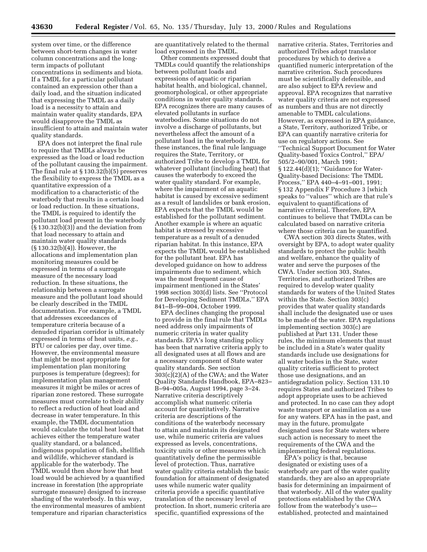system over time, or the difference between short-term changes in water column concentrations and the longterm impacts of pollutant concentrations in sediments and biota. If a TMDL for a particular pollutant contained an expression other than a daily load, and the situation indicated that expressing the TMDL as a daily load is a necessity to attain and maintain water quality standards, EPA would disapprove the TMDL as insufficient to attain and maintain water quality standards.

EPA does not interpret the final rule to require that TMDLs always be expressed as the load or load reduction of the pollutant causing the impairment. The final rule at § 130.32(b)(5) preserves the flexibility to express the TMDL as a quantitative expression of a modification to a characteristic of the waterbody that results in a certain load or load reduction. In these situations, the TMDL is required to identify the pollutant load present in the waterbody (§ 130.32(b)(3)) and the deviation from that load necessary to attain and maintain water quality standards (§ 130.32(b)(4)). However, the allocations and implementation plan monitoring measures could be expressed in terms of a surrogate measure of the necessary load reduction. In these situations, the relationship between a surrogate measure and the pollutant load should be clearly described in the TMDL documentation. For example, a TMDL that addresses exceedances of temperature criteria because of a denuded riparian corridor is ultimately expressed in terms of heat units, *e.g.*, BTU or calories per day, over time. However, the environmental measure that might be most appropriate for implementation plan monitoring purposes is temperature (degrees); for implementation plan management measures it might be miles or acres of riparian zone restored. These surrogate measures must correlate to their ability to reflect a reduction of heat load and decrease in water temperature. In this example, the TMDL documentation would calculate the total heat load that achieves either the temperature water quality standard, or a balanced, indigenous population of fish, shellfish and wildlife, whichever standard is applicable for the waterbody. The TMDL would then show how that heat load would be achieved by a quantified increase in forestation (the appropriate surrogate measure) designed to increase shading of the waterbody. In this way, the environmental measures of ambient temperature and riparian characteristics

are quantitatively related to the thermal load expressed in the TMDL.

Other comments expressed doubt that TMDLs could quantify the relationships between pollutant loads and expressions of aquatic or riparian habitat health, and biological, channel, geomorphological, or other appropriate conditions in water quality standards. EPA recognizes there are many causes of elevated pollutants in surface waterbodies. Some situations do not involve a discharge of pollutants, but nevertheless affect the amount of a pollutant load in the waterbody. In these instances, the final rule language requires the State, Territory, or authorized Tribe to develop a TMDL for whatever pollutant (including heat) that causes the waterbody to exceed the water quality standard. For example, where the impairment of an aquatic habitat is caused by excessive sediment as a result of landslides or bank erosion, EPA expects that the TMDL would be established for the pollutant sediment. Another example is where an aquatic habitat is stressed by excessive temperature as a result of a denuded riparian habitat. In this instance, EPA expects the TMDL would be established for the pollutant heat. EPA has developed guidance on how to address impairments due to sediment, which was the most frequent cause of impairment mentioned in the States' 1998 section 303(d) lists. See ''Protocol for Developing Sediment TMDLs,'' EPA 841–B–99–004, October 1999.

EPA declines changing the proposal to provide in the final rule that TMDLs need address only impairments of numeric criteria in water quality standards. EPA's long standing policy has been that narrative criteria apply to all designated uses at all flows and are a necessary component of State water quality standards. See section 303(c)(2)(A) of the CWA; and the Water Quality Standards Handbook, EPA–823– B–94–005a, August 1994, page 3–24. Narrative criteria descriptively accomplish what numeric criteria account for quantitatively. Narrative criteria are descriptions of the conditions of the waterbody necessary to attain and maintain its designated use, while numeric criteria are values expressed as levels, concentrations, toxicity units or other measures which quantitatively define the permissible level of protection. Thus, narrative water quality criteria establish the basic foundation for attainment of designated uses while numeric water quality criteria provide a specific quantitative translation of the necessary level of protection. In short, numeric criteria are specific, quantified expressions of the

narrative criteria. States, Territories and authorized Tribes adopt translator procedures by which to derive a quantified numeric interpretation of the narrative criterion. Such procedures must be scientifically defensible, and are also subject to EPA review and approval. EPA recognizes that narrative water quality criteria are not expressed as numbers and thus are not directly amenable to TMDL calculations. However, as expressed in EPA guidance, a State, Territory, authorized Tribe, or EPA can quantify narrative criteria for use on regulatory actions. See ''Technical Support Document for Water Quality-based Toxics Control,'' EPA/ 505/2–90/001, March 1991; § 122.44(d)(1); "Guidance for Water-Quality-based Decisions: The TMDL Process,'' EPA 440–4–91–001, 1991; § 132 Appendix F Procedure 3 [which speaks to ''values'' which are that rule's equivalent to quantifications of narrative criteria]. Therefore, EPA continues to believe that TMDLs can be calculated based on narrative criteria where those criteria can be quantified.

CWA section 303 directs States, with oversight by EPA, to adopt water quality standards to protect the public health and welfare, enhance the quality of water and serve the purposes of the CWA. Under section 303, States, Territories, and authorized Tribes are required to develop water quality standards for waters of the United States within the State. Section 303(c) provides that water quality standards shall include the designated use or uses to be made of the water. EPA regulations implementing section 303(c) are published at Part 131. Under these rules, the minimum elements that must be included in a State's water quality standards include use designations for all water bodies in the State, water quality criteria sufficient to protect those use designations, and an antidegradation policy. Section 131.10 requires States and authorized Tribes to adopt appropriate uses to be achieved and protected. In no case can they adopt waste transport or assimilation as a use for any waters. EPA has in the past, and may in the future, promulgate designated uses for State waters where such action is necessary to meet the requirements of the CWA and the implementing federal regulations.

EPA's policy is that, because designated or existing uses of a waterbody are part of the water quality standards, they are also an appropriate basis for determining an impairment of that waterbody. All of the water quality protections established by the CWA follow from the waterbody's use established, protected and maintained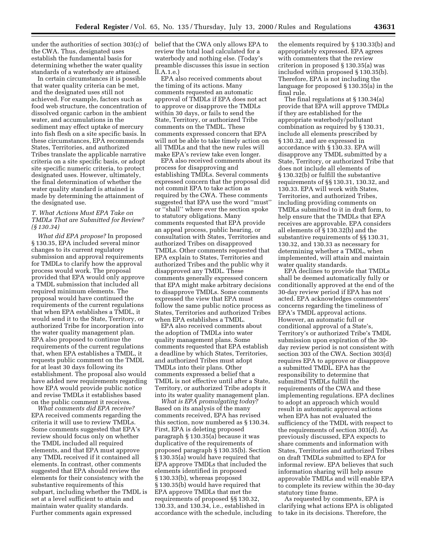under the authorities of section 303(c) of belief that the CWA only allows EPA to the CWA. Thus, designated uses establish the fundamental basis for determining whether the water quality standards of a waterbody are attained.

In certain circumstances it is possible that water quality criteria can be met, and the designated uses still not achieved. For example, factors such as food web structure, the concentration of dissolved organic carbon in the ambient water, and accumulations in the sediment may effect uptake of mercury into fish flesh on a site specific basis. In these circumstances, EPA recommends States, Territories, and authorized Tribes translate the applicable narrative criteria on a site specific basis, or adopt site specific numeric criteria, to protect designated uses. However, ultimately, the final determination of whether the water quality standard is attained is made by determining the attainment of the designated use.

# *T. What Actions Must EPA Take on TMDLs That are Submitted for Review? (§ 130.34)*

*What did EPA propose?* In proposed § 130.35, EPA included several minor changes to its current regulatory submission and approval requirements for TMDLs to clarify how the approval process would work. The proposal provided that EPA would only approve a TMDL submission that included all required minimum elements. The proposal would have continued the requirements of the current regulations that when EPA establishes a TMDL, it would send it to the State, Territory, or authorized Tribe for incorporation into the water quality management plan. EPA also proposed to continue the requirements of the current regulations that, when EPA establishes a TMDL, it requests public comment on the TMDL for at least 30 days following its establishment. The proposal also would have added new requirements regarding how EPA would provide public notice and revise TMDLs it establishes based on the public comment it receives.

*What comments did EPA receive?* EPA received comments regarding the criteria it will use to review TMDLs. Some comments suggested that EPA's review should focus only on whether the TMDL included all required elements, and that EPA must approve any TMDL received if it contained all elements. In contrast, other comments suggested that EPA should review the elements for their consistency with the substantive requirements of this subpart, including whether the TMDL is set at a level sufficient to attain and maintain water quality standards. Further comments again expressed

review the total load calculated for a waterbody and nothing else. (Today's preamble discusses this issue in section  $II.A.1.e.$ 

EPA also received comments about the timing of its actions. Many comments requested an automatic approval of TMDLs if EPA does not act to approve or disapprove the TMDLs within 30 days, or fails to send the State, Territory, or authorized Tribe comments on the TMDL. These comments expressed concern that EPA will not be able to take timely action on all TMDLs and that the new rules will make EPA's review take even longer.

EPA also received comments about its process for disapproving and establishing TMDLs. Several comments expressed concern that the proposal did not commit EPA to take action as required by the CWA. These comments suggested that EPA use the word ''must'' or ''shall'' where ever the section spoke to statutory obligations. Many comments requested that EPA provide an appeal process, public hearing, or consultation with States, Territories and authorized Tribes on disapproved TMDLs. Other comments requested that EPA explain to States, Territories and authorized Tribes and the public why it disapproved any TMDL. These comments generally expressed concern that EPA might make arbitrary decisions to disapprove TMDLs. Some comments expressed the view that EPA must follow the same public notice process as States, Territories and authorized Tribes when EPA establishes a TMDL.

EPA also received comments about the adoption of TMDLs into water quality management plans. Some comments requested that EPA establish a deadline by which States, Territories, and authorized Tribes must adopt TMDLs into their plans. Other comments expressed a belief that a TMDL is not effective until after a State, Territory, or authorized Tribe adopts it into its water quality management plan.

*What is EPA promulgating today?* Based on its analysis of the many comments received, EPA has revised this section, now numbered as § 130.34. First, EPA is deleting proposed paragraph § 130.35(a) because it was duplicative of the requirements of proposed paragraph § 130.35(b). Section § 130.35(a) would have required that EPA approve TMDLs that included the elements identified in proposed § 130.33(b), whereas proposed § 130.35(b) would have required that EPA approve TMDLs that met the requirements of proposed §§ 130.32, 130.33, and 130.34, i.e., established in accordance with the schedule, including

the elements required by § 130.33(b) and appropriately expressed. EPA agrees with commenters that the review criterion in proposed § 130.35(a) was included within proposed § 130.35(b). Therefore, EPA is not including the language for proposed § 130.35(a) in the final rule.

The final regulations at § 130.34(a) provide that EPA will approve TMDLs if they are established for the appropriate waterbody/pollutant combination as required by § 130.31, include all elements prescribed by § 130.32, and are expressed in accordance with § 130.33. EPA will disapprove any TMDL submitted by a State, Territory, or authorized Tribe that does not include all elements of § 130.32(b) or fulfill the substantive requirements of §§ 130.31, 130.32, and 130.33. EPA will work with States, Territories, and authorized Tribes, including providing comments on TMDLs submitted to it in draft form, to help ensure that the TMDLs that EPA receives are approvable. EPA considers all elements of § 130.32(b) and the substantive requirements of §§ 130.31, 130.32, and 130.33 as necessary for determining whether a TMDL, when implemented, will attain and maintain water quality standards.

EPA declines to provide that TMDLs shall be deemed automatically fully or conditionally approved at the end of the 30-day review period if EPA has not acted. EPA acknowledges commenters' concerns regarding the timeliness of EPA's TMDL approval actions. However, an automatic full or conditional approval of a State's, Territory's or authorized Tribe's TMDL submission upon expiration of the 30 day review period is not consistent with section 303 of the CWA. Section 303(d) requires EPA to approve or disapprove a submitted TMDL. EPA has the responsibility to determine that submitted TMDLs fulfill the requirements of the CWA and these implementing regulations. EPA declines to adopt an approach which would result in automatic approval actions when EPA has not evaluated the sufficiency of the TMDL with respect to the requirements of section 303(d). As previously discussed, EPA expects to share comments and information with States, Territories and authorized Tribes on draft TMDLs submitted to EPA for informal review. EPA believes that such information sharing will help assure approvable TMDLs and will enable EPA to complete its review within the 30-day statutory time frame.

As requested by comments, EPA is clarifying what actions EPA is obligated to take in its decisions. Therefore, the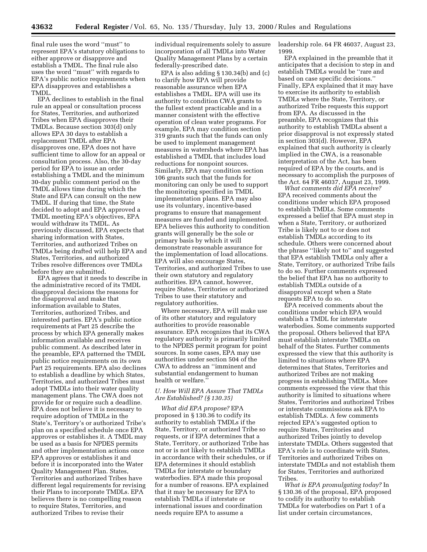final rule uses the word ''must'' to represent EPA's statutory obligations to either approve or disapprove and establish a TMDL. The final rule also uses the word ''must'' with regards to EPA's public notice requirements when EPA disapproves and establishes a TMDL.

EPA declines to establish in the final rule an appeal or consultation process for States, Territories, and authorized Tribes when EPA disapproves their TMDLs. Because section 303(d) only allows EPA 30 days to establish a replacement TMDL after EPA disapproves one, EPA does not have sufficient time to allow for an appeal or consultation process. Also, the 30-day period for EPA to issue an order establishing a TMDL and the minimum 30-day public comment period on the TMDL allows time during which the State and EPA can consult on the new TMDL. If during that time, the State decided to adopt and EPA approved a TMDL meeting EPA's objectives, EPA would withdraw its TMDL. As previously discussed, EPA expects that sharing information with States, Territories, and authorized Tribes on TMDLs being drafted will help EPA and States, Territories, and authorized Tribes resolve differences over TMDLs before they are submitted.

EPA agrees that it needs to describe in the administrative record of its TMDL disapproval decisions the reasons for the disapproval and make that information available to States, Territories, authorized Tribes, and interested parties. EPA's public notice requirements at Part 25 describe the process by which EPA generally makes information available and receives public comment. As described later in the preamble, EPA patterned the TMDL public notice requirements on its own Part 25 requirements. EPA also declines to establish a deadline by which States, Territories, and authorized Tribes must adopt TMDLs into their water quality management plans. The CWA does not provide for or require such a deadline. EPA does not believe it is necessary to require adoption of TMDLs in the State's, Territory's or authorized Tribe's plan on a specified schedule once EPA approves or establishes it. A TMDL may be used as a basis for NPDES permits and other implementation actions once EPA approves or establishes it and before it is incorporated into the Water Quality Management Plan. States, Territories and authorized Tribes have different legal requirements for revising their Plans to incorporate TMDLs. EPA believes there is no compelling reason to require States, Territories, and authorized Tribes to revise their

individual requirements solely to assure incorporation of all TMDLs into Water Quality Management Plans by a certain federally-prescribed date.

EPA is also adding § 130.34(b) and (c) to clarify how EPA will provide reasonable assurance when EPA establishes a TMDL. EPA will use its authority to condition CWA grants to the fullest extent practicable and in a manner consistent with the effective operation of clean water programs. For example, EPA may condition section 319 grants such that the funds can only be used to implement management measures in watersheds where EPA has established a TMDL that includes load reductions for nonpoint sources. Similarly, EPA may condition section 106 grants such that the funds for monitoring can only be used to support the monitoring specified in TMDL implementation plans. EPA may also use its voluntary, incentive-based programs to ensure that management measures are funded and implemented. EPA believes this authority to condition grants will generally be the sole or primary basis by which it will demonstrate reasonable assurance for the implementation of load allocations. EPA will also encourage States, Territories, and authorized Tribes to use their own statutory and regulatory authorities. EPA cannot, however, require States, Territories or authorized Tribes to use their statutory and regulatory authorities.

Where necessary, EPA will make use of its other statutory and regulatory authorities to provide reasonable assurance. EPA recognizes that its CWA regulatory authority is primarily limited to the NPDES permit program for point sources. In some cases, EPA may use authorities under section 504 of the CWA to address an ''imminent and substantial endangerment to human health or welfare.''

### *U. How Will EPA Assure That TMDLs Are Established? (§ 130.35)*

*What did EPA propose?* EPA proposed in § 130.36 to codify its authority to establish TMDLs if the State, Territory, or authorized Tribe so requests, or if EPA determines that a State, Territory, or authorized Tribe has not or is not likely to establish TMDLs in accordance with their schedules, or if EPA determines it should establish TMDLs for interstate or boundary waterbodies. EPA made this proposal for a number of reasons. EPA explained that it may be necessary for EPA to establish TMDLs if interstate or international issues and coordination needs require EPA to assume a

leadership role. 64 FR 46037, August 23, 1999.

EPA explained in the preamble that it anticipates that a decision to step in and establish TMDLs would be ''rare and based on case specific decisions.'' Finally, EPA explained that it may have to exercise its authority to establish TMDLs where the State, Territory, or authorized Tribe requests this support from EPA. As discussed in the preamble, EPA recognizes that this authority to establish TMDLs absent a prior disapproval is not expressly stated in section 303(d). However, EPA explained that such authority is clearly implied in the CWA, is a reasonable interpretation of the Act, has been required of EPA by the courts, and is necessary to accomplish the purposes of the Act. 64 FR 46037, August 23, 1999.

*What comments did EPA receive?* EPA received comments about the conditions under which EPA proposed to establish TMDLs. Some comments expressed a belief that EPA must step in when a State, Territory, or authorized Tribe is likely not to or does not establish TMDLs according to its schedule. Others were concerned about the phrase ''likely not to'' and suggested that EPA establish TMDLs only after a State, Territory, or authorized Tribe fails to do so. Further comments expressed the belief that EPA has no authority to establish TMDLs outside of a disapproval except when a State requests EPA to do so.

EPA received comments about the conditions under which EPA would establish a TMDL for interstate waterbodies. Some comments supported the proposal. Others believed that EPA must establish interstate TMDLs on behalf of the States. Further comments expressed the view that this authority is limited to situations where EPA determines that States, Territories and authorized Tribes are not making progress in establishing TMDLs. More comments expressed the view that this authority is limited to situations where States, Territories and authorized Tribes or interstate commissions ask EPA to establish TMDLs. A few comments rejected EPA's suggested option to require States, Territories and authorized Tribes jointly to develop interstate TMDLs. Others suggested that EPA's role is to coordinate with States, Territories and authorized Tribes on interstate TMDLs and not establish them for States, Territories and authorized Tribes.

*What is EPA promulgating today?* In § 130.36 of the proposal, EPA proposed to codify its authority to establish TMDLs for waterbodies on Part 1 of a list under certain circumstances,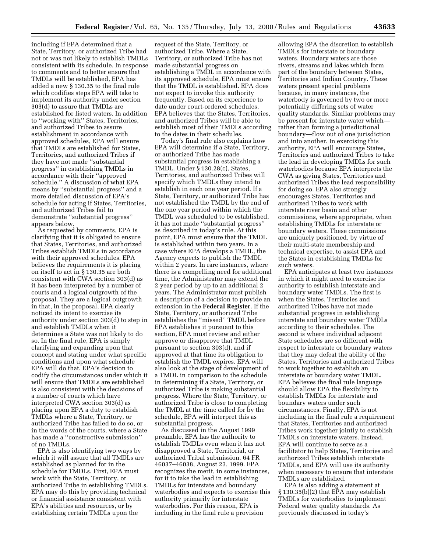including if EPA determined that a State, Territory, or authorized Tribe had not or was not likely to establish TMDLs consistent with its schedule. In response to comments and to better ensure that TMDLs will be established, EPA has added a new § 130.35 to the final rule which codifies steps EPA will take to implement its authority under section 303(d) to assure that TMDLs are established for listed waters. In addition to ''working with'' States, Territories, and authorized Tribes to assure establishment in accordance with approved schedules, EPA will ensure that TMDLs are established for States, Territories, and authorized Tribes if they have not made ''substantial progress'' in establishing TMDLs in accordance with their ''approved schedule.'' A discussion of what EPA means by ''substantial progress'' and a more detailed discussion of EPA's schedule for acting if States, Territories, and authorized Tribes fail to demonstrate ''substantial progress'' appears below.

As requested by comments, EPA is clarifying that it is obligated to ensure that States, Territories, and authorized Tribes establish TMDLs in accordance with their approved schedules. EPA believes the requirements it is placing on itself to act in § 130.35 are both consistent with CWA section 303(d) as it has been interpreted by a number of courts and a logical outgrowth of the proposal. They are a logical outgrowth in that, in the proposal, EPA clearly noticed its intent to exercise its authority under section 303(d) to step in and establish TMDLs when it determines a State was not likely to do so. In the final rule, EPA is simply clarifying and expanding upon that concept and stating under what specific conditions and upon what schedule EPA will do that. EPA's decision to codify the circumstances under which it will ensure that TMDLs are established is also consistent with the decisions of a number of courts which have interpreted CWA section 303(d) as placing upon EPA a duty to establish TMDLs where a State, Territory, or authorized Tribe has failed to do so, or in the words of the courts, where a State has made a ''constructive submission'' of no TMDLs.

EPA is also identifying two ways by which it will assure that all TMDLs are established as planned for in the schedule for TMDLs. First, EPA must work with the State, Territory, or authorized Tribe in establishing TMDLs. EPA may do this by providing technical or financial assistance consistent with EPA's abilities and resources, or by establishing certain TMDLs upon the

request of the State, Territory, or authorized Tribe. Where a State, Territory, or authorized Tribe has not made substantial progress on establishing a TMDL in accordance with its approved schedule, EPA must ensure that the TMDL is established. EPA does not expect to invoke this authority frequently. Based on its experience to date under court-ordered schedules, EPA believes that the States, Territories, and authorized Tribes will be able to establish most of their TMDLs according to the dates in their schedules.

Today's final rule also explains how EPA will determine if a State, Territory, or authorized Tribe has made substantial progress in establishing a TMDL. Under § 130.28(c), States, Territories, and authorized Tribes will specify which TMDLs they intend to establish in each one year period. If a State, Territory, or authorized Tribe has not established the TMDL by the end of the one year period within which the TMDL was scheduled to be established, it has not made ''substantial progress'' as described in today's rule. At this point, EPA must ensure that the TMDL is established within two years. In a case where EPA develops a TMDL, the Agency expects to publish the TMDL within 2 years. In rare instances, where there is a compelling need for additional time, the Administrator may extend the 2 year period by up to an additional 2 years. The Administrator must publish a description of a decision to provide an extension in the **Federal Register**. If the State, Territory, or authorized Tribe establishes the ''missed'' TMDL before EPA establishes it pursuant to this section, EPA must review and either approve or disapprove that TMDL pursuant to section 303(d), and if approved at that time its obligation to establish the TMDL expires. EPA will also look at the stage of development of a TMDL in comparison to the schedule in determining if a State, Territory, or authorized Tribe is making substantial progress. Where the State, Territory, or authorized Tribe is close to completing the TMDL at the time called for by the schedule, EPA will interpret this as substantial progress.

As discussed in the August 1999 preamble, EPA has the authority to establish TMDLs even when it has not disapproved a State, Territorial, or authorized Tribal submission. 64 FR 46037–46038, August 23, 1999. EPA recognizes the merit, in some instances, for it to take the lead in establishing TMDLs for interstate and boundary waterbodies and expects to exercise this authority primarily for interstate waterbodies. For this reason, EPA is including in the final rule a provision

allowing EPA the discretion to establish TMDLs for interstate or boundary waters. Boundary waters are those rivers, streams and lakes which form part of the boundary between States, Territories and Indian Country. These waters present special problems because, in many instances, the waterbody is governed by two or more potentially differing sets of water quality standards. Similar problems may be present for interstate water which rather than forming a jurisdictional boundary—flow out of one jurisdiction and into another. In exercising this authority, EPA will encourage States, Territories and authorized Tribes to take the lead in developing TMDLs for such waterbodies because EPA interprets the CWA as giving States, Territories and authorized Tribes the lead responsibility for doing so. EPA also strongly encourages States, Territories and authorized Tribes to work with interstate river basin and other commissions, where appropriate, when establishing TMDLs for interstate or boundary waters. These commissions are uniquely positioned, by virtue of their multi-state membership and technical expertise, to assist EPA and the States in establishing TMDLs for such waters.

EPA anticipates at least two instances in which it might need to exercise its authority to establish interstate and boundary water TMDLs. The first is when the States, Territories and authorized Tribes have not made substantial progress in establishing interstate and boundary water TMDLs according to their schedules. The second is where individual adjacent State schedules are so different with respect to interstate or boundary waters that they may defeat the ability of the States, Territories and authorized Tribes to work together to establish an interstate or boundary water TMDL. EPA believes the final rule language should allow EPA the flexibility to establish TMDLs for interstate and boundary waters under such circumstances. Finally, EPA is not including in the final rule a requirement that States, Territories and authorized Tribes work together jointly to establish TMDLs on interstate waters. Instead, EPA will continue to serve as a facilitator to help States, Territories and authorized Tribes establish interstate TMDLs, and EPA will use its authority when necessary to ensure that interstate TMDLs are established.

EPA is also adding a statement at § 130.35(b)(2) that EPA may establish TMDLs for waterbodies to implement Federal water quality standards. As previously discussed in today's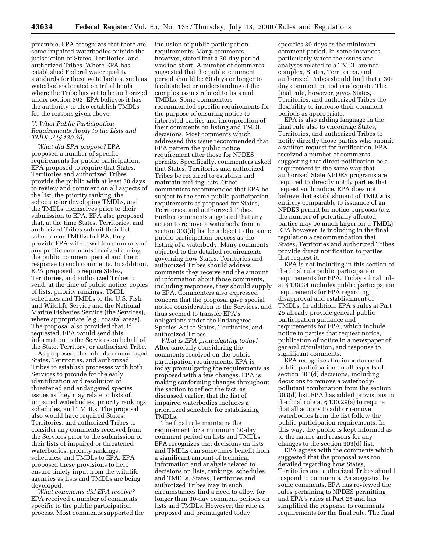preamble, EPA recognizes that there are some impaired waterbodies outside the jurisdiction of States, Territories, and authorized Tribes. Where EPA has established Federal water quality standards for these waterbodies, such as waterbodies located on tribal lands where the Tribe has yet to be authorized under section 303, EPA believes it has the authority to also establish TMDLs for the reasons given above.

### *V. What Public Participation Requirements Apply to the Lists and TMDLs? (§ 130.36)*

*What did EPA propose?* EPA proposed a number of specific requirements for public participation. EPA proposed to require that States, Territories and authorized Tribes provide the public with at least 30 days to review and comment on all aspects of the list, the priority ranking, the schedule for developing TMDLs, and the TMDLs themselves prior to their submission to EPA. EPA also proposed that, at the time States, Territories, and authorized Tribes submit their list, schedule or TMDLs to EPA, they provide EPA with a written summary of any public comments received during the public comment period and their response to such comments. In addition, EPA proposed to require States, Territories, and authorized Tribes to send, at the time of public notice, copies of lists, priority rankings, TMDL schedules and TMDLs to the U.S. Fish and Wildlife Service and the National Marine Fisheries Service (the Services), where appropriate (*e.g.*, coastal areas). The proposal also provided that, if requested, EPA would send this information to the Services on behalf of the State, Territory, or authorized Tribe.

As proposed, the rule also encouraged States, Territories, and authorized Tribes to establish processes with both Services to provide for the early identification and resolution of threatened and endangered species issues as they may relate to lists of impaired waterbodies, priority rankings, schedules, and TMDLs. The proposal also would have required States, Territories, and authorized Tribes to consider any comments received from the Services prior to the submission of their lists of impaired or threatened waterbodies, priority rankings, schedules, and TMDLs to EPA. EPA proposed these provisions to help ensure timely input from the wildlife agencies as lists and TMDLs are being developed.

*What comments did EPA receive?* EPA received a number of comments specific to the public participation process. Most comments supported the inclusion of public participation requirements. Many comments, however, stated that a 30-day period was too short. A number of comments suggested that the public comment period should be 60 days or longer to facilitate better understanding of the complex issues related to lists and TMDLs. Some commenters recommended specific requirements for the purpose of ensuring notice to interested parties and incorporation of their comments on listing and TMDL decisions. Most comments which addressed this issue recommended that EPA pattern the public notice requirement after those for NPDES permits. Specifically, commenters asked that States, Territories and authorized Tribes be required to establish and maintain mailing lists. Other commenters recommended that EPA be subject to the same public participation requirements as proposed for States, Territories, and authorized Tribes. Further comments suggested that any action to remove a waterbody from a section 303(d) list be subject to the same public participation process as the listing of a waterbody. Many comments objected to the detailed requirements governing how States, Territories and authorized Tribes should address comments they receive and the amount of information about those comments, including responses, they should supply to EPA. Commenters also expressed concern that the proposal gave special notice consideration to the Services, and thus seemed to transfer EPA's obligations under the Endangered Species Act to States, Territories, and authorized Tribes.

*What is EPA promulgating today?* After carefully considering the comments received on the public participation requirements, EPA is today promulgating the requirements as proposed with a few changes. EPA is making conforming changes throughout the section to reflect the fact, as discussed earlier, that the list of impaired waterbodies includes a prioritized schedule for establishing TMDLs.

The final rule maintains the requirement for a minimum 30-day comment period on lists and TMDLs. EPA recognizes that decisions on lists and TMDLs can sometimes benefit from a significant amount of technical information and analysis related to decisions on lists, rankings, schedules, and TMDLs. States, Territories and authorized Tribes may in such circumstances find a need to allow for longer than 30-day comment periods on lists and TMDLs. However, the rule as proposed and promulgated today

specifies 30 days as the minimum comment period. In some instances, particularly where the issues and analyses related to a TMDL are not complex, States, Territories, and authorized Tribes should find that a 30 day comment period is adequate. The final rule, however, gives States, Territories, and authorized Tribes the flexibility to increase their comment periods as appropriate.

EPA is also adding language in the final rule also to encourage States, Territories, and authorized Tribes to notify directly those parties who submit a written request for notification. EPA received a number of comments suggesting that direct notification be a requirement in the same way that authorized State NPDES programs are required to directly notify parties that request such notice. EPA does not believe that establishment of TMDLs is entirely comparable to issuance of an NPDES permit for notice purposes (*e.g.* the number of potentially affected parties may be much larger for a TMDL). EPA however, is including in the final regulation a recommendation that States, Territories and authorized Tribes provide direct notification to parties that request it.

EPA is not including in this section of the final rule public participation requirements for EPA. Today's final rule at § 130.34 includes public participation requirements for EPA regarding disapproval and establishment of TMDLs. In addition, EPA's rules at Part 25 already provide general public participation guidance and requirements for EPA, which include notice to parties that request notice, publication of notice in a newspaper of general circulation, and response to significant comments.

EPA recognizes the importance of public participation on all aspects of section 303(d) decisions, including decisions to remove a waterbody/ pollutant combination from the section 303(d) list. EPA has added provisions in the final rule at § 130.29(a) to require that all actions to add or remove waterbodies from the list follow the public participation requirements. In this way, the public is kept informed as to the nature and reasons for any changes to the section 303(d) list.

EPA agrees with the comments which suggested that the proposal was too detailed regarding how States, Territories and authorized Tribes should respond to comments. As suggested by some comments, EPA has reviewed the rules pertaining to NPDES permitting and EPA's rules at Part 25 and has simplified the response to comments requirements for the final rule. The final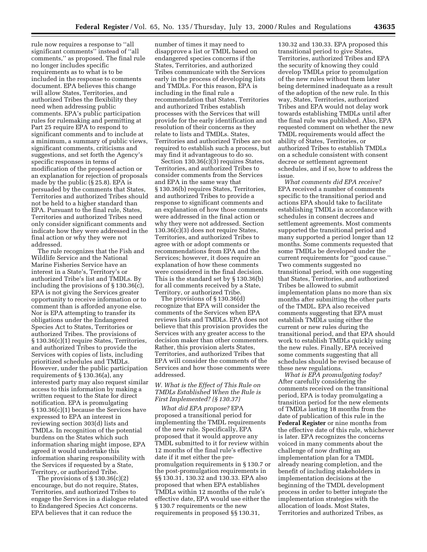rule now requires a response to ''all significant comments'' instead of ''all comments,'' as proposed. The final rule no longer includes specific requirements as to what is to be included in the response to comments document. EPA believes this change will allow States, Territories, and authorized Tribes the flexibility they need when addressing public comments. EPA's public participation rules for rulemaking and permitting at Part 25 require EPA to respond to significant comments and to include at a minimum, a summary of public views, significant comments, criticisms and suggestions, and set forth the Agency's specific responses in terms of modification of the proposed action or an explanation for rejection of proposals made by the public (§ 25.8). EPA is persuaded by the comments that States, Territories and authorized Tribes should not be held to a higher standard than EPA. Pursuant to the final rule, States, Territories and authorized Tribes need only consider significant comments and indicate how they were addressed in the final action or why they were not addressed.

The rule recognizes that the Fish and Wildlife Service and the National Marine Fisheries Service have an interest in a State's, Territory's or authorized Tribe's list and TMDLs. By including the provisions of § 130.36(c), EPA is not giving the Services greater opportunity to receive information or to comment than is afforded anyone else. Nor is EPA attempting to transfer its obligations under the Endangered Species Act to States, Territories or authorized Tribes. The provisions of § 130.36(c)(1) require States, Territories, and authorized Tribes to provide the Services with copies of lists, including prioritized schedules and TMDLs. However, under the public participation requirements of § 130.36(a), any interested party may also request similar access to this information by making a written request to the State for direct notification. EPA is promulgating § 130.36(c)(1) because the Services have expressed to EPA an interest in reviewing section 303(d) lists and TMDLs. In recognition of the potential burdens on the States which such information sharing might impose, EPA agreed it would undertake this information sharing responsibility with the Services if requested by a State, Territory, or authorized Tribe.

The provisions of  $\S 130.36(c)(2)$ encourage, but do not require, States, Territories, and authorized Tribes to engage the Services in a dialogue related to Endangered Species Act concerns. EPA believes that it can reduce the

number of times it may need to disapprove a list or TMDL based on endangered species concerns if the States, Territories, and authorized Tribes communicate with the Services early in the process of developing lists and TMDLs. For this reason, EPA is including in the final rule a recommendation that States, Territories and authorized Tribes establish processes with the Services that will provide for the early identification and resolution of their concerns as they relate to lists and TMDLs. States, Territories and authorized Tribes are not required to establish such a process, but may find it advantageous to do so.

Section  $130.36(c)(3)$  requires States, Territories, and authorized Tribes to consider comments from the Services and EPA in the same way that § 130.36(b) requires States, Territories, and authorized Tribes to provide a response to significant comments and an explanation of how those comments were addressed in the final action or why they were not addressed. Section 130.36(c)(3) does not require States, Territories, and authorized Tribes to agree with or adopt comments or recommendations from EPA and the Services; however, it does require an explanation of how these comments were considered in the final decision. This is the standard set by § 130.36(b) for all comments received by a State, Territory, or authorized Tribe.

The provisions of § 130.36(d) recognize that EPA will consider the comments of the Services when EPA reviews lists and TMDLs. EPA does not believe that this provision provides the Services with any greater access to the decision maker than other commenters. Rather, this provision alerts States, Territories, and authorized Tribes that EPA will consider the comments of the Services and how those comments were addressed.

# *W. What is the Effect of This Rule on TMDLs Established When the Rule is First Implemented? (§ 130.37)*

*What did EPA propose?* EPA proposed a transitional period for implementing the TMDL requirements of the new rule. Specifically, EPA proposed that it would approve any TMDL submitted to it for review within 12 months of the final rule's effective date if it met either the prepromulgation requirements in § 130.7 or the post-promulgation requirements in §§ 130.31, 130.32 and 130.33. EPA also proposed that when EPA establishes TMDLs within 12 months of the rule's effective date, EPA would use either the § 130.7 requirements or the new requirements in proposed §§ 130.31,

130.32 and 130.33. EPA proposed this transitional period to give States, Territories, authorized Tribes and EPA the security of knowing they could develop TMDLs prior to promulgation of the new rules without them later being determined inadequate as a result of the adoption of the new rule. In this way, States, Territories, authorized Tribes and EPA would not delay work towards establishing TMDLs until after the final rule was published. Also, EPA requested comment on whether the new TMDL requirements would affect the ability of States, Territories, or authorized Tribes to establish TMDLs on a schedule consistent with consent decree or settlement agreement schedules, and if so, how to address the issue.

*What comments did EPA receive?* EPA received a number of comments specific to the transitional period and actions EPA should take to facilitate establishing TMDLs in accordance with schedules in consent decrees and settlement agreements. Most comments supported the transitional period and many supported a period longer than 12 months. Some comments requested that some TMDLs be developed under the current requirements for ''good cause.'' Two comments suggested no transitional period, with one suggesting that States, Territories, and authorized Tribes be allowed to submit implementation plans no more than six months after submitting the other parts of the TMDL. EPA also received comments suggesting that EPA must establish TMDLs using either the current or new rules during the transitional period, and that EPA should work to establish TMDLs quickly using the new rules. Finally, EPA received some comments suggesting that all schedules should be revised because of these new regulations.

*What is EPA promulgating today?* After carefully considering the comments received on the transitional period, EPA is today promulgating a transition period for the new elements of TMDLs lasting 18 months from the date of publication of this rule in the **Federal Register** or nine months from the effective date of this rule, whichever is later. EPA recognizes the concerns voiced in many comments about the challenge of now drafting an implementation plan for a TMDL already nearing completion, and the benefit of including stakeholders in implementation decisions at the beginning of the TMDL development process in order to better integrate the implementation strategies with the allocation of loads. Most States, Territories and authorized Tribes, as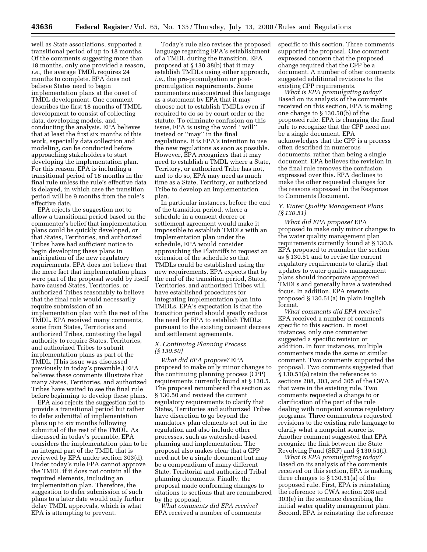well as State associations, supported a transitional period of up to 18 months. Of the comments suggesting more than 18 months, only one provided a reason, *i.e.,* the average TMDL requires 24 months to complete. EPA does not believe States need to begin implementation plans at the onset of TMDL development. One comment describes the first 18 months of TMDL development to consist of collecting data, developing models, and conducting the analysis. EPA believes that at least the first six months of this work, especially data collection and modeling, can be conducted before approaching stakeholders to start developing the implementation plan. For this reason, EPA is including a transitional period of 18 months in the final rule unless the rule's effective data is delayed, in which case the transition period will be 9 months from the rule's effective date.

EPA rejects the suggestion not to allow a transitional period based on the commenter's belief that implementation plans could be quickly developed, or that States, Territories, and authorized Tribes have had sufficient notice to begin developing these plans in anticipation of the new regulatory requirements. EPA does not believe that the mere fact that implementation plans were part of the proposal would by itself have caused States, Territories, or authorized Tribes reasonably to believe that the final rule would necessarily require submission of an implementation plan with the rest of the TMDL. EPA received many comments, some from States, Territories and authorized Tribes, contesting the legal authority to require States, Territories, and authorized Tribes to submit implementation plans as part of the TMDL. (This issue was discussed previously in today's preamble.) EPA believes these comments illustrate that many States, Territories, and authorized Tribes have waited to see the final rule before beginning to develop these plans.

EPA also rejects the suggestion not to provide a transitional period but rather to defer submittal of implementation plans up to six months following submittal of the rest of the TMDL. As discussed in today's preamble, EPA considers the implementation plan to be an integral part of the TMDL that is reviewed by EPA under section 303(d). Under today's rule EPA cannot approve the TMDL if it does not contain all the required elements, including an implementation plan. Therefore, the suggestion to defer submission of such plans to a later date would only further delay TMDL approvals, which is what EPA is attempting to prevent.

Today's rule also revises the proposed language regarding EPA's establishment of a TMDL during the transition. EPA proposed at § 130.38(b) that it may establish TMDLs using either approach, *i.e.,* the pre-promulgation or postpromulgation requirements. Some commenters misconstrued this language as a statement by EPA that it may choose not to establish TMDLs even if required to do so by court order or the statute. To eliminate confusion on this issue, EPA is using the word ''will'' instead or ''may'' in the final regulations. It is EPA's intention to use the new regulations as soon as possible. However, EPA recognizes that it may need to establish a TMDL where a State, Territory, or authorized Tribe has not, and to do so, EPA may need as much time as a State, Territory, or authorized Tribe to develop an implementation plan.

In particular instances, before the end of the transition period, where a schedule in a consent decree or settlement agreement would make it impossible to establish TMDLs with an implementation plan under the schedule, EPA would consider approaching the Plaintiffs to request an extension of the schedule so that TMDLs could be established using the new requirements. EPA expects that by the end of the transition period, States, Territories, and authorized Tribes will have established procedures for integrating implementation plan into TMDLs. EPA's expectation is that the transition period should greatly reduce the need for EPA to establish TMDLs pursuant to the existing consent decrees and settlement agreements.

# *X. Continuing Planning Process (§ 130.50)*

*What did EPA propose?* EPA proposed to make only minor changes to the continuing planning process (CPP) requirements currently found at § 130.5. The proposal renumbered the section as § 130.50 and revised the current regulatory requirements to clarify that States, Territories and authorized Tribes have discretion to go beyond the mandatory plan elements set out in the regulation and also include other processes, such as watershed-based planning and implementation. The proposal also makes clear that a CPP need not be a single document but may be a compendium of many different State, Territorial and authorized Tribal planning documents. Finally, the proposal made conforming changes to citations to sections that are renumbered by the proposal.

*What comments did EPA receive?* EPA received a number of comments specific to this section. Three comments supported the proposal. One comment expressed concern that the proposed change required that the CPP be a document. A number of other comments suggested additional revisions to the existing CPP requirements.

*What is EPA promulgating today?* Based on its analysis of the comments received on this section, EPA is making one change to § 130.50(b) of the proposed rule. EPA is changing the final rule to recognize that the CPP need not be a single document. EPA acknowledges that the CPP is a process often described in numerous documents, rather than being a single document. EPA believes the revision in the final rule removes the confusion expressed over this. EPA declines to make the other requested changes for the reasons expressed in the Response to Comments Document.

### *Y. Water Quality Management Plans (§ 130.51)*

*What did EPA propose?* EPA proposed to make only minor changes to the water quality management plan requirements currently found at § 130.6. EPA proposed to renumber the section as § 130.51 and to revise the current regulatory requirements to clarify that updates to water quality management plans should incorporate approved TMDLs and generally have a watershed focus. In addition, EPA rewrote proposed § 130.51(a) in plain English format.

*What comments did EPA receive?* EPA received a number of comments specific to this section. In most instances, only one commenter suggested a specific revision or addition. In four instances, multiple commenters made the same or similar comment. Two comments supported the proposal. Two comments suggested that § 130.51(a) retain the references to sections 208, 303, and 305 of the CWA that were in the existing rule. Two comments requested a change to or clarification of the part of the rule dealing with nonpoint source regulatory programs. Three commenters requested revisions to the existing rule language to clarify what a nonpoint source is. Another comment suggested that EPA recognize the link between the State Revolving Fund (SRF) and § 130.51(f).

*What is EPA promulgating today?* Based on its analysis of the comments received on this section, EPA is making three changes to § 130.51(a) of the proposed rule. First, EPA is reinstating the reference to CWA section 208 and 303(e) in the sentence describing the initial water quality management plan. Second, EPA is reinstating the reference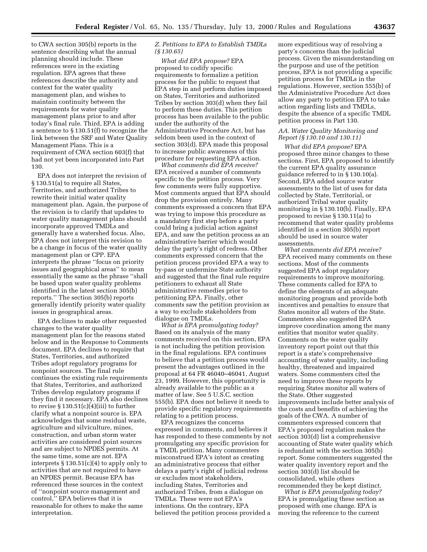to CWA section 305(b) reports in the sentence describing what the annual planning should include. These references were in the existing regulation. EPA agrees that these references describe the authority and context for the water quality management plan, and wishes to maintain continuity between the requirements for water quality management plans prior to and after today's final rule. Third, EPA is adding a sentence to § 130.51(f) to recognize the link between the SRF and Water Quality Management Plans. This is a requirement of CWA section 603(f) that had not yet been incorporated into Part 130.

EPA does not interpret the revision of § 130.51(a) to require all States, Territories, and authorized Tribes to rewrite their initial water quality management plan. Again, the purpose of the revision is to clarify that updates to water quality management plans should incorporate approved TMDLs and generally have a watershed focus. Also, EPA does not interpret this revision to be a change in focus of the water quality management plan or CPP. EPA interprets the phrase ''focus on priority issues and geographical areas'' to mean essentially the same as the phrase ''shall be based upon water quality problems identified in the latest section 305(b) reports.'' The section 305(b) reports generally identify priority water quality issues in geographical areas.

EPA declines to make other requested changes to the water quality management plan for the reasons stated below and in the Response to Comments document. EPA declines to require that States, Territories, and authorized Tribes adopt regulatory programs for nonpoint sources. The final rule continues the existing rule requirements that States, Territories, and authorized Tribes develop regulatory programs if they find it necessary. EPA also declines to revise  $\S 130.51(c)(4)(iii)$  to further clarify what a nonpoint source is. EPA acknowledges that some residual waste, agriculture and silviculture, mines, construction, and urban storm water activities are considered point sources and are subject to NPDES permits. At the same time, some are not. EPA interprets § 130.51(c)(4) to apply only to activities that are not required to have an NPDES permit. Because EPA has referenced these sources in the context of ''nonpoint source management and control,'' EPA believes that it is reasonable for others to make the same interpretation.

# *Z. Petitions to EPA to Establish TMDLs (§ 130.65)*

*What did EPA propose?* EPA proposed to codify specific requirements to formalize a petition process for the public to request that EPA step in and perform duties imposed on States, Territories and authorized Tribes by section 303(d) when they fail to perform these duties. This petition process has been available to the public under the authority of the Administrative Procedure Act, but has seldom been used in the context of section 303(d). EPA made this proposal to increase public awareness of this procedure for requesting EPA action.

*What comments did EPA receive?* EPA received a number of comments specific to the petition process. Very few comments were fully supportive. Most comments argued that EPA should drop the provision entirely. Many comments expressed a concern that EPA was trying to impose this procedure as a mandatory first step before a party could bring a judicial action against EPA, and saw the petition process as an administrative barrier which would delay the party's right of redress. Other comments expressed concern that the petition process provided EPA a way to by-pass or undermine State authority and suggested that the final rule require petitioners to exhaust all State administrative remedies prior to petitioning EPA. Finally, other comments saw the petition provision as a way to exclude stakeholders from dialogue on TMDLs.

*What is EPA promulgating today?* Based on its analysis of the many comments received on this section, EPA is not including the petition provision in the final regulations. EPA continues to believe that a petition process would present the advantages outlined in the proposal at 64 FR 46040–46041, August 23, 1999. However, this opportunity is already available to the public as a matter of law. See 5 U.S.C. section 555(b). EPA does not believe it needs to provide specific regulatory requirements relating to a petition process.

EPA recognizes the concerns expressed in comments, and believes it has responded to these comments by not promulgating any specific provision for a TMDL petition. Many commenters misconstrued EPA's intent as creating an administrative process that either delays a party's right of judicial redress or excludes most stakeholders, including States, Territories and authorized Tribes, from a dialogue on TMDLs. These were not EPA's intentions. On the contrary, EPA believed the petition process provided a

more expeditious way of resolving a party's concerns than the judicial process. Given the misunderstanding on the purpose and use of the petition process, EPA is not providing a specific petition process for TMDLs in the regulations. However, section 555(b) of the Administrative Procedure Act does allow any party to petition EPA to take action regarding lists and TMDLs, despite the absence of a specific TMDL petition process in Part 130.

### *AA. Water Quality Monitoring and Report (§ 130.10 and 130.11)*

*What did EPA propose?* EPA proposed three minor changes to these sections. First, EPA proposed to identify the current EPA quality assurance guidance referred to in § 130.10(a). Second, EPA added source water assessments to the list of uses for data collected by State, Territorial, or authorized Tribal water quality monitoring in § 130.10(b). Finally, EPA proposed to revise § 130.11(a) to recommend that water quality problems identified in a section 305(b) report should be used in source water assessments.

*What comments did EPA receive?* EPA received many comments on these sections. Most of the comments suggested EPA adopt regulatory requirements to improve monitoring. These comments called for EPA to define the elements of an adequate monitoring program and provide both incentives and penalties to ensure that States monitor all waters of the State. Commenters also suggested EPA improve coordination among the many entities that monitor water quality. Comments on the water quality inventory report point out that this report is a state's comprehensive accounting of water quality, including healthy, threatened and impaired waters. Some commenters cited the need to improve these reports by requiring States monitor all waters of the State. Other suggested improvements include better analysis of the costs and benefits of achieving the goals of the CWA. A number of commenters expressed concern that EPA's proposed regulation makes the section 303(d) list a comprehensive accounting of State water quality which is redundant with the section 305(b) report. Some commenters suggested the water quality inventory report and the section 303(d) list should be consolidated, while others recommended they be kept distinct.

*What is EPA promulgating today?* EPA is promulgating these section as proposed with one change. EPA is moving the reference to the current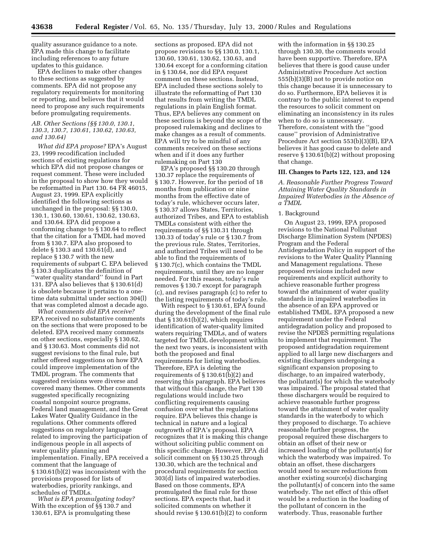quality assurance guidance to a note. EPA made this change to facilitate including references to any future updates to this guidance.

EPA declines to make other changes to these sections as suggested by comments. EPA did not propose any regulatory requirements for monitoring or reporting, and believes that it would need to propose any such requirements before promulgating requirements.

### *AB. Other Sections (§§ 130.0, 130.1, 130.3, 130.7, 130.61, 130.62, 130.63, and 130.64)*

*What did EPA propose?* EPA's August 23, 1999 recodification included sections of existing regulations for which EPA did not propose changes or request comment. These were included in the proposal to show how they would be reformatted in Part 130. 64 FR 46015, August 23, 1999. EPA explicitly identified the following sections as unchanged in the proposal: §§ 130.0, 130.1, 130.60, 130.61, 130.62, 130.63, and 130.64. EPA did propose a conforming change to § 130.64 to reflect that the citation for a TMDL had moved from § 130.7. EPA also proposed to delete § 130.3 and 130.61(d), and replace § 130.7 with the new requirements of subpart C. EPA believed § 130.3 duplicates the definition of ''water quality standard'' found in Part 131. EPA also believes that § 130.61(d) is obsolete because it pertains to a onetime data submittal under section 304(l) that was completed almost a decade ago.

*What comments did EPA receive?* EPA received no substantive comments on the sections that were proposed to be deleted. EPA received many comments on other sections, especially § 130.62, and § 130.63. Most comments did not suggest revisions to the final rule, but rather offered suggestions on how EPA could improve implementation of the TMDL program. The comments that suggested revisions were diverse and covered many themes. Other comments suggested specifically recognizing coastal nonpoint source programs, Federal land management, and the Great Lakes Water Quality Guidance in the regulations. Other comments offered suggestions on regulatory language related to improving the participation of indigenous people in all aspects of water quality planning and implementation. Finally, EPA received a comment that the language of § 130.61(b)(2) was inconsistent with the provisions proposed for lists of waterbodies, priority rankings, and schedules of TMDLs.

*What is EPA promulgating today?* With the exception of §§ 130.7 and 130.61, EPA is promulgating these

sections as proposed. EPA did not propose revisions to §§ 130.0, 130.1, 130.60, 130.61, 130.62, 130.63, and 130.64 except for a conforming citation in § 130.64, nor did EPA request comment on these sections. Instead, EPA included these sections solely to illustrate the reformatting of Part 130 that results from writing the TMDL regulations in plain English format. Thus, EPA believes any comment on these sections is beyond the scope of the proposed rulemaking and declines to make changes as a result of comments. EPA will try to be mindful of any comments received on these sections when and if it does any further rulemaking on Part 130

EPA's proposed §§ 130.20 through 130.37 replace the requirements of § 130.7. However, for the period of 18 months from publication or nine months from the effective date of today's rule, whichever occurs later, § 130.37 allows States, Territories, authorized Tribes, and EPA to establish TMDLs consistent with either the requirements of §§ 130.31 through 130.33 of today's rule or § 130.7 from the previous rule. States, Territories, and authorized Tribes will need to be able to find the requirements of § 130.7(c), which contains the TMDL requirements, until they are no longer needed. For this reason, today's rule removes § 130.7 except for paragraph (c), and revises paragraph (c) to refer to the listing requirements of today's rule.

With respect to § 130.61, EPA found during the development of the final rule that  $\S 130.61(b)(2)$ , which requires identification of water-quality limited waters requiring TMDLs, and of waters targeted for TMDL development within the next two years, is inconsistent with both the proposed and final requirements for listing waterbodies. Therefore, EPA is deleting the requirements of § 130.61(b)(2) and reserving this paragraph. EPA believes that without this change, the Part 130 regulations would include two conflicting requirements causing confusion over what the regulations require. EPA believes this change is technical in nature and a logical outgrowth of EPA's proposal. EPA recognizes that it is making this change without soliciting public comment on this specific change. However, EPA did solicit comment on §§ 130.25 through 130.30, which are the technical and procedural requirements for section 303(d) lists of impaired waterbodies. Based on those comments, EPA promulgated the final rule for those sections. EPA expects that, had it solicited comments on whether it should revise § 130.61(b)(2) to conform

with the information in §§ 130.25 through 130.30, the comments would have been supportive. Therefore, EPA believes that there is good cause under Administrative Procedure Act section 555(b)(3)(B) not to provide notice on this change because it is unnecessary to do so. Furthermore, EPA believes it is contrary to the public interest to expend the resources to solicit comment on eliminating an inconsistency in its rules when to do so is unnecessary. Therefore, consistent with the ''good cause'' provision of Administrative Procedure Act section 553(b)(3)(B), EPA believes it has good cause to delete and reserve § 130.61(b)(2) without proposing that change.

#### **III. Changes to Parts 122, 123, and 124**

*A. Reasonable Further Progress Toward Attaining Water Quality Standards in Impaired Waterbodies in the Absence of a TMDL*

## 1. Background

On August 23, 1999, EPA proposed revisions to the National Pollutant Discharge Elimination System (NPDES) Program and the Federal Antidegradation Policy in support of the revisions to the Water Quality Planning and Management regulations. These proposed revisions included new requirements and explicit authority to achieve reasonable further progress toward the attainment of water quality standards in impaired waterbodies in the absence of an EPA approved or established TMDL. EPA proposed a new requirement under the Federal antidegradation policy and proposed to revise the NPDES permitting regulations to implement that requirement. The proposed antidegradation requirement applied to all large new dischargers and existing dischargers undergoing a significant expansion proposing to discharge, to an impaired waterbody, the pollutant(s) for which the waterbody was impaired. The proposal stated that these dischargers would be required to achieve reasonable further progress toward the attainment of water quality standards in the waterbody to which they proposed to discharge. To achieve reasonable further progress, the proposal required these dischargers to obtain an offset of their new or increased loading of the pollutant(s) for which the waterbody was impaired. To obtain an offset, these dischargers would need to secure reductions from another existing source(s) discharging the pollutant(s) of concern into the same waterbody. The net effect of this offset would be a reduction in the loading of the pollutant of concern in the waterbody. Thus, reasonable further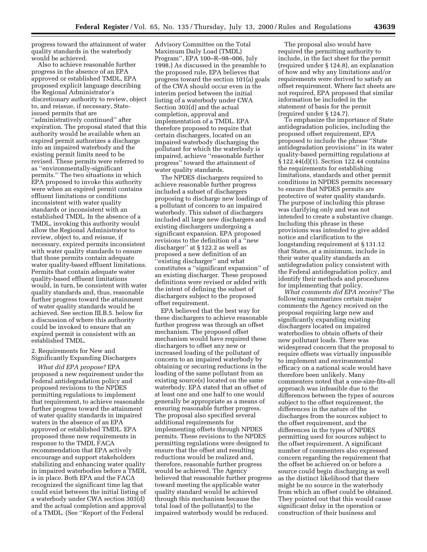progress toward the attainment of water quality standards in the waterbody would be achieved.

Also to achieve reasonable further progress in the absence of an EPA approved or established TMDL, EPA proposed explicit language describing the Regional Administrator's discretionary authority to review, object to, and reissue, if necessary, Stateissued permits that are ''administratively continued'' after expiration. The proposal stated that this authority would be available when an expired permit authorizes a discharge into an impaired waterbody and the existing permit limits need to be revised. These permits were referred to as ''environmentally-significant permits.'' The two situations in which EPA proposed to invoke this authority were when an expired permit contains effluent limitations or conditions inconsistent with water quality standards or inconsistent with an established TMDL. In the absence of a TMDL, invoking this authority would allow the Regional Administrator to review, object to, and reissue, if necessary, expired permits inconsistent with water quality standards to ensure that those permits contain adequate water quality-based effluent limitations. Permits that contain adequate water quality-based effluent limitations would, in turn, be consistent with water quality standards and, thus, reasonable further progress toward the attainment of water quality standards would be achieved. See section III.B.5. below for a discussion of where this authority could be invoked to ensure that an expired permit is consistent with an established TMDL.

# 2. Requirements for New and Significantly Expanding Dischargers

*What did EPA propose?* EPA proposed a new requirement under the Federal antidegradation policy and proposed revisions to the NPDES permitting regulations to implement that requirement, to achieve reasonable further progress toward the attainment of water quality standards in impaired waters in the absence of an EPA approved or established TMDL. EPA proposed these new requirements in response to the TMDL FACA recommendation that EPA actively encourage and support stakeholders stabilizing and enhancing water quality in impaired waterbodies before a TMDL is in place. Both EPA and the FACA recognized the significant time lag that could exist between the initial listing of a waterbody under CWA section 303(d) and the actual completion and approval of a TMDL. (See ''Report of the Federal

Advisory Committee on the Total Maximum Daily Load (TMDL) Program'', EPA 100–R–98–006, July 1998.) As discussed in the preamble to the proposed rule, EPA believes that progress toward the section 101(a) goals of the CWA should occur even in the interim period between the initial listing of a waterbody under CWA Section 303(d) and the actual completion, approval and implementation of a TMDL. EPA therefore proposed to require that certain dischargers, located on an impaired waterbody discharging the pollutant for which the waterbody is impaired, achieve ''reasonable further progress'' toward the attainment of water quality standards.

The NPDES dischargers required to achieve reasonable further progress included a subset of dischargers proposing to discharge new loadings of a pollutant of concern to an impaired waterbody. This subset of dischargers included all large new dischargers and existing dischargers undergoing a significant expansion. EPA proposed revisions to the definition of a ''new discharger'' at § 122.2 as well as proposed a new definition of an ''existing discharger'' and what constitutes a ''significant expansion'' of an existing discharger. These proposed definitions were revised or added with the intent of defining the subset of dischargers subject to the proposed offset requirement.

EPA believed that the best way for these dischargers to achieve reasonable further progress was through an offset mechanism. The proposed offset mechanism would have required these dischargers to offset any new or increased loading of the pollutant of concern to an impaired waterbody by obtaining or securing reductions in the loading of the same pollutant from an existing source(s) located on the same waterbody. EPA stated that an offset of at least one and one half to one would generally be appropriate as a means of ensuring reasonable further progress. The proposal also specified several additional requirements for implementing offsets through NPDES permits. These revisions to the NPDES permitting regulations were designed to ensure that the offset and resulting reductions would be realized and, therefore, reasonable further progress would be achieved. The Agency believed that reasonable further progress toward meeting the applicable water quality standard would be achieved through this mechanism because the total load of the pollutant(s) to the impaired waterbody would be reduced.

The proposal also would have required the permitting authority to include, in the fact sheet for the permit (required under § 124.8), an explanation of how and why any limitations and/or requirements were derived to satisfy an offset requirement. Where fact sheets are not required, EPA proposed that similar information be included in the statement of basis for the permit (required under § 124.7).

To emphasize the importance of State antidegradation policies, including the proposed offset requirement, EPA proposed to include the phrase ''State antidegradation provisions'' in its water quality-based permitting regulations at § 122.44(d)(1). Section 122.44 contains the requirements for establishing limitations, standards and other permit conditions in NPDES permits necessary to ensure that NPDES permits are protective of water quality standards. The purpose of including this phrase was clarifying only and was not intended to create a substantive change. Including this phrase in these provisions was intended to give added notice and clarification to the longstanding requirement at § 131.12 that States, at a minimum, include in their water quality standards an antidegradation policy consistent with the Federal antidegradation policy, and identify their methods and procedures for implementing that policy.

*What comments did EPA receive?* The following summarizes certain major comments the Agency received on the proposal requiring large new and significantly expanding existing dischargers located on impaired waterbodies to obtain offsets of their new pollutant loads. There was widespread concern that the proposal to require offsets was virtually impossible to implement and environmental efficacy on a national scale would have therefore been unlikely. Many commenters noted that a one-size-fits-all approach was infeasible due to the differences between the types of sources subject to the offset requirement, the differences in the nature of the discharges from the sources subject to the offset requirement, and the differences in the types of NPDES permitting used for sources subject to the offset requirement. A significant number of commenters also expressed concern regarding the requirement that the offset be achieved on or before a source could begin discharging as well as the distinct likelihood that there might be no source in the waterbody from which an offset could be obtained. They pointed out that this would cause significant delay in the operation or construction of their business and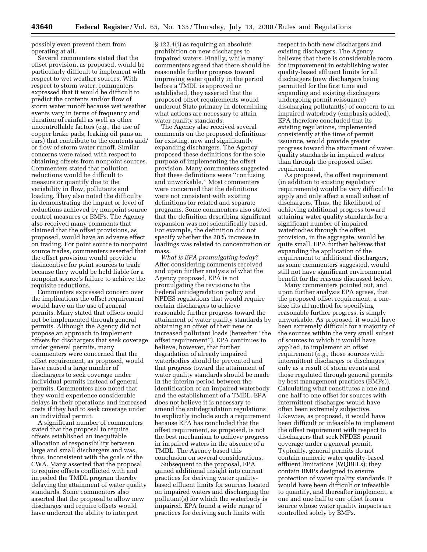possibly even prevent them from operating at all.

Several commenters stated that the offset provision, as proposed, would be particularly difficult to implement with respect to wet weather sources. With respect to storm water, commenters expressed that it would be difficult to predict the contents and/or flow of storm water runoff because wet weather events vary in terms of frequency and duration of rainfall as well as other uncontrollable factors (e.g., the use of copper brake pads, leaking oil pans on cars) that contribute to the contents and/ or flow of storm water runoff. Similar concerns were raised with respect to obtaining offsets from nonpoint sources. Commenters stated that pollution reductions would be difficult to measure or quantify due to the variability in flow, pollutants and loading. They also noted the difficulty in demonstrating the impact or level of reductions achieved by nonpoint source control measures or BMPs. The Agency also received many comments that claimed that the offset provisions, as proposed, would have an adverse effect on trading. For point source to nonpoint source trades, commenters asserted that the offset provision would provide a disincentive for point sources to trade because they would be held liable for a nonpoint source's failure to achieve the requisite reductions.

Commenters expressed concern over the implications the offset requirement would have on the use of general permits. Many stated that offsets could not be implemented through general permits. Although the Agency did not propose an approach to implement offsets for dischargers that seek coverage under general permits, many commenters were concerned that the offset requirement, as proposed, would have caused a large number of dischargers to seek coverage under individual permits instead of general permits. Commenters also noted that they would experience considerable delays in their operations and increased costs if they had to seek coverage under an individual permit.

A significant number of commenters stated that the proposal to require offsets established an inequitable allocation of responsibility between large and small dischargers and was, thus, inconsistent with the goals of the CWA. Many asserted that the proposal to require offsets conflicted with and impeded the TMDL program thereby delaying the attainment of water quality standards. Some commenters also asserted that the proposal to allow new discharges and require offsets would have undercut the ability to interpret

§ 122.4(i) as requiring an absolute prohibition on new discharges to impaired waters. Finally, while many commenters agreed that there should be reasonable further progress toward improving water quality in the period before a TMDL is approved or established, they asserted that the proposed offset requirements would undercut State primacy in determining what actions are necessary to attain water quality standards.

The Agency also received several comments on the proposed definitions for existing, new and significantly expanding dischargers. The Agency proposed these definitions for the sole purpose of implementing the offset provision. Many commenters suggested that these definitions were ''confusing and unworkable.'' Most commenters were concerned that the definitions were not consistent with existing definitions for related and separate programs. Some commenters also stated that the definition describing significant expansion was not scientifically based. For example, the definition did not specify whether the 20% increase in loadings was related to concentration or mass.

*What is EPA promulgating today?* After considering comments received and upon further analysis of what the Agency proposed, EPA is not promulgating the revisions to the Federal antidegradation policy and NPDES regulations that would require certain dischargers to achieve reasonable further progress toward the attainment of water quality standards by obtaining an offset of their new or increased pollutant loads (hereafter ''the offset requirement''). EPA continues to believe, however, that further degradation of already impaired waterbodies should be prevented and that progress toward the attainment of water quality standards should be made in the interim period between the identification of an impaired waterbody and the establishment of a TMDL. EPA does not believe it is necessary to amend the antidegradation regulations to explicitly include such a requirement because EPA has concluded that the offset requirement, as proposed, is not the best mechanism to achieve progress in impaired waters in the absence of a TMDL. The Agency based this conclusion on several considerations.

Subsequent to the proposal, EPA gained additional insight into current practices for deriving water qualitybased effluent limits for sources located on impaired waters and discharging the pollutant(s) for which the waterbody is impaired. EPA found a wide range of practices for deriving such limits with

respect to both new dischargers and existing dischargers. The Agency believes that there is considerable room for improvement in establishing water quality-based effluent limits for all dischargers (new dischargers being permitted for the first time and expanding and existing dischargers undergoing permit reissuance) discharging pollutant(s) of concern to an impaired waterbody (emphasis added). EPA therefore concluded that its existing regulations, implemented consistently at the time of permit issuance, would provide greater progress toward the attainment of water quality standards in impaired waters than through the proposed offset requirement.

As proposed, the offset requirement (in addition to existing regulatory requirements) would be very difficult to apply and only affect a small subset of dischargers. Thus, the likelihood of achieving additional progress toward attaining water quality standards for a significant number of impaired waterbodies through the offset provision, in the aggregate, would be quite small. EPA further believes that expanding the application of the requirement to additional dischargers, as some commenters suggested, would still not have significant environmental benefit for the reasons discussed below.

Many commenters pointed out, and upon further analysis EPA agrees, that the proposed offset requirement, a onesize fits all method for specifying reasonable further progress, is simply unworkable. As proposed, it would have been extremely difficult for a majority of the sources within the very small subset of sources to which it would have applied, to implement an offset requirement (*e.g.,* those sources with intermittent discharges or discharges only as a result of storm events and those regulated through general permits by best management practices (BMPs)). Calculating what constitutes a one and one half to one offset for sources with intermittent discharges would have often been extremely subjective. Likewise, as proposed, it would have been difficult or infeasible to implement the offset requirement with respect to dischargers that seek NPDES permit coverage under a general permit. Typically, general permits do not contain numeric water quality-based effluent limitations (WQBELs); they contain BMPs designed to ensure protection of water quality standards. It would have been difficult or infeasible to quantify, and thereafter implement, a one and one half to one offset from a source whose water quality impacts are controlled solely by BMPs.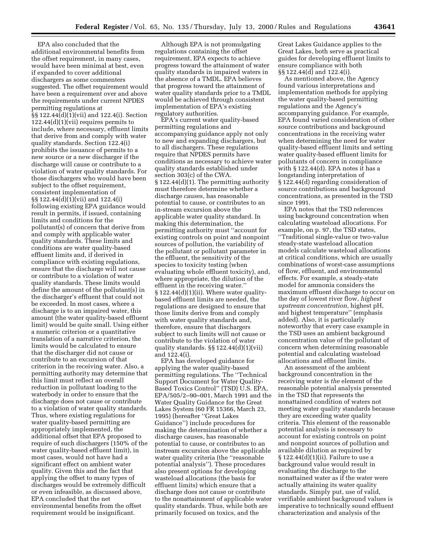EPA also concluded that the additional environmental benefits from the offset requirement, in many cases, would have been minimal at best, even if expanded to cover additional dischargers as some commenters suggested. The offset requirement would have been a requirement over and above the requirements under current NPDES permitting regulations at §§ 122.44(d)(1)(vii) and 122.4(i). Section 122.44(d)(1)(vii) requires permits to include, where necessary, effluent limits that derive from and comply with water quality standards. Section 122.4(i) prohibits the issuance of permits to a new source or a new discharger if the discharge will cause or contribute to a violation of water quality standards. For those dischargers who would have been subject to the offset requirement, consistent implementation of §§ 122.44(d)(1)(vii) and 122.4(i) following existing EPA guidance would result in permits, if issued, containing limits and conditions for the pollutant(s) of concern that derive from and comply with applicable water quality standards. These limits and conditions are water quality-based effluent limits and, if derived in compliance with existing regulations, ensure that the discharge will not cause or contribute to a violation of water quality standards. These limits would define the amount of the pollutant(s) in the discharger's effluent that could not be exceeded. In most cases, where a discharge is to an impaired water, this amount (the water quality-based effluent limit) would be quite small. Using either a numeric criterion or a quantitative translation of a narrative criterion, the limits would be calculated to ensure that the discharger did not cause or contribute to an excursion of that criterion in the receiving water. Also, a permitting authority may determine that this limit must reflect an overall reduction in pollutant loading to the waterbody in order to ensure that the discharge does not cause or contribute to a violation of water quality standards. Thus, where existing regulations for water quality-based permitting are appropriately implemented, the additional offset that EPA proposed to require of such dischargers (150% of the water quality-based effluent limit), in most cases, would not have had a significant effect on ambient water quality. Given this and the fact that applying the offset to many types of discharges would be extremely difficult or even infeasible, as discussed above, EPA concluded that the net environmental benefits from the offset requirement would be insignificant.

Although EPA is not promulgating regulations containing the offset requirement, EPA expects to achieve progress toward the attainment of water quality standards in impaired waters in the absence of a TMDL. EPA believes that progress toward the attainment of water quality standards prior to a TMDL would be achieved through consistent implementation of EPA's existing regulatory authorities.

EPA's current water quality-based permitting regulations and accompanying guidance apply not only to new and expanding dischargers, but to all dischargers. These regulations require that NPDES permits have conditions as necessary to achieve water quality standards established under section 303(c) of the CWA. § 122.44(d)(1). The permitting authority must therefore determine whether a discharge causes, has reasonable potential to cause, or contributes to an in-stream excursion above the applicable water quality standard. In making this determination, the permitting authority must ''account for existing controls on point and nonpoint sources of pollution, the variability of the pollutant or pollutant parameter in the effluent, the sensitivity of the species to toxicity testing (when evaluating whole effluent toxicity), and, where appropriate, the dilution of the effluent in the receiving water.'' § 122.44(d)(1)(ii). Where water qualitybased effluent limits are needed, the regulations are designed to ensure that those limits derive from and comply with water quality standards and, therefore, ensure that dischargers subject to such limits will not cause or contribute to the violation of water quality standards. §§ 122.44(d)(1)(vii) and 122.4(i).

EPA has developed guidance for applying the water quality-based permitting regulations. The ''Technical Support Document for Water Quality-Based Toxics Control'' (TSD) U.S. EPA, EPA/505/2–90–001, March 1991 and the Water Quality Guidance for the Great Lakes System (60 FR 15366, March 23, 1995) (hereafter ''Great Lakes Guidance'') include procedures for making the determination of whether a discharge causes, has reasonable potential to cause, or contributes to an instream excursion above the applicable water quality criteria (the ''reasonable potential analysis''). These procedures also present options for developing wasteload allocations (the basis for effluent limits) which ensure that a discharge does not cause or contribute to the nonattainment of applicable water quality standards. Thus, while both are primarily focused on toxics, and the

Great Lakes Guidance applies to the Great Lakes, both serve as practical guides for developing effluent limits to ensure compliance with both §§ 122.44(d) and 122.4(i).

As mentioned above, the Agency found various interpretations and implementation methods for applying the water quality-based permitting regulations and the Agency's accompanying guidance. For example, EPA found varied consideration of other source contributions and background concentrations in the receiving water when determining the need for water quality-based effluent limits and setting water quality-based effluent limits for pollutants of concern in compliance with § 122.44(d). EPA notes it has a longstanding interpretation of § 122.44(d) regarding consideration of source contributions and background concentrations, as presented in the TSD since 1991.

EPA notes that the TSD references using background concentration when calculating wasteload allocations. For example, on p. 97, the TSD states, ''Traditional single-value or two-value steady-state wasteload allocation models calculate wasteload allocations at critical conditions, which are usually combinations of worst-case assumptions of flow, effluent, and environmental effects. For example, a steady-state model for ammonia considers the maximum effluent discharge to occur on the day of lowest river flow, *highest upstream concentration,* highest pH, and highest temperature'' (emphasis added). Also, it is particularly noteworthy that every case example in the TSD uses an ambient background concentration value of the pollutant of concern when determining reasonable potential and calculating wasteload allocations and effluent limits.

An assessment of the ambient background concentration in the receiving water is *the* element of the reasonable potential analysis presented in the TSD that represents the nonattained condition of waters not meeting water quality standards because they are exceeding water quality criteria. This element of the reasonable potential analysis is necessary to account for existing controls on point and nonpoint sources of pollution and available dilution as required by § 122.44(d)(1)(ii). Failure to use a background value would result in evaluating the discharge to the nonattained water as if the water were actually attaining its water quality standards. Simply put, use of valid, verifiable ambient background values is imperative to technically sound effluent characterization and analysis of the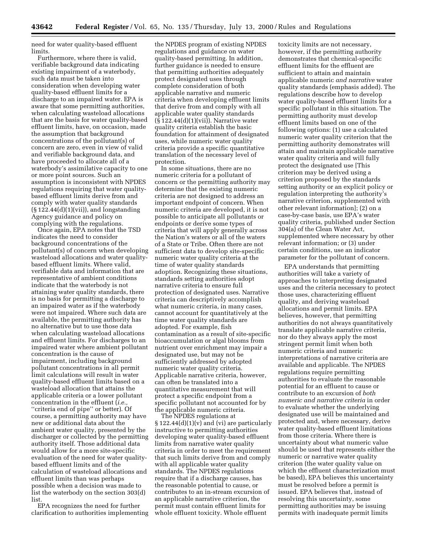need for water quality-based effluent limits.

Furthermore, where there is valid, verifiable background data indicating existing impairment of a waterbody, such data must be taken into consideration when developing water quality-based effluent limits for a discharge to an impaired water. EPA is aware that some permitting authorities, when calculating wasteload allocations that are the basis for water quality-based effluent limits, have, on occasion, made the assumption that background concentrations of the pollutant(s) of concern are zero, even in view of valid and verifiable background data, and have proceeded to allocate all of a waterbody's assimilative capacity to one or more point sources. Such an assumption is inconsistent with NPDES regulations requiring that water qualitybased effluent limits derive from and comply with water quality standards  $(S<sub>122.44(d)(1)(vii))</sub>$ , and longstanding Agency guidance and policy on complying with the regulations.

Once again, EPA notes that the TSD indicates the need to consider background concentrations of the pollutant(s) of concern when developing wasteload allocations and water qualitybased effluent limits. Where valid, verifiable data and information that are representative of ambient conditions indicate that the waterbody is not attaining water quality standards, there is no basis for permitting a discharge to an impaired water as if the waterbody were not impaired. Where such data are available, the permitting authority has no alternative but to use those data when calculating wasteload allocations and effluent limits. For discharges to an impaired water where ambient pollutant concentration is the cause of impairment, including background pollutant concentrations in all permit limit calculations will result in water quality-based effluent limits based on a wasteload allocation that attains the applicable criteria or a lower pollutant concentration in the effluent (*i.e.,* ''criteria end of pipe'' or better). Of course, a permitting authority may have new or additional data about the ambient water quality, presented by the discharger or collected by the permitting authority itself. Those additional data would allow for a more site-specific evaluation of the need for water qualitybased effluent limits and of the calculation of wasteload allocations and effluent limits than was perhaps possible when a decision was made to list the waterbody on the section 303(d) list.

EPA recognizes the need for further clarification to authorities implementing

the NPDES program of existing NPDES regulations and guidance on water quality-based permitting. In addition, further guidance is needed to ensure that permitting authorities adequately protect designated uses through complete consideration of both applicable narrative and numeric criteria when developing effluent limits that derive from and comply with all applicable water quality standards (§ 122.44(d)(1)(vii)). Narrative water quality criteria establish the basic foundation for attainment of designated uses, while numeric water quality criteria provide a specific quantitative translation of the necessary level of protection.

In some situations, there are no numeric criteria for a pollutant of concern or the permitting authority may determine that the existing numeric criteria are not designed to address an important endpoint of concern. When numeric criteria are developed, it is not possible to anticipate all pollutants or endpoints or derive some types of criteria that will apply generally across the Nation's waters or all of the waters of a State or Tribe. Often there are not sufficient data to develop site-specific numeric water quality criteria at the time of water quality standards adoption. Recognizing these situations, standards setting authorities adopt narrative criteria to ensure full protection of designated uses. Narrative criteria can descriptively accomplish what numeric criteria, in many cases, cannot account for quantitatively at the time water quality standards are adopted. For example, fish contamination as a result of site-specific bioaccumulation or algal blooms from nutrient over enrichment may impair a designated use, but may not be sufficiently addressed by adopted numeric water quality criteria. Applicable narrative criteria, however, can often be translated into a quantitative measurement that will protect a specific endpoint from a specific pollutant not accounted for by the applicable numeric criteria.

The NPDES regulations at  $\S 122.44(d)(1)(v)$  and (vi) are particularly instructive to permitting authorities developing water quality-based effluent limits from narrative water quality criteria in order to meet the requirement that such limits derive from and comply with all applicable water quality standards. The NPDES regulations require that if a discharge causes, has the reasonable potential to cause, or contributes to an in-stream excursion of an applicable narrative criterion, the permit must contain effluent limits for whole effluent toxicity. Whole effluent

toxicity limits are not necessary, however, if the permitting authority demonstrates that chemical-specific effluent limits for the effluent are sufficient to attain and maintain applicable numeric *and narrative* water quality standards (emphasis added). The regulations describe how to develop water quality-based effluent limits for a specific pollutant in this situation. The permitting authority must develop effluent limits based on one of the following options: (1) use a calculated numeric water quality criterion that the permitting authority demonstrates will attain and maintain applicable narrative water quality criteria and will fully protect the designated use [This criterion may be derived using a criterion proposed by the standards setting authority or an explicit policy or regulation interpreting the authority's narrative criterion, supplemented with other relevant information]; (2) on a case-by-case basis, use EPA's water quality criteria, published under Section 304(a) of the Clean Water Act, supplemented where necessary by other relevant information; or (3) under certain conditions, use an indicator parameter for the pollutant of concern.

EPA understands that permitting authorities will take a variety of approaches to interpreting designated uses and the criteria necessary to protect those uses, characterizing effluent quality, and deriving wasteload allocations and permit limits. EPA believes, however, that permitting authorities do not always quantitatively translate applicable narrative criteria, nor do they always apply the most stringent permit limit when both numeric criteria and numeric interpretations of narrative criteria are available and applicable. The NPDES regulations require permitting authorities to evaluate the reasonable potential for an effluent to cause or contribute to an excursion of *both numeric and narrative criteria* in order to evaluate whether the underlying designated use will be maintained and protected and, where necessary, derive water quality-based effluent limitations from those criteria. Where there is uncertainty about what numeric value should be used that represents either the numeric or narrative water quality criterion (the water quality value on which the effluent characterization must be based), EPA believes this uncertainty must be resolved before a permit is issued. EPA believes that, instead of resolving this uncertainty, some permitting authorities may be issuing permits with inadequate permit limits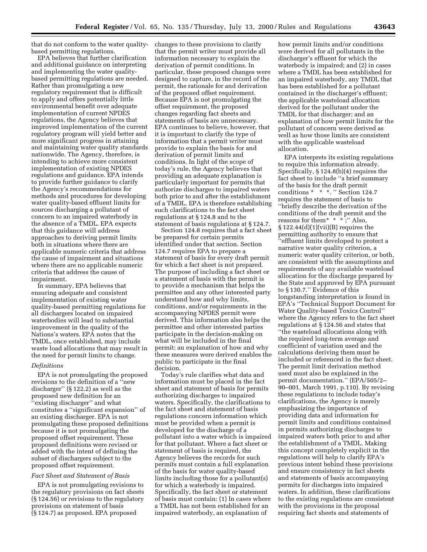that do not conform to the water qualitybased permitting regulations.

EPA believes that further clarification and additional guidance on interpreting and implementing the water qualitybased permitting regulations are needed. Rather than promulgating a new regulatory requirement that is difficult to apply and offers potentially little environmental benefit over adequate implementation of current NPDES regulations, the Agency believes that improved implementation of the current regulatory program will yield better and more significant progress in attaining and maintaining water quality standards nationwide. The Agency, therefore, is intending to achieve more consistent implementation of existing NPDES regulations and guidance. EPA intends to provide further guidance to clarify the Agency's recommendations for methods and procedures for developing water quality-based effluent limits for sources discharging a pollutant of concern to an impaired waterbody in the absence of a TMDL. EPA expects that this guidance will address approaches to deriving permit limits both in situations where there are applicable numeric criteria that address the cause of impairment and situations where there are no applicable numeric criteria that address the cause of impairment.

In summary, EPA believes that ensuring adequate and consistent implementation of existing water quality-based permitting regulations for all dischargers located on impaired waterbodies will lead to substantial improvement in the quality of the Nations's waters. EPA notes that the TMDL, once established, may include waste load allocations that may result in the need for permit limits to change.

#### *Definitions*

EPA is not promulgating the proposed revisions to the definition of a ''new discharger'' (§ 122.2) as well as the proposed new definition for an ''existing discharger'' and what constitutes a ''significant expansion'' of an existing discharger. EPA is not promulgating these proposed definitions because it is not promulgating the proposed offset requirement. These proposed definitions were revised or added with the intent of defining the subset of dischargers subject to the proposed offset requirement.

#### *Fact Sheet and Statement of Basis*

EPA is not promulgating revisions to the regulatory provisions on fact sheets (§ 124.56) or revisions to the regulatory provisions on statement of basis (§ 124.7) as proposed. EPA proposed

changes to these provisions to clarify that the permit writer must provide all information necessary to explain the derivation of permit conditions. In particular, these proposed changes were designed to capture, in the record of the permit, the rationale for and derivation of the proposed offset requirement. Because EPA is not promulgating the offset requirement, the proposed changes regarding fact sheets and statements of basis are unnecessary. EPA continues to believe, however, that it is important to clarify the type of information that a permit writer must provide to explain the basis for and derivation of permit limits and conditions. In light of the scope of today's rule, the Agency believes that providing an adequate explanation is particularly important for permits that authorize discharges to impaired waters both prior to and after the establishment of a TMDL. EPA is therefore establishing such clarifications to the fact sheet regulations at § 124.8 and to the statement of basis regulations at § 124.7.

Section 124.8 requires that a fact sheet be prepared for certain permits identified under that section. Section 124.7 requires EPA to prepare a statement of basis for every draft permit for which a fact sheet is not prepared. The purpose of including a fact sheet or a statement of basis with the permit is to provide a mechanism that helps the permittee and any other interested party understand how and why limits, conditions, and/or requirements in the accompanying NPDES permit were derived. This information also helps the permittee and other interested parties participate in the decision-making on what will be included in the final permit; an explanation of how and why these measures were derived enables the public to participate in the final decision.

Today's rule clarifies what data and information must be placed in the fact sheet and statement of basis for permits authorizing discharges to impaired waters. Specifically, the clarifications to the fact sheet and statement of basis regulations concern information which must be provided when a permit is developed for the discharge of a pollutant into a water which is impaired for that pollutant. Where a fact sheet or statement of basis is required, the Agency believes the records for such permits must contain a full explanation of the basis for water quality-based limits including those for a pollutant(s) for which a waterbody is impaired. Specifically, the fact sheet or statement of basis must contain: (1) In cases where a TMDL has not been established for an impaired waterbody, an explanation of

how permit limits and/or conditions were derived for all pollutants in the discharger's effluent for which the waterbody is impaired; and (2) in cases where a TMDL has been established for an impaired waterbody, any TMDL that has been established for a pollutant contained in the discharger's effluent; the applicable wasteload allocation derived for the pollutant under the TMDL for that discharger; and an explanation of how permit limits for the pollutant of concern were derived as well as how those limits are consistent with the applicable wasteload allocation.

EPA interprets its existing regulations to require this information already. Specifically, § 124.8(b)(4) requires the fact sheet to include ''a brief summary of the basis for the draft permit conditions \* \* \*. '' Section 124.7 requires the statement of basis to ''briefly describe the derivation of the conditions of the draft permit and the reasons for them<sup>\*</sup> \* \*;" Also, § 122.44(d)(1)(vii)(B) requires the permitting authority to ensure that ''effluent limits developed to protect a narrative water quality criterion, a numeric water quality criterion, or both, are consistent with the assumptions and requirements of any available wasteload allocation for the discharge prepared by the State and approved by EPA pursuant to § 130.7.'' Evidence of this longstanding interpretation is found in EPA's ''Technical Support Document for Water Quality-based Toxics Control'' where the Agency refers to the fact sheet regulations at § 124.56 and states that ''the wasteload allocations along with the required long-term average and coefficient of variation used and the calculations deriving them must be included or referenced in the fact sheet. The permit limit derivation method used must also be explained in the permit documentation.'' (EPA/505/2– 90–001, March 1991, p.110). By revising these regulations to include today's clarifications, the Agency is merely emphasizing the importance of providing data and information for permit limits and conditions contained in permits authorizing discharges to impaired waters both prior to and after the establishment of a TMDL. Making this concept completely explicit in the regulations will help to clarify EPA's previous intent behind these provisions and ensure consistency in fact sheets and statements of basis accompanying permits for discharges into impaired waters. In addition, these clarifications to the existing regulations are consistent with the provisions in the proposal requiring fact sheets and statements of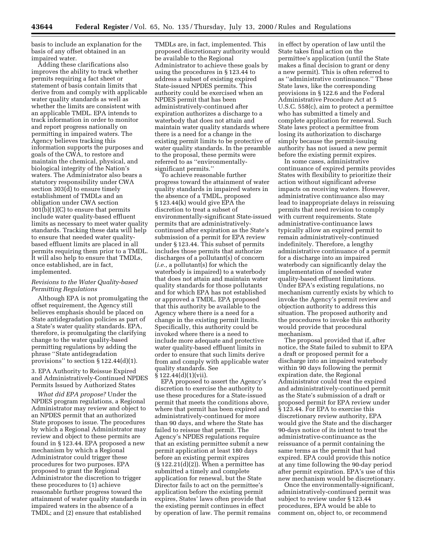basis to include an explanation for the basis of any offset obtained in an impaired water.

Adding these clarifications also improves the ability to track whether permits requiring a fact sheet or statement of basis contain limits that derive from and comply with applicable water quality standards as well as whether the limits are consistent with an applicable TMDL. EPA intends to track information in order to monitor and report progress nationally on permitting in impaired waters. The Agency believes tracking this information supports the purposes and goals of the CWA, to restore and maintain the chemical, physical, and biological integrity of the Nation's waters. The Administrator also bears a statutory responsibility under CWA section 303(d) to ensure timely establishment of TMDLs and an obligation under CWA section 301(b)(1)(C) to ensure that permits include water quality-based effluent limits as necessary to meet water quality standards. Tracking these data will help to ensure that needed water qualitybased effluent limits are placed in all permits requiring them prior to a TMDL. It will also help to ensure that TMDLs, once established, are in fact, implemented.

# *Revisions to the Water Quality-based Permitting Regulations*

Although EPA is not promulgating the offset requirement, the Agency still believes emphasis should be placed on State antidegradation policies as part of a State's water quality standards. EPA, therefore, is promulgating the clarifying change to the water quality-based permitting regulations by adding the phrase ''State antidegradation provisions" to section  $\S 122.44(d)(1)$ .

3. EPA Authority to Reissue Expired and Administratively-Continued NPDES Permits Issued by Authorized States

*What did EPA propose?* Under the NPDES program regulations, a Regional Administrator may review and object to an NPDES permit that an authorized State proposes to issue. The procedures by which a Regional Administrator may review and object to these permits are found in § 123.44. EPA proposed a new mechanism by which a Regional Administrator could trigger these procedures for two purposes. EPA proposed to grant the Regional Administrator the discretion to trigger these procedures to (1) achieve reasonable further progress toward the attainment of water quality standards in impaired waters in the absence of a TMDL; and (2) ensure that established

TMDLs are, in fact, implemented. This proposed discretionary authority would be available to the Regional Administrator to achieve these goals by using the procedures in § 123.44 to address a subset of existing expired State-issued NPDES permits. This authority could be exercised when an NPDES permit that has been administratively-continued after expiration authorizes a discharge to a waterbody that does not attain and maintain water quality standards where there is a need for a change in the existing permit limits to be protective of water quality standards. In the preamble to the proposal, these permits were referred to as ''environmentallysignificant permits.''

To achieve reasonable further progress toward the attainment of water quality standards in impaired waters in the absence of a TMDL, proposed § 123.44(k) would give EPA the discretion to treat a subset of environmentally-significant State-issued permits that are administrativelycontinued after expiration as the State's submission of a permit for EPA review under § 123.44. This subset of permits includes those permits that authorize discharges of a pollutant(s) of concern (*i.e.,* a pollutant(s) for which the waterbody is impaired) to a waterbody that does not attain and maintain water quality standards for those pollutants and for which EPA has not established or approved a TMDL. EPA proposed that this authority be available to the Agency where there is a need for a change in the existing permit limits. Specifically, this authority could be invoked where there is a need to include more adequate and protective water quality-based effluent limits in order to ensure that such limits derive from and comply with applicable water quality standards. See § 122.44(d)(1)(vii).

EPA proposed to assert the Agency's discretion to exercise the authority to use these procedures for a State-issued permit that meets the conditions above, where that permit has been expired and administratively-continued for more than 90 days, and where the State has failed to reissue that permit. The Agency's NPDES regulations require that an existing permittee submit a new permit application at least 180 days before an existing permit expires  $(S 122.21(d)(2))$ . When a permittee has submitted a timely and complete application for renewal, but the State Director fails to act on the permittee's application before the existing permit expires, States' laws often provide that the existing permit continues in effect by operation of law. The permit remains

in effect by operation of law until the State takes final action on the permittee's application (until the State makes a final decision to grant or deny a new permit). This is often referred to as ''administrative continuance.'' These State laws, like the corresponding provisions in § 122.6 and the Federal Administrative Procedure Act at 5 U.S.C. 558(c), aim to protect a permittee who has submitted a timely and complete application for renewal. Such State laws protect a permittee from losing its authorization to discharge simply because the permit-issuing authority has not issued a new permit before the existing permit expires.

In some cases, administrative continuance of expired permits provides States with flexibility to prioritize their action without significant adverse impacts on receiving waters. However, administrative continuance also may lead to inappropriate delays in reissuing permits that need revision to comply with current requirements. State administrative-continuance laws typically allow an expired permit to remain administratively-continued indefinitely. Therefore, a lengthy administrative continuance of a permit for a discharge into an impaired waterbody can significantly delay the implementation of needed water quality-based effluent limitations. Under EPA's existing regulations, no mechanism currently exists by which to invoke the Agency's permit review and objection authority to address this situation. The proposed authority and the procedures to invoke this authority would provide that procedural mechanism.

The proposal provided that if, after notice, the State failed to submit to EPA a draft or proposed permit for a discharge into an impaired waterbody within 90 days following the permit expiration date, the Regional Administrator could treat the expired and administratively-continued permit as the State's submission of a draft or proposed permit for EPA review under § 123.44. For EPA to exercise this discretionary review authority, EPA would give the State and the discharger 90-days notice of its intent to treat the administrative-continuance as the reissuance of a permit containing the same terms as the permit that had expired. EPA could provide this notice at any time following the 90-day period after permit expiration. EPA's use of this new mechanism would be discretionary.

Once the environmentally-significant, administratively-continued permit was subject to review under § 123.44 procedures, EPA would be able to comment on, object to, or recommend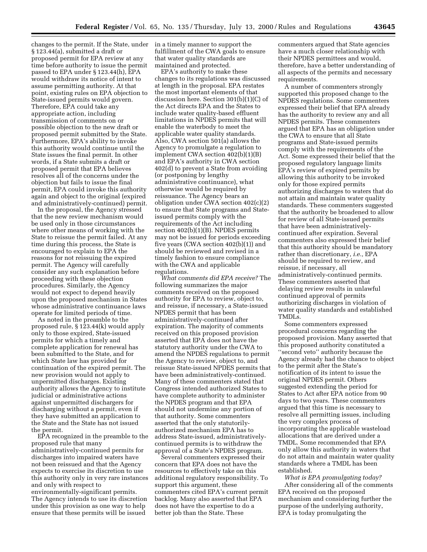changes to the permit. If the State, under § 123.44(a), submitted a draft or proposed permit for EPA review at any time before authority to issue the permit passed to EPA under § 123.44(h), EPA would withdraw its notice of intent to assume permitting authority. At that point, existing rules on EPA objection to State-issued permits would govern. Therefore, EPA could take any appropriate action, including transmission of comments on or possible objection to the new draft or proposed permit submitted by the State. Furthermore, EPA's ability to invoke this authority would continue until the State issues the final permit. In other words, if a State submits a draft or proposed permit that EPA believes resolves all of the concerns under the objection but fails to issue the final permit, EPA could invoke this authority again and object to the original (expired and administratively-continued) permit.

In the proposal, the Agency stressed that the new review mechanism would be used only in those circumstances where other means of working with the State to reissue the permit failed. At any time during this process, the State is encouraged to explain to EPA the reasons for not reissuing the expired permit. The Agency will carefully consider any such explanation before proceeding with these objection procedures. Similarly, the Agency would not expect to depend heavily upon the proposed mechanism in States whose administrative continuance laws operate for limited periods of time.

As noted in the preamble to the proposed rule, § 123.44(k) would apply only to those expired, State-issued permits for which a timely and complete application for renewal has been submitted to the State, and for which State law has provided for continuation of the expired permit. The new provision would not apply to unpermitted discharges. Existing authority allows the Agency to institute judicial or administrative actions against unpermitted dischargers for discharging without a permit, even if they have submitted an application to the State and the State has not issued the permit.

EPA recognized in the preamble to the proposed rule that many administratively-continued permits for discharges into impaired waters have not been reissued and that the Agency expects to exercise its discretion to use this authority only in very rare instances and only with respect to environmentally-significant permits. The Agency intends to use its discretion under this provision as one way to help ensure that these permits will be issued

in a timely manner to support the fulfillment of the CWA goals to ensure that water quality standards are maintained and protected.

EPA's authority to make these changes to its regulations was discussed at length in the proposal. EPA restates the most important elements of that discussion here. Section 301(b)(1)(C) of the Act directs EPA and the States to include water quality-based effluent limitations in NPDES permits that will enable the waterbody to meet the applicable water quality standards. Also, CWA section 501(a) allows the Agency to promulgate a regulation to implement CWA section 402(b)(1)(B) and EPA's authority in CWA section 402(d) to prevent a State from avoiding (or postponing by lengthy administrative continuance), what otherwise would be required by reissuance. The Agency bears an obligation under CWA section 402(c)(2) to ensure that State programs and Stateissued permits comply with the requirements of the Act including section 402(b)(1)(B). NPDES permits may not be issued for periods exceeding five years (CWA section 402(b)(1)) and should be reviewed and revised in a timely fashion to ensure compliance with the CWA and applicable regulations.

*What comments did EPA receive?* The following summarizes the major comments received on the proposed authority for EPA to review, object to, and reissue, if necessary, a State-issued NPDES permit that has been administratively-continued after expiration. The majority of comments received on this proposed provision asserted that EPA does not have the statutory authority under the CWA to amend the NPDES regulations to permit the Agency to review, object to, and reissue State-issued NPDES permits that have been administratively-continued. Many of these commenters stated that Congress intended authorized States to have complete authority to administer the NPDES program and that EPA should not undermine any portion of that authority. Some commenters asserted that the only statutorilyauthorized mechanism EPA has to address State-issued, administrativelycontinued permits is to withdraw the approval of a State's NPDES program.

Several commenters expressed their concern that EPA does not have the resources to effectively take on this additional regulatory responsibility. To support this argument, these commenters cited EPA's current permit backlog. Many also asserted that EPA does not have the expertise to do a better job than the State. These

commenters argued that State agencies have a much closer relationship with their NPDES permittees and would, therefore, have a better understanding of all aspects of the permits and necessary requirements.

A number of commenters strongly supported this proposed change to the NPDES regulations. Some commenters expressed their belief that EPA already has the authority to review any and all NPDES permits. These commenters argued that EPA has an obligation under the CWA to ensure that all State programs and State-issued permits comply with the requirements of the Act. Some expressed their belief that the proposed regulatory language limits EPA's review of expired permits by allowing this authority to be invoked only for those expired permits authorizing discharges to waters that do not attain and maintain water quality standards. These commenters suggested that the authority be broadened to allow for review of all State-issued permits that have been administrativelycontinued after expiration. Several commenters also expressed their belief that this authority should be mandatory rather than discretionary, *i.e.,* EPA should be required to review, and reissue, if necessary, all administratively-continued permits. These commenters asserted that delaying review results in unlawful continued approval of permits authorizing discharges in violation of water quality standards and established TMDLs.

Some commenters expressed procedural concerns regarding the proposed provision. Many asserted that this proposed authority constituted a ''second veto'' authority because the Agency already had the chance to object to the permit after the State's notification of its intent to issue the original NPDES permit. Others suggested extending the period for States to Act after EPA notice from 90 days to two years. These commenters argued that this time is necessary to resolve all permitting issues, including the very complex process of incorporating the applicable wasteload allocations that are derived under a TMDL. Some recommended that EPA only allow this authority in waters that do not attain and maintain water quality standards where a TMDL has been established.

*What is EPA promulgating today?* After considering all of the comments EPA received on the proposed mechanism and considering further the purpose of the underlying authority, EPA is today promulgating the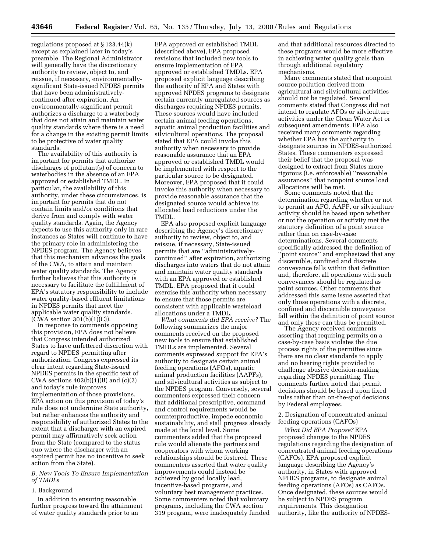regulations proposed at § 123.44(k) except as explained later in today's preamble. The Regional Administrator will generally have the discretionary authority to review, object to, and reissue, if necessary, environmentallysignificant State-issued NPDES permits that have been administrativelycontinued after expiration. An environmentally-significant permit authorizes a discharge to a waterbody that does not attain and maintain water quality standards where there is a need for a change in the existing permit limits to be protective of water quality standards.

The availability of this authority is important for permits that authorize discharges of pollutant(s) of concern to waterbodies in the absence of an EPA approved or established TMDL. In particular, the availability of this authority, under these circumstances, is important for permits that do not contain limits and/or conditions that derive from and comply with water quality standards. Again, the Agency expects to use this authority only in rare instances as States will continue to have the primary role in administering the NPDES program. The Agency believes that this mechanism advances the goals of the CWA, to attain and maintain water quality standards. The Agency further believes that this authority is necessary to facilitate the fulfillment of EPA's statutory responsibility to include water quality-based effluent limitations in NPDES permits that meet the applicable water quality standards.  $(CWA section 301(b)(1)(C)).$ 

In response to comments opposing this provision, EPA does not believe that Congress intended authorized States to have unfettered discretion with regard to NPDES permitting after authorization. Congress expressed its clear intent regarding State-issued NPDES permits in the specific text of CWA sections  $402(b)(1)(B)$  and  $(c)(2)$ and today's rule improves implementation of those provisions. EPA action on this provision of today's rule does not undermine State authority, but rather enhances the authority and responsibility of authorized States to the extent that a discharger with an expired permit may affirmatively seek action from the State (compared to the status quo where the discharger with an expired permit has no incentive to seek action from the State).

# *B. New Tools To Ensure Implementation of TMDLs*

#### 1. Background

In addition to ensuring reasonable further progress toward the attainment of water quality standards prior to an

EPA approved or established TMDL (described above), EPA proposed revisions that included new tools to ensure implementation of EPA approved or established TMDLs. EPA proposed explicit language describing the authority of EPA and States with approved NPDES programs to designate certain currently unregulated sources as discharges requiring NPDES permits. These sources would have included certain animal feeding operations, aquatic animal production facilities and silvicultural operations. The proposal stated that EPA could invoke this authority when necessary to provide reasonable assurance that an EPA approved or established TMDL would be implemented with respect to the particular source to be designated. Moreover, EPA proposed that it could invoke this authority when necessary to provide reasonable assurance that the designated source would achieve its allocated load reductions under the TMDL.

EPA also proposed explicit language describing the Agency's discretionary authority to review, object to, and reissue, if necessary, State-issued permits that are ''administrativelycontinued'' after expiration, authorizing discharges into waters that do not attain and maintain water quality standards with an EPA approved or established TMDL. EPA proposed that it could exercise this authority when necessary to ensure that those permits are consistent with applicable wasteload allocations under a TMDL.

*What comments did EPA receive?* The following summarizes the major comments received on the proposed new tools to ensure that established TMDLs are implemented. Several comments expressed support for EPA's authority to designate certain animal feeding operations (AFOs), aquatic animal production facilities (AAPFs), and silvicultural activities as subject to the NPDES program. Conversely, several commenters expressed their concern that additional prescriptive, command and control requirements would be counterproductive, impede economic sustainability, and stall progress already made at the local level. Some commenters added that the proposed rule would alienate the partners and cooperators with whom working relationships should be fostered. These commenters asserted that water quality improvements could instead be achieved by good locally lead, incentive-based programs, and voluntary best management practices. Some commenters noted that voluntary programs, including the CWA section 319 program, were inadequately funded

and that additional resources directed to these programs would be more effective in achieving water quality goals than through additional regulatory mechanisms.

Many comments stated that nonpoint source pollution derived from agricultural and silvicultural activities should not be regulated. Several comments stated that Congress did not intend to regulate AFOs or silviculture activities under the Clean Water Act or subsequent amendments. EPA also received many comments regarding whether EPA has the authority to designate sources in NPDES-authorized States. These commenters expressed their belief that the proposal was designed to extract from States more rigorous (i.e. enforceable) ''reasonable assurances'' that nonpoint source load allocations will be met.

Some comments noted that the determination regarding whether or not to permit an AFO, AAPF, or silviculture activity should be based upon whether or not the operation or activity met the statutory definition of a point source rather than on case-by-case determinations. Several comments specifically addressed the definition of ''point source'' and emphasized that any discernible, confined and discrete conveyance falls within that definition and, therefore, all operations with such conveyances should be regulated as point sources. Other comments that addressed this same issue asserted that only those operations with a discrete, confined and discernible conveyance fall within the definition of point source and only those can thus be permitted. The Agency received comments

asserting that requiring permits on a case-by-case basis violates the due process rights of the permittee since there are no clear standards to apply and no hearing rights provided to challenge abusive decision-making regarding NPDES permitting. The comments further noted that permit decisions should be based upon fixed rules rather than on-the-spot decisions by Federal employees.

2. Designation of concentrated animal feeding operations (CAFOs)

*What Did EPA Propose?* EPA proposed changes to the NPDES regulations regarding the designation of concentrated animal feeding operations (CAFOs). EPA proposed explicit language describing the Agency's authority, in States with approved NPDES programs, to designate animal feeding operations (AFOs) as CAFOs. Once designated, these sources would be subject to NPDES program requirements. This designation authority, like the authority of NPDES-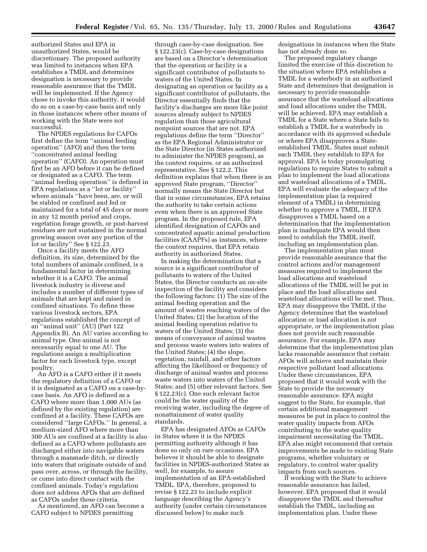authorized States and EPA in unauthorized States, would be discretionary. The proposed authority was limited to instances when EPA establishes a TMDL and determines designation is necessary to provide reasonable assurance that the TMDL will be implemented. If the Agency chose to invoke this authority, it would do so on a case-by-case basis and only in those instances where other means of working with the State were not successful.

The NPDES regulations for CAFOs first define the term ''animal feeding operation'' (AFO) and then the term ''concentrated animal feeding operation'' (CAFO). An operation must first be an AFO before it can be defined or designated as a CAFO. The term ''animal feeding operation'' is defined in EPA regulations as a ''lot or facility'' where animals ''have been, are, or will be stabled or confined and fed or maintained for a total of 45 days or more in any 12 month period and crops, vegetation forage growth, or post-harvest residues are not sustained in the normal growing season over any portion of the lot or facility'' See § 122.23.

Once a facility meets the AFO definition, its size, determined by the total numbers of animals confined, is a fundamental factor in determining whether it is a CAFO. The animal livestock industry is diverse and includes a number of different types of animals that are kept and raised in confined situations. To define these various livestock sectors, EPA regulations established the concept of an ''animal unit'' (AU) (Part 122 Appendix B). An AU varies according to animal type. One animal is not necessarily equal to one AU. The regulations assign a multiplication factor for each livestock type, except poultry.

An AFO is a CAFO either if it meets the regulatory definition of a CAFO or it is designated as a CAFO on a case-bycase basis. An AFO is defined as a CAFO where more than 1,000 AUs (as defined by the existing regulation) are confined at a facility. These CAFOs are considered ''large CAFOs.'' In general, a medium-sized AFO where more than 300 AUs are confined at a facility is also defined as a CAFO where pollutants are discharged either into navigable waters through a manmade ditch, or directly into waters that originate outside of and pass over, across, or through the facility, or come into direct contact with the confined animals. Today's regulation does not address AFOs that are defined as CAFOs under these criteria.

As mentioned, an AFO can become a CAFO subject to NPDES permitting

through case-by-case designation. See § 122.23(c). Case-by-case designations are based on a Director's determination that the operation or facility is a significant contributor of pollutants to waters of the United States. In designating an operation or facility as a significant contributor of pollutants, the Director essentially finds that the facility's discharges are more like point sources already subject to NPDES regulation than those agricultural nonpoint sources that are not. EPA regulations define the term ''Director'' as the EPA Regional Administrator or the State Director (in States authorized to administer the NPDES program), as the context requires, or an authorized representative. See § 122.2. This definition explains that when there is an approved State program, ''Director'' normally means the State Director but that in some circumstances, EPA retains the authority to take certain actions even when there is an approved State program. In the proposed rule, EPA identified designation of CAFOs and concentrated aquatic animal production facilities (CAAPFs) as instances, where the context requires, that EPA retain authority in authorized States.

In making the determination that a source is a significant contributor of pollutants to waters of the United States, the Director conducts an on-site inspection of the facility and considers the following factors: (1) The size of the animal feeding operation and the amount of wastes reaching waters of the United States; (2) the location of the animal feeding operation relative to waters of the United States; (3) the means of conveyance of animal wastes and process waste waters into waters of the United States; (4) the slope, vegetation, rainfall, and other factors affecting the likelihood or frequency of discharge of animal wastes and process waste waters into waters of the United States; and (5) other relevant factors. See § 122.23(c). One such relevant factor could be the water quality of the receiving water, including the degree of nonattainment of water quality standards.

EPA has designated AFOs as CAFOs in States where it is the NPDES permitting authority although it has done so only on rare occasions. EPA believes it should be able to designate facilities in NPDES-authorized States as well, for example, to assure implementation of an EPA-established TMDL. EPA, therefore, proposed to revise § 122.23 to include explicit language describing the Agency's authority (under certain circumstances discussed below) to make such

designations in instances when the State has not already done so.

The proposed regulatory change limited the exercise of this discretion to the situation where EPA establishes a TMDL for a waterbody in an authorized State and determines that designation is necessary to provide reasonable assurance that the wasteload allocations and load allocations under the TMDL will be achieved. EPA may establish a TMDL for a State where a State fails to establish a TMDL for a waterbody in accordance with its approved schedule or where EPA disapproves a Stateestablished TMDL. States must submit each TMDL they establish to EPA for approval. EPA is today promulgating regulations to require States to submit a plan to implement the load allocations and wasteload allocations of a TMDL. EPA will evaluate the adequacy of the implementation plan (a required element of a TMDL) in determining whether to approve a TMDL. If EPA disapproves a TMDL based on a determination that the implementation plan is inadequate EPA would then need to establish the TMDL itself, including an implementation plan.

The implementation plan must provide reasonable assurance that the control actions and/or management measures required to implement the load allocations and wasteload allocations of the TMDL will be put in place and the load allocations and wasteload allocations will be met. Thus, EPA may disapprove the TMDL if the Agency determines that the wasteload allocation or load allocation is not appropriate, or the implementation plan does not provide such reasonable assurance. For example, EPA may determine that the implementation plan lacks reasonable assurance that certain AFOs will achieve and maintain their respective pollutant load allocations. Under these circumstances, EPA proposed that it would work with the State to provide the necessary reasonable assurance. EPA might suggest to the State, for example, that certain additional management measures be put in place to control the water quality impacts from AFOs contributing to the water quality impairment necessitating the TMDL. EPA also might recommend that certain improvements be made to existing State programs, whether voluntary or regulatory, to control water quality impacts from such sources.

If working with the State to achieve reasonable assurance has failed, however, EPA proposed that it would disapprove the TMDL and thereafter establish the TMDL, including an implementation plan. Under these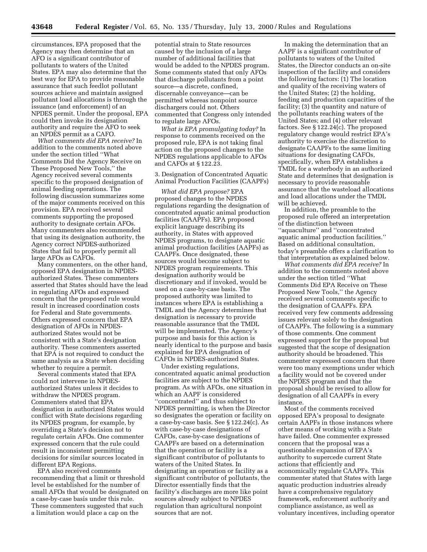circumstances, EPA proposed that the Agency may then determine that an AFO is a significant contributor of pollutants to waters of the United States. EPA may also determine that the best way for EPA to provide reasonable assurance that such feedlot pollutant sources achieve and maintain assigned pollutant load allocations is through the issuance (and enforcement) of an NPDES permit. Under the proposal, EPA could then invoke its designation authority and require the AFO to seek an NPDES permit as a CAFO.

*What comments did EPA receive?* In addition to the comments noted above under the section titled ''What Comments Did the Agency Receive on These Proposed New Tools,'' the Agency received several comments specific to the proposed designation of animal feeding operations. The following discussion summarizes some of the major comments received on this provision. EPA received several comments supporting the proposed authority to designate certain AFOs. Many commenters also recommended that using its designation authority, the Agency correct NPDES-authorized States that fail to properly permit all large AFOs as CAFOs.

Many commenters, on the other hand, opposed EPA designation in NPDESauthorized States. These commenters asserted that States should have the lead in regulating AFOs and expressed concern that the proposed rule would result in increased coordination costs for Federal and State governments. Others expressed concern that EPA designation of AFOs in NPDESauthorized States would not be consistent with a State's designation authority. These commenters asserted that EPA is not required to conduct the same analysis as a State when deciding whether to require a permit.

Several comments stated that EPA could not intervene in NPDESauthorized States unless it decides to withdraw the NPDES program. Commenters stated that EPA designation in authorized States would conflict with State decisions regarding its NPDES program, for example, by overriding a State's decision not to regulate certain AFOs. One commenter expressed concern that the rule could result in inconsistent permitting decisions for similar sources located in different EPA Regions.

EPA also received comments recommending that a limit or threshold level be established for the number of small AFOs that would be designated on a case-by-case basis under this rule. These commenters suggested that such a limitation would place a cap on the

potential strain to State resources caused by the inclusion of a large number of additional facilities that would be added to the NPDES program. Some comments stated that only AFOs that discharge pollutants from a point source—a discrete, confined, discernable conveyance—can be permitted whereas nonpoint source dischargers could not. Others commented that Congress only intended to regulate large AFOs.

*What is EPA promulgating today?* In response to comments received on the proposed rule, EPA is not taking final action on the proposed changes to the NPDES regulations applicable to AFOs and CAFOs at § 122.23.

3. Designation of Concentrated Aquatic Animal Production Facilities (CAAPFs)

*What did EPA propose?* EPA proposed changes to the NPDES regulations regarding the designation of concentrated aquatic animal production facilities (CAAPFs). EPA proposed explicit language describing its authority, in States with approved NPDES programs, to designate aquatic animal production facilities (AAPFs) as CAAPFs. Once designated, these sources would become subject to NPDES program requirements. This designation authority would be discretionary and if invoked, would be used on a case-by-case basis. The proposed authority was limited to instances where EPA is establishing a TMDL and the Agency determines that designation is necessary to provide reasonable assurance that the TMDL will be implemented. The Agency's purpose and basis for this action is nearly identical to the purpose and basis explained for EPA designation of CAFOs in NPDES-authorized States.

Under existing regulations, concentrated aquatic animal production facilities are subject to the NPDES program. As with AFOs, one situation in which an AAPF is considered ''concentrated'' and thus subject to NPDES permitting, is when the Director so designates the operation or facility on a case-by-case basis. See § 122.24(c). As with case-by-case designations of CAFOs, case-by-case designations of CAAPFs are based on a determination that the operation or facility is a significant contributor of pollutants to waters of the United States. In designating an operation or facility as a significant contributor of pollutants, the Director essentially finds that the facility's discharges are more like point sources already subject to NPDES regulation than agricultural nonpoint sources that are not.

In making the determination that an AAPF is a significant contributor of pollutants to waters of the United States, the Director conducts an on-site inspection of the facility and considers the following factors: (1) The location and quality of the receiving waters of the United States; (2) the holding, feeding and production capacities of the facility; (3) the quantity and nature of the pollutants reaching waters of the United States; and (4) other relevant factors. See § 122.24(c). The proposed regulatory change would restrict EPA's authority to exercise the discretion to designate CAAPFs to the same limiting situations for designating CAFOs, specifically, when EPA establishes a TMDL for a waterbody in an authorized State and determines that designation is necessary to provide reasonable assurance that the wasteload allocations and load allocations under the TMDL will be achieved.

In addition, the preamble to the proposed rule offered an interpretation of the distinction between ''aquaculture'' and ''concentrated aquatic animal production facilities.'' Based on additional consultation, today's preamble offers a clarification to that interpretation as explained below.

*What comments did EPA receive?* In addition to the comments noted above under the section titled ''What Comments Did EPA Receive on These Proposed New Tools,'' the Agency received several comments specific to the designation of CAAPFs. EPA received very few comments addressing issues relevant solely to the designation of CAAPFs. The following is a summary of those comments. One comment expressed support for the proposal but suggested that the scope of designation authority should be broadened. This commenter expressed concern that there were too many exemptions under which a facility would not be covered under the NPDES program and that the proposal should be revised to allow for designation of all CAAPFs in every instance.

Most of the comments received opposed EPA's proposal to designate certain AAPFs in those instances where other means of working with a State have failed. One commenter expressed concern that the proposal was a questionable expansion of EPA's authority to supercede current State actions that efficiently and economically regulate CAAPFs. This commenter stated that States with large aquatic production industries already have a comprehensive regulatory framework, enforcement authority and compliance assistance, as well as voluntary incentives, including operator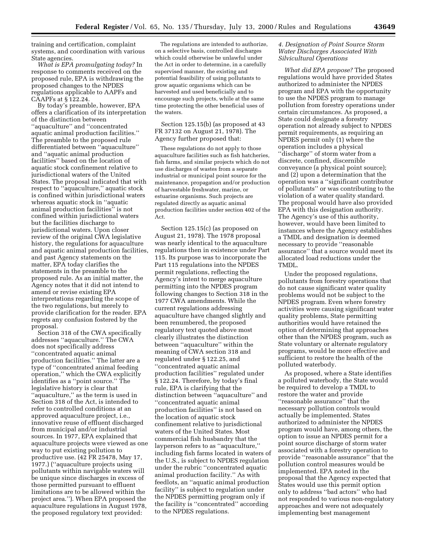training and certification, complaint systems, and coordination with various State agencies.

*What is EPA promulgating today?* In response to comments received on the proposed rule, EPA is withdrawing the proposed changes to the NPDES regulations applicable to AAPFs and CAAPFs at § 122.24.

By today's preamble, however, EPA offers a clarification of its interpretation of the distinction between ''aquaculture'' and ''concentrated aquatic animal production facilities.'' The preamble to the proposed rule differentiated between ''aquaculture'' and ''aquatic animal production facilities'' based on the location of aquatic stock confinement relative to jurisdictional waters of the United States. The proposal indicated that with respect to ''aquaculture,'' aquatic stock is confined within jurisdictional waters whereas aquatic stock in ''aquatic animal production facilities'' is not confined within jurisdictional waters but the facilities discharge to jurisdictional waters. Upon closer review of the original CWA legislative history, the regulations for aquaculture and aquatic animal production facilities, and past Agency statements on the matter, EPA today clarifies the statements in the preamble to the proposed rule. As an initial matter, the Agency notes that it did not intend to amend or revise existing EPA interpretations regarding the scope of the two regulations, but merely to provide clarification for the reader. EPA regrets any confusion fostered by the proposal.

Section 318 of the CWA specifically addresses ''aquaculture.'' The CWA does not specifically address ''concentrated aquatic animal production facilities.'' The latter are a type of ''concentrated animal feeding operation,'' which the CWA explicitly identifies as a ''point source.'' The legislative history is clear that ''aquaculture,'' as the term is used in Section 318 of the Act, is intended to refer to controlled conditions at an approved aquaculture project, i.e., innovative reuse of effluent discharged from municipal and/or industrial sources. In 1977, EPA explained that aquaculture projects were viewed as one way to put existing pollution to productive use. (42 FR 25478, May 17, 1977.) (''aquaculture projects using pollutants within navigable waters will be unique since discharges in excess of those permitted pursuant to effluent limitations are to be allowed within the project area.''). When EPA proposed the aquaculture regulations in August 1978, the proposed regulatory text provided:

The regulations are intended to authorize, on a selective basis, controlled discharges which could otherwise be unlawful under the Act in order to determine, in a carefully supervised manner, the existing and potential feasibility of using pollutants to grow aquatic organisms which can be harvested and used beneficially and to encourage such projects, while at the same time protecting the other beneficial uses of the waters.

Section 125.15(b) (as proposed at 43 FR 37132 on August 21, 1978). The Agency further proposed that:

These regulations do not apply to those aquaculture facilities such as fish hatcheries, fish farms, and similar projects which do not use discharges of wastes from a separate industrial or municipal point source for the maintenance, propagation and/or production of harvestable freshwater, marine, or estuarine organisms. Such projects are regulated directly as aquatic animal production facilities under section 402 of the Act.

Section 125.15(c) (as proposed on August 21, 1978). The 1978 proposal was nearly identical to the aquaculture regulations then in existence under Part 115. Its purpose was to incorporate the Part 115 regulations into the NPDES permit regulations, reflecting the Agency's intent to merge aquaculture permitting into the NPDES program following changes to Section 318 in the 1977 CWA amendments. While the current regulations addressing aquaculture have changed slightly and been renumbered, the proposed regulatory text quoted above most clearly illustrates the distinction between ''aquaculture'' within the meaning of CWA section 318 and regulated under § 122.25, and ''concentrated aquatic animal production facilities'' regulated under § 122.24. Therefore, by today's final rule, EPA is clarifying that the distinction between ''aquaculture'' and ''concentrated aquatic animal production facilities'' is not based on the location of aquatic stock confinement relative to jurisdictional waters of the United States. Most commercial fish husbandry that the layperson refers to as ''aquaculture,'' including fish farms located in waters of the U.S., is subject to NPDES regulation under the rubric ''concentrated aquatic animal production facility.'' As with feedlots, an ''aquatic animal production facility'' is subject to regulation under the NPDES permitting program only if the facility is ''concentrated'' according to the NPDES regulations.

# *4. Designation of Point Source Storm Water Discharges Associated With Silvicultural Operations*

*What did EPA propose?* The proposed regulations would have provided States authorized to administer the NPDES program and EPA with the opportunity to use the NPDES program to manage pollution from forestry operations under certain circumstances. As proposed, a State could designate a forestry operation not already subject to NPDES permit requirements, as requiring an NPDES permit only (1) where the operation includes a physical ''discharge'' of storm water from a discrete, confined, discernible conveyance (a physical point source); and (2) upon a determination that the operation was a ''significant contributor of pollutants'' or was contributing to the violation of a water quality standard. The proposal would have also provided EPA with this designation authority. The Agency's use of this authority, however, would have been limited to instances where the Agency establishes a TMDL and designation is deemed necessary to provide ''reasonable assurance'' that a source would meet its allocated load reductions under the TMDL.

Under the proposed regulations, pollutants from forestry operations that do not cause significant water quality problems would not be subject to the NPDES program. Even where forestry activities were causing significant water quality problems, State permitting authorities would have retained the option of determining that approaches other than the NPDES program, such as State voluntary or alternate regulatory programs, would be more effective and sufficient to restore the health of the polluted waterbody.

As proposed, where a State identifies a polluted waterbody, the State would be required to develop a TMDL to restore the water and provide ''reasonable assurance'' that the necessary pollution controls would actually be implemented. States authorized to administer the NPDES program would have, among others, the option to issue an NPDES permit for a point source discharge of storm water associated with a forestry operation to provide ''reasonable assurance'' that the pollution control measures would be implemented. EPA noted in the proposal that the Agency expected that States would use this permit option only to address ''bad actors'' who had not responded to various non-regulatory approaches and were not adequately implementing best management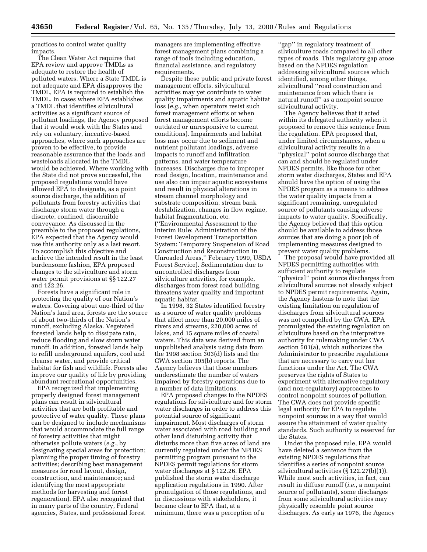practices to control water quality impacts.

The Clean Water Act requires that EPA review and approve TMDLs as adequate to restore the health of polluted waters. Where a State TMDL is not adequate and EPA disapproves the TMDL, EPA is required to establish the TMDL. In cases where EPA establishes a TMDL that identifies silvicultural activities as a significant source of pollutant loadings, the Agency proposed that it would work with the States and rely on voluntary, incentive-based approaches, where such approaches are proven to be effective, to provide reasonable assurance that the loads and wasteloads allocated in the TMDL would be achieved. Where working with the State did not prove successful, the proposed regulations would have allowed EPA to designate, as a point source discharge, the addition of pollutants from forestry activities that discharge storm water through a discrete, confined, discernible conveyance. As discussed in the preamble to the proposed regulations, EPA expected that the Agency would use this authority only as a last resort. To accomplish this objective and achieve the intended result in the least burdensome fashion, EPA proposed changes to the silviculture and storm water permit provisions at §§ 122.27 and 122.26.

Forests have a significant role in protecting the quality of our Nation's waters. Covering about one-third of the Nation's land area, forests are the source of about two-thirds of the Nation's runoff, excluding Alaska. Vegetated forested lands help to dissipate rain, reduce flooding and slow storm water runoff. In addition, forested lands help to refill underground aquifers, cool and cleanse water, and provide critical habitat for fish and wildlife. Forests also improve our quality of life by providing abundant recreational opportunities.

EPA recognized that implementing properly designed forest management plans can result in silvicultural activities that are both profitable and protective of water quality. These plans can be designed to include mechanisms that would accommodate the full range of forestry activities that might otherwise pollute waters (*e.g.*, by designating special areas for protection; planning the proper timing of forestry activities; describing best management measures for road layout, design, construction, and maintenance; and identifying the most appropriate methods for harvesting and forest regeneration). EPA also recognized that in many parts of the country, Federal agencies, States, and professional forest

managers are implementing effective forest management plans combining a range of tools including education, financial assistance, and regulatory requirements.

Despite these public and private forest management efforts, silvicultural activities may yet contribute to water quality impairments and aquatic habitat loss (*e.g.*, when operators resist such forest management efforts or when forest management efforts become outdated or unresponsive to current conditions). Impairments and habitat loss may occur due to sediment and nutrient pollutant loadings, adverse impacts to runoff and infiltration patterns, and water temperature increases. Discharges due to improper road design, location, maintenance and use also can impair aquatic ecosystems and result in physical alterations in stream channel morphology and substrate composition, stream bank destablization, changes in flow regime, habitat fragmentation, etc. (''Environmental Assessment to the Interim Rule: Administration of the Forest Development Transportation System: Temporary Suspension of Road Construction and Reconstruction in Unroaded Areas,'' February 1999, USDA Forest Service). Sedimentation due to uncontrolled discharges from silviculture activities, for example, discharges from forest road building, threatens water quality and important aquatic habitat.

In 1998, 32 States identified forestry as a source of water quality problems that affect more than 20,000 miles of rivers and streams, 220,000 acres of lakes, and 15 square miles of coastal waters. This data was derived from an unpublished analysis using data from the 1998 section 303(d) lists and the CWA section 305(b) reports. The Agency believes that these numbers underestimate the number of waters impaired by forestry operations due to a number of data limitations.

EPA proposed changes to the NPDES regulations for silviculture and for storm water discharges in order to address this potential source of significant impairment. Most discharges of storm water associated with road building and other land disturbing activity that disturbs more than five acres of land are currently regulated under the NPDES permitting program pursuant to the NPDES permit regulations for storm water discharges at § 122.26. EPA published the storm water discharge application regulations in 1990. After promulgation of those regulations, and in discussions with stakeholders, it became clear to EPA that, at a minimum, there was a perception of a

''gap'' in regulatory treatment of silviculture roads compared to all other types of roads. This regulatory gap arose based on the NPDES regulation addressing silvicultural sources which identified, among other things, silvicultural ''road construction and maintenance from which there is natural runoff'' as a nonpoint source silvicultural activity.

The Agency believes that it acted within its delegated authority when it proposed to remove this sentence from the regulation. EPA proposed that, under limited circumstances, when a silvicultural activity results in a ''physical'' point source discharge that can and should be regulated under NPDES permits, like those for other storm water discharges, States and EPA should have the option of using the NPDES program as a means to address the water quality impacts from a significant remaining, unregulated source of pollutants causing adverse impacts to water quality. Specifically, the Agency believed that this option should be available to address those sources that are doing a poor job of implementing measures designed to prevent water quality problems.

The proposal would have provided all NPDES permitting authorities with sufficient authority to regulate ''physical'' point source discharges from silvicultural sources not already subject to NPDES permit requirements. Again, the Agency hastens to note that the existing limitation on regulation of discharges from silvicultural sources was not compelled by the CWA. EPA promulgated the existing regulation on silviculture based on the interpretive authority for rulemaking under CWA section 501(a), which authorizes the Administrator to prescribe regulations that are necessary to carry out her functions under the Act. The CWA preserves the rights of States to experiment with alternative regulatory (and non-regulatory) approaches to control nonpoint sources of pollution. The CWA does not provide specific legal authority for EPA to regulate nonpoint sources in a way that would assure the attainment of water quality standards. Such authority is reserved for the States.

Under the proposed rule, EPA would have deleted a sentence from the existing NPDES regulations that identifies a series of nonpoint source silvicultural activities (§ 122.27(b)(1)). While most such activities, in fact, can result in diffuse runoff (*i.e.*, a nonpoint source of pollutants), some discharges from some silvicultural activities may physically resemble point source discharges. As early as 1976, the Agency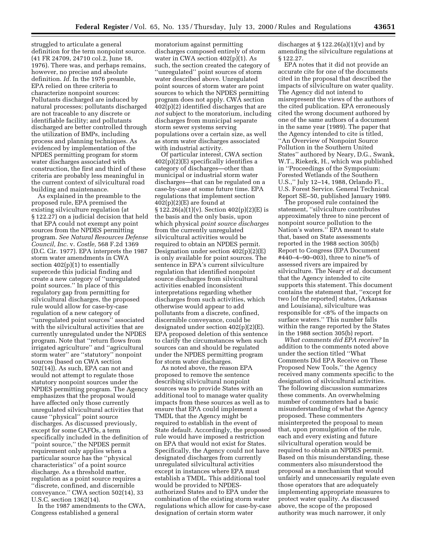struggled to articulate a general definition for the term nonpoint source. (41 FR 24709, 24710 col.2, June 18, 1976). There was, and perhaps remains, however, no precise and absolute definition. *Id.* In the 1976 preamble, EPA relied on three criteria to characterize nonpoint sources: Pollutants discharged are induced by natural processes; pollutants discharged are not traceable to any discrete or identifiable facility; and pollutants discharged are better controlled through the utilization of BMPs, including process and planning techniques. As evidenced by implementation of the NPDES permitting program for storm water discharges associated with construction, the first and third of these criteria are probably less meaningful in the current context of silvicultural road building and maintenance.

As explained in the preamble to the proposed rule, EPA premised the existing silviculture regulation (at § 122.27) on a judicial decision that held that EPA could not exempt any point sources from the NPDES permitting program. *See Natural Resources Defense Council, Inc.* v. *Costle,* 568 F.2d 1369 (D.C. Cir. 1977). EPA interprets the 1987 storm water amendments in CWA section 402(p)(1) to essentially supercede this judicial finding and create a new category of ''unregulated point sources.'' In place of this regulatory gap from permitting for silvicultural discharges, the proposed rule would allow for case-by-case regulation of a new category of ''unregulated point sources'' associated with the silvicultural activities that are currently unregulated under the NPDES program. Note that ''return flows from irrigated agriculture'' and ''agricultural storm water'' are ''statutory'' nonpoint sources (based on CWA section 502(14)). As such, EPA can not and would not attempt to regulate those statutory nonpoint sources under the NPDES permitting program. The Agency emphasizes that the proposal would have affected only those currently unregulated silvicultural activities that cause ''physical'' point source discharges. As discussed previously, except for some CAFOs, a term specifically included in the definition of ''point source,'' the NPDES permit requirement only applies when a particular source has the ''physical characteristics'' of a point source discharge. As a threshold matter, regulation as a point source requires a ''discrete, confined, and discernible conveyance.'' CWA section 502(14), 33 U.S.C. section 1362(14).

In the 1987 amendments to the CWA, Congress established a general

moratorium against permitting discharges composed entirely of storm water in CWA section 402(p)(1). As such, the section created the category of ''unregulated'' point sources of storm water described above. Unregulated point sources of storm water are point sources to which the NPDES permitting program does not apply. CWA section 402(p)(2) identified discharges that are *not* subject to the moratorium, including discharges from municipal separate storm sewer systems serving populations over a certain size, as well as storm water discharges associated with industrial activity.

Of particular interest, CWA section  $402(p)(2)(E)$  specifically identifies a category of discharges—other than municipal or industrial storm water discharges—that can be regulated on a case-by-case at some future time. EPA regulations that implement section  $402(p)(2)(E)$  are found at  $§ 122.26(a)(1)(v)$ . Section 402(p)(2)(E) is the basis and the only basis, upon which physical *point source discharges* from the currently unregulated silvicultural activities would be required to obtain an NPDES permit. Designation under section 402(p)(2)(E) is only available for point sources. The sentence in EPA's current silviculture regulation that identified nonpoint source discharges from silvicultural activities enabled inconsistent interpretations regarding whether discharges from such activities, which otherwise would appear to add pollutants from a discrete, confined, discernible conveyance, could be designated under section 402(p)(2)(E). EPA proposed deletion of this sentence to clarify the circumstances when such sources can and should be regulated under the NPDES permitting program for storm water discharges.

As noted above, the reason EPA proposed to remove the sentence describing silvicultural nonpoint sources was to provide States with an additional tool to manage water quality impacts from these sources as well as to ensure that EPA could implement a TMDL that the Agency might be required to establish in the event of State default. Accordingly, the proposed rule would have imposed a restriction on EPA that would not exist for States. Specifically, the Agency could not have designated discharges from currently unregulated silvicultural activities except in instances where EPA must establish a TMDL. This additional tool would be provided to NPDESauthorized States and to EPA under the combination of the existing storm water regulations which allow for case-by-case designation of certain storm water

discharges at  $\S 122.26(a)(1)(v)$  and by amending the silviculture regulations at § 122.27.

EPA notes that it did not provide an accurate cite for one of the documents cited in the proposal that described the impacts of silviculture on water quality. The Agency did not intend to misrepresent the views of the authors of the cited publication. EPA erroneously cited the wrong document authored by one of the same authors of a document in the same year (1989). The paper that the Agency intended to cite is titled, ''An Overview of Nonpoint Source Pollution in the Southern United States'' authored by Neary, D.G., Swank, W.T., Riekerk, H., which was published in ''Proceedings of the Symposium: Forested Wetlands of the Southern U.S.,'' July 12–14, 1988, Orlando Fl., U.S. Forest Service. General Technical Report SE–50, published January 1989.

The proposed rule contained the statement, ''silviculture contributes approximately three to nine percent of nonpoint source pollution to the Nation's waters.'' EPA meant to state that, based on State assessments reported in the 1988 section 305(b) Report to Congress (EPA Document #440–4–90–003), three to nine% of assessed rivers are impaired by silviculture. The Neary *et al.* document that the Agency intended to cite supports this statement. This document contains the statement that, ''except for two [of the reported] states, (Arkansas and Louisiana), silviculture was responsible for <8% of the impacts on surface waters." This number falls within the range reported by the States in the 1988 section 305(b) report.

*What comments did EPA receive?* In addition to the comments noted above under the section titled ''What Comments Did EPA Receive on These Proposed New Tools,'' the Agency received many comments specific to the designation of silvicultural activities. The following discussion summarizes these comments. An overwhelming number of commenters had a basic misunderstanding of what the Agency proposed. These commenters misinterpreted the proposal to mean that, upon promulgation of the rule, each and every existing and future silvicultural operation would be required to obtain an NPDES permit. Based on this misunderstanding, these commenters also misunderstood the proposal as a mechanism that would unfairly and unnecessarily regulate even those operators that are adequately implementing appropriate measures to protect water quality. As discussed above, the scope of the proposed authority was much narrower, it only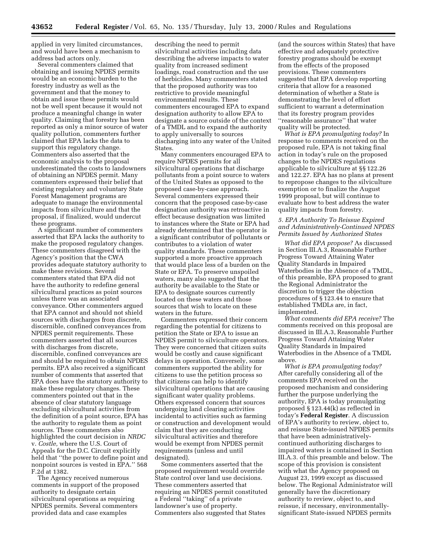applied in very limited circumstances, and would have been a mechanism to address bad actors only.

Several commenters claimed that obtaining and issuing NPDES permits would be an economic burden to the forestry industry as well as the government and that the money to obtain and issue these permits would not be well spent because it would not produce a meaningful change in water quality. Claiming that forestry has been reported as only a minor source of water quality pollution, commenters further claimed that EPA lacks the data to support this regulatory change. Commenters also asserted that the economic analysis to the proposal underestimated the costs to landowners of obtaining an NPDES permit. Many commenters expressed their belief that existing regulatory and voluntary State Forest Management programs are adequate to manage the environmental impacts from silviculture and that the proposal, if finalized, would undercut these programs.

A significant number of commenters asserted that EPA lacks the authority to make the proposed regulatory changes. These commenters disagreed with the Agency's position that the CWA provides adequate statutory authority to make these revisions. Several commenters stated that EPA did not have the authority to redefine general silvicultural practices as point sources unless there was an associated conveyance. Other commenters argued that EPA cannot and should not shield sources with discharges from discrete, discernible, confined conveyances from NPDES permit requirements. These commenters asserted that all sources with discharges from discrete, discernible, confined conveyances are and should be required to obtain NPDES permits. EPA also received a significant number of comments that asserted that EPA does have the statutory authority to make these regulatory changes. These commenters pointed out that in the absence of clear statutory language excluding silvicultural activities from the definition of a point source, EPA has the authority to regulate them as point sources. These commenters also highlighted the court decision in *NRDC* v. *Costle,* where the U.S. Court of Appeals for the D.C. Circuit explicitly held that ''the power to define point and nonpoint sources is vested in EPA.'' 568 F.2d at 1382.

The Agency received numerous comments in support of the proposed authority to designate certain silvicultural operations as requiring NPDES permits. Several commenters provided data and case examples

describing the need to permit silvicultural activities including data describing the adverse impacts to water quality from increased sediment loadings, road construction and the use of herbicides. Many commenters stated that the proposed authority was too restrictive to provide meaningful environmental results. These commenters encouraged EPA to expand designation authority to allow EPA to designate a source outside of the context of a TMDL and to expand the authority to apply universally to sources discharging into any water of the United States.

Many commenters encouraged EPA to require NPDES permits for all silvicultural operations that discharge pollutants from a point source to waters of the United States as opposed to the proposed case-by-case approach. Several commenters expressed their concern that the proposed case-by-case designation authority was retroactive in effect because designation was limited to instances where the State or EPA had already determined that the operator is a significant contributor of pollutants or contributes to a violation of water quality standards. These commenters supported a more proactive approach that would place less of a burden on the State or EPA. To preserve unspoiled waters, many also suggested that the authority be available to the State or EPA to designate sources currently located on these waters and those sources that wish to locate on these waters in the future.

Commenters expressed their concern regarding the potential for citizens to petition the State or EPA to issue an NPDES permit to silviculture operators. They were concerned that citizen suits would be costly and cause significant delays in operation. Conversely, some commenters supported the ability for citizens to use the petition process so that citizens can help to identify silvicultural operations that are causing significant water quality problems. Others expressed concern that sources undergoing land clearing activities incidental to activities such as farming or construction and development would claim that they are conducting silvicultural activities and therefore would be exempt from NPDES permit requirements (unless and until designated).

Some commenters asserted that the proposed requirement would override State control over land use decisions. These commenters asserted that requiring an NPDES permit constituted a Federal ''taking'' of a private landowner's use of property. Commenters also suggested that States

(and the sources within States) that have effective and adequately protective forestry programs should be exempt from the effects of the proposed provisions. These commenters suggested that EPA develop reporting criteria that allow for a reasoned determination of whether a State is demonstrating the level of effort sufficient to warrant a determination that its forestry program provides ''reasonable assurance'' that water quality will be protected.

*What is EPA promulgating today?* In response to comments received on the proposed rule, EPA is not taking final action in today's rule on the proposed changes to the NPDES regulations applicable to silviculture at §§ 122.26 and 122.27. EPA has no plans at present to repropose changes to the silviculture exemption or to finalize the August 1999 proposal, but will continue to evaluate how to best address the water quality impacts from forestry.

### *5. EPA Authority To Reissue Expired and Administratively-Continued NPDES Permits Issued by Authorized States*

*What did EPA propose?* As discussed in Section III.A.3, Reasonable Further Progress Toward Attaining Water Quality Standards in Impaired Waterbodies in the Absence of a TMDL, of this preamble, EPA proposed to grant the Regional Administrator the discretion to trigger the objection procedures of § 123.44 to ensure that established TMDLs are, in fact, implemented.

*What comments did EPA receive?* The comments received on this proposal are discussed in III.A.3, Reasonable Further Progress Toward Attaining Water Quality Standards in Impaired Waterbodies in the Absence of a TMDL above.

*What is EPA promulgating today?* After carefully considering all of the comments EPA received on the proposed mechanism and considering further the purpose underlying the authority, EPA is today promulgating proposed § 123.44(k) as reflected in today's **Federal Register**. A discussion of EPA's authority to review, object to, and reissue State-issued NPDES permits that have been administrativelycontinued authorizing discharges to impaired waters is contained in Section III.A.3. of this preamble and below. The scope of this provision is consistent with what the Agency proposed on August 23, 1999 except as discussed below. The Regional Administrator will generally have the discretionary authority to review, object to, and reissue, if necessary, environmentallysignificant State-issued NPDES permits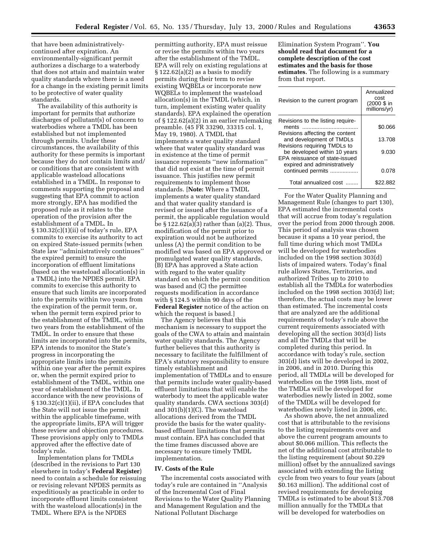that have been administrativelycontinued after expiration. An environmentally-significant permit authorizes a discharge to a waterbody that does not attain and maintain water quality standards where there is a need for a change in the existing permit limits to be protective of water quality standards.

The availability of this authority is important for permits that authorize discharges of pollutant(s) of concern to waterbodies where a TMDL has been established but not implemented through permits. Under these circumstances, the availability of this authority for these permits is important because they do not contain limits and/ or conditions that are consistent with applicable wasteload allocations established in a TMDL. In response to comments supporting the proposal and suggesting that EPA commit to action more strongly, EPA has modified the proposed rule as it relates to the operation of the provision after the establishment of a TMDL. In § 130.32(c)(1)(ii) of today's rule, EPA commits to exercise its authority to act on expired State-issued permits (when State law ''administratively continues'' the expired permit) to ensure the incorporation of effluent limitations (based on the wasteload allocation(s) in a TMDL) into the NPDES permit. EPA commits to exercise this authority to ensure that such limits are incorporated into the permits within two years from the expiration of the permit term, or, when the permit term expired prior to the establishment of the TMDL, within two years from the establishment of the TMDL. In order to ensure that these limits are incorporated into the permits, EPA intends to monitor the State's progress in incorporating the appropriate limits into the permits within one year after the permit expires or, when the permit expired prior to establishment of the TMDL, within one year of establishment of the TMDL. In accordance with the new provisions of § 130.32(c)(1)(ii), if EPA concludes that the State will not issue the permit within the applicable timeframe, with the appropriate limits, EPA will trigger these review and objection procedures. These provisions apply only to TMDLs approved after the effective date of today's rule.

Implementation plans for TMDLs (described in the revisions to Part 130 elsewhere in today's **Federal Register**) need to contain a schedule for reissuing or revising relevant NPDES permits as expeditiously as practicable in order to incorporate effluent limits consistent with the wasteload allocation(s) in the TMDL. Where EPA is the NPDES

permitting authority, EPA must reissue or revise the permits within two years after the establishment of the TMDL. EPA will rely on existing regulations at  $§ 122.62(a)(2)$  as a basis to modify permits during their term to revise existing WQBELs or incorporate new WQBELs to implement the wasteload allocation(s) in the TMDL (which, in turn, implement existing water quality standards). EPA explained the operation of § 122.62(a)(2) in an earlier rulemaking preamble. (45 FR 33290, 33315 col. 1, May 19, 1980). A TMDL that implements a water quality standard where that water quality standard was in existence at the time of permit issuance represents ''new information'' that did not exist at the time of permit issuance. This justifies new permit requirements to implement those standards. [**Note:** Where a TMDL implements a water quality standard and that water quality standard is revised or issued after the issuance of a permit, the applicable regulation would be § 122.62(a)(3) rather than (a)(2). Thus, modification of the permit prior to expiration would not be authorized unless (A) the permit condition to be modified was based on EPA approved or promulgated water quality standards, (B) EPA has approved a State action with regard to the water quality standard on which the permit condition was based and (C) the permittee requests modification in accordance with § 124.5 within 90 days of the **Federal Register** notice of the action on which the request is based.]

The Agency believes that this mechanism is necessary to support the goals of the CWA to attain and maintain water quality standards. The Agency further believes that this authority is necessary to facilitate the fulfillment of EPA's statutory responsibility to ensure timely establishment and implementation of TMDLs and to ensure that permits include water quality-based effluent limitations that will enable the waterbody to meet the applicable water quality standards. CWA sections 303(d) and 301(b)(1)(C). The wasteload allocations derived from the TMDL provide the basis for the water qualitybased effluent limitations that permits must contain. EPA has concluded that the time frames discussed above are necessary to ensure timely TMDL implementation.

#### **IV. Costs of the Rule**

The incremental costs associated with today's rule are contained in ''Analysis of the Incremental Cost of Final Revisions to the Water Quality Planning and Management Regulation and the National Pollutant Discharge

Elimination System Program''. **You should read that document for a complete description of the cost estimates and the basis for those estimates.** The following is a summary from that report.

| Revision to the current program                          | Annualized<br>cost<br>(2000 \$ in<br>millions/yr) |
|----------------------------------------------------------|---------------------------------------------------|
| Revisions to the listing require-                        |                                                   |
|                                                          | \$0.066                                           |
| Revisions affecting the content                          |                                                   |
| and development of TMDLs<br>Revisions requiring TMDLs to | 13.708                                            |
| be developed within 10 years                             | 9.030                                             |
| EPA reissuance of state-issued                           |                                                   |
| expired and administratively                             |                                                   |
| continued permits                                        | 0.078                                             |
| Total annualized cost                                    | \$22.882                                          |

For the Water Quality Planning and Management Rule (changes to part 130), EPA estimated the incremental costs that will accrue from today's regulation over the period from 2000 through 2008. This period of analysis was chosen because it spans a 10 year period, the full time during which most TMDLs will be developed for waterbodies included on the 1998 section 303(d) lists of impaired waters. Today's final rule allows States, Territories, and authorized Tribes up to 2010 to establish all the TMDLs for waterbodies included on the 1998 section 303(d) list; therefore, the actual costs may be lower than estimated. The incremental costs that are analyzed are the additional requirements of today's rule above the current requirements associated with developing all the section 303(d) lists and all the TMDLs that will be completed during this period. In accordance with today's rule, section 303(d) lists will be developed in 2002, in 2006, and in 2010. During this period, all TMDLs will be developed for waterbodies on the 1998 lists, most of the TMDLs will be developed for waterbodies newly listed in 2002, some of the TMDLs will be developed for waterbodies newly listed in 2006, etc.

As shown above, the net annualized cost that is attributable to the revisions to the listing requirements over and above the current program amounts to about \$0.066 million. This reflects the net of the additional cost attributable to the listing requirement (about \$0.229 million) offset by the annualized savings associated with extending the listing cycle from two years to four years (about \$0.163 million). The additional cost of revised requirements for developing TMDLs is estimated to be about \$13.708 million annually for the TMDLs that will be developed for waterbodies on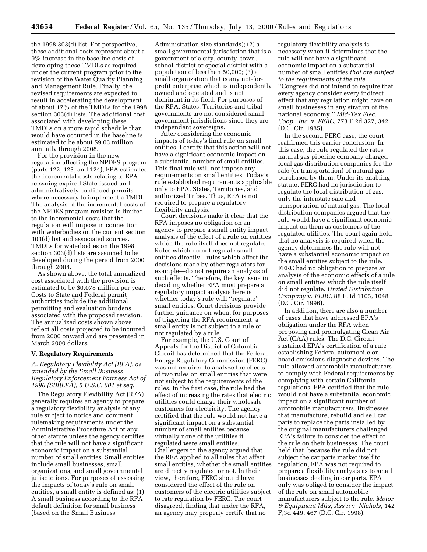the 1998 303(d) list. For perspective, these additional costs represent about a 9% increase in the baseline costs of developing these TMDLs as required under the current program prior to the revision of the Water Quality Planning and Management Rule. Finally, the revised requirements are expected to result in accelerating the development of about 17% of the TMDLs for the 1998 section 303(d) lists. The additional cost associated with developing these TMDLs on a more rapid schedule than would have occurred in the baseline is estimated to be about \$9.03 million annually through 2008.

For the provision in the new regulation affecting the NPDES program (parts 122, 123, and 124), EPA estimated the incremental costs relating to EPA reissuing expired State-issued and administratively continued permits where necessary to implement a TMDL. The analysis of the incremental costs of the NPDES program revision is limited to the incremental costs that the regulation will impose in connection with waterbodies on the current section 303(d) list and associated sources. TMDLs for waterbodies on the 1998 section 303(d) lists are assumed to be developed during the period from 2000 through 2008.

As shown above, the total annualized cost associated with the provision is estimated to be \$0.078 million per year. Costs to State and Federal permit authorities include the additional permitting and evaluation burdens associated with the proposed revision. The annualized costs shown above reflect all costs projected to be incurred from 2000 onward and are presented in March 2000 dollars.

#### **V. Regulatory Requirements**

*A. Regulatory Flexibility Act (RFA), as amended by the Small Business Regulatory Enforcement Fairness Act of 1996 (SBREFA), 5 U.S.C. 601 et seq.*

The Regulatory Flexibility Act (RFA) generally requires an agency to prepare a regulatory flexibility analysis of any rule subject to notice and comment rulemaking requirements under the Administrative Procedure Act or any other statute unless the agency certifies that the rule will not have a significant economic impact on a substantial number of small entities. Small entities include small businesses, small organizations, and small governmental jurisdictions. For purposes of assessing the impacts of today's rule on small entities, a small entity is defined as: (1) A small business according to the RFA default definition for small business (based on the Small Business

Administration size standards); (2) a small governmental jurisdiction that is a government of a city, county, town, school district or special district with a population of less than 50,000; (3) a small organization that is any not-forprofit enterprise which is independently owned and operated and is not dominant in its field. For purposes of the RFA, States, Territories and tribal governments are not considered small government jurisdictions since they are independent sovereigns.

After considering the economic impacts of today's final rule on small entities, I certify that this action will not have a significant economic impact on a substantial number of small entities. This final rule will not impose any requirements on small entities. Today's rule established requirements applicable only to EPA, States, Territories, and authorized Tribes. Thus, EPA is not required to prepare a regulatory flexibility analysis.

Court decisions make it clear that the RFA imposes no obligation on an agency to prepare a small entity impact analysis of the effect of a rule on entities which the rule itself does not regulate. Rules which do not regulate small entities directly—rules which affect the decisions made by other regulators for example—do not require an analysis of such effects. Therefore, the key issue in deciding whether EPA must prepare a regulatory impact analysis here is whether today's rule will "regulate" small entities. Court decisions provide further guidance on when, for purposes of triggering the RFA requirement, a small entity is not subject to a rule or not regulated by a rule.

For example, the U.S. Court of Appeals for the District of Columbia Circuit has determined that the Federal Energy Regulatory Commission (FERC) was not required to analyze the effects of two rules on small entities that were not subject to the requirements of the rules. In the first case, the rule had the effect of increasing the rates that electric utilities could charge their wholesale customers for electricity. The agency certified that the rule would not have a significant impact on a substantial number of small entities because virtually none of the utilities it regulated were small entities. Challengers to the agency argued that the RFA applied to all rules that affect small entities, whether the small entities are directly regulated or not. In their view, therefore, FERC should have considered the effect of the rule on customers of the electric utilities subject to rate regulation by FERC. The court disagreed, finding that under the RFA, an agency may properly certify that no

regulatory flexibility analysis is necessary when it determines that the rule will not have a significant economic impact on a substantial number of small entities *that are subject to the requirements of the rule.* ''Congress did not intend to require that every agency consider every indirect effect that any regulation might have on small businesses in any stratum of the national economy.'' *Mid-Tex Elec. Coop., Inc.* v. *FERC,* 773 F.2d 327, 342 (D.C. Cir. 1985).

In the second FERC case, the court reaffirmed this earlier conclusion. In this case, the rule regulated the rates natural gas pipeline company charged local gas distribution companies for the sale (or transportation) of natural gas purchased by them. Under its enabling statute, FERC had no jurisdiction to regulate the local distribution of gas, only the interstate sale and transportation of natural gas. The local distribution companies argued that the rule would have a significant economic impact on them as customers of the regulated utilities. The court again held that no analysis is required when the agency determines the rule will not have a substantial economic impact on the small entities subject to the rule. FERC had no obligation to prepare an analysis of the economic effects of a rule on small entities which the rule itself did not regulate. *United Distribution Company* v. *FERC,* 88 F.3d 1105, 1048 (D.C. Cir. 1996).

In addition, there are also a number of cases that have addressed EPA's obligation under the RFA when proposing and promulgating Clean Air Act (CAA) rules. The D.C. Circuit sustained EPA's certification of a rule establishing Federal automobile onboard emissions diagnostic devices. The rule allowed automobile manufacturers to comply with Federal requirements by complying with certain California regulations. EPA certified that the rule would not have a substantial economic impact on a significant number of automobile manufacturers. Businesses that manufacture, rebuild and sell car parts to replace the parts installed by the original manufacturers challenged EPA's failure to consider the effect of the rule on their businesses. The court held that, because the rule did not subject the car parts market itself to regulation, EPA was not required to prepare a flexibility analysis as to small businesses dealing in car parts. EPA only was obliged to consider the impact of the rule on small automobile manufacturers subject to the rule. *Motor & Equipment Mfrs, Ass'n* v. *Nichols*, 142 F,3d 449, 467 (D.C. Cir. 1998).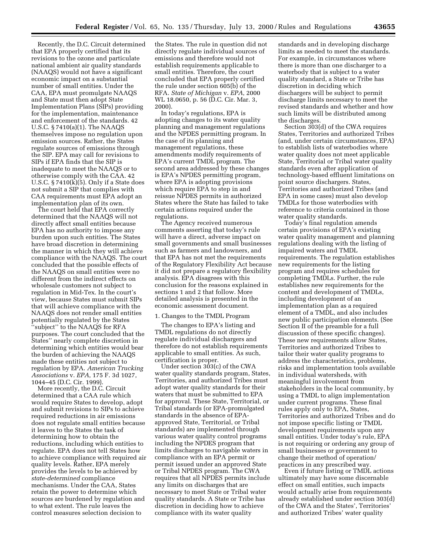Recently, the D.C. Circuit determined that EPA properly certified that its revisions to the ozone and particulate national ambient air quality standards (NAAQS) would not have a significant economic impact on a substantial number of small entities. Under the CAA, EPA must promulgate NAAQS and State must then adopt State Implementation Plans (SIPs) providing for the implementation, maintenance and enforcement of the standards. 42 U.S.C. § 7410(a)(1). The NAAQS themselves impose no regulation upon emission sources. Rather, the States regulate sources of emissions through the SIP. EPA may call for revisions to SIPs if EPA finds that the SIP is inadequate to meet the NAAQS or to otherwise comply with the CAA. 42 U.S.C. § 7410(k)(5). Only if a State does not submit a SIP that complies with CAA requirements must EPA adopt an implementation plan of its own.

The court held that EPA correctly determined that the NAAQS will not directly affect small entities because EPA has no authority to impose any burden upon such entities. The States have broad discretion in determining the manner in which they will achieve compliance with the NAAQS. The court concluded that the possible effects of the NAAQS on small entities were no different from the indirect effects on wholesale customers not subject to regulation in Mid-Tex. In the court's view, because States must submit SIPs that will achieve compliance with the NAAQS does not render small entities potentially regulated by the States ''subject'' to the NAAQS for RFA purposes. The court concluded that the States'' nearly complete discretion in determining which entities would bear the burden of achieving the NAAQS made these entities not subject to regulation by EPA. *American Trucking Associations* v. *EPA*, 175 F. 3d 1027, 1044–45 (D.C. Cir. 1999).

More recently, the D.C. Circuit determined that a CAA rule which would require States to develop, adopt and submit revisions to SIPs to achieve required reductions in air emissions does not regulate small entities because it leaves to the States the task of determining how to obtain the reductions, including which entities to regulate. EPA does not tell States how to achieve compliance with required air quality levels. Rather, EPA merely provides the levels to be achieved by *state-determined* compliance mechanisms. Under the CAA, States retain the power to determine which sources are burdened by regulation and to what extent. The rule leaves the control measures selection decision to

the States. The rule in question did not directly regulate individual sources of emissions and therefore would not establish requirements applicable to small entities. Therefore, the court concluded that EPA properly certified the rule under section 605(b) of the RFA. *State of Michigan* v. *EPA*, 2000 WL 18.0650, p. 56 (D.C. Cir. Mar. 3, 2000).

In today's regulations, EPA is adopting changes to its water quality planning and management regulations and the NPDES permitting program. In the case of its planning and management regulations, these amendments modify requirements of EPA's current TMDL program. The second area addressed by these changes is EPA's NPDES permitting program, where EPA is adopting provisions which require EPA to step in and reissue NPDES permits in authorized States where the State has failed to take certain actions required under the regulations.

The Agency received numerous comments asserting that today's rule will have a direct, adverse impact on small governments and small businesses such as farmers and landowners, and that EPA has not met the requirements of the Regulatory Flexibility Act because it did not prepare a regulatory flexibility analysis. EPA disagrees with this conclusion for the reasons explained in sections 1 and 2 that follow. More detailed analysis is presented in the economic assessment document.

#### 1. Changes to the TMDL Program

The changes to EPA's listing and TMDL regulations do not directly regulate individual dischargers and therefore do not establish requirements applicable to small entities. As such, certification is proper.

Under section 303(c) of the CWA water quality standards program, States, Territories, and authorized Tribes must adopt water quality standards for their waters that must be submitted to EPA for approval. These State, Territorial, or Tribal standards (or EPA-promulgated standards in the absence of EPAapproved State, Territorial, or Tribal standards) are implemented through various water quality control programs including the NPDES program that limits discharges to navigable waters in compliance with an EPA permit or permit issued under an approved State or Tribal NPDES program. The CWA requires that all NPDES permits include any limits on discharges that are necessary to meet State or Tribal water quality standards. A State or Tribe has discretion in deciding how to achieve compliance with its water quality

standards and in developing discharge limits as needed to meet the standards. For example, in circumstances where there is more than one discharger to a waterbody that is subject to a water quality standard, a State or Tribe has discretion in deciding which dischargers will be subject to permit discharge limits necessary to meet the revised standards and whether and how such limits will be distributed among the discharges.

Section 303(d) of the CWA requires States, Territories and authorized Tribes (and, under certain circumstances, EPA) to establish lists of waterbodies where water quality does not meet applicable State, Territorial or Tribal water quality standards even after application of technology-based effluent limitations on point source dischargers. States, Territories and authorized Tribes (and EPA in some cases) must also develop TMDLs for those waterbodies with reference to criteria contained in those water quality standards.

Today's final regulation amends certain provisions of EPA's existing water quality management and planning regulations dealing with the listing of impaired waters and TMDL requirements. The regulation establishes new requirements for the listing program and requires schedules for completing TMDLs. Further, the rule establishes new requirements for the content and development of TMDLs, including development of an implementation plan as a required element of a TMDL, and also includes new public participation elements. (See Section II of the preamble for a full discussion of these specific changes). These new requirements allow States, Territories and authorized Tribes to tailor their water quality programs to address the characteristics, problems, risks and implementation tools available in individual watersheds, with meaningful involvement from stakeholders in the local community, by using a TMDL to align implementation under current programs. These final rules apply only to EPA, States, Territories and authorized Tribes and do not impose specific listing or TMDL development requirements upon any small entities. Under today's rule, EPA is not requiring or ordering any group of small businesses or government to change their method of operation/ practices in any prescribed way.

Even if future listing or TMDL actions ultimately may have some discernable effect on small entities, such impacts would actually arise from requirements already established under section 303(d) of the CWA and the States', Territories' and authorized Tribes' water quality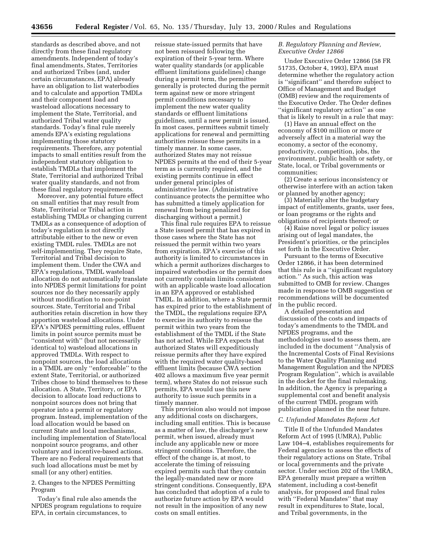standards as described above, and not directly from these final regulatory amendments. Independent of today's final amendments, States, Territories and authorized Tribes (and, under certain circumstances, EPA) already have an obligation to list waterbodies and to calculate and apportion TMDLs and their component load and wasteload allocations necessary to implement the State, Territorial, and authorized Tribal water quality standards. Today's final rule merely amends EPA's existing regulations implementing those statutory requirements. Therefore, any potential impacts to small entities result from the independent statutory obligation to establish TMDLs that implement the State, Territorial and authorized Tribal water quality standards, and not from these final regulatory requirements.

Moreover, any potential future effect on small entities that may result from State, Territorial or Tribal action in establishing TMDLs or changing current TMDLs as a consequence of adoption of today's regulation is not directly attributable either to the new or even existing TMDL rules. TMDLs are not self-implementing. They require State, Territorial and Tribal decision to implement them. Under the CWA and EPA's regulations, TMDL wasteload allocation do not automatically translate into NPDES permit limitations for point sources nor do they necessarily apply without modification to non-point sources. State, Territorial and Tribal authorities retain discretion in how they apportion wasteload allocations. Under EPA's NPDES permitting rules, effluent limits in point source permits must be ''consistent with'' (but not necessarily identical to) wasteload allocations in approved TMDLs. With respect to nonpoint sources, the load allocations in a TMDL are only ''enforceable'' to the extent State, Territorial, or authorized Tribes chose to bind themselves to these allocation. A State, Territory, or EPA decision to allocate load reductions to nonpoint sources does not bring that operator into a permit or regulatory program. Instead, implementation of the load allocation would be based on current State and local mechanisms, including implementation of State/local nonpoint source programs, and other voluntary and incentive-based actions. There are no Federal requirements that such load allocations must be met by small (or any other) entities.

### 2. Changes to the NPDES Permitting Program

Today's final rule also amends the NPDES program regulations to require EPA, in certain circumstances, to

reissue state-issued permits that have not been reissued following the expiration of their 5-year term. Where water quality standards (or applicable effluent limitations guidelines) change during a permit term, the permittee generally is protected during the permit term against new or more stringent permit conditions necessary to implement the new water quality standards or effluent limitations guidelines, until a new permit is issued. In most cases, permittees submit timely applications for renewal and permitting authorities reissue these permits in a timely manner. In some cases, authorized States may not reissue NPDES permits at the end of their 5-year term as is currently required, and the existing permits continue in effect under general principles of administrative law. (Administrative continuance protects the permittee who has submitted a timely application for renewal from being penalized for discharging without a permit.)

This final rule requires EPA to reissue a State issued permit that has expired in those cases where the State has not reissued the permit within two years from expiration. EPA's exercise of this authority is limited to circumstances in which a permit authorizes discharges to impaired waterbodies or the permit does not currently contain limits consistent with an applicable waste load allocation in an EPA approved or established TMDL. In addition, where a State permit has expired prior to the establishment of the TMDL, the regulations require EPA to exercise its authority to reissue the permit within two years from the establishment of the TMDL if the State has not acted. While EPA expects that authorized States will expeditiously reissue permits after they have expired with the required water quality-based effluent limits (because CWA section 402 allows a maximum five year permit term), where States do not reissue such permits, EPA would use this new authority to issue such permits in a timely manner.

This provision also would not impose any additional costs on dischargers, including small entities. This is because as a matter of law, the discharger's new permit, when issued, already must include any applicable new or more stringent conditions. Therefore, the effect of the change is, at most, to accelerate the timing of reissuing expired permits such that they contain the legally-mandated new or more stringent conditions. Consequently, EPA has concluded that adoption of a rule to authorize future action by EPA would not result in the imposition of any new costs on small entities.

# *B. Regulatory Planning and Review, Executive Order 12866*

Under Executive Order 12866 (58 FR 51735, October 4, 1993), EPA must determine whether the regulatory action is ''significant'' and therefore subject to Office of Management and Budget (OMB) review and the requirements of the Executive Order. The Order defines ''significant regulatory action'' as one that is likely to result in a rule that may:

(1) Have an annual effect on the economy of \$100 million or more or adversely affect in a material way the economy, a sector of the economy, productivity, competition, jobs, the environment, public health or safety, or State, local, or Tribal governments or communities;

(2) Create a serious inconsistency or otherwise interfere with an action taken or planned by another agency;

(3) Materially alter the budgetary impact of entitlements, grants, user fees, or loan programs or the rights and obligations of recipients thereof; or

(4) Raise novel legal or policy issues arising out of legal mandates, the President's priorities, or the principles set forth in the Executive Order.

Pursuant to the terms of Executive Order 12866, it has been determined that this rule is a ''significant regulatory action.'' As such, this action was submitted to OMB for review. Changes made in response to OMB suggestion or recommendations will be documented in the public record.

A detailed presentation and discussion of the costs and impacts of today's amendments to the TMDL and NPDES programs, and the methodologies used to assess them, are included in the document ''Analysis of the Incremental Costs of Final Revisions to the Water Quality Planning and Management Regulation and the NPDES Program Regulation'', which is available in the docket for the final rulemaking. In addition, the Agency is preparing a supplemental cost and benefit analysis of the current TMDL program with publication planned in the near future.

#### *C. Unfunded Mandates Reform Act*

Title II of the Unfunded Mandates Reform Act of 1995 (UMRA), Public Law 104–4, establishes requirements for Federal agencies to assess the effects of their regulatory actions on State, Tribal or local governments and the private sector. Under section 202 of the UMRA, EPA generally must prepare a written statement, including a cost-benefit analysis, for proposed and final rules with ''Federal Mandates'' that may result in expenditures to State, local, and Tribal governments, in the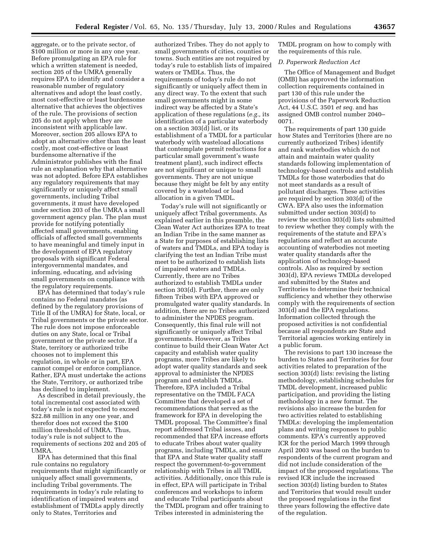aggregate, or to the private sector, of \$100 million or more in any one year. Before promulgating an EPA rule for which a written statement is needed, section 205 of the UMRA generally requires EPA to identify and consider a reasonable number of regulatory alternatives and adopt the least costly, most cost-effective or least burdensome alternative that achieves the objectives of the rule. The provisions of section 205 do not apply when they are inconsistent with applicable law. Moreover, section 205 allows EPA to adopt an alternative other than the least costly, most cost-effective or least burdensome alternative if the Administrator publishes with the final rule an explanation why that alternative was not adopted. Before EPA establishes any regulatory requirements that may significantly or uniquely affect small governments, including Tribal governments, it must have developed under section 203 of the UMRA a small government agency plan. The plan must provide for notifying potentially affected small governments, enabling officials of affected small governments to have meaningful and timely input in the development of EPA regulatory proposals with significant Federal intergovernmental mandates, and informing, educating, and advising small governments on compliance with the regulatory requirements.

EPA has determined that today's rule contains no Federal mandates (as defined by the regulatory provisions of Title II of the UMRA) for State, local, or Tribal governments or the private sector. The rule does not impose enforceable duties on any State, local or Tribal government or the private sector. If a State, territory or authorized tribe chooses not to implement this regulation, in whole or in part, EPA cannot compel or enforce compliance. Rather, EPA must undertake the actions the State, Territory, or authorized tribe has declined to implement.

As described in detail previously, the total incremental cost associated with today's rule is not expected to exceed \$22.88 million in any one year, and therefor does not exceed the \$100 million threshold of UMRA. Thus, today's rule is not subject to the requirements of sections 202 and 205 of UMRA.

EPA has determined that this final rule contains no regulatory requirements that might significantly or uniquely affect small governments, including Tribal governments. The requirements in today's rule relating to identification of impaired waters and establishment of TMDLs apply directly only to States, Territories and

authorized Tribes. They do not apply to small governments of cities, counties or towns. Such entities are not required by today's rule to establish lists of impaired waters or TMDLs. Thus, the requirements of today's rule do not significantly or uniquely affect them in any direct way. To the extent that such small governments might in some indirect way be affected by a State's application of these regulations (*e.g.,* its identification of a particular waterbody on a section 303(d) list, or its establishment of a TMDL for a particular waterbody with wasteload allocations that contemplate permit reductions for a particular small government's waste treatment plant), such indirect effects are not significant or unique to small governments. They are not unique because they might be felt by any entity covered by a wasteload or load allocation in a given TMDL.

Today's rule will not significantly or uniquely affect Tribal governments. As explained earlier in this preamble, the Clean Water Act authorizes EPA to treat an Indian Tribe in the same manner as a State for purposes of establishing lists of waters and TMDLs, and EPA today is clarifying the test an Indian Tribe must meet to be authorized to establish lists of impaired waters and TMDLs. Currently, there are no Tribes authorized to establish TMDLs under section 303(d). Further, there are only fifteen Tribes with EPA approved or promulgated water quality standards. In addition, there are no Tribes authorized to administer the NPDES program. Consequently, this final rule will not significantly or uniquely affect Tribal governments. However, as Tribes continue to build their Clean Water Act capacity and establish water quality programs, more Tribes are likely to adopt water quality standards and seek approval to administer the NPDES program and establish TMDLs. Therefore, EPA included a Tribal representative on the TMDL FACA Committee that developed a set of recommendations that served as the framework for EPA in developing the TMDL proposal. The Committee's final report addressed Tribal issues, and recommended that EPA increase efforts to educate Tribes about water quality programs, including TMDLs, and ensure that EPA and State water quality staff respect the government-to-government relationship with Tribes in all TMDL activities. Additionally, once this rule is in effect, EPA will participate in Tribal conferences and workshops to inform and educate Tribal participants about the TMDL program and offer training to Tribes interested in administering the

TMDL program on how to comply with the requirements of this rule.

# *D. Paperwork Reduction Act*

The Office of Management and Budget (OMB) has approved the information collection requirements contained in part 130 of this rule under the provisions of the Paperwork Reduction Act, 44 U.S.C. 3501 *et seq.* and has assigned OMB control number 2040– 0071.

The requirements of part 130 guide how States and Territories (there are no currently authorized Tribes) identify and rank waterbodies which do not attain and maintain water quality standards following implementation of technology-based controls and establish TMDLs for those waterbodies that do not meet standards as a result of pollutant discharges. These activities are required by section 303(d) of the CWA. EPA also uses the information submitted under section 303(d) to review the section 303(d) lists submitted to review whether they comply with the requirements of the statute and EPA's regulations and reflect an accurate accounting of waterbodies not meeting water quality standards after the application of technology-based controls. Also as required by section 303(d), EPA reviews TMDLs developed and submitted by the States and Territories to determine their technical sufficiency and whether they otherwise comply with the requirements of section 303(d) and the EPA regulations. Information collected through the proposed activities is not confidential because all respondents are State and Territorial agencies working entirely in a public forum.

The revisions to part 130 increase the burden to States and Territories for four activities related to preparation of the section 303(d) lists: revising the listing methodology, establishing schedules for TMDL development, increased public participation, and providing the listing methodology in a new format. The revisions also increase the burden for two activities related to establishing TMDLs: developing the implementation plans and writing responses to public comments. EPA's currently approved ICR for the period March 1999 through April 2003 was based on the burden to respondents of the current program and did not include consideration of the impact of the proposed regulations. The revised ICR include the increased section 303(d) listing burden to States and Territories that would result under the proposed regulations in the first three years following the effective date of the regulation.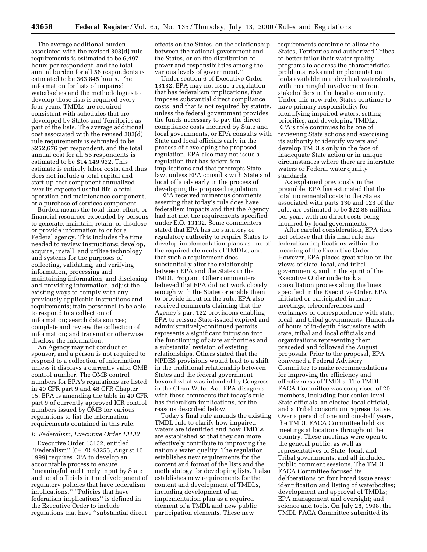The average additional burden associated with the revised 303(d) rule requirements is estimated to be 6,497 hours per respondent, and the total annual burden for all 56 respondents is estimated to be 363,845 hours. The information for lists of impaired waterbodies and the methodologies to develop those lists is required every four years. TMDLs are required consistent with schedules that are developed by States and Territories as part of the lists. The average additional cost associated with the revised 303(d) rule requirements is estimated to be \$252,676 per respondent, and the total annual cost for all 56 respondents is estimated to be \$14,149,932. This estimate is entirely labor costs, and thus does not include a total capital and start-up cost component annualized over its expected useful life, a total operation and maintenance component, or a purchase of services component.

Burden means the total time, effort, or financial resources expended by persons to generate, maintain, retain, or disclose or provide information to or for a Federal agency. This includes the time needed to review instructions; develop, acquire, install, and utilize technology and systems for the purposes of collecting, validating, and verifying information, processing and maintaining information, and disclosing and providing information; adjust the existing ways to comply with any previously applicable instructions and requirements; train personnel to be able to respond to a collection of information; search data sources; complete and review the collection of information; and transmit or otherwise disclose the information.

An Agency may not conduct or sponsor, and a person is not required to respond to a collection of information unless it displays a currently valid OMB control number. The OMB control numbers for EPA's regulations are listed in 40 CFR part 9 and 48 CFR Chapter 15. EPA is amending the table in 40 CFR part 9 of currently approved ICR control numbers issued by OMB for various regulations to list the information requirements contained in this rule.

#### *E. Federalism, Executive Order 13132*

Executive Order 13132, entitled ''Federalism'' (64 FR 43255, August 10, 1999) requires EPA to develop an accountable process to ensure ''meaningful and timely input by State and local officials in the development of regulatory policies that have federalism implications.'' ''Policies that have federalism implications'' is defined in the Executive Order to include regulations that have ''substantial direct

effects on the States, on the relationship between the national government and the States, or on the distribution of power and responsibilities among the various levels of government.''

Under section 6 of Executive Order 13132, EPA may not issue a regulation that has federalism implications, that imposes substantial direct compliance costs, and that is not required by statute, unless the federal government provides the funds necessary to pay the direct compliance costs incurred by State and local governments, or EPA consults with State and local officials early in the process of developing the proposed regulation. EPA also may not issue a regulation that has federalism implications and that preempts State law, unless EPA consults with State and local officials early in the process of developing the proposed regulation.

EPA received numerous comments asserting that today's rule does have federalism impacts and that the Agency had not met the requirements specified under E.O. 13132. Some commenters stated that EPA has no statutory or regulatory authority to require States to develop implementation plans as one of the required elements of TMDLs, and that such a requirement does substantially alter the relationship between EPA and the States in the TMDL Program. Other commenters believed that EPA did not work closely enough with the States or enable them to provide input on the rule. EPA also received comments claiming that the Agency's part 122 provisions enabling EPA to reissue State-issued expired and administratively-continued permits represents a significant intrusion into the functioning of State authorities and a substantial revision of existing relationships. Others stated that the NPDES provisions would lead to a shift in the traditional relationship between States and the federal government beyond what was intended by Congress in the Clean Water Act. EPA disagrees with these comments that today's rule has federalism implications, for the reasons described below.

Today's final rule amends the existing TMDL rule to clarify how impaired waters are identified and how TMDLs are established so that they can more effectively contribute to improving the nation's water quality. The regulation establishes new requirements for the content and format of the lists and the methodology for developing lists. It also establishes new requirements for the content and development of TMDLs, including development of an implementation plan as a required element of a TMDL and new public participation elements. These new

requirements continue to allow the States, Territories and authorized Tribes to better tailor their water quality programs to address the characteristics, problems, risks and implementation tools available in individual watersheds, with meaningful involvement from stakeholders in the local community. Under this new rule, States continue to have primary responsibility for identifying impaired waters, setting priorities, and developing TMDLs. EPA's role continues to be one of reviewing State actions and exercising its authority to identify waters and develop TMDLs only in the face of inadequate State action or in unique circumstances where there are interstate waters or Federal water quality standards.

As explained previously in the preamble, EPA has estimated that the total incremental costs to the States associated with parts 130 and 123 of the rule, are estimated to be \$22.88 million per year, with no direct costs being incurred by local governments.

After careful consideration, EPA does not believe that this final rule has federalism implications within the meaning of the Executive Order. However, EPA places great value on the views of state, local, and tribal governments, and in the spirit of the Executive Order undertook a consultation process along the lines specified in the Executive Order. EPA initiated or participated in many meetings, teleconferences and exchanges or correspondence with state, local, and tribal governments. Hundreds of hours of in-depth discussions with state, tribal and local officials and organizations representing them preceded and followed the August proposals. Prior to the proposal, EPA convened a Federal Advisory Committee to make recommendations for improving the efficiency and effectiveness of TMDLs. The TMDL FACA Committee was comprised of 20 members, including four senior level State officials, an elected local official, and a Tribal consortium representative. Over a period of one and one-half years, the TMDL FACA Committee held six meetings at locations throughout the country. These meetings were open to the general public, as well as representatives of State, local, and Tribal governments, and all included public comment sessions. The TMDL FACA Committee focused its deliberations on four broad issue areas: identification and listing of waterbodies; development and approval of TMDLs; EPA management and oversight; and science and tools. On July 28, 1998, the TMDL FACA Committee submitted its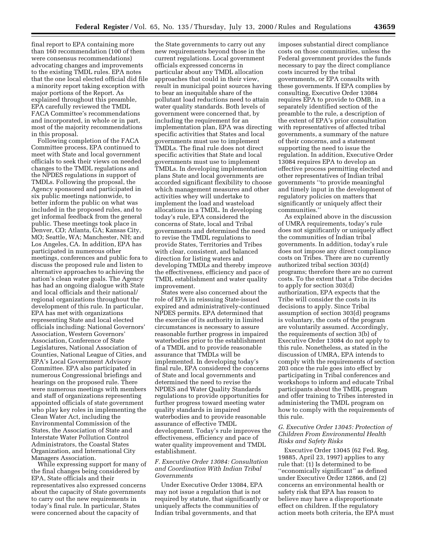final report to EPA containing more than 160 recommendation (100 of them were consensus recommendations) advocating changes and improvements to the existing TMDL rules. EPA notes that the one local elected official did file a minority report taking exception with major portions of the Report. As explained throughout this preamble, EPA carefully reviewed the TMDL FACA Committee's recommendations and incorporated, in whole or in part, most of the majority recommendations in this proposal.

Following completion of the FACA Committee process, EPA continued to meet with State and local government officials to seek their views on needed changes to the TMDL regulations and the NPDES regulations in support of TMDLs. Following the proposal, the Agency sponsored and participated in six public meetings nationwide, to better inform the public on what was included in the proposed rules, and to get informal feedback from the general public. These meetings took place in Denver, CO; Atlanta, GA; Kansas City, MO; Seattle, WA; Manchester, NH; and Los Angeles, CA. In addition, EPA has participated in numerous other meetings, conferences and public fora to discuss the proposed rule and listen to alternative approaches to achieving the nation's clean water goals. The Agency has had an ongoing dialogue with State and local officials and their national/ regional organizations throughout the development of this rule. In particular, EPA has met with organizations representing State and local elected officials including: National Governors' Association, Western Governors' Association, Conference of State Legislatures, National Association of Counties, National League of Cities, and EPA's Local Government Advisory Committee. EPA also participated in numerous Congressional briefings and hearings on the proposed rule. There were numerous meetings with members and staff of organizations representing appointed officials of state government who play key roles in implementing the Clean Water Act, including the Environmental Commission of the States, the Association of State and Interstate Water Pollution Control Administrators, the Coastal States Organization, and International City Managers Association.

While expressing support for many of the final changes being considered by EPA, State officials and their representatives also expressed concerns about the capacity of State governments to carry out the new requirements in today's final rule. In particular, States were concerned about the capacity of

the State governments to carry out any new requirements beyond those in the current regulations. Local government officials expressed concerns in particular about any TMDL allocation approaches that could in their view, result in municipal point sources having to bear an inequitable share of the pollutant load reductions need to attain water quality standards. Both levels of government were concerned that, by including the requirement for an implementation plan, EPA was directing specific activities that States and local governments must use to implement TMDLs. The final rule does not direct specific activities that State and local governments must use to implement TMDLs. In developing implementation plans State and local governments are accorded significant flexibility to choose which management measures and other activities whey will undertake to implement the load and wasteload allocations in a TMDL. In developing today's rule, EPA considered the concerns of State, local and Tribal governments and determined the need to revise the TMDL regulations to provide States, Territories and Tribes with clear, consistent, and balanced direction for listing waters and developing TMDLs and thereby improve the effectiveness, efficiency and pace of TMDL establishment and water quality improvement.

States were also concerned about the role of EPA in reissuing State-issued expired and administratively-continued NPDES permits. EPA determined that the exercise of its authority in limited circumstances is necessary to assure reasonable further progress in impaired waterbodies prior to the establishment of a TMDL and to provide reasonable assurance that TMDLs will be implemented. In developing today's final rule, EPA considered the concerns of State and local governments and determined the need to revise the NPDES and Water Quality Standards regulations to provide opportunities for further progress toward meeting water quality standards in impaired waterbodies and to provide reasonable assurance of effective TMDL development. Today's rule improves the effectiveness, efficiency and pace of water quality improvement and TMDL establishment.

# *F. Executive Order 13084: Consultation and Coordination With Indian Tribal Governments*

Under Executive Order 13084, EPA may not issue a regulation that is not required by statute, that significantly or uniquely affects the communities of Indian tribal governments, and that

imposes substantial direct compliance costs on those communities, unless the Federal government provides the funds necessary to pay the direct compliance costs incurred by the tribal governments, or EPA consults with these governments. If EPA complies by consulting, Executive Order 13084 requires EPA to provide to OMB, in a separately identified section of the preamble to the rule, a description of the extent of EPA's prior consultation with representatives of affected tribal governments, a summary of the nature of their concerns, and a statement supporting the need to issue the regulation. In addition, Executive Order 13084 requires EPA to develop an effective process permitting elected and other representatives of Indian tribal governments ''to provide meaningful and timely input in the development of regulatory policies on matters that significantly or uniquely affect their communities.''

As explained above in the discussion of UMRA requirements, today's rule does not significantly or uniquely affect the communities of Indian tribal governments. In addition, today's rule does not impose any direct compliance costs on Tribes. There are no currently authorized tribal section 303(d) programs; therefore there are no current costs. To the extent that a Tribe decides to apply for section 303(d) authorization, EPA expects that the Tribe will consider the costs in its decisions to apply. Since Tribal assumption of section 303(d) programs is voluntary, the costs of the program are voluntarily assumed. Accordingly, the requirements of section 3(b) of Executive Order 13084 do not apply to this rule. Nonetheless, as stated in the discussion of UMRA, EPA intends to comply with the requirements of section 203 once the rule goes into effect by participating in Tribal conferences and workshops to inform and educate Tribal participants about the TMDL program and offer training to Tribes interested in administering the TMDL program on how to comply with the requirements of this rule.

# *G. Executive Order 13045: Protection of Children From Environmental Health Risks and Safety Risks*

Executive Order 13045 (62 Fed. Reg. 19885, April 23, 1997) applies to any rule that: (1) Is determined to be ''economically significant'' as defined under Executive Order 12866, and (2) concerns an environmental health or safety risk that EPA has reason to believe may have a disproportionate effect on children. If the regulatory action meets both criteria, the EPA must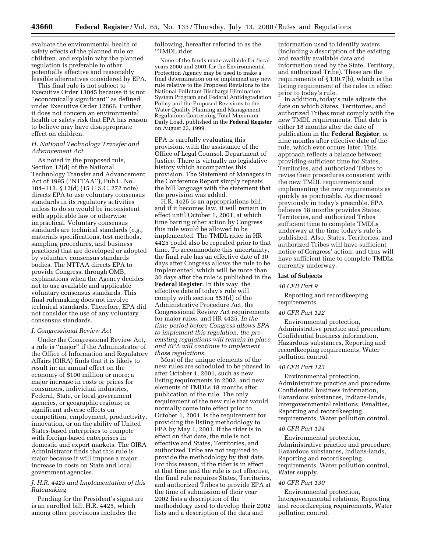evaluate the environmental health or safety effects of the planned rule on children, and explain why the planned regulation is preferable to other potentially effective and reasonably feasible alternatives considered by EPA.

This final rule is not subject to Executive Order 13045 because it is not ''economically significant'' as defined under Executive Order 12866. Further, it does not concern an environmental health or safety risk that EPA has reason to believe may have disappropriate effect on children.

# *H. National Technology Transfer and Advancement Act*

As noted in the proposed rule, Section 12(d) of the National Technology Transfer and Advancement Act of 1995 (''NTTAA''), Pub L. No. 104–113, § 12(d) (15 U.S.C. 272 note) directs EPA to use voluntary consensus standards in its regulatory activities unless to do so would be inconsistent with applicable law or otherwise impractical. Voluntary consensus standards are technical standards (*e.g.,* materials specifications, test methods, sampling procedures, and business practices) that are developed or adopted by voluntary consensus standards bodies. The NTTAA directs EPA to provide Congress, through OMB, explanations when the Agency decides not to use available and applicable voluntary consensus standards. This final rulemaking does not involve technical standards. Therefore, EPA did not consider the use of any voluntary consensus standards.

## *I. Congressional Review Act*

Under the Congressional Review Act, a rule is ''major'' if the Administrator of the Office of Information and Regulatory Affairs (OIRA) finds that it is likely to result in: an annual effect on the economy of \$100 million or more; a major increase in costs or prices for consumers, individual industries, Federal, State, or local government agencies, or geographic regions; or significant adverse effects on competition, employment, productivity, innovation, or on the ability of United States-based enterprises to compete with foreign-based enterprises in domestic and expert markets. The OIRA Administrator finds that this rule is major because it will impose a major increase in costs on State and local government agencies.

# *J. H.R. 4425 and Implementation of this Rulemaking*

Pending for the President's signature is an enrolled bill, H.R. 4425, which among other provisions includes the

following, hereafter referred to as the ''TMDL rider.

None of the funds made available for fiscal years 2000 and 2001 for the Environmental Protection Agency may be used to make a final determination on or implement any new rule relative to the Proposed Revisions to the National Pollutant Discharge Elimination System Program and Federal Antidegradation Policy and the Proposed Revisions to the Water Quality Planning and Management Regulations Concerning Total Maximum Daily Load, published in the **Federal Register** on August 23, 1999.

EPA is carefully evaluating this provision, with the assistance of the Office of Legal Counsel, Department of Justice. There is virtually no legislative history which accompanies this provision. The Statement of Managers in the Conference Report simply repeats the bill language with the statement that the provision was added.

H.R. 4425 is an appropriations bill, and if it becomes law, it will remain in effect until October 1, 2001, at which time barring other action by Congress this rule would be allowed to be implemented. The TMDL rider in HR 4425 could also be repealed prior to that time. To accommodate this uncertainty, the final rule has an effective date of 30 days after Congress allows the rule to be implemented, which will be more than 30 days after the rule is published in the **Federal Register**. In this way, the effective date of today's rule will comply with section 553(d) of the Administrative Procedure Act, the Congressional Review Act requirements for major rules, and HR 4425. *In the time period before Congress allows EPA to implement this regulation, the preexisting regulations will remain in place and EPA will continue to implement those regulations.* 

Most of the unique elements of the new rules are scheduled to be phased in after October 1, 2001, such as new listing requirements in 2002, and new elements of TMDLs 18 months after publication of the rule. The only requirement of the new rule that would normally come into effect prior to October 1, 2001, is the requirement for providing the listing methodology to EPA by May 1, 2001. If the rider is in effect on that date, the rule is not effective and States, Territories, and authorized Tribe are not required to provide the methodology by that date. For this reason, if the rider is in effect at that time and the rule is not effective, the final rule requires States, Territories, and authorized Tribes to provide EPA at the time of submission of their year 2002 lists a description of the methodology used to develop their 2002 lists and a description of the data and

information used to identify waters (including a description of the existing and readily available data and information used by the State, Territory, and authorized Tribe). These are the requirements of § 130.7(b), which is the listing requirement of the rules in effect prior to today's rule.

In addition, today's rule adjusts the date on which States, Territories, and authorized Tribes must comply with the new TMDL requirements. That date is either 18 months after the date of publication in the **Federal Register**, or nine months after effective date of the rule, which ever occurs later. This approach reflects a balance between providing sufficient time for States, Territories, and authorized Tribes to revise their procedures consistent with the new TMDL requirements and implementing the new requirements as quickly as practicable. As discussed previously in today's preamble, EPA believes 18 months provides States, Territories, and authorized Tribes sufficient time to complete TMDLs underway at the time today's rule is published. Also, States, Territories, and authorized Tribes will have sufficient notice of Congress' action, and thus will have sufficient time to complete TMDLs currently underway.

## **List of Subjects**

## *40 CFR Part 9*

Reporting and recordkeeping requirements.

## *40 CFR Part 122*

Environmental protection, Administrative practice and procedure, Confidential business information, Hazardous substances, Reporting and recordkeeping requirements, Water pollution control.

## *40 CFR Part 123*

Environmental protection, Administrative practice and procedure, Confidential business information, Hazardous substances, Indians-lands, Intergovernmental relations, Penalties, Reporting and recordkeeping requirements, Water pollution control.

#### *40 CFR Part 124*

Environmental protection, Administrative practice and procedure, Hazardous substances, Indians-lands, Reporting and recordkeeping requirements, Water pollution control, Water supply.

#### *40 CFR Part 130*

Environmental protection, Intergovernmental relations, Reporting and recordkeeping requirements, Water pollution control.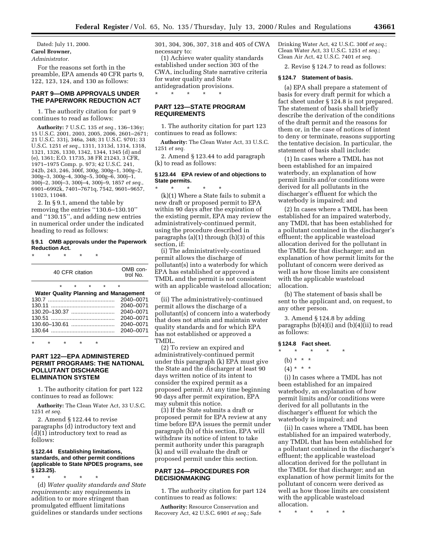Dated: July 11, 2000. **Carol Browner,**

# *Administrator.*

For the reasons set forth in the preamble, EPA amends 40 CFR parts 9, 122, 123, 124, and 130 as follows:

# **PART 9—OMB APPROVALS UNDER THE PAPERWORK REDUCTION ACT**

1. The authority citation for part 9 continues to read as follows:

**Authority:** 7 U.S.C. 135 *et seq.*, 136–136y; 15 U.S.C. 2001, 2003, 2005, 2006, 2601–2671; 21 U.S.C. 331j, 346a, 348; 31 U.S.C. 9701; 33 U.S.C. 1251 *et seq.*, 1311, 1313d, 1314, 1318, 1321, 1326, 1330, 1342, 1344, 1345 (d) and (e), 1361; E.O. 11735, 38 FR 21243, 3 CFR, 1971–1975 Comp. p. 973; 42 U.S.C. 241, 242b, 243, 246, 300f, 300g, 300g–1, 300g–2, 300g–3, 300g–4, 300g–5, 300g–6, 300j–1, 300j–2, 300j–3, 300j–4, 300j–9, 1857 *et seq.*, 6901–6992k, 7401–7671q, 7542, 9601–9657, 11023, 11048.

2. In § 9.1, amend the table by removing the entries ''130.6–130.10'' and ''130.15'', and adding new entries in numerical order under the indicated heading to read as follows:

#### **§ 9.1 OMB approvals under the Paperwork Reduction Act.**

\* \* \* \* \*

| 40 CFR citation                              |         |  |         |  | OMB con-<br>trol No. |  |
|----------------------------------------------|---------|--|---------|--|----------------------|--|
|                                              | $\star$ |  | $\star$ |  | ÷                    |  |
| <b>Water Quality Planning and Management</b> |         |  |         |  |                      |  |
|                                              |         |  |         |  | 2040-0071            |  |
|                                              |         |  |         |  | 2040-0071            |  |
|                                              |         |  |         |  | 2040-0071            |  |
|                                              |         |  |         |  | 2040-0071            |  |
|                                              |         |  |         |  | 2040-0071            |  |
|                                              |         |  |         |  | 2040-0071            |  |
|                                              |         |  |         |  |                      |  |

```
* * * * *
```
# **PART 122—EPA ADMINISTERED PERMIT PROGRAMS: THE NATIONAL POLLUTANT DISCHARGE ELIMINATION SYSTEM**

1. The authority citation for part 122 continues to read as follows:

**Authority:** The Clean Water Act, 33 U.S.C. 1251 *et seq.*

2. Amend § 122.44 to revise paragraphs (d) introductory text and (d)(1) introductory text to read as follows:

#### **§ 122.44 Establishing limitations, standards, and other permit conditions (applicable to State NPDES programs, see § 123.25).**

\* \* \* \* \* (d) *Water quality standards and State requirements:* any requirements in addition to or more stringent than promulgated effluent limitations guidelines or standards under sections

301, 304, 306, 307, 318 and 405 of CWA necessary to:

(1) Achieve water quality standards established under section 303 of the CWA, including State narrative criteria for water quality and State antidegradation provisions. \* \* \* \* \*

# **PART 123—STATE PROGRAM REQUIREMENTS**

1. The authority citation for part 123 continues to read as follows:

**Authority:** The Clean Water Act, 33 U.S.C. 1251 *et seq.*

2. Amend § 123.44 to add paragraph (k) to read as follows:

# **§ 123.44 EPA review of and objections to State permits.**

\* \* \* \* \* (k)(1) Where a State fails to submit a new draft or proposed permit to EPA within 90 days after the expiration of the existing permit, EPA may review the administratively-continued permit, using the procedure described in paragraphs (a)(1) through (h)(3) of this section, if:

(i) The administratively-continued permit allows the discharge of pollutant(s) into a waterbody for which EPA has established or approved a TMDL and the permit is not consistent with an applicable wasteload allocation; or

(ii) The administratively-continued permit allows the discharge of a pollutant(s) of concern into a waterbody that does not attain and maintain water quality standards and for which EPA has not established or approved a TMDL.

(2) To review an expired and administratively-continued permit under this paragraph (k) EPA must give the State and the discharger at least 90 days written notice of its intent to consider the expired permit as a proposed permit. At any time beginning 90 days after permit expiration, EPA may submit this notice.

(3) If the State submits a draft or proposed permit for EPA review at any time before EPA issues the permit under paragraph (h) of this section, EPA will withdraw its notice of intent to take permit authority under this paragraph (k) and will evaluate the draft or proposed permit under this section.

# **PART 124—PROCEDURES FOR DECISIONMAKING**

1. The authority citation for part 124 continues to read as follows:

**Authority:** Resource Conservation and Recovery Act, 42 U.S.C. 6901 *et seq.*; Safe Drinking Water Act, 42 U.S.C. 300f *et seq.*; Clean Water Act, 33 U.S.C. 1251 *et seq.*; Clean Air Act, 42 U.S.C. 7401 *et seq.*

2. Revise § 124.7 to read as follows:

## **§ 124.7 Statement of basis.**

(a) EPA shall prepare a statement of basis for every draft permit for which a fact sheet under § 124.8 is not prepared. The statement of basis shall briefly describe the derivation of the conditions of the draft permit and the reasons for them or, in the case of notices of intent to deny or terminate, reasons supporting the tentative decision. In particular, the statement of basis shall include:

(1) In cases where a TMDL has not been established for an impaired waterbody, an explanation of how permit limits and/or conditions were derived for all pollutants in the discharger's effluent for which the waterbody is impaired; and

(2) In cases where a TMDL has been established for an impaired waterbody, any TMDL that has been established for a pollutant contained in the discharger's effluent; the applicable wasteload allocation derived for the pollutant in the TMDL for that discharger; and an explanation of how permit limits for the pollutant of concern were derived as well as how those limits are consistent with the applicable wasteload allocation.

(b) The statement of basis shall be sent to the applicant and, on request, to any other person.

3. Amend § 124.8 by adding paragraphs (b)(4)(i) and (b)(4)(ii) to read as follows:

# **§ 124.8 Fact sheet.**

# \* \* \* \* \*

- (b) \* \* \*
- $(4) * * * *$

(i) In cases where a TMDL has not been established for an impaired waterbody, an explanation of how permit limits and/or conditions were derived for all pollutants in the discharger's effluent for which the waterbody is impaired; and

(ii) In cases where a TMDL has been established for an impaired waterbody, any TMDL that has been established for a pollutant contained in the discharger's effluent; the applicable wasteload allocation derived for the pollutant in the TMDL for that discharger; and an explanation of how permit limits for the pollutant of concern were derived as well as how those limits are consistent with the applicable wasteload allocation.

\* \* \* \* \*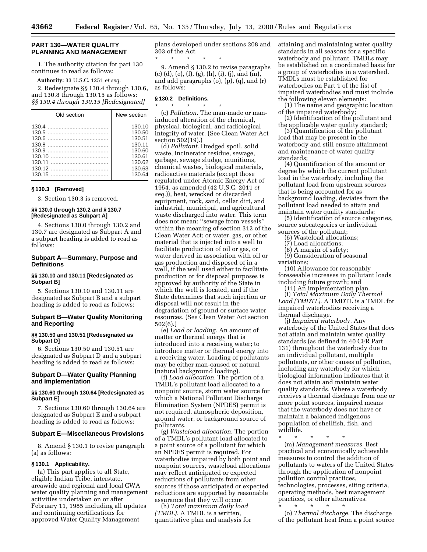## **PART 130—WATER QUALITY PLANNING AND MANAGEMENT**

1. The authority citation for part 130 continues to read as follows:

**Authority:** 33 U.S.C. 1251 *et seq.*

2. Redesignate §§ 130.4 through 130.6, and 130.8 through 130.15 as follows: *§§ 130.4 through 130.15 [Redesignated]*

| Old section | New section |
|-------------|-------------|
|             | 130.10      |
|             | 130.50      |
|             | 130.51      |
|             | 130.11      |
|             | 130.60      |
|             | 130.61      |
|             | 130.62      |
|             | 130.63      |
|             | 130.64      |
|             |             |

#### **§ 130.3 [Removed]**

3. Section 130.3 is removed.

## **§§ 130.0 through 130.2 and § 130.7 [Redesignated as Subpart A]**

4. Sections 130.0 through 130.2 and 130.7 are designated as Subpart A and a subpart heading is added to read as follows:

# **Subpart A—Summary, Purpose and Definitions**

# **§§ 130.10 and 130.11 [Redesignated as Subpart B]**

5. Sections 130.10 and 130.11 are designated as Subpart B and a subpart heading is added to read as follows:

# **Subpart B—Water Quality Monitoring and Reporting**

#### **§§ 130.50 and 130.51 [Redesignated as Subpart D]**

6. Sections 130.50 and 130.51 are designated as Subpart D and a subpart heading is added to read as follows:

# **Subpart D—Water Quality Planning and Implementation**

#### **§§ 130.60 through 130.64 [Redesignated as Subpart E]**

7. Sections 130.60 through 130.64 are designated as Subpart E and a subpart heading is added to read as follows:

#### **Subpart E—Miscellaneous Provisions**

8. Amend § 130.1 to revise paragraph (a) as follows:

#### **§ 130.1 Applicability.**

(a) This part applies to all State, eligible Indian Tribe, interstate, areawide and regional and local CWA water quality planning and management activities undertaken on or after February 11, 1985 including all updates and continuing certifications for approved Water Quality Management

plans developed under sections 208 and 303 of the Act.

9. Amend § 130.2 to revise paragraphs (c) (d), (e), (f), (g), (h), (i), (j), and (m), and add paragraphs (o), (p), (q), and (r) as follows:

# **§ 130.2 Definitions.**

\* \* \* \* \*

\* \* \* \* \* (c) *Pollution.* The man-made or maninduced alteration of the chemical, physical, biological, and radiological integrity of water. (See Clean Water Act section 502(19).)

(d) *Pollutant.* Dredged spoil, solid waste, incinerator residue, sewage, garbage, sewage sludge, munitions, chemical wastes, biological materials, radioactive materials (except those regulated under Atomic Energy Act of 1954, as amended (42 U.S.C. 2011 *et seq.*)), heat, wrecked or discarded equipment, rock, sand, cellar dirt, and industrial, municipal, and agricultural waste discharged into water. This term does not mean: ''sewage from vessels'' within the meaning of section 312 of the Clean Water Act; or water, gas, or other material that is injected into a well to facilitate production of oil or gas, or water derived in association with oil or gas production and disposed of in a well, if the well used either to facilitate production or for disposal purposes is approved by authority of the State in which the well is located, and if the State determines that such injection or disposal will not result in the degradation of ground or surface water resources. (See Clean Water Act section 502(6).)

(e) *Load or loading.* An amount of matter or thermal energy that is introduced into a receiving water; to introduce matter or thermal energy into a receiving water. Loading of pollutants may be either man-caused or natural (natural background loading).

(f) *Load allocation.* The portion of a TMDL's pollutant load allocated to a nonpoint source, storm water source for which a National Pollutant Discharge Elimination System (NPDES) permit is not required, atmospheric deposition, ground water, or background source of pollutants.

(g) *Wasteload allocation.* The portion of a TMDL's pollutant load allocated to a point source of a pollutant for which an NPDES permit is required. For waterbodies impaired by both point and nonpoint sources, wasteload allocations may reflect anticipated or expected reductions of pollutants from other sources if those anticipated or expected reductions are supported by reasonable assurance that they will occur.

(h) *Total maximum daily load (TMDL).* A TMDL is a written, quantitative plan and analysis for attaining and maintaining water quality standards in all seasons for a specific waterbody and pollutant. TMDLs may be established on a coordinated basis for a group of waterbodies in a watershed. TMDLs must be established for waterbodies on Part 1 of the list of impaired waterbodies and must include

the following eleven elements:<br>
(1) The name and geographic location<br>
of the impaired waterbody;

(2) Identification of the pollutant and the applicable water quality standard; (3) Quantification of the pollutant

load that may be present in the waterbody and still ensure attainment and maintenance of water quality standards;

(4) Quantification of the amount or degree by which the current pollutant load in the waterbody, including the pollutant load from upstream sources that is being accounted for as background loading, deviates from the pollutant load needed to attain and

maintain water quality standards; (5) Identification of source categories, source subcategories or individual

(6) Wasteload allocations;

(7) Load allocations;

A margin of safety;

(9) Consideration of seasonal variations;

(10) Allowance for reasonably foreseeable increases in pollutant loads including future growth; and (11) An implementation plan.

(i) *Total Maximum Daily Thermal Load (TMDTL).* A TMDTL is a TMDL for impaired waterbodies receiving a

(j) *Impaired waterbody*. Any waterbody of the United States that does not attain and maintain water quality standards (as defined in 40 CFR Part 131) throughout the waterbody due to an individual pollutant, multiple pollutants, or other causes of pollution, including any waterbody for which biological information indicates that it does not attain and maintain water quality standards. Where a waterbody receives a thermal discharge from one or more point sources, impaired means that the waterbody does not have or maintain a balanced indigenous population of shellfish, fish, and wildlife.

\* \* \* \* \* (m) *Management measures.* Best practical and economically achievable measures to control the addition of pollutants to waters of the United States through the application of nonpoint pollution control practices, technologies, processes, siting criteria, operating methods, best management practices, or other alternatives. \* \* \* \* \*

(o) *Thermal discharge.* The discharge of the pollutant heat from a point source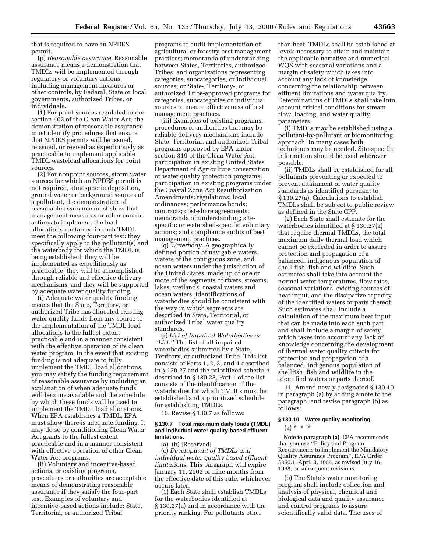that is required to have an NPDES permit.

(p) *Reasonable assurance.* Reasonable assurance means a demonstration that TMDLs will be implemented through regulatory or voluntary actions, including management measures or other controls, by Federal, State or local governments, authorized Tribes, or individuals.

(1) For point sources regulated under section 402 of the Clean Water Act, the demonstration of reasonable assurance must identify procedures that ensure that NPDES permits will be issued, reissued, or revised as expeditiously as practicable to implement applicable TMDL wasteload allocations for point sources.

(2) For nonpoint sources, storm water sources for which an NPDES permit is not required, atmospheric deposition, ground water or background sources of a pollutant, the demonstration of reasonable assurance must show that management measures or other control actions to implement the load allocations contained in each TMDL meet the following four-part test: they specifically apply to the pollutant(s) and the waterbody for which the TMDL is being established; they will be implemented as expeditiously as practicable; they will be accomplished through reliable and effective delivery mechanisms; and they will be supported by adequate water quality funding.

(i) Adequate water quality funding means that the State, Territory, or authorized Tribe has allocated existing water quality funds from any source to the implementation of the TMDL load allocations to the fullest extent practicable and in a manner consistent with the effective operation of its clean water program. In the event that existing funding is not adequate to fully implement the TMDL load allocations, you may satisfy the funding requirement of reasonable assurance by including an explanation of when adequate funds will become available and the schedule by which these funds will be used to implement the TMDL load allocations. When EPA establishes a TMDL, EPA must show there is adequate funding. It may do so by conditioning Clean Water Act grants to the fullest extent practicable and in a manner consistent with effective operation of other Clean Water Act programs.

(ii) Voluntary and incentive-based actions, or existing programs, procedures or authorities are acceptable means of demonstrating reasonable assurance if they satisfy the four-part test. Examples of voluntary and incentive-based actions include: State, Territorial, or authorized Tribal

programs to audit implementation of agricultural or forestry best management practices; memoranda of understanding between States, Territories, authorized Tribes, and organizations representing categories, subcategories, or individual sources; or State-, Territory-, or authorized Tribe-approved programs for categories, subcategories or individual sources to ensure effectiveness of best management practices.

(iii) Examples of existing programs, procedures or authorities that may be reliable delivery mechanisms include State, Territorial, and authorized Tribal programs approved by EPA under section 319 of the Clean Water Act; participation in existing United States Department of Agriculture conservation or water quality protection programs; participation in existing programs under the Coastal Zone Act Reauthorization Amendments; regulations; local ordinances; performance bonds; contracts; cost-share agreements; memoranda of understanding; sitespecific or watershed-specific voluntary actions; and compliance audits of best management practices.

(q) *Waterbody.* A geographically defined portion of navigable waters, waters of the contiguous zone, and ocean waters under the jurisdiction of the United States, made up of one or more of the segments of rivers, streams, lakes, wetlands, coastal waters and ocean waters. Identifications of waterbodies should be consistent with the way in which segments are described in State, Territorial, or authorized Tribal water quality standards.

(r) *List of Impaired Waterbodies or ''List.''* The list of all impaired waterbodies submitted by a State, Territory, or authorized Tribe. This list consists of Parts 1, 2, 3, and 4 described in § 130.27 and the prioritized schedule described in § 130.28. Part 1 of the list consists of the identification of the waterbodies for which TMDLs must be established and a prioritized schedule for establishing TMDLs.

10. Revise § 130.7 as follows:

## **§ 130.7 Total maximum daily loads (TMDL) and individual water quality-based effluent limitations.**

(a)–(b) [Reserved]

(c) *Development of TMDLs and individual water quality based effluent limitations.* This paragraph will expire January 11, 2002 or nine months from the effective date of this rule, whichever occurs later.

(1) Each State shall establish TMDLs for the waterbodies identified at § 130.27(a) and in accordance with the priority ranking. For pollutants other

than heat, TMDLs shall be established at levels necessary to attain and maintain the applicable narrative and numerical WQS with seasonal variations and a margin of safety which takes into account any lack of knowledge concerning the relationship between effluent limitations and water quality. Determinations of TMDLs shall take into account critical conditions for stream flow, loading, and water quality parameters.

(i) TMDLs may be established using a pollutant-by-pollutant or biomonitoring approach. In many cases both techniques may be needed. Site-specific information should be used wherever possible.

(ii) TMDLs shall be established for all pollutants preventing or expected to prevent attainment of water quality standards as identified pursuant to § 130.27(a). Calculations to establish TMDLs shall be subject to public review as defined in the State CPP.

(2) Each State shall estimate for the waterbodies identified at § 130.27(a) that require thermal TMDLs, the total maximum daily thermal load which cannot be exceeded in order to assure protection and propagation of a balanced, indigenous population of shell-fish, fish and wildlife. Such estimates shall take into account the normal water temperatures, flow rates, seasonal variations, existing sources of heat input, and the dissipative capacity of the identified waters or parts thereof. Such estimates shall include a calculation of the maximum heat input that can be made into each such part and shall include a margin of safety which takes into account any lack of knowledge concerning the development of thermal water quality criteria for protection and propagation of a balanced, indigenous population of shellfish, fish and wildlife in the identified waters or parts thereof.

11. Amend newly designated § 130.10 in paragraph (a) by adding a note to the paragraph, and revise paragraph (b) as follows:

# **§ 130.10 Water quality monitoring.**

 $(a) * * * *$ 

**Note to paragraph (a):** EPA recommends that you use ''Policy and Program Requirements to Implement the Mandatory Quality Assurance Program'', EPA Order 5360.1, April 3, 1984, as revised July 16, 1998, or subsequent revisions.

(b) The State's water monitoring program shall include collection and analysis of physical, chemical and biological data and quality assurance and control programs to assure scientifically valid data. The uses of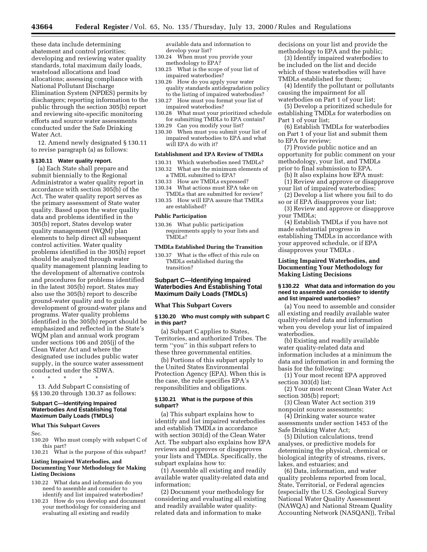these data include determining abatement and control priorities; developing and reviewing water quality standards, total maximum daily loads, wasteload allocations and load allocations; assessing compliance with National Pollutant Discharge Elimination System (NPDES) permits by dischargers; reporting information to the public through the section 305(b) report and reviewing site-specific monitoring efforts and source water assessments conducted under the Safe Drinking Water Act.

12. Amend newly designated § 130.11 to revise paragraph (a) as follows:

#### **§ 130.11 Water quality report.**

(a) Each State shall prepare and submit biennially to the Regional Administrator a water quality report in accordance with section 305(b) of the Act. The water quality report serves as the primary assessment of State water quality. Based upon the water quality data and problems identified in the 305(b) report, States develop water quality management (WQM) plan elements to help direct all subsequent control activities. Water quality problems identified in the 305(b) report should be analyzed through water quality management planning leading to the development of alternative controls and procedures for problems identified in the latest 305(b) report. States may also use the 305(b) report to describe ground-water quality and to guide development of ground-water plans and programs. Water quality problems identified in the 305(b) report should be emphasized and reflected in the State's WQM plan and annual work program under sections 106 and 205(j) of the Clean Water Act and where the designated use includes public water supply, in the source water assessment conducted under the SDWA.

\* \* \* \* \* 13. Add Subpart C consisting of §§ 130.20 through 130.37 as follows:

#### **Subpart C—Identifying Impaired Waterbodies And Establishing Total Maximum Daily Loads (TMDLs)**

## **What This Subpart Covers**

Sec.

- 130.20 Who must comply with subpart C of this part?
- 130.21 What is the purpose of this subpart?

#### **Listing Impaired Waterbodies, and Documenting Your Methodology for Making Listing Decisions**

- 130.22 What data and information do you need to assemble and consider to identify and list impaired waterbodies?
- 130.23 How do you develop and document your methodology for considering and evaluating all existing and readily

available data and information to develop your list?

- 130.24 When must you provide your methodology to EPA?
- 130.25 What is the scope of your list of impaired waterbodies?
- 130.26 How do you apply your water quality standards antidegradation policy to the listing of impaired waterbodies?
- 130.27 How must you format your list of impaired waterbodies?
- 130.28 What must your prioritized schedule for submitting TMDLs to EPA contain?
- 130.29 Can you modify your list?<br>130.30 When must you submit yo
- When must you submit your list of impaired waterbodies to EPA and what will EPA do with it?

# **Establishment and EPA Review of TMDLs**

- 130.31 Which waterbodies need TMDLs?
- 130.32 What are the minimum elements of a TMDL submitted to EPA?
- 130.33 How are TMDLs expressed? 130.34 What actions must EPA take on
- TMDLs that are submitted for review? 130.35 How will EPA assure that TMDLs
- are established?

#### **Public Participation**

130.36 What public participation requirements apply to your lists and TMDLs?

#### **TMDLs Established During the Transition**

130.37 What is the effect of this rule on TMDLs established during the transition?

# **Subpart C—Identifying Impaired Waterbodies And Establishing Total Maximum Daily Loads (TMDLs)**

#### **What This Subpart Covers**

#### **§ 130.20 Who must comply with subpart C in this part?**

(a) Subpart C applies to States, Territories, and authorized Tribes. The term ''you'' in this subpart refers to these three governmental entities.

(b) Portions of this subpart apply to the United States Environmental Protection Agency (EPA). When this is the case, the rule specifies EPA's responsibilities and obligations.

## **§ 130.21 What is the purpose of this subpart?**

(a) This subpart explains how to identify and list impaired waterbodies and establish TMDLs in accordance with section 303(d) of the Clean Water Act. The subpart also explains how EPA reviews and approves or disapproves your lists and TMDLs. Specifically, the subpart explains how to:

(1) Assemble all existing and readily available water quality-related data and information;

(2) Document your methodology for considering and evaluating all existing and readily available water qualityrelated data and information to make

decisions on your list and provide the methodology to EPA and the public;

(3) Identify impaired waterbodies to be included on the list and decide which of those waterbodies will have TMDLs established for them;

(4) Identify the pollutant or pollutants causing the impairment for all waterbodies on Part 1 of your list;

(5) Develop a prioritized schedule for establishing TMDLs for waterbodies on Part 1 of your list;

(6) Establish TMDLs for waterbodies on Part 1 of your list and submit them to EPA for review;

(7) Provide public notice and an opportunity for public comment on your methodology, your list, and TMDLs prior to final submission to EPA.

- (b) It also explains how EPA must:
- (1) Review and approve or disapprove your list of impaired waterbodies;
- (2) Develop a list where you fail to do so or if EPA disapproves your list;
- (3) Review and approve or disapprove your TMDLs;

(4) Establish TMDLs if you have not made substantial progress in establishing TMDLs in accordance with your approved schedule, or if EPA disapproves your TMDLs .

# **Listing Impaired Waterbodies, and Documenting Your Methodology for Making Listing Decisions**

# **§ 130.22 What data and information do you need to assemble and consider to identify and list impaired waterbodies?**

(a) You need to assemble and consider all existing and readily available water quality-related data and information when you develop your list of impaired waterbodies.

(b) Existing and readily available water quality-related data and information includes at a minimum the data and information in and forming the basis for the following:

(1) Your most recent EPA approved section 303(d) list;

(2) Your most recent Clean Water Act section 305(b) report;

(3) Clean Water Act section 319 nonpoint source assessments;

(4) Drinking water source water assessments under section 1453 of the Safe Drinking Water Act;

(5) Dilution calculations, trend analyses, or predictive models for determining the physical, chemical or biological integrity of streams, rivers, lakes, and estuaries; and

(6) Data, information, and water quality problems reported from local, State, Territorial, or Federal agencies (especially the U.S. Geological Survey National Water Quality Assessment (NAWQA) and National Stream Quality Accounting Network (NASQAN)), Tribal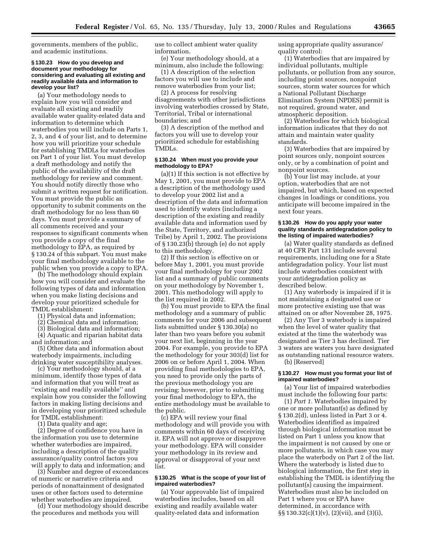governments, members of the public, and academic institutions.

#### **§ 130.23 How do you develop and document your methodology for considering and evaluating all existing and readily available data and information to develop your list?**

(a) Your methodology needs to explain how you will consider and evaluate all existing and readily available water quality-related data and information to determine which waterbodies you will include on Parts 1, 2, 3, and 4 of your list, and to determine how you will prioritize your schedule for establishing TMDLs for waterbodies on Part 1 of your list. You must develop a draft methodology and notify the public of the availability of the draft methodology for review and comment. You should notify directly those who submit a written request for notification. You must provide the public an opportunity to submit comments on the draft methodology for no less than 60 days. You must provide a summary of all comments received and your responses to significant comments when you provide a copy of the final methodology to EPA, as required by § 130.24 of this subpart. You must make your final methodology available to the public when you provide a copy to EPA.

(b) The methodology should explain how you will consider and evaluate the following types of data and information when you make listing decisions and develop your prioritized schedule for TMDL establishment:

(1) Physical data and information;

(2) Chemical data and information;

(3) Biological data and information; (4) Aquatic and riparian habitat data

and information; and (5) Other data and information about waterbody impairments, including

drinking water susceptibility analyses. (c) Your methodology should, at a minimum, identify those types of data and information that you will treat as ''existing and readily available'' and explain how you consider the following factors in making listing decisions and in developing your prioritized schedule for TMDL establishment:

(1) Data quality and age;

(2) Degree of confidence you have in the information you use to determine whether waterbodies are impaired, including a description of the quality assurance/quality control factors you will apply to data and information; and

(3) Number and degree of exceedances of numeric or narrative criteria and periods of nonattainment of designated uses or other factors used to determine whether waterbodies are impaired.

(d) Your methodology should describe the procedures and methods you will

use to collect ambient water quality information.

(e) Your methodology should, at a minimum, also include the following:

(1) A description of the selection factors you will use to include and remove waterbodies from your list;

(2) A process for resolving disagreements with other jurisdictions involving waterbodies crossed by State, Territorial, Tribal or international boundaries; and

(3) A description of the method and factors you will use to develop your prioritized schedule for establishing TMDLs.

## **§ 130.24 When must you provide your methodology to EPA?**

(a)(1) If this section is not effective by May 1, 2001, you must provide to EPA a description of the methodology used to develop your 2002 list and a description of the data and information used to identify waters (including a description of the existing and readily available data and information used by the State, Territory, and authorized Tribe) by April 1, 2002. The provisions of § 130.23(b) through (e) do not apply to this methodology.

(2) If this section is effective on or before May 1, 2001, you must provide your final methodology for your 2002 list and a summary of public comments on your methodology by November 1, 2001. This methodology will apply to the list required in 2002.

(b) You must provide to EPA the final methodology and a summary of public comments for your 2006 and subsequent lists submitted under § 130.30(a) no later than two years before you submit your next list, beginning in the year 2004. For example, you provide to EPA the methodology for your 303(d) list for 2006 on or before April 1, 2004. When providing final methodologies to EPA, you need to provide only the parts of the previous methodology you are revising; however, prior to submitting your final methodology to EPA, the entire methodology must be available to the public.

(c) EPA will review your final methodology and will provide you with comments within 60 days of receiving it. EPA will not approve or disapprove your methodology. EPA will consider your methodology in its review and approval or disapproval of your next list.

# **§ 130.25 What is the scope of your list of impaired waterbodies?**

(a) Your approvable list of impaired waterbodies includes, based on all existing and readily available water quality-related data and information

using appropriate quality assurance/ quality control:

(1) Waterbodies that are impaired by individual pollutants, multiple pollutants, or pollution from any source, including point sources, nonpoint sources, storm water sources for which a National Pollutant Discharge Elimination System (NPDES) permit is not required, ground water, and atmospheric deposition.

(2) Waterbodies for which biological information indicates that they do not attain and maintain water quality standards.

(3) Waterbodies that are impaired by point sources only, nonpoint sources only, or by a combination of point and nonpoint sources.

(b) Your list may include, at your option, waterbodies that are not impaired, but which, based on expected changes in loadings or conditions, you anticipate will become impaired in the next four years.

#### **§ 130.26 How do you apply your water quality standards antidegradation policy to the listing of impaired waterbodies?**

(a) Water quality standards as defined at 40 CFR Part 131 include several requirements, including one for a State antidegradation policy. Your list must include waterbodies consistent with your antidegradation policy as described below.

(1) Any waterbody is impaired if it is not maintaining a designated use or more protective existing use that was attained on or after November 28, 1975.

(2) Any Tier 3 waterbody is impaired when the level of water quality that existed at the time the waterbody was designated as Tier 3 has declined. Tier 3 waters are waters you have designated as outstanding national resource waters.

(b) [Reserved]

## **§ 130.27 How must you format your list of impaired waterbodies?**

(a) Your list of impaired waterbodies must include the following four parts:

(1) *Part 1.* Waterbodies impaired by one or more pollutant(s) as defined by § 130.2(d), unless listed in Part 3 or 4. Waterbodies identified as impaired through biological information must be listed on Part 1 unless you know that the impairment is not caused by one or more pollutants, in which case you may place the waterbody on Part 2 of the list. Where the waterbody is listed due to biological information, the first step in establishing the TMDL is identifying the pollutant(s) causing the impairment. Waterbodies must also be included on Part 1 where you or EPA have determined, in accordance with §§ 130.32(c)(1)(v), (2)(vii), and (3)(i),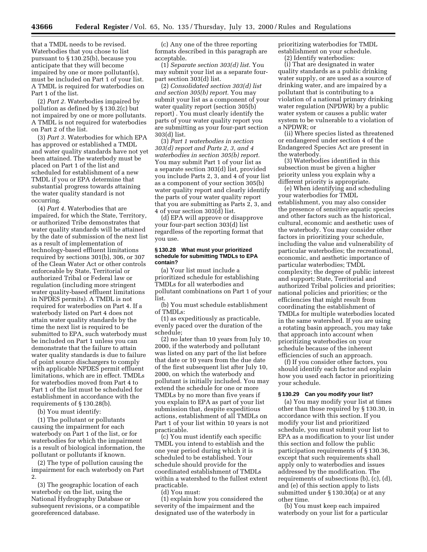that a TMDL needs to be revised. Waterbodies that you chose to list pursuant to § 130.25(b), because you anticipate that they will become impaired by one or more pollutant(s), must be included on Part 1 of your list. A TMDL is required for waterbodies on Part 1 of the list.

(2) *Part 2.* Waterbodies impaired by pollution as defined by § 130.2(c) but not impaired by one or more pollutants. A TMDL is not required for waterbodies on Part 2 of the list.

(3) *Part 3.* Waterbodies for which EPA has approved or established a TMDL and water quality standards have not yet been attained. The waterbody must be placed on Part 1 of the list and scheduled for establishment of a new TMDL if you or EPA determine that substantial progress towards attaining the water quality standard is not occurring.

(4) *Part 4.* Waterbodies that are impaired, for which the State, Territory, or authorized Tribe demonstrates that water quality standards will be attained by the date of submission of the next list as a result of implementation of technology-based effluent limitations required by sections 301(b), 306, or 307 of the Clean Water Act or other controls enforceable by State, Territorial or authorized Tribal or Federal law or regulation (including more stringent water quality-based effluent limitations in NPDES permits). A TMDL is not required for waterbodies on Part 4. If a waterbody listed on Part 4 does not attain water quality standards by the time the next list is required to be submitted to EPA, such waterbody must be included on Part 1 unless you can demonstrate that the failure to attain water quality standards is due to failure of point source dischargers to comply with applicable NPDES permit effluent limitations, which are in effect. TMDLs for waterbodies moved from Part 4 to Part 1 of the list must be scheduled for establishment in accordance with the requirements of § 130.28(b).

(b) You must identify:

(1) The pollutant or pollutants causing the impairment for each waterbody on Part 1 of the list, or for waterbodies for which the impairment is a result of biological information, the pollutant or pollutants if known.

(2) The type of pollution causing the impairment for each waterbody on Part 2.

(3) The geographic location of each waterbody on the list, using the National Hydrography Database or subsequent revisions, or a compatible georeferenced database.

(c) Any one of the three reporting formats described in this paragraph are acceptable.

(1) *Separate section 303(d) list.* You may submit your list as a separate fourpart section 303(d) list.

(2) *Consolidated section 303(d) list and section 305(b) report.* You may submit your list as a component of your water quality report (section 305(b) report) . You must clearly identify the parts of your water quality report you are submitting as your four-part section 303(d) list.

(3) *Part 1 waterbodies in section 303(d) report and Parts 2, 3, and 4 waterbodies in section 305(b) report.* You may submit Part 1 of your list as a separate section 303(d) list, provided you include Parts 2, 3, and 4 of your list as a component of your section 305(b) water quality report and clearly identify the parts of your water quality report that you are submitting as Parts 2, 3, and 4 of your section 303(d) list.

(d) EPA will approve or disapprove your four-part section 303(d) list regardless of the reporting format that you use.

#### **§ 130.28 What must your prioritized schedule for submitting TMDLs to EPA contain?**

(a) Your list must include a prioritized schedule for establishing TMDLs for all waterbodies and pollutant combinations on Part 1 of your list.

(b) You must schedule establishment of TMDLs:

(1) as expeditiously as practicable, evenly paced over the duration of the schedule;

(2) no later than 10 years from July 10, 2000, if the waterbody and pollutant was listed on any part of the list before that date or 10 years from the due date of the first subsequent list after July 10, 2000, on which the waterbody and pollutant is initially included. You may extend the schedule for one or more TMDLs by no more than five years if you explain to EPA as part of your list submission that, despite expeditious actions, establishment of all TMDLs on Part 1 of your list within 10 years is not practicable.

(c) You must identify each specific TMDL you intend to establish and the one year period during which it is scheduled to be established. Your schedule should provide for the coordinated establishment of TMDLs within a watershed to the fullest extent practicable.

(d) You must:

(1) explain how you considered the severity of the impairment and the designated use of the waterbody in

prioritizing waterbodies for TMDL establishment on your schedule.

(2) Identify waterbodies:

(i) That are designated in water quality standards as a public drinking water supply, or are used as a source of drinking water, and are impaired by a pollutant that is contributing to a violation of a national primary drinking water regulation (NPDWR) by a public water system or causes a public water system to be vulnerable to a violation of a NPDWR; or

(ii) Where species listed as threatened or endangered under section 4 of the Endangered Species Act are present in the waterbody.

(3) Waterbodies identified in this subsection must be given a higher priority unless you explain why a different priority is appropriate.

(e) When identifying and scheduling your waterbodies for TMDL establishment, you may also consider the presence of sensitive aquatic species and other factors such as the historical, cultural, economic and aesthetic uses of the waterbody. You may consider other factors in prioritizing your schedule, including the value and vulnerability of particular waterbodies; the recreational, economic, and aesthetic importance of particular waterbodies; TMDL complexity; the degree of public interest and support; State, Territorial and authorized Tribal policies and priorities; national policies and priorities; or the efficiencies that might result from coordinating the establishment of TMDLs for multiple waterbodies located in the same watershed. If you are using a rotating basin approach, you may take that approach into account when prioritizing waterbodies on your schedule because of the inherent efficiencies of such an approach.

(f) If you consider other factors, you should identify each factor and explain how you used each factor in prioritizing your schedule.

#### **§ 130.29 Can you modify your list?**

(a) You may modify your list at times other than those required by § 130.30, in accordance with this section. If you modify your list and prioritized schedule, you must submit your list to EPA as a modification to your list under this section and follow the public participation requirements of § 130.36, except that such requirements shall apply only to waterbodies and issues addressed by the modification. The requirements of subsections (b), (c), (d), and (e) of this section apply to lists submitted under § 130.30(a) or at any other time.

(b) You must keep each impaired waterbody on your list for a particular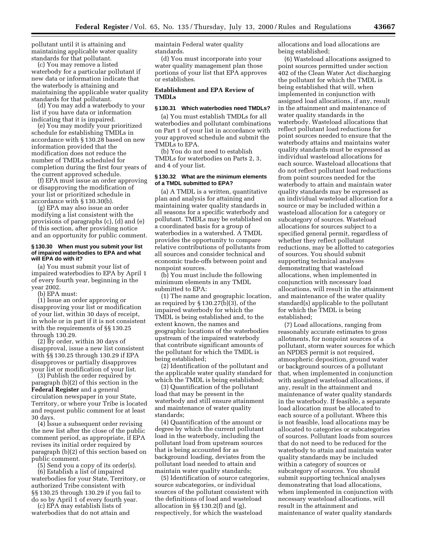pollutant until it is attaining and maintaining applicable water quality standards for that pollutant.

(c) You may remove a listed waterbody for a particular pollutant if new data or information indicate that the waterbody is attaining and maintaining the applicable water quality standards for that pollutant.

(d) You may add a waterbody to your list if you have data or information indicating that it is impaired.

(e) You may modify your prioritized schedule for establishing TMDLs in accordance with § 130.28 based on new information provided that the modification does not reduce the number of TMDLs scheduled for completion during the first four years of the current approved schedule.

(f) EPA must issue an order approving or disapproving the modification of your list or prioritized schedule in accordance with § 130.30(b).

(g) EPA may also issue an order modifying a list consistent with the provisions of paragraphs (c), (d) and (e) of this section, after providing notice and an opportunity for public comment.

#### **§ 130.30 When must you submit your list of impaired waterbodies to EPA and what will EPA do with it?**

(a) You must submit your list of impaired waterbodies to EPA by April 1 of every fourth year, beginning in the year 2002.

(b) EPA must:

(1) Issue an order approving or disapproving your list or modification of your list, within 30 days of receipt, in whole or in part if it is not consistent with the requirements of §§ 130.25 through 130.29.

(2) By order, within 30 days of disapproval, issue a new list consistent with §§ 130.25 through 130.29 if EPA disapproves or partially disapproves your list or modification of your list.

(3) Publish the order required by paragraph (b)(2) of this section in the **Federal Register** and a general circulation newspaper in your State, Territory, or where your Tribe is located and request public comment for at least 30 days.

(4) Issue a subsequent order revising the new list after the close of the public comment period, as appropriate, if EPA revises its initial order required by paragraph (b)(2) of this section based on public comment.

(5) Send you a copy of its order(s). (6) Establish a list of impaired waterbodies for your State, Territory, or authorized Tribe consistent with §§ 130.25 through 130.29 if you fail to do so by April 1 of every fourth year.

(c) EPA may establish lists of waterbodies that do not attain and maintain Federal water quality standards.

(d) You must incorporate into your water quality management plan those portions of your list that EPA approves or establishes.

# **Establishment and EPA Review of TMDLs**

# **§ 130.31 Which waterbodies need TMDLs?**

(a) You must establish TMDLs for all waterbodies and pollutant combinations on Part 1 of your list in accordance with your approved schedule and submit the TMDLs to EPA.

(b) You do not need to establish TMDLs for waterbodies on Parts 2, 3, and 4 of your list.

# **§ 130.32 What are the minimum elements of a TMDL submitted to EPA?**

(a) A TMDL is a written, quantitative plan and analysis for attaining and maintaining water quality standards in all seasons for a specific waterbody and pollutant. TMDLs may be established on a coordinated basis for a group of waterbodies in a watershed. A TMDL provides the opportunity to compare relative contributions of pollutants from all sources and consider technical and economic trade-offs between point and nonpoint sources.

(b) You must include the following minimum elements in any TMDL submitted to EPA:

(1) The name and geographic location, as required by § 130.27(b)(3), of the impaired waterbody for which the TMDL is being established and, to the extent known, the names and geographic locations of the waterbodies upstream of the impaired waterbody that contribute significant amounts of the pollutant for which the TMDL is being established;

(2) Identification of the pollutant and the applicable water quality standard for which the TMDL is being established;

(3) Quantification of the pollutant load that may be present in the waterbody and still ensure attainment and maintenance of water quality standards;

(4) Quantification of the amount or degree by which the current pollutant load in the waterbody, including the pollutant load from upstream sources that is being accounted for as background loading, deviates from the pollutant load needed to attain and maintain water quality standards;

(5) Identification of source categories, source subcategories, or individual sources of the pollutant consistent with the definitions of load and wasteload allocation in §§ 130.2(f) and (g), respectively, for which the wasteload

allocations and load allocations are being established;

(6) Wasteload allocations assigned to point sources permitted under section 402 of the Clean Water Act discharging the pollutant for which the TMDL is being established that will, when implemented in conjunction with assigned load allocations, if any, result in the attainment and maintenance of water quality standards in the waterbody. Wasteload allocations that reflect pollutant load reductions for point sources needed to ensure that the waterbody attains and maintains water quality standards must be expressed as individual wasteload allocations for each source. Wasteload allocations that do not reflect pollutant load reductions from point sources needed for the waterbody to attain and maintain water quality standards may be expressed as an individual wasteload allocation for a source or may be included within a wasteload allocation for a category or subcategory of sources. Wasteload allocations for sources subject to a specified general permit, regardless of whether they reflect pollutant reductions, may be allotted to categories of sources. You should submit supporting technical analyses demonstrating that wasteload allocations, when implemented in conjunction with necessary load allocations, will result in the attainment and maintenance of the water quality standard(s) applicable to the pollutant for which the TMDL is being established;

(7) Load allocations, ranging from reasonably accurate estimates to gross allotments, for nonpoint sources of a pollutant, storm water sources for which an NPDES permit is not required, atmospheric deposition, ground water or background sources of a pollutant that, when implemented in conjunction with assigned wasteload allocations, if any, result in the attainment and maintenance of water quality standards in the waterbody. If feasible, a separate load allocation must be allocated to each source of a pollutant. Where this is not feasible, load allocations may be allocated to categories or subcategories of sources. Pollutant loads from sources that do not need to be reduced for the waterbody to attain and maintain water quality standards may be included within a category of sources or subcategory of sources. You should submit supporting technical analyses demonstrating that load allocations, when implemented in conjunction with necessary wasteload allocations, will result in the attainment and maintenance of water quality standards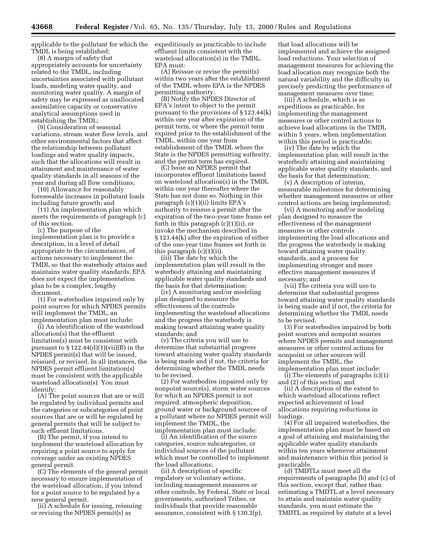applicable to the pollutant for which the TMDL is being established;

(8) A margin of safety that appropriately accounts for uncertainty related to the TMDL, including uncertainties associated with pollutant loads, modeling water quality, and monitoring water quality. A margin of safety may be expressed as unallocated assimilative capacity or conservative analytical assumptions used in establishing the TMDL;

(9) Consideration of seasonal variations, stream water flow levels, and other environmental factors that affect the relationship between pollutant loadings and water quality impacts, such that the allocations will result in attainment and maintenance of water quality standards in all seasons of the year and during all flow conditions;

(10) Allowance for reasonably foreseeable increases in pollutant loads including future growth; and

(11) An implementation plan which meets the requirements of paragraph (c) of this section.

(c) The purpose of the implementation plan is to provide a description, in a level of detail appropriate to the circumstances, of actions necessary to implement the TMDL so that the waterbody attains and maintains water quality standards. EPA does not expect the implementation plan to be a complex, lengthy document.

(1) For waterbodies impaired only by point sources for which NPDES permits will implement the TMDL, an implementation plan must include:

(i) An identification of the wasteload allocation(s) that the effluent limitation(s) must be consistent with pursuant to  $\S 122.44(d)(1)(vii)(B)$  in the NPDES permit(s) that will be issued, reissued, or revised. In all instances, the NPDES permit effluent limitation(s) must be consistent with the applicable wasteload allocation(s). You must identify:

(A) The point sources that are or will be regulated by individual permits and the categories or subcategories of point sources that are or will be regulated by general permits that will be subject to such effluent limitations.

(B) The permit, if you intend to implement the wasteload allocation by requiring a point source to apply for coverage under an existing NPDES general permit.

(C) The elements of the general permit necessary to ensure implementation of the wasteload allocation, if you intend for a point source to be regulated by a new general permit.

(ii) A schedule for issuing, reissuing or revising the NPDES permit(s) as

expeditiously as practicable to include effluent limits consistent with the wasteload allocation(s) in the TMDL. EPA must:

(A) Reissue or revise the permit(s) within two years after the establishment of the TMDL where EPA is the NPDES permitting authority.

(B) Notify the NPDES Director of EPA's intent to object to the permit pursuant to the provisions of § 123.44(k) within one year after expiration of the permit term, or where the permit term expired prior to the establishment of the TMDL, within one year from establishment of the TMDL where the State is the NPDES permitting authority, and the permit term has expired.

(C) Issue an NPDES permit that incorporates effluent limitations based on wasteload allocation(s) in the TMDL within one year thereafter where the State has not done so. Nothing in this paragraph (c)(1)(ii) limits EPA's authority to reissue a permit after the expiration of the two-year time frame set forth in this paragraph (c)(1)(ii), or invoke the mechanism described in § 123.44(k) after the expiration of either of the one-year time frames set forth in this paragraph (c)(1)(ii).

(iii) The date by which the implementation plan will result in the waterbody attaining and maintaining applicable water quality standards and the basis for that determination;

(iv) A monitoring and/or modeling plan designed to measure the effectiveness of the controls implementing the wasteload allocations and the progress the waterbody is making toward attaining water quality standards; and

(v) The criteria you will use to determine that substantial progress toward attaining water quality standards is being made and if not, the criteria for determining whether the TMDL needs to be revised.

(2) For waterbodies impaired only by nonpoint source(s), storm water sources for which an NPDES permit is not required, atmospheric deposition, ground water or background sources of a pollutant where no NPDES permit will implement the TMDL, the implementation plan must include:

(i) An identification of the source categories, source subcategories, or individual sources of the pollutant which must be controlled to implement the load allocations;

(ii) A description of specific regulatory or voluntary actions, including management measures or other controls, by Federal, State or local governments, authorized Tribes, or individuals that provide reasonable assurance, consistent with § 130.2(p),

that load allocations will be implemented and achieve the assigned load reductions. Your selection of management measures for achieving the load allocation may recognize both the natural variability and the difficulty in precisely predicting the performance of management measures over time;

(iii) A schedule, which is as expeditious as practicable, for implementing the management measures or other control actions to achieve load allocations in the TMDL within 5 years, when implementation within this period is practicable;

(iv) The date by which the implementation plan will result in the waterbody attaining and maintaining applicable water quality standards, and the basis for that determination;

(v) A description of interim, measurable milestones for determining whether management measures or other control actions are being implemented;

(vi) A monitoring and/or modeling plan designed to measure the effectiveness of the management measures or other controls implementing the load allocations and the progress the waterbody is making toward attaining water quality standards, and a process for implementing stronger and more effective management measures if necessary; and

(vii) The criteria you will use to determine that substantial progress toward attaining water quality standards is being made and if not, the criteria for determining whether the TMDL needs to be revised.

(3) For waterbodies impaired by both point sources and nonpoint sources where NPDES permits and management measures or other control actions for nonpoint or other sources will implement the TMDL, the implementation plan must include:

(i) The elements of paragraphs (c)(1) and (2) of this section; and

(ii) A description of the extent to which wasteload allocations reflect expected achievement of load allocations requiring reductions in loadings.

(4) For all impaired waterbodies, the implementation plan must be based on a goal of attaining and maintaining the applicable water quality standards within ten years whenever attainment and maintenance within this period is practicable.

(d) TMDTLs must meet all the requirements of paragraphs (b) and (c) of this section, except that, rather than estimating a TMDTL at a level necessary to attain and maintain water quality standards, you must estimate the TMDTL as required by statute at a level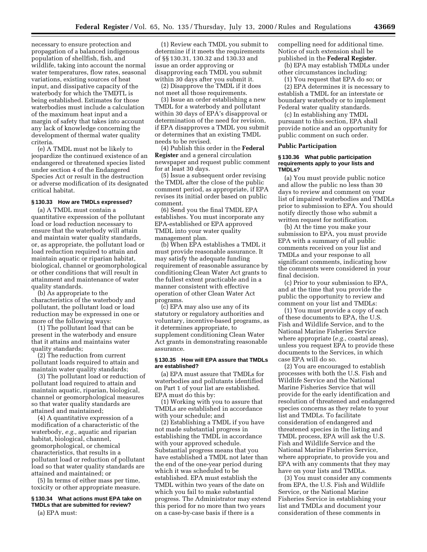necessary to ensure protection and propagation of a balanced indigenous population of shellfish, fish, and wildlife, taking into account the normal water temperatures, flow rates, seasonal variations, existing sources of heat input, and dissipative capacity of the waterbody for which the TMDTL is being established. Estimates for those waterbodies must include a calculation of the maximum heat input and a margin of safety that takes into account any lack of knowledge concerning the development of thermal water quality criteria.

(e) A TMDL must not be likely to jeopardize the continued existence of an endangered or threatened species listed under section 4 of the Endangered Species Act or result in the destruction or adverse modification of its designated critical habitat.

# **§ 130.33 How are TMDLs expressed?**

(a) A TMDL must contain a quantitative expression of the pollutant load or load reduction necessary to ensure that the waterbody will attain and maintain water quality standards, or, as appropriate, the pollutant load or load reduction required to attain and maintain aquatic or riparian habitat, biological, channel or geomorphological or other conditions that will result in attainment and maintenance of water quality standards.

(b) As appropriate to the characteristics of the waterbody and pollutant, the pollutant load or load reduction may be expressed in one or more of the following ways:

(1) The pollutant load that can be present in the waterbody and ensure that it attains and maintains water quality standards;

(2) The reduction from current pollutant loads required to attain and maintain water quality standards;

(3) The pollutant load or reduction of pollutant load required to attain and maintain aquatic, riparian, biological, channel or geomorphological measures so that water quality standards are attained and maintained;

(4) A quantitative expression of a modification of a characteristic of the waterbody, *e.g.,* aquatic and riparian habitat, biological, channel, geomorphological, or chemical characteristics, that results in a pollutant load or reduction of pollutant load so that water quality standards are attained and maintained; or

(5) In terms of either mass per time, toxicity or other appropriate measure.

# **§ 130.34 What actions must EPA take on TMDLs that are submitted for review?**

(a) EPA must:

(1) Review each TMDL you submit to determine if it meets the requirements of §§ 130.31, 130.32 and 130.33 and issue an order approving or disapproving each TMDL you submit within 30 days after you submit it.

(2) Disapprove the TMDL if it does not meet all those requirements.

(3) Issue an order establishing a new TMDL for a waterbody and pollutant within 30 days of EPA's disapproval or determination of the need for revision, if EPA disapproves a TMDL you submit or determines that an existing TMDL needs to be revised.

(4) Publish this order in the **Federal Register** and a general circulation newspaper and request public comment for at least 30 days.

(5) Issue a subsequent order revising the TMDL after the close of the public comment period, as appropriate, if EPA revises its initial order based on public comment.

(6) Send you the final TMDL EPA establishes. You must incorporate any EPA-established or EPA approved TMDL into your water quality management plan.

(b) When EPA establishes a TMDL it must provide reasonable assurance. It may satisfy the adequate funding requirement of reasonable assurance by conditioning Clean Water Act grants to the fullest extent practicable and in a manner consistent with effective operation of other Clean Water Act programs.

(c) EPA may also use any of its statutory or regulatory authorities and voluntary, incentive-based programs, as it determines appropriate, to supplement conditioning Clean Water Act grants in demonstrating reasonable assurance.

# **§ 130.35 How will EPA assure that TMDLs are established?**

(a) EPA must assure that TMDLs for waterbodies and pollutants identified on Part 1 of your list are established. EPA must do this by:

(1) Working with you to assure that TMDLs are established in accordance with your schedule; and

(2) Establishing a TMDL if you have not made substantial progress in establishing the TMDL in accordance with your approved schedule. Substantial progress means that you have established a TMDL not later than the end of the one-year period during which it was scheduled to be established. EPA must establish the TMDL within two years of the date on which you fail to make substantial progress. The Administrator may extend this period for no more than two years on a case-by-case basis if there is a

compelling need for additional time. Notice of such extension shall be published in the **Federal Register**.

(b) EPA may establish TMDLs under other circumstances including:

(1) You request that EPA do so; or (2) EPA determines it is necessary to establish a TMDL for an interstate or boundary waterbody or to implement Federal water quality standards.

(c) In establishing any TMDL pursuant to this section, EPA shall provide notice and an opportunity for public comment on such order.

#### **Public Participation**

#### **§ 130.36 What public participation requirements apply to your lists and TMDLs?**

(a) You must provide public notice and allow the public no less than 30 days to review and comment on your list of impaired waterbodies and TMDLs prior to submission to EPA. You should notify directly those who submit a written request for notification.

(b) At the time you make your submission to EPA, you must provide EPA with a summary of all public comments received on your list and TMDLs and your response to all significant comments, indicating how the comments were considered in your final decision.

(c) Prior to your submission to EPA, and at the time that you provide the public the opportunity to review and comment on your list and TMDLs:

(1) You must provide a copy of each of these documents to EPA, the U.S. Fish and Wildlife Service, and to the National Marine Fisheries Service where appropriate (*e.g.,* coastal areas), unless you request EPA to provide these documents to the Services, in which case EPA will do so.

(2) You are encouraged to establish processes with both the U.S. Fish and Wildlife Service and the National Marine Fisheries Service that will provide for the early identification and resolution of threatened and endangered species concerns as they relate to your list and TMDLs. To facilitate consideration of endangered and threatened species in the listing and TMDL process, EPA will ask the U.S. Fish and Wildlife Service and the National Marine Fisheries Service, where appropriate, to provide you and EPA with any comments that they may have on your lists and TMDLs.

(3) You must consider any comments from EPA, the U.S. Fish and Wildlife Service, or the National Marine Fisheries Service in establishing your list and TMDLs and document your consideration of these comments in